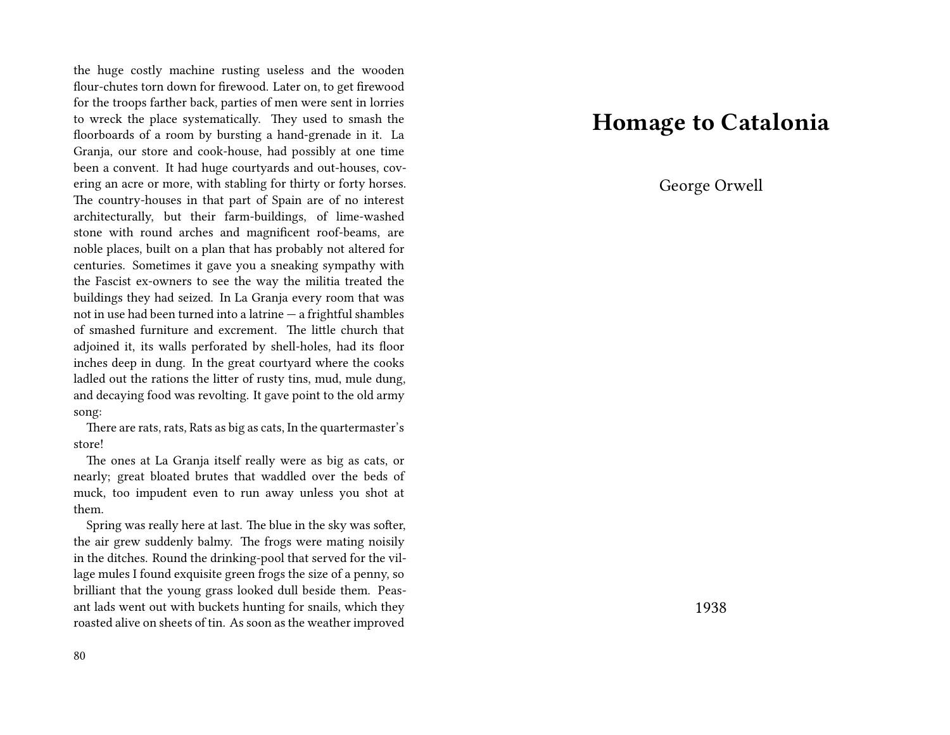the huge costly machine rusting useless and the wooden flour-chutes torn down for firewood. Later on, to get firewood for the troops farther back, parties of men were sent in lorries to wreck the place systematically. They used to smash the floorboards of a room by bursting a hand-grenade in it. La Granja, our store and cook-house, had possibly at one time been a convent. It had huge courtyards and out-houses, covering an acre or more, with stabling for thirty or forty horses. The country-houses in that part of Spain are of no interest architecturally, but their farm-buildings, of lime-washed stone with round arches and magnificent roof-beams, are noble places, built on a plan that has probably not altered for centuries. Sometimes it gave you a sneaking sympathy with the Fascist ex-owners to see the way the militia treated the buildings they had seized. In La Granja every room that was not in use had been turned into a latrine — a frightful shambles of smashed furniture and excrement. The little church that adjoined it, its walls perforated by shell-holes, had its floor inches deep in dung. In the great courtyard where the cooks ladled out the rations the litter of rusty tins, mud, mule dung, and decaying food was revolting. It gave point to the old army song:

There are rats, rats, Rats as big as cats, In the quartermaster's store!

The ones at La Granja itself really were as big as cats, or nearly; great bloated brutes that waddled over the beds of muck, too impudent even to run away unless you shot at them.

Spring was really here at last. The blue in the sky was softer, the air grew suddenly balmy. The frogs were mating noisily in the ditches. Round the drinking-pool that served for the village mules I found exquisite green frogs the size of a penny, so brilliant that the young grass looked dull beside them. Peasant lads went out with buckets hunting for snails, which they roasted alive on sheets of tin. As soon as the weather improved

#### 80

### **Homage to Catalonia**

George Orwell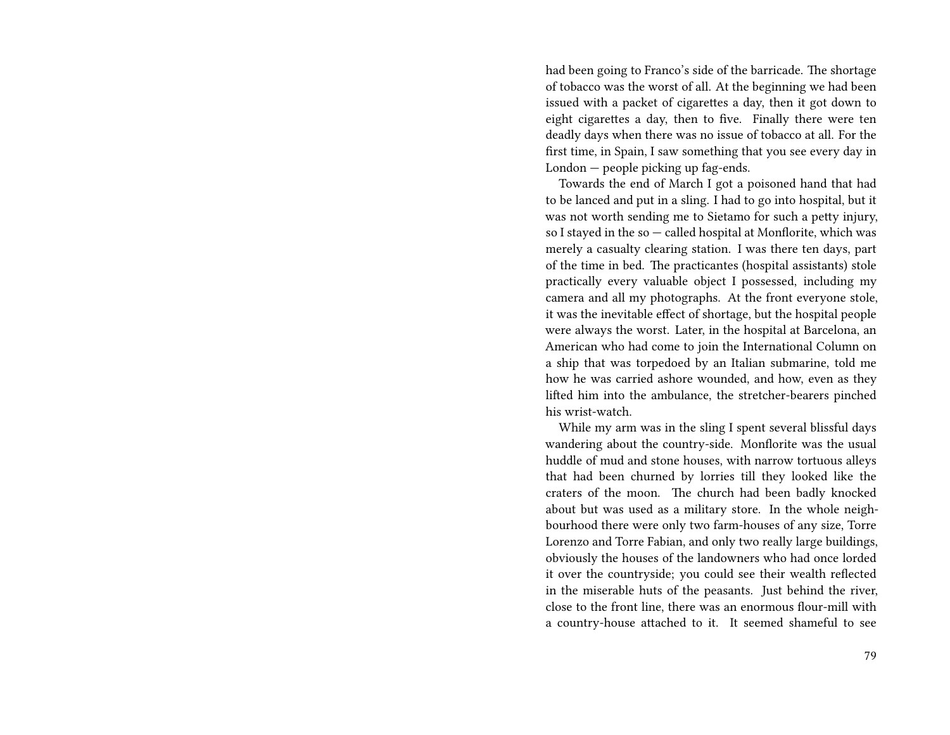had been going to Franco's side of the barricade. The shortage of tobacco was the worst of all. At the beginning we had been issued with a packet of cigarettes a day, then it got down to eight cigarettes a day, then to five. Finally there were ten deadly days when there was no issue of tobacco at all. For the first time, in Spain, I saw something that you see every day in London — people picking up fag-ends.

Towards the end of March I got a poisoned hand that had to be lanced and put in a sling. I had to go into hospital, but it was not worth sending me to Sietamo for such a petty injury, so I stayed in the so — called hospital at Monflorite, which was merely a casualty clearing station. I was there ten days, part of the time in bed. The practicantes (hospital assistants) stole practically every valuable object I possessed, including my camera and all my photographs. At the front everyone stole, it was the inevitable effect of shortage, but the hospital people were always the worst. Later, in the hospital at Barcelona, an American who had come to join the International Column on a ship that was torpedoed by an Italian submarine, told me how he was carried ashore wounded, and how, even as they lifted him into the ambulance, the stretcher-bearers pinched his wrist-watch.

While my arm was in the sling I spent several blissful days wandering about the country-side. Monflorite was the usual huddle of mud and stone houses, with narrow tortuous alleys that had been churned by lorries till they looked like the craters of the moon. The church had been badly knocked about but was used as a military store. In the whole neighbourhood there were only two farm-houses of any size, Torre Lorenzo and Torre Fabian, and only two really large buildings, obviously the houses of the landowners who had once lorded it over the countryside; you could see their wealth reflected in the miserable huts of the peasants. Just behind the river, close to the front line, there was an enormous flour-mill with a country-house attached to it. It seemed shameful to see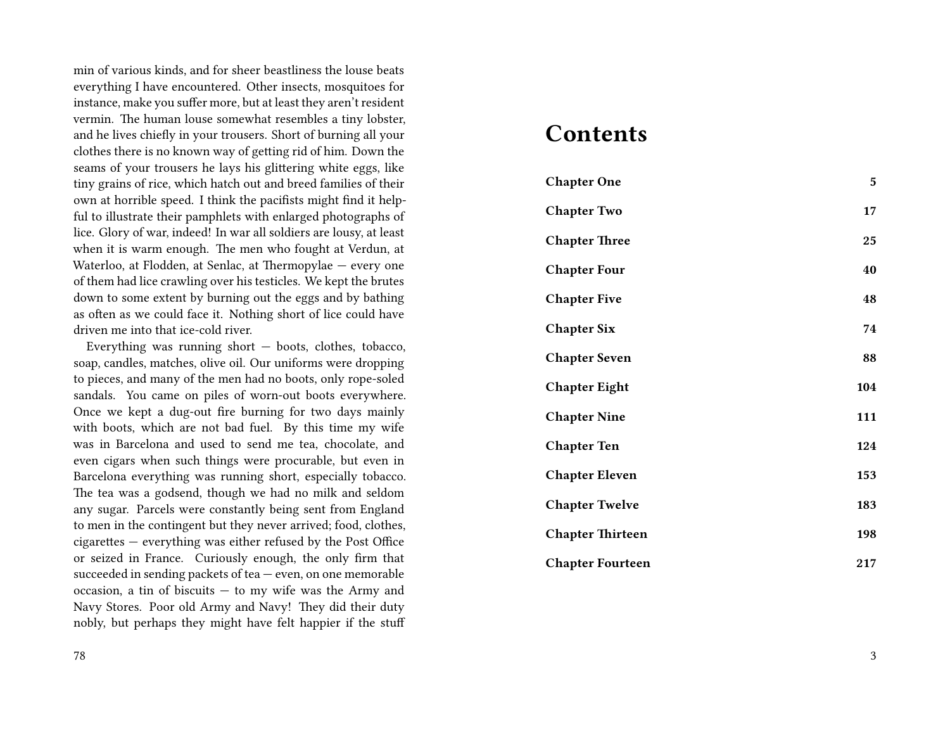min of various kinds, and for sheer beastliness the louse beats everything I have encountered. Other insects, mosquitoes for instance, make you suffer more, but at least they aren't resident vermin. The human louse somewhat resembles a tiny lobster, and he lives chiefly in your trousers. Short of burning all your clothes there is no known way of getting rid of him. Down the seams of your trousers he lays his glittering white eggs, like tiny grains of rice, which hatch out and breed families of their own at horrible speed. I think the pacifists might find it helpful to illustrate their pamphlets with enlarged photographs of lice. Glory of war, indeed! In war all soldiers are lousy, at least when it is warm enough. The men who fought at Verdun, at Waterloo, at Flodden, at Senlac, at Thermopylae — every one of them had lice crawling over his testicles. We kept the brutes down to some extent by burning out the eggs and by bathing as often as we could face it. Nothing short of lice could have driven me into that ice-cold river.

Everything was running short  $-$  boots, clothes, tobacco, soap, candles, matches, olive oil. Our uniforms were dropping to pieces, and many of the men had no boots, only rope-soled sandals. You came on piles of worn-out boots everywhere. Once we kept a dug-out fire burning for two days mainly with boots, which are not bad fuel. By this time my wife was in Barcelona and used to send me tea, chocolate, and even cigars when such things were procurable, but even in Barcelona everything was running short, especially tobacco. The tea was a godsend, though we had no milk and seldom any sugar. Parcels were constantly being sent from England to men in the contingent but they never arrived; food, clothes, cigarettes — everything was either refused by the Post Office or seized in France. Curiously enough, the only firm that succeeded in sending packets of tea — even, on one memorable occasion, a tin of biscuits  $-$  to my wife was the Army and Navy Stores. Poor old Army and Navy! They did their duty nobly, but perhaps they might have felt happier if the stuff

### **Contents**

| <b>Chapter One</b>      | 5   |
|-------------------------|-----|
| <b>Chapter Two</b>      | 17  |
| <b>Chapter Three</b>    | 25  |
| <b>Chapter Four</b>     | 40  |
| <b>Chapter Five</b>     | 48  |
| <b>Chapter Six</b>      | 74  |
| <b>Chapter Seven</b>    | 88  |
| <b>Chapter Eight</b>    | 104 |
| <b>Chapter Nine</b>     | 111 |
| <b>Chapter Ten</b>      | 124 |
| <b>Chapter Eleven</b>   | 153 |
| <b>Chapter Twelve</b>   | 183 |
| <b>Chapter Thirteen</b> | 198 |
| <b>Chapter Fourteen</b> | 217 |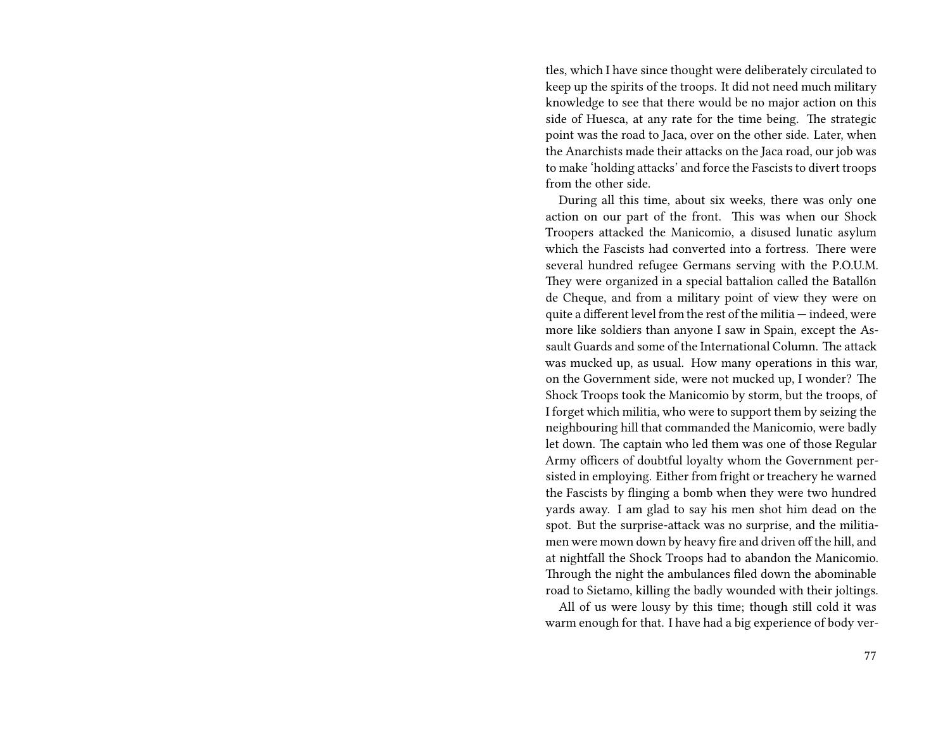tles, which I have since thought were deliberately circulated to keep up the spirits of the troops. It did not need much military knowledge to see that there would be no major action on this side of Huesca, at any rate for the time being. The strategic point was the road to Jaca, over on the other side. Later, when the Anarchists made their attacks on the Jaca road, our job was to make 'holding attacks' and force the Fascists to divert troops from the other side.

During all this time, about six weeks, there was only one action on our part of the front. This was when our Shock Troopers attacked the Manicomio, a disused lunatic asylum which the Fascists had converted into a fortress. There were several hundred refugee Germans serving with the P.O.U.M. They were organized in a special battalion called the Batall6n de Cheque, and from a military point of view they were on quite a different level from the rest of the militia — indeed, were more like soldiers than anyone I saw in Spain, except the Assault Guards and some of the International Column. The attack was mucked up, as usual. How many operations in this war, on the Government side, were not mucked up, I wonder? The Shock Troops took the Manicomio by storm, but the troops, of I forget which militia, who were to support them by seizing the neighbouring hill that commanded the Manicomio, were badly let down. The captain who led them was one of those Regular Army officers of doubtful loyalty whom the Government persisted in employing. Either from fright or treachery he warned the Fascists by flinging a bomb when they were two hundred yards away. I am glad to say his men shot him dead on the spot. But the surprise-attack was no surprise, and the militiamen were mown down by heavy fire and driven off the hill, and at nightfall the Shock Troops had to abandon the Manicomio. Through the night the ambulances filed down the abominable road to Sietamo, killing the badly wounded with their joltings.

All of us were lousy by this time; though still cold it was warm enough for that. I have had a big experience of body ver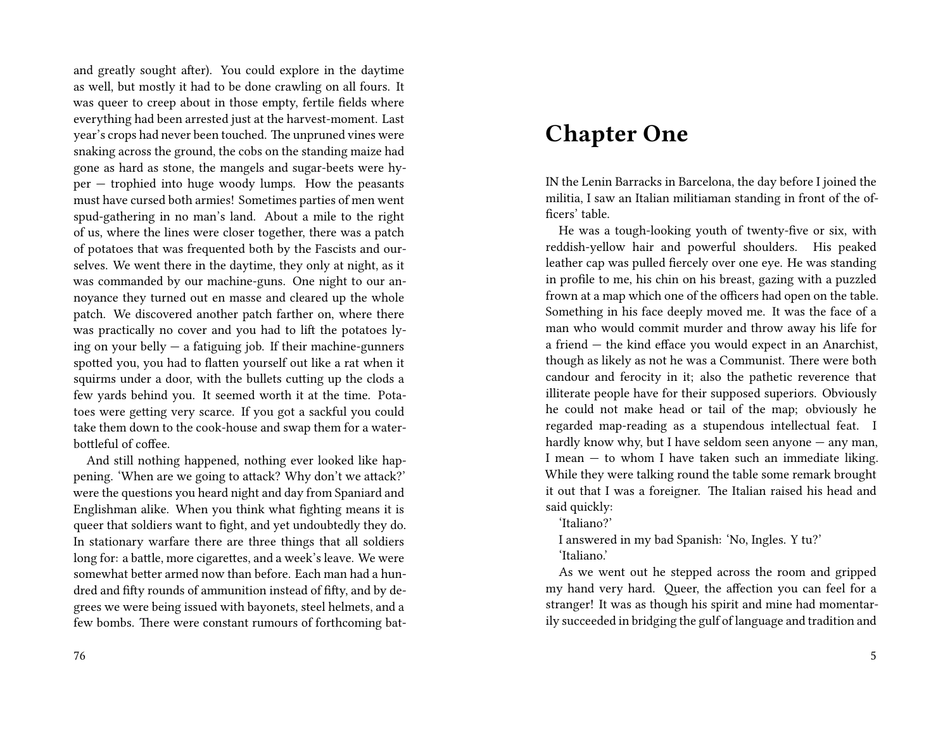and greatly sought after). You could explore in the daytime as well, but mostly it had to be done crawling on all fours. It was queer to creep about in those empty, fertile fields where everything had been arrested just at the harvest-moment. Last year's crops had never been touched. The unpruned vines were snaking across the ground, the cobs on the standing maize had gone as hard as stone, the mangels and sugar-beets were hyper — trophied into huge woody lumps. How the peasants must have cursed both armies! Sometimes parties of men went spud-gathering in no man's land. About a mile to the right of us, where the lines were closer together, there was a patch of potatoes that was frequented both by the Fascists and ourselves. We went there in the daytime, they only at night, as it was commanded by our machine-guns. One night to our annoyance they turned out en masse and cleared up the whole patch. We discovered another patch farther on, where there was practically no cover and you had to lift the potatoes lying on your belly  $-$  a fatiguing job. If their machine-gunners spotted you, you had to flatten yourself out like a rat when it squirms under a door, with the bullets cutting up the clods a few yards behind you. It seemed worth it at the time. Potatoes were getting very scarce. If you got a sackful you could take them down to the cook-house and swap them for a waterbottleful of coffee.

And still nothing happened, nothing ever looked like happening. 'When are we going to attack? Why don't we attack?' were the questions you heard night and day from Spaniard and Englishman alike. When you think what fighting means it is queer that soldiers want to fight, and yet undoubtedly they do. In stationary warfare there are three things that all soldiers long for: a battle, more cigarettes, and a week's leave. We were somewhat better armed now than before. Each man had a hundred and fifty rounds of ammunition instead of fifty, and by degrees we were being issued with bayonets, steel helmets, and a few bombs. There were constant rumours of forthcoming bat-

## **Chapter One**

IN the Lenin Barracks in Barcelona, the day before I joined the militia, I saw an Italian militiaman standing in front of the officers' table.

He was a tough-looking youth of twenty-five or six, with reddish-yellow hair and powerful shoulders. His peaked leather cap was pulled fiercely over one eye. He was standing in profile to me, his chin on his breast, gazing with a puzzled frown at a map which one of the officers had open on the table. Something in his face deeply moved me. It was the face of a man who would commit murder and throw away his life for a friend — the kind efface you would expect in an Anarchist, though as likely as not he was a Communist. There were both candour and ferocity in it; also the pathetic reverence that illiterate people have for their supposed superiors. Obviously he could not make head or tail of the map; obviously he regarded map-reading as a stupendous intellectual feat. I hardly know why, but I have seldom seen anyone — any man, I mean — to whom I have taken such an immediate liking. While they were talking round the table some remark brought it out that I was a foreigner. The Italian raised his head and said quickly:

'Italiano?'

I answered in my bad Spanish: 'No, Ingles. Y tu?' 'Italiano.'

As we went out he stepped across the room and gripped my hand very hard. Queer, the affection you can feel for a stranger! It was as though his spirit and mine had momentarily succeeded in bridging the gulf of language and tradition and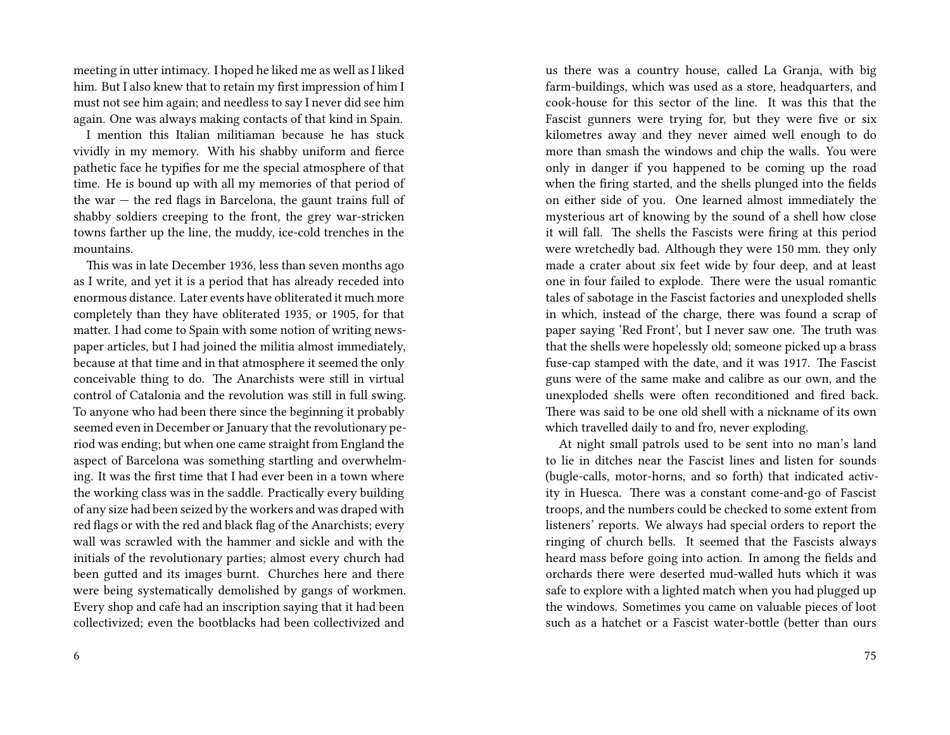meeting in utter intimacy. I hoped he liked me as well as I liked him. But I also knew that to retain my first impression of him I must not see him again; and needless to say I never did see him again. One was always making contacts of that kind in Spain.

I mention this Italian militiaman because he has stuck vividly in my memory. With his shabby uniform and fierce pathetic face he typifies for me the special atmosphere of that time. He is bound up with all my memories of that period of the war — the red flags in Barcelona, the gaunt trains full of shabby soldiers creeping to the front, the grey war-stricken towns farther up the line, the muddy, ice-cold trenches in the mountains.

This was in late December 1936, less than seven months ago as I write, and yet it is a period that has already receded into enormous distance. Later events have obliterated it much more completely than they have obliterated 1935, or 1905, for that matter. I had come to Spain with some notion of writing newspaper articles, but I had joined the militia almost immediately, because at that time and in that atmosphere it seemed the only conceivable thing to do. The Anarchists were still in virtual control of Catalonia and the revolution was still in full swing. To anyone who had been there since the beginning it probably seemed even in December or January that the revolutionary period was ending; but when one came straight from England the aspect of Barcelona was something startling and overwhelming. It was the first time that I had ever been in a town where the working class was in the saddle. Practically every building of any size had been seized by the workers and was draped with red flags or with the red and black flag of the Anarchists; every wall was scrawled with the hammer and sickle and with the initials of the revolutionary parties; almost every church had been gutted and its images burnt. Churches here and there were being systematically demolished by gangs of workmen. Every shop and cafe had an inscription saying that it had been collectivized; even the bootblacks had been collectivized and

us there was a country house, called La Granja, with big farm-buildings, which was used as a store, headquarters, and cook-house for this sector of the line. It was this that the Fascist gunners were trying for, but they were five or six kilometres away and they never aimed well enough to do more than smash the windows and chip the walls. You were only in danger if you happened to be coming up the road when the firing started, and the shells plunged into the fields on either side of you. One learned almost immediately the mysterious art of knowing by the sound of a shell how close it will fall. The shells the Fascists were firing at this period were wretchedly bad. Although they were 150 mm. they only made a crater about six feet wide by four deep, and at least one in four failed to explode. There were the usual romantic tales of sabotage in the Fascist factories and unexploded shells in which, instead of the charge, there was found a scrap of paper saying 'Red Front', but I never saw one. The truth was that the shells were hopelessly old; someone picked up a brass fuse-cap stamped with the date, and it was 1917. The Fascist guns were of the same make and calibre as our own, and the unexploded shells were often reconditioned and fired back. There was said to be one old shell with a nickname of its own which travelled daily to and fro, never exploding.

At night small patrols used to be sent into no man's land to lie in ditches near the Fascist lines and listen for sounds (bugle-calls, motor-horns, and so forth) that indicated activity in Huesca. There was a constant come-and-go of Fascist troops, and the numbers could be checked to some extent from listeners' reports. We always had special orders to report the ringing of church bells. It seemed that the Fascists always heard mass before going into action. In among the fields and orchards there were deserted mud-walled huts which it was safe to explore with a lighted match when you had plugged up the windows. Sometimes you came on valuable pieces of loot such as a hatchet or a Fascist water-bottle (better than ours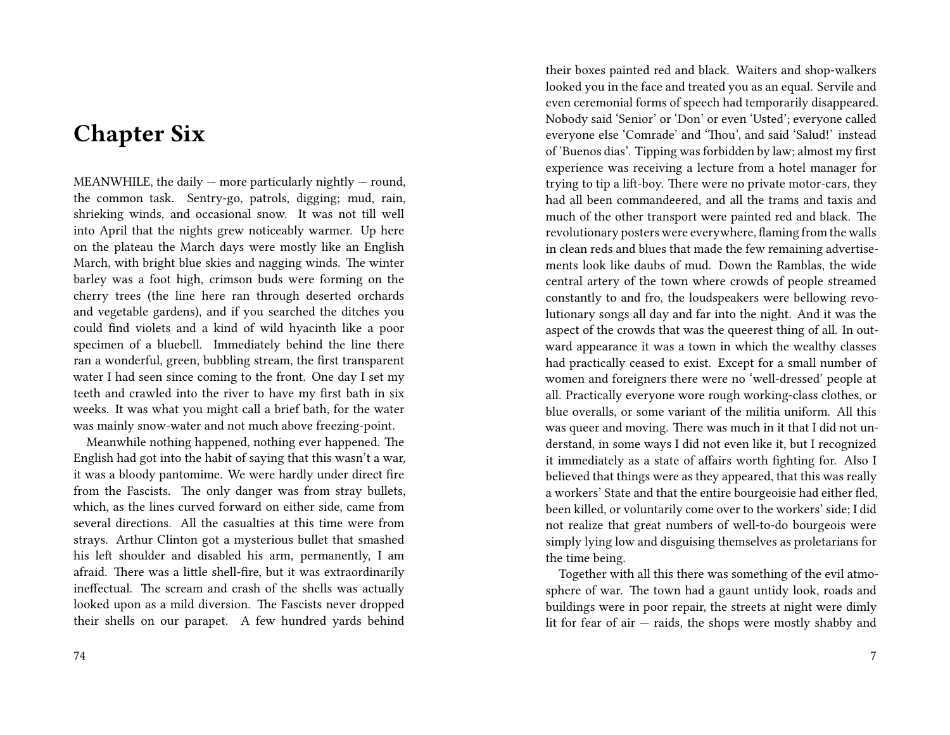# **Chapter Six**

MEANWHILE, the daily  $-$  more particularly nightly  $-$  round, the common task. Sentry-go, patrols, digging; mud, rain, shrieking winds, and occasional snow. It was not till well into April that the nights grew noticeably warmer. Up here on the plateau the March days were mostly like an English March, with bright blue skies and nagging winds. The winter barley was a foot high, crimson buds were forming on the cherry trees (the line here ran through deserted orchards and vegetable gardens), and if you searched the ditches you could find violets and a kind of wild hyacinth like a poor specimen of a bluebell. Immediately behind the line there ran a wonderful, green, bubbling stream, the first transparent water I had seen since coming to the front. One day I set my teeth and crawled into the river to have my first bath in six weeks. It was what you might call a brief bath, for the water was mainly snow-water and not much above freezing-point.

Meanwhile nothing happened, nothing ever happened. The English had got into the habit of saying that this wasn't a war, it was a bloody pantomime. We were hardly under direct fire from the Fascists. The only danger was from stray bullets, which, as the lines curved forward on either side, came from several directions. All the casualties at this time were from strays. Arthur Clinton got a mysterious bullet that smashed his left shoulder and disabled his arm, permanently, I am afraid. There was a little shell-fire, but it was extraordinarily ineffectual. The scream and crash of the shells was actually looked upon as a mild diversion. The Fascists never dropped their shells on our parapet. A few hundred yards behind

their boxes painted red and black. Waiters and shop-walkers looked you in the face and treated you as an equal. Servile and even ceremonial forms of speech had temporarily disappeared. Nobody said 'Senior' or 'Don' or even 'Usted'; everyone called everyone else 'Comrade' and 'Thou', and said 'Salud!' instead of 'Buenos dias'. Tipping was forbidden by law; almost my first experience was receiving a lecture from a hotel manager for trying to tip a lift-boy. There were no private motor-cars, they had all been commandeered, and all the trams and taxis and much of the other transport were painted red and black. The revolutionary posters were everywhere, flaming from the walls in clean reds and blues that made the few remaining advertisements look like daubs of mud. Down the Ramblas, the wide central artery of the town where crowds of people streamed constantly to and fro, the loudspeakers were bellowing revolutionary songs all day and far into the night. And it was the aspect of the crowds that was the queerest thing of all. In outward appearance it was a town in which the wealthy classes had practically ceased to exist. Except for a small number of women and foreigners there were no 'well-dressed' people at all. Practically everyone wore rough working-class clothes, or blue overalls, or some variant of the militia uniform. All this was queer and moving. There was much in it that I did not understand, in some ways I did not even like it, but I recognized it immediately as a state of affairs worth fighting for. Also I believed that things were as they appeared, that this was really a workers' State and that the entire bourgeoisie had either fled, been killed, or voluntarily come over to the workers' side; I did not realize that great numbers of well-to-do bourgeois were simply lying low and disguising themselves as proletarians for the time being.

Together with all this there was something of the evil atmosphere of war. The town had a gaunt untidy look, roads and buildings were in poor repair, the streets at night were dimly lit for fear of air — raids, the shops were mostly shabby and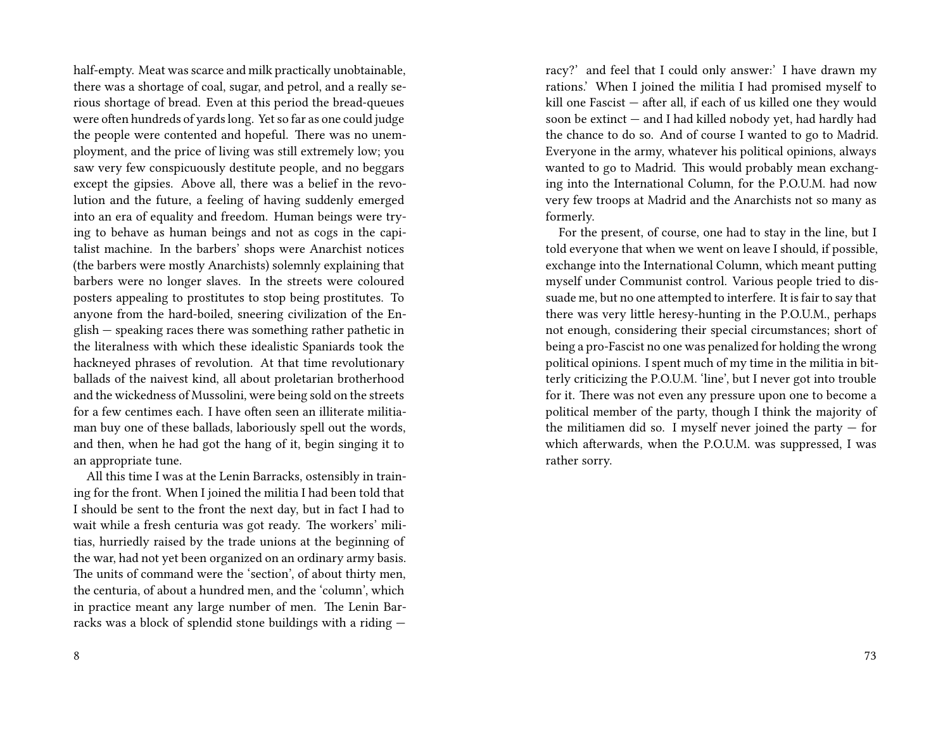half-empty. Meat was scarce and milk practically unobtainable, there was a shortage of coal, sugar, and petrol, and a really serious shortage of bread. Even at this period the bread-queues were often hundreds of yards long. Yet so far as one could judge the people were contented and hopeful. There was no unemployment, and the price of living was still extremely low; you saw very few conspicuously destitute people, and no beggars except the gipsies. Above all, there was a belief in the revolution and the future, a feeling of having suddenly emerged into an era of equality and freedom. Human beings were trying to behave as human beings and not as cogs in the capitalist machine. In the barbers' shops were Anarchist notices (the barbers were mostly Anarchists) solemnly explaining that barbers were no longer slaves. In the streets were coloured posters appealing to prostitutes to stop being prostitutes. To anyone from the hard-boiled, sneering civilization of the English — speaking races there was something rather pathetic in the literalness with which these idealistic Spaniards took the hackneyed phrases of revolution. At that time revolutionary ballads of the naivest kind, all about proletarian brotherhood and the wickedness of Mussolini, were being sold on the streets for a few centimes each. I have often seen an illiterate militiaman buy one of these ballads, laboriously spell out the words, and then, when he had got the hang of it, begin singing it to an appropriate tune.

All this time I was at the Lenin Barracks, ostensibly in training for the front. When I joined the militia I had been told that I should be sent to the front the next day, but in fact I had to wait while a fresh centuria was got ready. The workers' militias, hurriedly raised by the trade unions at the beginning of the war, had not yet been organized on an ordinary army basis. The units of command were the 'section', of about thirty men, the centuria, of about a hundred men, and the 'column', which in practice meant any large number of men. The Lenin Barracks was a block of splendid stone buildings with a riding —

racy?' and feel that I could only answer:' I have drawn my rations.' When I joined the militia I had promised myself to kill one Fascist — after all, if each of us killed one they would soon be extinct — and I had killed nobody yet, had hardly had the chance to do so. And of course I wanted to go to Madrid. Everyone in the army, whatever his political opinions, always wanted to go to Madrid. This would probably mean exchanging into the International Column, for the P.O.U.M. had now very few troops at Madrid and the Anarchists not so many as formerly.

For the present, of course, one had to stay in the line, but I told everyone that when we went on leave I should, if possible, exchange into the International Column, which meant putting myself under Communist control. Various people tried to dissuade me, but no one attempted to interfere. It is fair to say that there was very little heresy-hunting in the P.O.U.M., perhaps not enough, considering their special circumstances; short of being a pro-Fascist no one was penalized for holding the wrong political opinions. I spent much of my time in the militia in bitterly criticizing the P.O.U.M. 'line', but I never got into trouble for it. There was not even any pressure upon one to become a political member of the party, though I think the majority of the militiamen did so. I myself never joined the party  $-$  for which afterwards, when the P.O.U.M. was suppressed, I was rather sorry.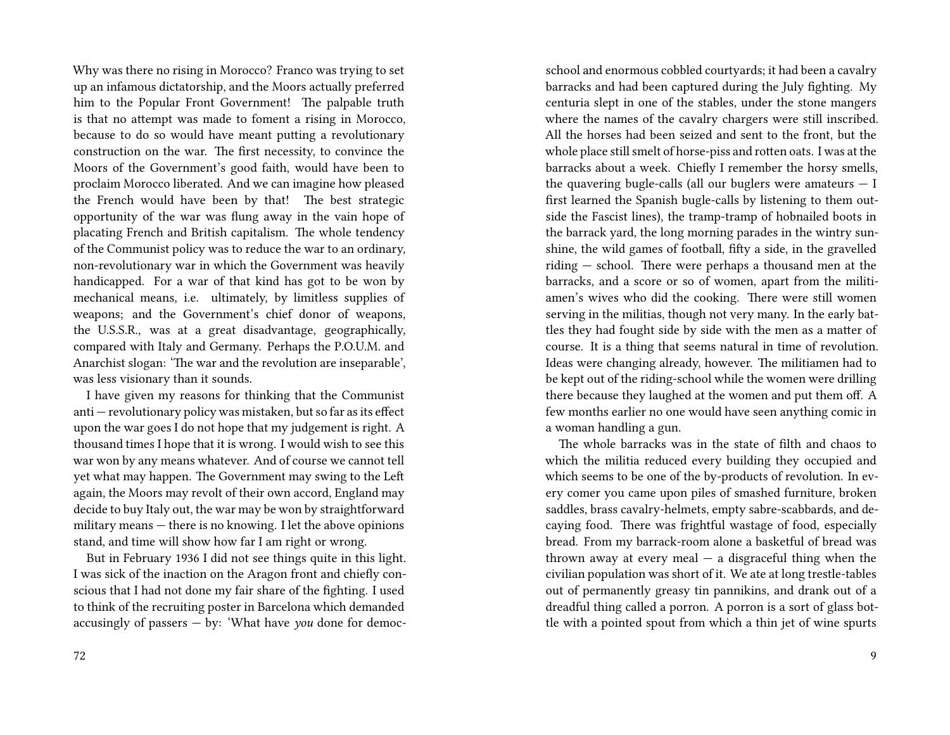Why was there no rising in Morocco? Franco was trying to set up an infamous dictatorship, and the Moors actually preferred him to the Popular Front Government! The palpable truth is that no attempt was made to foment a rising in Morocco, because to do so would have meant putting a revolutionary construction on the war. The first necessity, to convince the Moors of the Government's good faith, would have been to proclaim Morocco liberated. And we can imagine how pleased the French would have been by that! The best strategic opportunity of the war was flung away in the vain hope of placating French and British capitalism. The whole tendency of the Communist policy was to reduce the war to an ordinary, non-revolutionary war in which the Government was heavily handicapped. For a war of that kind has got to be won by mechanical means, i.e. ultimately, by limitless supplies of weapons; and the Government's chief donor of weapons, the U.S.S.R., was at a great disadvantage, geographically, compared with Italy and Germany. Perhaps the P.O.U.M. and Anarchist slogan: 'The war and the revolution are inseparable', was less visionary than it sounds.

I have given my reasons for thinking that the Communist anti — revolutionary policy was mistaken, but so far as its effect upon the war goes I do not hope that my judgement is right. A thousand times I hope that it is wrong. I would wish to see this war won by any means whatever. And of course we cannot tell yet what may happen. The Government may swing to the Left again, the Moors may revolt of their own accord, England may decide to buy Italy out, the war may be won by straightforward military means — there is no knowing. I let the above opinions stand, and time will show how far I am right or wrong.

But in February 1936 I did not see things quite in this light. I was sick of the inaction on the Aragon front and chiefly conscious that I had not done my fair share of the fighting. I used to think of the recruiting poster in Barcelona which demanded accusingly of passers — by: 'What have *you* done for democschool and enormous cobbled courtyards; it had been a cavalry barracks and had been captured during the July fighting. My centuria slept in one of the stables, under the stone mangers where the names of the cavalry chargers were still inscribed. All the horses had been seized and sent to the front, but the whole place still smelt of horse-piss and rotten oats. I was at the barracks about a week. Chiefly I remember the horsy smells, the quavering bugle-calls (all our buglers were amateurs  $- I$ first learned the Spanish bugle-calls by listening to them outside the Fascist lines), the tramp-tramp of hobnailed boots in the barrack yard, the long morning parades in the wintry sunshine, the wild games of football, fifty a side, in the gravelled riding — school. There were perhaps a thousand men at the barracks, and a score or so of women, apart from the militiamen's wives who did the cooking. There were still women serving in the militias, though not very many. In the early battles they had fought side by side with the men as a matter of course. It is a thing that seems natural in time of revolution. Ideas were changing already, however. The militiamen had to be kept out of the riding-school while the women were drilling there because they laughed at the women and put them off. A few months earlier no one would have seen anything comic in a woman handling a gun.

The whole barracks was in the state of filth and chaos to which the militia reduced every building they occupied and which seems to be one of the by-products of revolution. In every comer you came upon piles of smashed furniture, broken saddles, brass cavalry-helmets, empty sabre-scabbards, and decaying food. There was frightful wastage of food, especially bread. From my barrack-room alone a basketful of bread was thrown away at every meal  $-$  a disgraceful thing when the civilian population was short of it. We ate at long trestle-tables out of permanently greasy tin pannikins, and drank out of a dreadful thing called a porron. A porron is a sort of glass bottle with a pointed spout from which a thin jet of wine spurts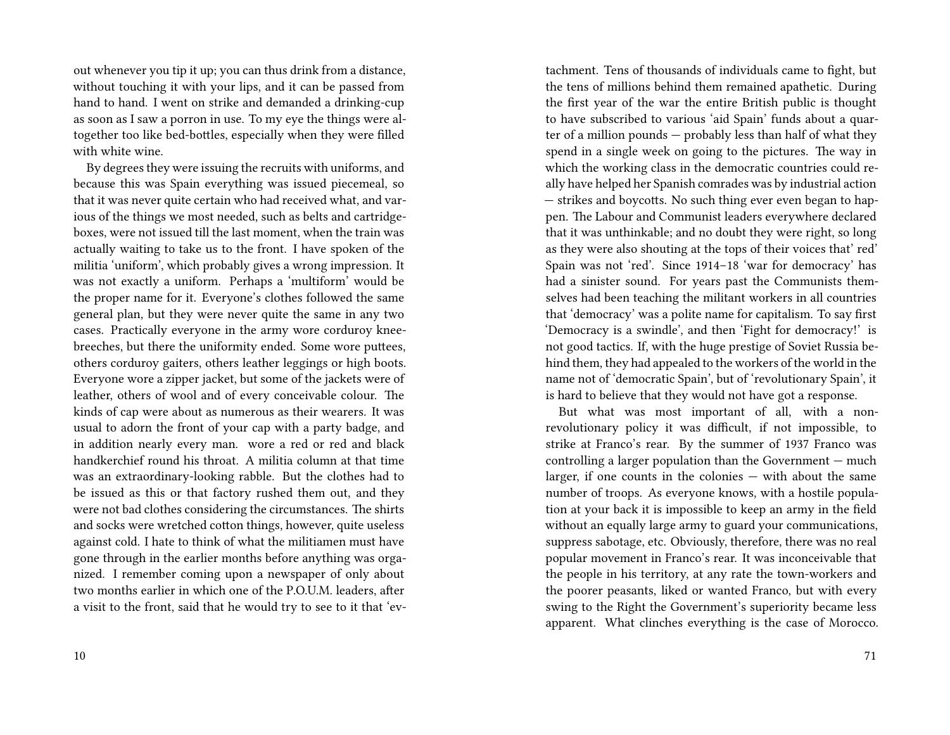out whenever you tip it up; you can thus drink from a distance, without touching it with your lips, and it can be passed from hand to hand. I went on strike and demanded a drinking-cup as soon as I saw a porron in use. To my eye the things were altogether too like bed-bottles, especially when they were filled with white wine.

By degrees they were issuing the recruits with uniforms, and because this was Spain everything was issued piecemeal, so that it was never quite certain who had received what, and various of the things we most needed, such as belts and cartridgeboxes, were not issued till the last moment, when the train was actually waiting to take us to the front. I have spoken of the militia 'uniform', which probably gives a wrong impression. It was not exactly a uniform. Perhaps a 'multiform' would be the proper name for it. Everyone's clothes followed the same general plan, but they were never quite the same in any two cases. Practically everyone in the army wore corduroy kneebreeches, but there the uniformity ended. Some wore puttees, others corduroy gaiters, others leather leggings or high boots. Everyone wore a zipper jacket, but some of the jackets were of leather, others of wool and of every conceivable colour. The kinds of cap were about as numerous as their wearers. It was usual to adorn the front of your cap with a party badge, and in addition nearly every man. wore a red or red and black handkerchief round his throat. A militia column at that time was an extraordinary-looking rabble. But the clothes had to be issued as this or that factory rushed them out, and they were not bad clothes considering the circumstances. The shirts and socks were wretched cotton things, however, quite useless against cold. I hate to think of what the militiamen must have gone through in the earlier months before anything was organized. I remember coming upon a newspaper of only about two months earlier in which one of the P.O.U.M. leaders, after a visit to the front, said that he would try to see to it that 'evtachment. Tens of thousands of individuals came to fight, but the tens of millions behind them remained apathetic. During the first year of the war the entire British public is thought to have subscribed to various 'aid Spain' funds about a quarter of a million pounds — probably less than half of what they spend in a single week on going to the pictures. The way in which the working class in the democratic countries could really have helped her Spanish comrades was by industrial action — strikes and boycotts. No such thing ever even began to happen. The Labour and Communist leaders everywhere declared that it was unthinkable; and no doubt they were right, so long as they were also shouting at the tops of their voices that' red' Spain was not 'red'. Since 1914–18 'war for democracy' has had a sinister sound. For years past the Communists themselves had been teaching the militant workers in all countries that 'democracy' was a polite name for capitalism. To say first 'Democracy is a swindle', and then 'Fight for democracy!' is not good tactics. If, with the huge prestige of Soviet Russia behind them, they had appealed to the workers of the world in the name not of 'democratic Spain', but of 'revolutionary Spain', it is hard to believe that they would not have got a response.

But what was most important of all, with a nonrevolutionary policy it was difficult, if not impossible, to strike at Franco's rear. By the summer of 1937 Franco was controlling a larger population than the Government — much larger, if one counts in the colonies — with about the same number of troops. As everyone knows, with a hostile population at your back it is impossible to keep an army in the field without an equally large army to guard your communications, suppress sabotage, etc. Obviously, therefore, there was no real popular movement in Franco's rear. It was inconceivable that the people in his territory, at any rate the town-workers and the poorer peasants, liked or wanted Franco, but with every swing to the Right the Government's superiority became less apparent. What clinches everything is the case of Morocco.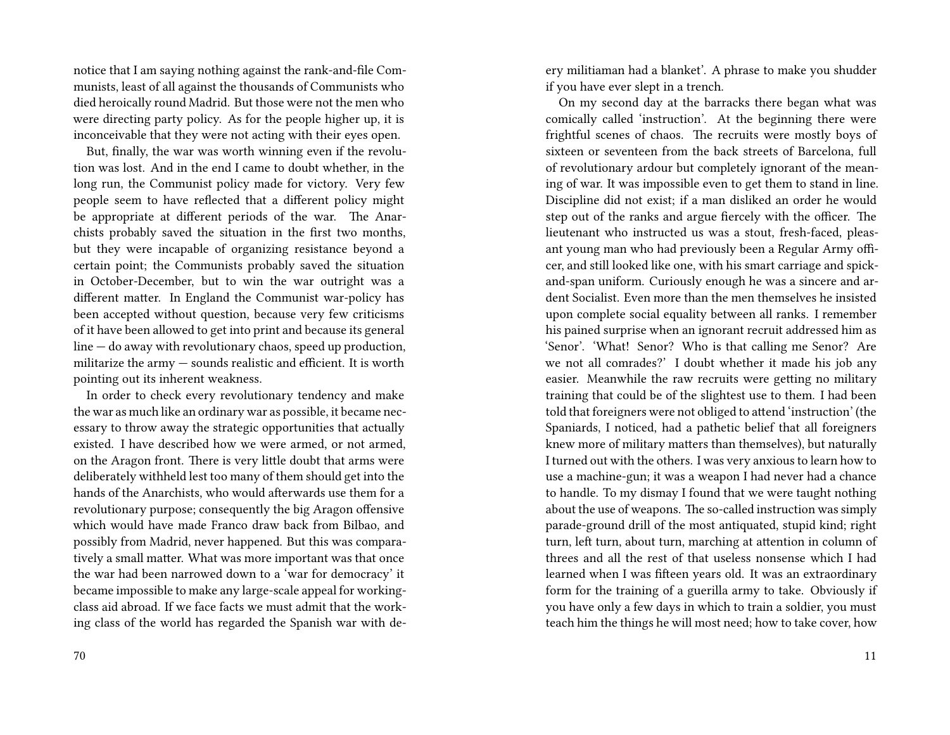notice that I am saying nothing against the rank-and-file Communists, least of all against the thousands of Communists who died heroically round Madrid. But those were not the men who were directing party policy. As for the people higher up, it is inconceivable that they were not acting with their eyes open.

But, finally, the war was worth winning even if the revolution was lost. And in the end I came to doubt whether, in the long run, the Communist policy made for victory. Very few people seem to have reflected that a different policy might be appropriate at different periods of the war. The Anarchists probably saved the situation in the first two months, but they were incapable of organizing resistance beyond a certain point; the Communists probably saved the situation in October-December, but to win the war outright was a different matter. In England the Communist war-policy has been accepted without question, because very few criticisms of it have been allowed to get into print and because its general line — do away with revolutionary chaos, speed up production, militarize the army — sounds realistic and efficient. It is worth pointing out its inherent weakness.

In order to check every revolutionary tendency and make the war as much like an ordinary war as possible, it became necessary to throw away the strategic opportunities that actually existed. I have described how we were armed, or not armed, on the Aragon front. There is very little doubt that arms were deliberately withheld lest too many of them should get into the hands of the Anarchists, who would afterwards use them for a revolutionary purpose; consequently the big Aragon offensive which would have made Franco draw back from Bilbao, and possibly from Madrid, never happened. But this was comparatively a small matter. What was more important was that once the war had been narrowed down to a 'war for democracy' it became impossible to make any large-scale appeal for workingclass aid abroad. If we face facts we must admit that the working class of the world has regarded the Spanish war with deery militiaman had a blanket'. A phrase to make you shudder if you have ever slept in a trench.

On my second day at the barracks there began what was comically called 'instruction'. At the beginning there were frightful scenes of chaos. The recruits were mostly boys of sixteen or seventeen from the back streets of Barcelona, full of revolutionary ardour but completely ignorant of the meaning of war. It was impossible even to get them to stand in line. Discipline did not exist; if a man disliked an order he would step out of the ranks and argue fiercely with the officer. The lieutenant who instructed us was a stout, fresh-faced, pleasant young man who had previously been a Regular Army officer, and still looked like one, with his smart carriage and spickand-span uniform. Curiously enough he was a sincere and ardent Socialist. Even more than the men themselves he insisted upon complete social equality between all ranks. I remember his pained surprise when an ignorant recruit addressed him as 'Senor'. 'What! Senor? Who is that calling me Senor? Are we not all comrades?' I doubt whether it made his job any easier. Meanwhile the raw recruits were getting no military training that could be of the slightest use to them. I had been told that foreigners were not obliged to attend 'instruction' (the Spaniards, I noticed, had a pathetic belief that all foreigners knew more of military matters than themselves), but naturally I turned out with the others. I was very anxious to learn how to use a machine-gun; it was a weapon I had never had a chance to handle. To my dismay I found that we were taught nothing about the use of weapons. The so-called instruction was simply parade-ground drill of the most antiquated, stupid kind; right turn, left turn, about turn, marching at attention in column of threes and all the rest of that useless nonsense which I had learned when I was fifteen years old. It was an extraordinary form for the training of a guerilla army to take. Obviously if you have only a few days in which to train a soldier, you must teach him the things he will most need; how to take cover, how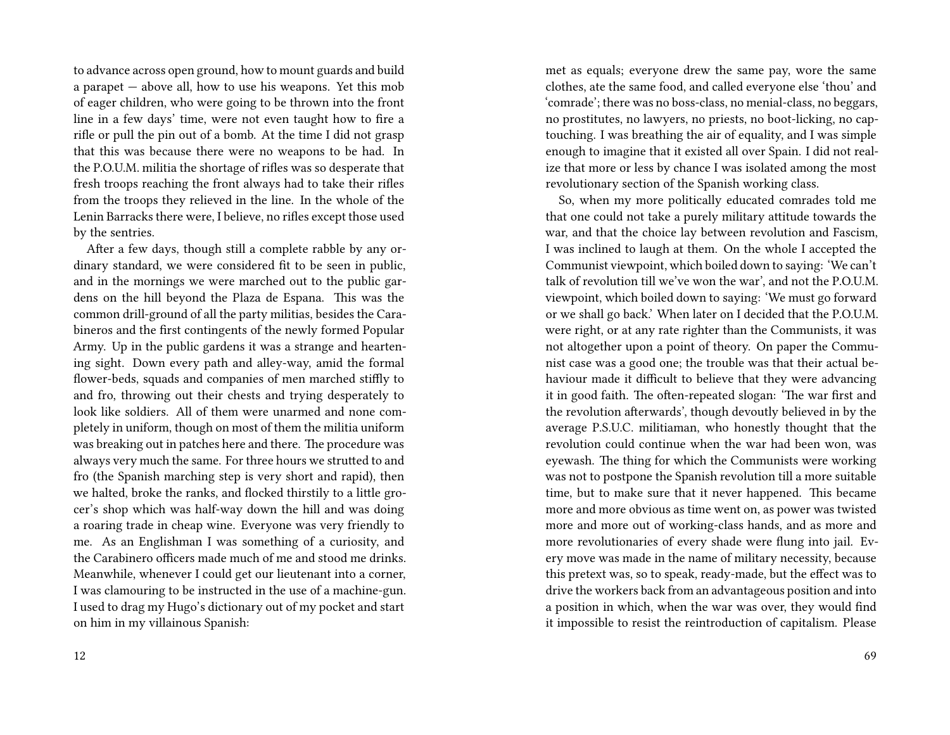to advance across open ground, how to mount guards and build a parapet — above all, how to use his weapons. Yet this mob of eager children, who were going to be thrown into the front line in a few days' time, were not even taught how to fire a rifle or pull the pin out of a bomb. At the time I did not grasp that this was because there were no weapons to be had. In the P.O.U.M. militia the shortage of rifles was so desperate that fresh troops reaching the front always had to take their rifles from the troops they relieved in the line. In the whole of the Lenin Barracks there were, I believe, no rifles except those used by the sentries.

After a few days, though still a complete rabble by any ordinary standard, we were considered fit to be seen in public, and in the mornings we were marched out to the public gardens on the hill beyond the Plaza de Espana. This was the common drill-ground of all the party militias, besides the Carabineros and the first contingents of the newly formed Popular Army. Up in the public gardens it was a strange and heartening sight. Down every path and alley-way, amid the formal flower-beds, squads and companies of men marched stiffly to and fro, throwing out their chests and trying desperately to look like soldiers. All of them were unarmed and none completely in uniform, though on most of them the militia uniform was breaking out in patches here and there. The procedure was always very much the same. For three hours we strutted to and fro (the Spanish marching step is very short and rapid), then we halted, broke the ranks, and flocked thirstily to a little grocer's shop which was half-way down the hill and was doing a roaring trade in cheap wine. Everyone was very friendly to me. As an Englishman I was something of a curiosity, and the Carabinero officers made much of me and stood me drinks. Meanwhile, whenever I could get our lieutenant into a corner, I was clamouring to be instructed in the use of a machine-gun. I used to drag my Hugo's dictionary out of my pocket and start on him in my villainous Spanish:

met as equals; everyone drew the same pay, wore the same clothes, ate the same food, and called everyone else 'thou' and 'comrade'; there was no boss-class, no menial-class, no beggars, no prostitutes, no lawyers, no priests, no boot-licking, no captouching. I was breathing the air of equality, and I was simple enough to imagine that it existed all over Spain. I did not realize that more or less by chance I was isolated among the most revolutionary section of the Spanish working class.

So, when my more politically educated comrades told me that one could not take a purely military attitude towards the war, and that the choice lay between revolution and Fascism, I was inclined to laugh at them. On the whole I accepted the Communist viewpoint, which boiled down to saying: 'We can't talk of revolution till we've won the war', and not the P.O.U.M. viewpoint, which boiled down to saying: 'We must go forward or we shall go back.' When later on I decided that the P.O.U.M. were right, or at any rate righter than the Communists, it was not altogether upon a point of theory. On paper the Communist case was a good one; the trouble was that their actual behaviour made it difficult to believe that they were advancing it in good faith. The often-repeated slogan: 'The war first and the revolution afterwards', though devoutly believed in by the average P.S.U.C. militiaman, who honestly thought that the revolution could continue when the war had been won, was eyewash. The thing for which the Communists were working was not to postpone the Spanish revolution till a more suitable time, but to make sure that it never happened. This became more and more obvious as time went on, as power was twisted more and more out of working-class hands, and as more and more revolutionaries of every shade were flung into jail. Every move was made in the name of military necessity, because this pretext was, so to speak, ready-made, but the effect was to drive the workers back from an advantageous position and into a position in which, when the war was over, they would find it impossible to resist the reintroduction of capitalism. Please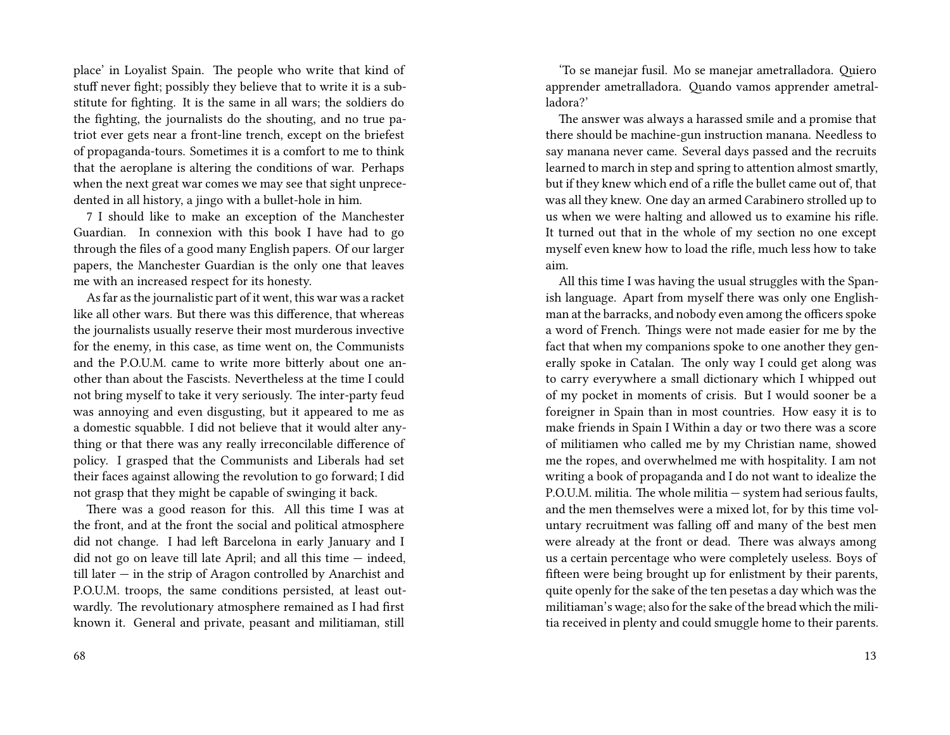place' in Loyalist Spain. The people who write that kind of stuff never fight; possibly they believe that to write it is a substitute for fighting. It is the same in all wars; the soldiers do the fighting, the journalists do the shouting, and no true patriot ever gets near a front-line trench, except on the briefest of propaganda-tours. Sometimes it is a comfort to me to think that the aeroplane is altering the conditions of war. Perhaps when the next great war comes we may see that sight unprecedented in all history, a jingo with a bullet-hole in him.

7 I should like to make an exception of the Manchester Guardian. In connexion with this book I have had to go through the files of a good many English papers. Of our larger papers, the Manchester Guardian is the only one that leaves me with an increased respect for its honesty.

As far as the journalistic part of it went, this war was a racket like all other wars. But there was this difference, that whereas the journalists usually reserve their most murderous invective for the enemy, in this case, as time went on, the Communists and the P.O.U.M. came to write more bitterly about one another than about the Fascists. Nevertheless at the time I could not bring myself to take it very seriously. The inter-party feud was annoying and even disgusting, but it appeared to me as a domestic squabble. I did not believe that it would alter anything or that there was any really irreconcilable difference of policy. I grasped that the Communists and Liberals had set their faces against allowing the revolution to go forward; I did not grasp that they might be capable of swinging it back.

There was a good reason for this. All this time I was at the front, and at the front the social and political atmosphere did not change. I had left Barcelona in early January and I did not go on leave till late April; and all this time — indeed, till later — in the strip of Aragon controlled by Anarchist and P.O.U.M. troops, the same conditions persisted, at least outwardly. The revolutionary atmosphere remained as I had first known it. General and private, peasant and militiaman, still

'To se manejar fusil. Mo se manejar ametralladora. Quiero apprender ametralladora. Quando vamos apprender ametralladora?'

The answer was always a harassed smile and a promise that there should be machine-gun instruction manana. Needless to say manana never came. Several days passed and the recruits learned to march in step and spring to attention almost smartly, but if they knew which end of a rifle the bullet came out of, that was all they knew. One day an armed Carabinero strolled up to us when we were halting and allowed us to examine his rifle. It turned out that in the whole of my section no one except myself even knew how to load the rifle, much less how to take aim.

All this time I was having the usual struggles with the Spanish language. Apart from myself there was only one Englishman at the barracks, and nobody even among the officers spoke a word of French. Things were not made easier for me by the fact that when my companions spoke to one another they generally spoke in Catalan. The only way I could get along was to carry everywhere a small dictionary which I whipped out of my pocket in moments of crisis. But I would sooner be a foreigner in Spain than in most countries. How easy it is to make friends in Spain I Within a day or two there was a score of militiamen who called me by my Christian name, showed me the ropes, and overwhelmed me with hospitality. I am not writing a book of propaganda and I do not want to idealize the P.O.U.M. militia. The whole militia — system had serious faults, and the men themselves were a mixed lot, for by this time voluntary recruitment was falling off and many of the best men were already at the front or dead. There was always among us a certain percentage who were completely useless. Boys of fifteen were being brought up for enlistment by their parents, quite openly for the sake of the ten pesetas a day which was the militiaman's wage; also for the sake of the bread which the militia received in plenty and could smuggle home to their parents.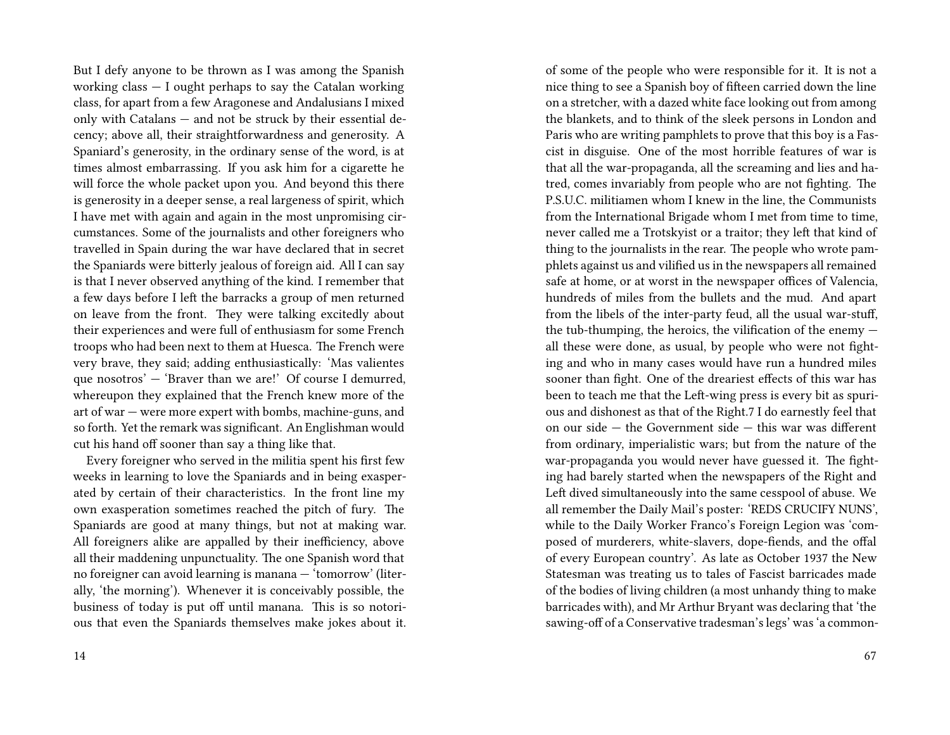But I defy anyone to be thrown as I was among the Spanish working class — I ought perhaps to say the Catalan working class, for apart from a few Aragonese and Andalusians I mixed only with Catalans — and not be struck by their essential decency; above all, their straightforwardness and generosity. A Spaniard's generosity, in the ordinary sense of the word, is at times almost embarrassing. If you ask him for a cigarette he will force the whole packet upon you. And beyond this there is generosity in a deeper sense, a real largeness of spirit, which I have met with again and again in the most unpromising circumstances. Some of the journalists and other foreigners who travelled in Spain during the war have declared that in secret the Spaniards were bitterly jealous of foreign aid. All I can say is that I never observed anything of the kind. I remember that a few days before I left the barracks a group of men returned on leave from the front. They were talking excitedly about their experiences and were full of enthusiasm for some French troops who had been next to them at Huesca. The French were very brave, they said; adding enthusiastically: 'Mas valientes que nosotros' — 'Braver than we are!' Of course I demurred, whereupon they explained that the French knew more of the art of war — were more expert with bombs, machine-guns, and so forth. Yet the remark was significant. An Englishman would cut his hand off sooner than say a thing like that.

Every foreigner who served in the militia spent his first few weeks in learning to love the Spaniards and in being exasperated by certain of their characteristics. In the front line my own exasperation sometimes reached the pitch of fury. The Spaniards are good at many things, but not at making war. All foreigners alike are appalled by their inefficiency, above all their maddening unpunctuality. The one Spanish word that no foreigner can avoid learning is manana — 'tomorrow' (literally, 'the morning'). Whenever it is conceivably possible, the business of today is put off until manana. This is so notorious that even the Spaniards themselves make jokes about it. of some of the people who were responsible for it. It is not a nice thing to see a Spanish boy of fifteen carried down the line on a stretcher, with a dazed white face looking out from among the blankets, and to think of the sleek persons in London and Paris who are writing pamphlets to prove that this boy is a Fascist in disguise. One of the most horrible features of war is that all the war-propaganda, all the screaming and lies and hatred, comes invariably from people who are not fighting. The P.S.U.C. militiamen whom I knew in the line, the Communists from the International Brigade whom I met from time to time, never called me a Trotskyist or a traitor; they left that kind of thing to the journalists in the rear. The people who wrote pamphlets against us and vilified us in the newspapers all remained safe at home, or at worst in the newspaper offices of Valencia, hundreds of miles from the bullets and the mud. And apart from the libels of the inter-party feud, all the usual war-stuff, the tub-thumping, the heroics, the vilification of the enemy all these were done, as usual, by people who were not fighting and who in many cases would have run a hundred miles sooner than fight. One of the dreariest effects of this war has been to teach me that the Left-wing press is every bit as spurious and dishonest as that of the Right.7 I do earnestly feel that on our side — the Government side — this war was different from ordinary, imperialistic wars; but from the nature of the war-propaganda you would never have guessed it. The fighting had barely started when the newspapers of the Right and Left dived simultaneously into the same cesspool of abuse. We all remember the Daily Mail's poster: 'REDS CRUCIFY NUNS', while to the Daily Worker Franco's Foreign Legion was 'composed of murderers, white-slavers, dope-fiends, and the offal of every European country'. As late as October 1937 the New Statesman was treating us to tales of Fascist barricades made of the bodies of living children (a most unhandy thing to make barricades with), and Mr Arthur Bryant was declaring that 'the sawing-off of a Conservative tradesman's legs' was 'a common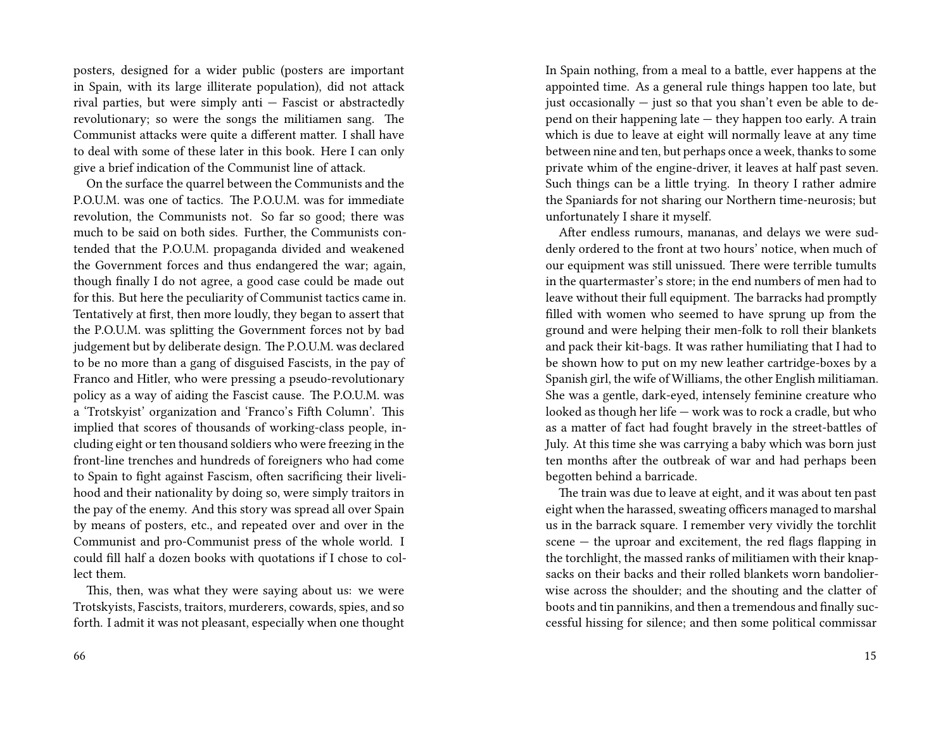posters, designed for a wider public (posters are important in Spain, with its large illiterate population), did not attack rival parties, but were simply anti — Fascist or abstractedly revolutionary; so were the songs the militiamen sang. The Communist attacks were quite a different matter. I shall have to deal with some of these later in this book. Here I can only give a brief indication of the Communist line of attack.

On the surface the quarrel between the Communists and the P.O.U.M. was one of tactics. The P.O.U.M. was for immediate revolution, the Communists not. So far so good; there was much to be said on both sides. Further, the Communists contended that the P.O.U.M. propaganda divided and weakened the Government forces and thus endangered the war; again, though finally I do not agree, a good case could be made out for this. But here the peculiarity of Communist tactics came in. Tentatively at first, then more loudly, they began to assert that the P.O.U.M. was splitting the Government forces not by bad judgement but by deliberate design. The P.O.U.M. was declared to be no more than a gang of disguised Fascists, in the pay of Franco and Hitler, who were pressing a pseudo-revolutionary policy as a way of aiding the Fascist cause. The P.O.U.M. was a 'Trotskyist' organization and 'Franco's Fifth Column'. This implied that scores of thousands of working-class people, including eight or ten thousand soldiers who were freezing in the front-line trenches and hundreds of foreigners who had come to Spain to fight against Fascism, often sacrificing their livelihood and their nationality by doing so, were simply traitors in the pay of the enemy. And this story was spread all over Spain by means of posters, etc., and repeated over and over in the Communist and pro-Communist press of the whole world. I could fill half a dozen books with quotations if I chose to collect them.

This, then, was what they were saying about us: we were Trotskyists, Fascists, traitors, murderers, cowards, spies, and so forth. I admit it was not pleasant, especially when one thought In Spain nothing, from a meal to a battle, ever happens at the appointed time. As a general rule things happen too late, but just occasionally — just so that you shan't even be able to depend on their happening late — they happen too early. A train which is due to leave at eight will normally leave at any time between nine and ten, but perhaps once a week, thanks to some private whim of the engine-driver, it leaves at half past seven. Such things can be a little trying. In theory I rather admire the Spaniards for not sharing our Northern time-neurosis; but unfortunately I share it myself.

After endless rumours, mananas, and delays we were suddenly ordered to the front at two hours' notice, when much of our equipment was still unissued. There were terrible tumults in the quartermaster's store; in the end numbers of men had to leave without their full equipment. The barracks had promptly filled with women who seemed to have sprung up from the ground and were helping their men-folk to roll their blankets and pack their kit-bags. It was rather humiliating that I had to be shown how to put on my new leather cartridge-boxes by a Spanish girl, the wife of Williams, the other English militiaman. She was a gentle, dark-eyed, intensely feminine creature who looked as though her life — work was to rock a cradle, but who as a matter of fact had fought bravely in the street-battles of July. At this time she was carrying a baby which was born just ten months after the outbreak of war and had perhaps been begotten behind a barricade.

The train was due to leave at eight, and it was about ten past eight when the harassed, sweating officers managed to marshal us in the barrack square. I remember very vividly the torchlit scene — the uproar and excitement, the red flags flapping in the torchlight, the massed ranks of militiamen with their knapsacks on their backs and their rolled blankets worn bandolierwise across the shoulder; and the shouting and the clatter of boots and tin pannikins, and then a tremendous and finally successful hissing for silence; and then some political commissar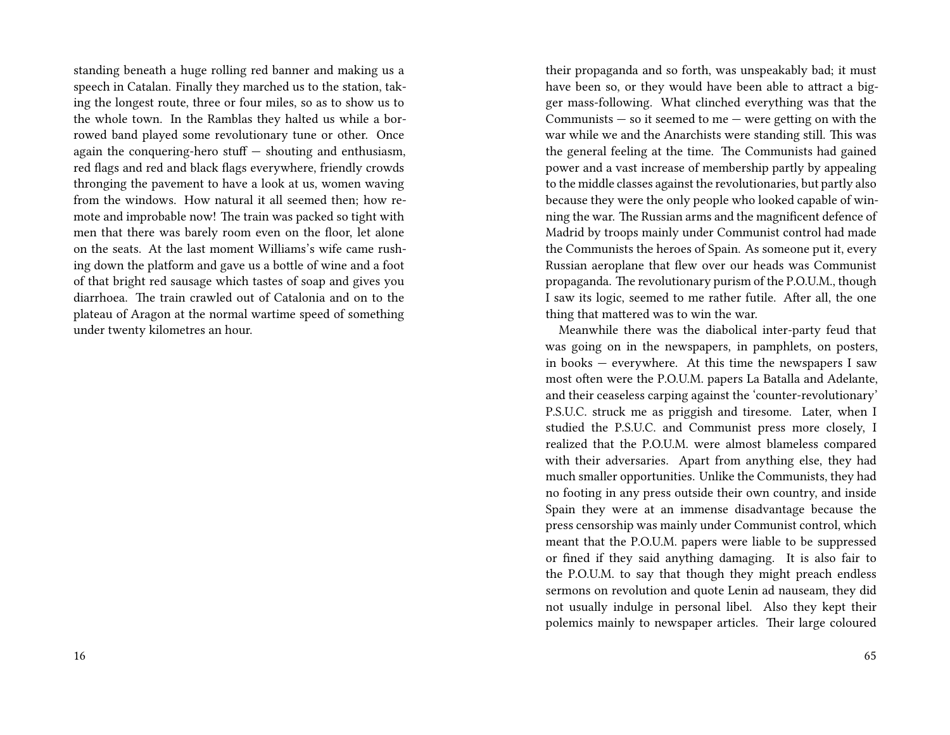standing beneath a huge rolling red banner and making us a speech in Catalan. Finally they marched us to the station, taking the longest route, three or four miles, so as to show us to the whole town. In the Ramblas they halted us while a borrowed band played some revolutionary tune or other. Once again the conquering-hero stuff  $-$  shouting and enthusiasm, red flags and red and black flags everywhere, friendly crowds thronging the pavement to have a look at us, women waving from the windows. How natural it all seemed then; how remote and improbable now! The train was packed so tight with men that there was barely room even on the floor, let alone on the seats. At the last moment Williams's wife came rushing down the platform and gave us a bottle of wine and a foot of that bright red sausage which tastes of soap and gives you diarrhoea. The train crawled out of Catalonia and on to the plateau of Aragon at the normal wartime speed of something under twenty kilometres an hour.

their propaganda and so forth, was unspeakably bad; it must have been so, or they would have been able to attract a bigger mass-following. What clinched everything was that the Communists  $-$  so it seemed to me  $-$  were getting on with the war while we and the Anarchists were standing still. This was the general feeling at the time. The Communists had gained power and a vast increase of membership partly by appealing to the middle classes against the revolutionaries, but partly also because they were the only people who looked capable of winning the war. The Russian arms and the magnificent defence of Madrid by troops mainly under Communist control had made the Communists the heroes of Spain. As someone put it, every Russian aeroplane that flew over our heads was Communist propaganda. The revolutionary purism of the P.O.U.M., though I saw its logic, seemed to me rather futile. After all, the one thing that mattered was to win the war.

Meanwhile there was the diabolical inter-party feud that was going on in the newspapers, in pamphlets, on posters, in books — everywhere. At this time the newspapers I saw most often were the P.O.U.M. papers La Batalla and Adelante, and their ceaseless carping against the 'counter-revolutionary' P.S.U.C. struck me as priggish and tiresome. Later, when I studied the P.S.U.C. and Communist press more closely, I realized that the P.O.U.M. were almost blameless compared with their adversaries. Apart from anything else, they had much smaller opportunities. Unlike the Communists, they had no footing in any press outside their own country, and inside Spain they were at an immense disadvantage because the press censorship was mainly under Communist control, which meant that the P.O.U.M. papers were liable to be suppressed or fined if they said anything damaging. It is also fair to the P.O.U.M. to say that though they might preach endless sermons on revolution and quote Lenin ad nauseam, they did not usually indulge in personal libel. Also they kept their polemics mainly to newspaper articles. Their large coloured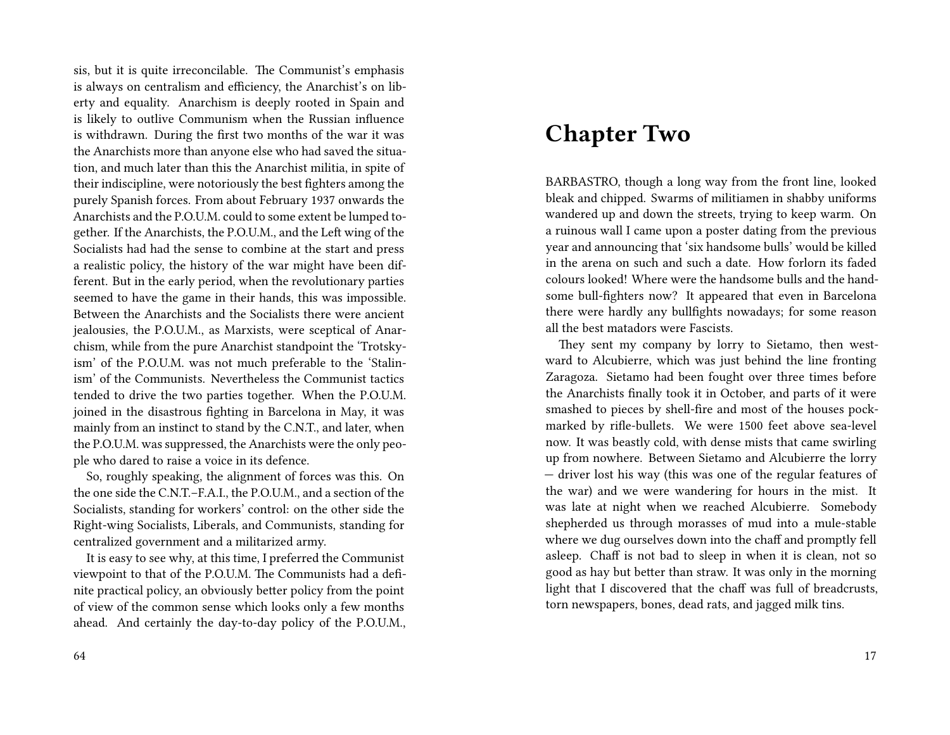sis, but it is quite irreconcilable. The Communist's emphasis is always on centralism and efficiency, the Anarchist's on liberty and equality. Anarchism is deeply rooted in Spain and is likely to outlive Communism when the Russian influence is withdrawn. During the first two months of the war it was the Anarchists more than anyone else who had saved the situation, and much later than this the Anarchist militia, in spite of their indiscipline, were notoriously the best fighters among the purely Spanish forces. From about February 1937 onwards the Anarchists and the P.O.U.M. could to some extent be lumped together. If the Anarchists, the P.O.U.M., and the Left wing of the Socialists had had the sense to combine at the start and press a realistic policy, the history of the war might have been different. But in the early period, when the revolutionary parties seemed to have the game in their hands, this was impossible. Between the Anarchists and the Socialists there were ancient jealousies, the P.O.U.M., as Marxists, were sceptical of Anarchism, while from the pure Anarchist standpoint the 'Trotskyism' of the P.O.U.M. was not much preferable to the 'Stalinism' of the Communists. Nevertheless the Communist tactics tended to drive the two parties together. When the P.O.U.M. joined in the disastrous fighting in Barcelona in May, it was mainly from an instinct to stand by the C.N.T., and later, when the P.O.U.M. was suppressed, the Anarchists were the only people who dared to raise a voice in its defence.

So, roughly speaking, the alignment of forces was this. On the one side the C.N.T.–F.A.I., the P.O.U.M., and a section of the Socialists, standing for workers' control: on the other side the Right-wing Socialists, Liberals, and Communists, standing for centralized government and a militarized army.

It is easy to see why, at this time, I preferred the Communist viewpoint to that of the P.O.U.M. The Communists had a definite practical policy, an obviously better policy from the point of view of the common sense which looks only a few months ahead. And certainly the day-to-day policy of the P.O.U.M.,

## **Chapter Two**

BARBASTRO, though a long way from the front line, looked bleak and chipped. Swarms of militiamen in shabby uniforms wandered up and down the streets, trying to keep warm. On a ruinous wall I came upon a poster dating from the previous year and announcing that 'six handsome bulls' would be killed in the arena on such and such a date. How forlorn its faded colours looked! Where were the handsome bulls and the handsome bull-fighters now? It appeared that even in Barcelona there were hardly any bullfights nowadays; for some reason all the best matadors were Fascists.

They sent my company by lorry to Sietamo, then westward to Alcubierre, which was just behind the line fronting Zaragoza. Sietamo had been fought over three times before the Anarchists finally took it in October, and parts of it were smashed to pieces by shell-fire and most of the houses pockmarked by rifle-bullets. We were 1500 feet above sea-level now. It was beastly cold, with dense mists that came swirling up from nowhere. Between Sietamo and Alcubierre the lorry — driver lost his way (this was one of the regular features of the war) and we were wandering for hours in the mist. It was late at night when we reached Alcubierre. Somebody shepherded us through morasses of mud into a mule-stable where we dug ourselves down into the chaff and promptly fell asleep. Chaff is not bad to sleep in when it is clean, not so good as hay but better than straw. It was only in the morning light that I discovered that the chaff was full of breadcrusts, torn newspapers, bones, dead rats, and jagged milk tins.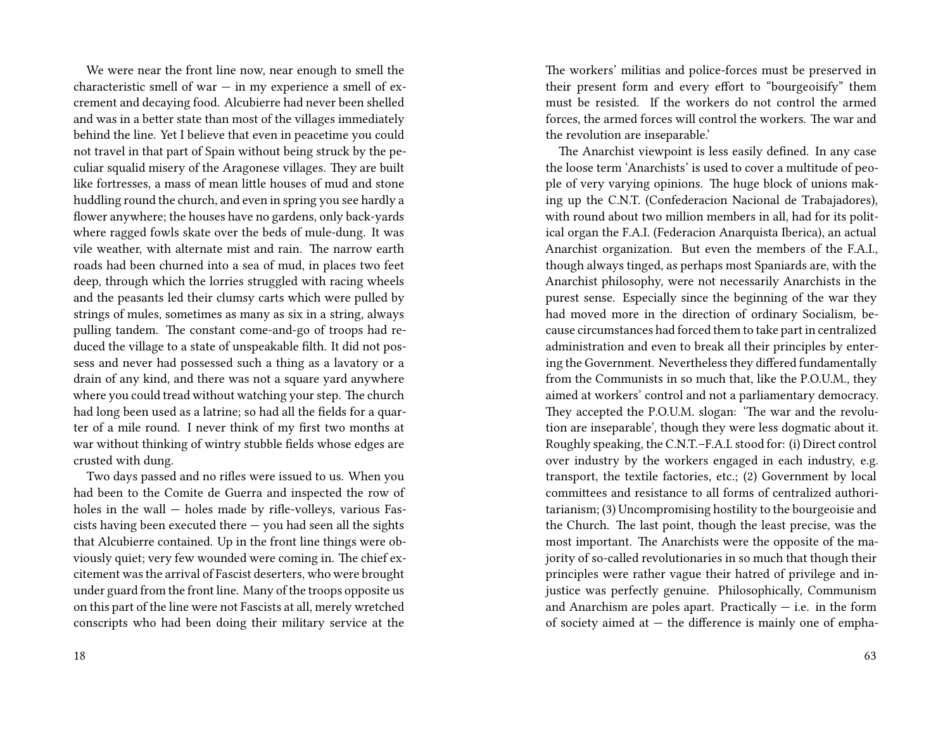We were near the front line now, near enough to smell the characteristic smell of war  $-$  in my experience a smell of excrement and decaying food. Alcubierre had never been shelled and was in a better state than most of the villages immediately behind the line. Yet I believe that even in peacetime you could not travel in that part of Spain without being struck by the peculiar squalid misery of the Aragonese villages. They are built like fortresses, a mass of mean little houses of mud and stone huddling round the church, and even in spring you see hardly a flower anywhere; the houses have no gardens, only back-yards where ragged fowls skate over the beds of mule-dung. It was vile weather, with alternate mist and rain. The narrow earth roads had been churned into a sea of mud, in places two feet deep, through which the lorries struggled with racing wheels and the peasants led their clumsy carts which were pulled by strings of mules, sometimes as many as six in a string, always pulling tandem. The constant come-and-go of troops had reduced the village to a state of unspeakable filth. It did not possess and never had possessed such a thing as a lavatory or a drain of any kind, and there was not a square yard anywhere where you could tread without watching your step. The church had long been used as a latrine; so had all the fields for a quarter of a mile round. I never think of my first two months at war without thinking of wintry stubble fields whose edges are crusted with dung.

Two days passed and no rifles were issued to us. When you had been to the Comite de Guerra and inspected the row of holes in the wall — holes made by rifle-volleys, various Fascists having been executed there — you had seen all the sights that Alcubierre contained. Up in the front line things were obviously quiet; very few wounded were coming in. The chief excitement was the arrival of Fascist deserters, who were brought under guard from the front line. Many of the troops opposite us on this part of the line were not Fascists at all, merely wretched conscripts who had been doing their military service at the

The workers' militias and police-forces must be preserved in their present form and every effort to "bourgeoisify" them must be resisted. If the workers do not control the armed forces, the armed forces will control the workers. The war and the revolution are inseparable.'

The Anarchist viewpoint is less easily defined. In any case the loose term 'Anarchists' is used to cover a multitude of people of very varying opinions. The huge block of unions making up the C.N.T. (Confederacion Nacional de Trabajadores), with round about two million members in all, had for its political organ the F.A.I. (Federacion Anarquista Iberica), an actual Anarchist organization. But even the members of the F.A.I., though always tinged, as perhaps most Spaniards are, with the Anarchist philosophy, were not necessarily Anarchists in the purest sense. Especially since the beginning of the war they had moved more in the direction of ordinary Socialism, because circumstances had forced them to take part in centralized administration and even to break all their principles by entering the Government. Nevertheless they differed fundamentally from the Communists in so much that, like the P.O.U.M., they aimed at workers' control and not a parliamentary democracy. They accepted the P.O.U.M. slogan: 'The war and the revolution are inseparable', though they were less dogmatic about it. Roughly speaking, the C.N.T.–F.A.I. stood for: (i) Direct control over industry by the workers engaged in each industry, e.g. transport, the textile factories, etc.; (2) Government by local committees and resistance to all forms of centralized authoritarianism; (3) Uncompromising hostility to the bourgeoisie and the Church. The last point, though the least precise, was the most important. The Anarchists were the opposite of the majority of so-called revolutionaries in so much that though their principles were rather vague their hatred of privilege and injustice was perfectly genuine. Philosophically, Communism and Anarchism are poles apart. Practically  $-$  i.e. in the form of society aimed at  $-$  the difference is mainly one of empha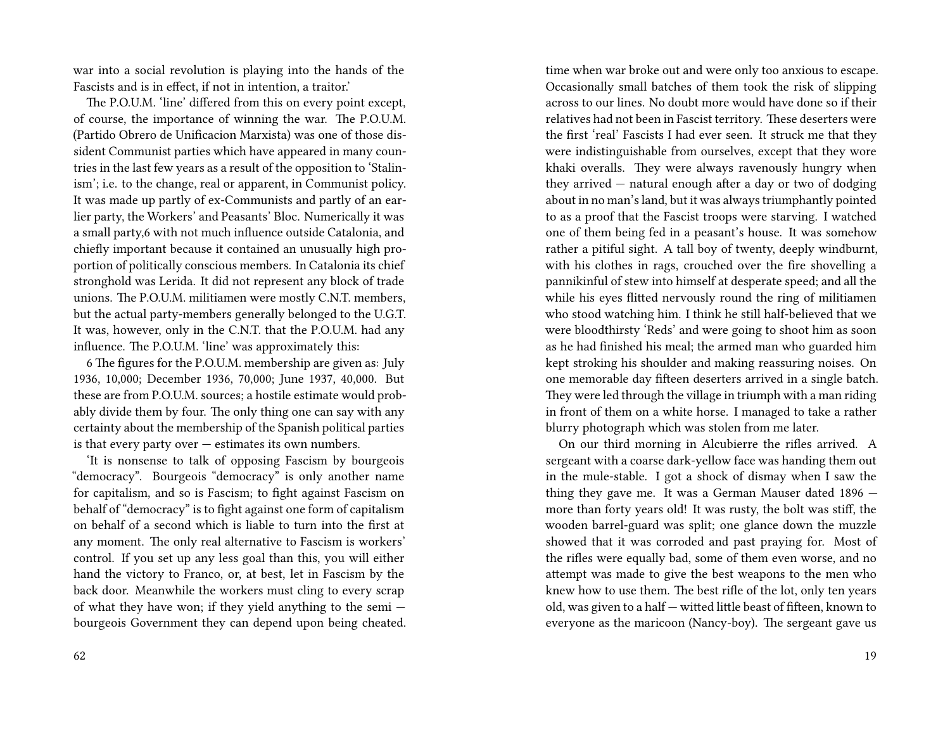war into a social revolution is playing into the hands of the Fascists and is in effect, if not in intention, a traitor.'

The P.O.U.M. 'line' differed from this on every point except, of course, the importance of winning the war. The P.O.U.M. (Partido Obrero de Unificacion Marxista) was one of those dissident Communist parties which have appeared in many countries in the last few years as a result of the opposition to 'Stalinism'; i.e. to the change, real or apparent, in Communist policy. It was made up partly of ex-Communists and partly of an earlier party, the Workers' and Peasants' Bloc. Numerically it was a small party,6 with not much influence outside Catalonia, and chiefly important because it contained an unusually high proportion of politically conscious members. In Catalonia its chief stronghold was Lerida. It did not represent any block of trade unions. The P.O.U.M. militiamen were mostly C.N.T. members, but the actual party-members generally belonged to the U.G.T. It was, however, only in the C.N.T. that the P.O.U.M. had any influence. The P.O.U.M. 'line' was approximately this:

6 The figures for the P.O.U.M. membership are given as: July 1936, 10,000; December 1936, 70,000; June 1937, 40,000. But these are from P.O.U.M. sources; a hostile estimate would probably divide them by four. The only thing one can say with any certainty about the membership of the Spanish political parties is that every party over  $-$  estimates its own numbers.

'It is nonsense to talk of opposing Fascism by bourgeois "democracy". Bourgeois "democracy" is only another name for capitalism, and so is Fascism; to fight against Fascism on behalf of "democracy" is to fight against one form of capitalism on behalf of a second which is liable to turn into the first at any moment. The only real alternative to Fascism is workers' control. If you set up any less goal than this, you will either hand the victory to Franco, or, at best, let in Fascism by the back door. Meanwhile the workers must cling to every scrap of what they have won; if they yield anything to the semi bourgeois Government they can depend upon being cheated. time when war broke out and were only too anxious to escape. Occasionally small batches of them took the risk of slipping across to our lines. No doubt more would have done so if their relatives had not been in Fascist territory. These deserters were the first 'real' Fascists I had ever seen. It struck me that they were indistinguishable from ourselves, except that they wore khaki overalls. They were always ravenously hungry when they arrived — natural enough after a day or two of dodging about in no man's land, but it was always triumphantly pointed to as a proof that the Fascist troops were starving. I watched one of them being fed in a peasant's house. It was somehow rather a pitiful sight. A tall boy of twenty, deeply windburnt, with his clothes in rags, crouched over the fire shovelling a pannikinful of stew into himself at desperate speed; and all the while his eyes flitted nervously round the ring of militiamen who stood watching him. I think he still half-believed that we were bloodthirsty 'Reds' and were going to shoot him as soon as he had finished his meal; the armed man who guarded him kept stroking his shoulder and making reassuring noises. On one memorable day fifteen deserters arrived in a single batch. They were led through the village in triumph with a man riding in front of them on a white horse. I managed to take a rather blurry photograph which was stolen from me later.

On our third morning in Alcubierre the rifles arrived. A sergeant with a coarse dark-yellow face was handing them out in the mule-stable. I got a shock of dismay when I saw the thing they gave me. It was a German Mauser dated 1896 more than forty years old! It was rusty, the bolt was stiff, the wooden barrel-guard was split; one glance down the muzzle showed that it was corroded and past praying for. Most of the rifles were equally bad, some of them even worse, and no attempt was made to give the best weapons to the men who knew how to use them. The best rifle of the lot, only ten years old, was given to a half — witted little beast of fifteen, known to everyone as the maricoon (Nancy-boy). The sergeant gave us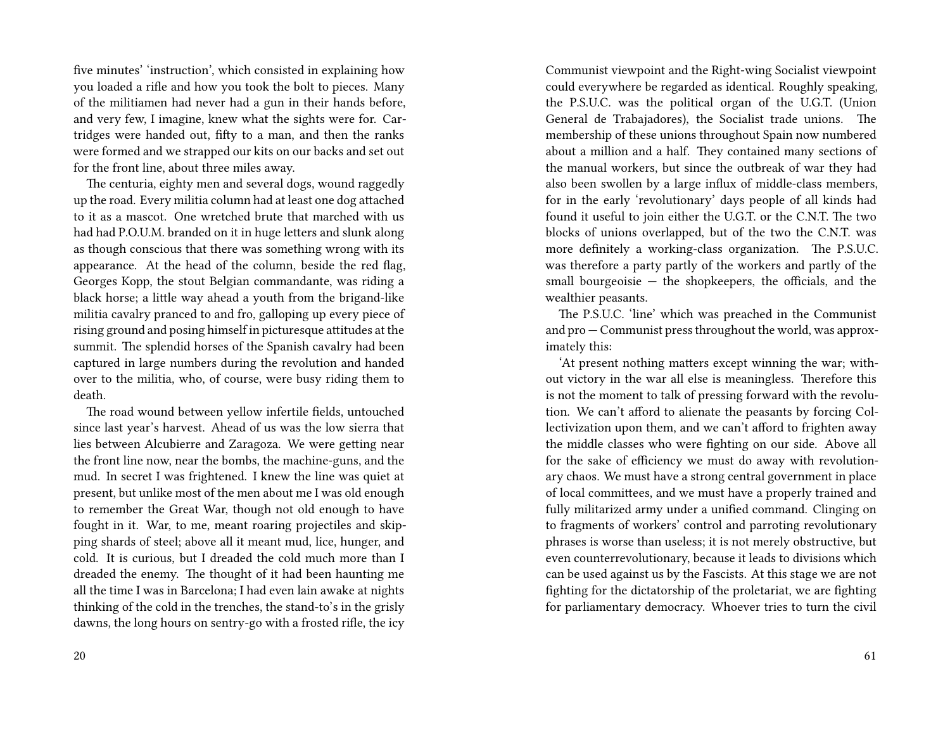five minutes' 'instruction', which consisted in explaining how you loaded a rifle and how you took the bolt to pieces. Many of the militiamen had never had a gun in their hands before, and very few, I imagine, knew what the sights were for. Cartridges were handed out, fifty to a man, and then the ranks were formed and we strapped our kits on our backs and set out for the front line, about three miles away.

The centuria, eighty men and several dogs, wound raggedly up the road. Every militia column had at least one dog attached to it as a mascot. One wretched brute that marched with us had had P.O.U.M. branded on it in huge letters and slunk along as though conscious that there was something wrong with its appearance. At the head of the column, beside the red flag, Georges Kopp, the stout Belgian commandante, was riding a black horse; a little way ahead a youth from the brigand-like militia cavalry pranced to and fro, galloping up every piece of rising ground and posing himself in picturesque attitudes at the summit. The splendid horses of the Spanish cavalry had been captured in large numbers during the revolution and handed over to the militia, who, of course, were busy riding them to death.

The road wound between yellow infertile fields, untouched since last year's harvest. Ahead of us was the low sierra that lies between Alcubierre and Zaragoza. We were getting near the front line now, near the bombs, the machine-guns, and the mud. In secret I was frightened. I knew the line was quiet at present, but unlike most of the men about me I was old enough to remember the Great War, though not old enough to have fought in it. War, to me, meant roaring projectiles and skipping shards of steel; above all it meant mud, lice, hunger, and cold. It is curious, but I dreaded the cold much more than I dreaded the enemy. The thought of it had been haunting me all the time I was in Barcelona; I had even lain awake at nights thinking of the cold in the trenches, the stand-to's in the grisly dawns, the long hours on sentry-go with a frosted rifle, the icy

Communist viewpoint and the Right-wing Socialist viewpoint could everywhere be regarded as identical. Roughly speaking, the P.S.U.C. was the political organ of the U.G.T. (Union General de Trabajadores), the Socialist trade unions. The membership of these unions throughout Spain now numbered about a million and a half. They contained many sections of the manual workers, but since the outbreak of war they had also been swollen by a large influx of middle-class members, for in the early 'revolutionary' days people of all kinds had found it useful to join either the U.G.T. or the C.N.T. The two blocks of unions overlapped, but of the two the C.N.T. was more definitely a working-class organization. The P.S.U.C. was therefore a party partly of the workers and partly of the small bourgeoisie  $-$  the shopkeepers, the officials, and the wealthier peasants.

The P.S.U.C. 'line' which was preached in the Communist and pro — Communist press throughout the world, was approximately this:

'At present nothing matters except winning the war; without victory in the war all else is meaningless. Therefore this is not the moment to talk of pressing forward with the revolution. We can't afford to alienate the peasants by forcing Collectivization upon them, and we can't afford to frighten away the middle classes who were fighting on our side. Above all for the sake of efficiency we must do away with revolutionary chaos. We must have a strong central government in place of local committees, and we must have a properly trained and fully militarized army under a unified command. Clinging on to fragments of workers' control and parroting revolutionary phrases is worse than useless; it is not merely obstructive, but even counterrevolutionary, because it leads to divisions which can be used against us by the Fascists. At this stage we are not fighting for the dictatorship of the proletariat, we are fighting for parliamentary democracy. Whoever tries to turn the civil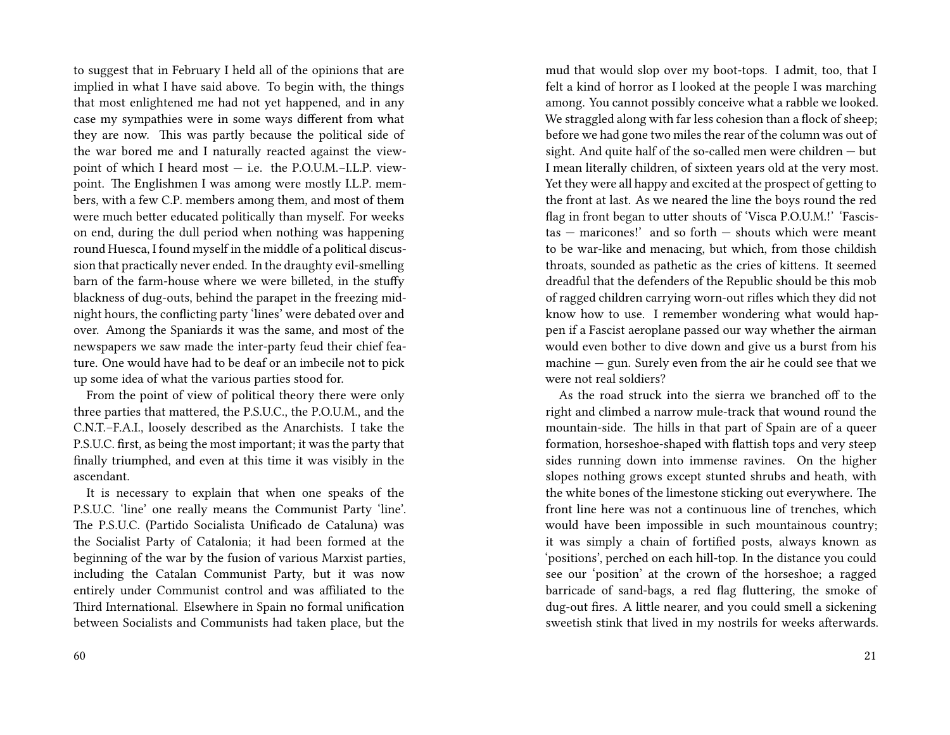to suggest that in February I held all of the opinions that are implied in what I have said above. To begin with, the things that most enlightened me had not yet happened, and in any case my sympathies were in some ways different from what they are now. This was partly because the political side of the war bored me and I naturally reacted against the viewpoint of which I heard most — i.e. the P.O.U.M.–I.L.P. viewpoint. The Englishmen I was among were mostly I.L.P. members, with a few C.P. members among them, and most of them were much better educated politically than myself. For weeks on end, during the dull period when nothing was happening round Huesca, I found myself in the middle of a political discussion that practically never ended. In the draughty evil-smelling barn of the farm-house where we were billeted, in the stuffy blackness of dug-outs, behind the parapet in the freezing midnight hours, the conflicting party 'lines' were debated over and over. Among the Spaniards it was the same, and most of the newspapers we saw made the inter-party feud their chief feature. One would have had to be deaf or an imbecile not to pick up some idea of what the various parties stood for.

From the point of view of political theory there were only three parties that mattered, the P.S.U.C., the P.O.U.M., and the C.N.T.–F.A.I., loosely described as the Anarchists. I take the P.S.U.C. first, as being the most important; it was the party that finally triumphed, and even at this time it was visibly in the ascendant.

It is necessary to explain that when one speaks of the P.S.U.C. 'line' one really means the Communist Party 'line'. The P.S.U.C. (Partido Socialista Unificado de Cataluna) was the Socialist Party of Catalonia; it had been formed at the beginning of the war by the fusion of various Marxist parties, including the Catalan Communist Party, but it was now entirely under Communist control and was affiliated to the Third International. Elsewhere in Spain no formal unification between Socialists and Communists had taken place, but the

mud that would slop over my boot-tops. I admit, too, that I felt a kind of horror as I looked at the people I was marching among. You cannot possibly conceive what a rabble we looked. We straggled along with far less cohesion than a flock of sheep; before we had gone two miles the rear of the column was out of sight. And quite half of the so-called men were children — but I mean literally children, of sixteen years old at the very most. Yet they were all happy and excited at the prospect of getting to the front at last. As we neared the line the boys round the red flag in front began to utter shouts of 'Visca P.O.U.M.!' 'Fascistas — maricones!' and so forth — shouts which were meant to be war-like and menacing, but which, from those childish throats, sounded as pathetic as the cries of kittens. It seemed dreadful that the defenders of the Republic should be this mob of ragged children carrying worn-out rifles which they did not know how to use. I remember wondering what would happen if a Fascist aeroplane passed our way whether the airman would even bother to dive down and give us a burst from his machine — gun. Surely even from the air he could see that we were not real soldiers?

As the road struck into the sierra we branched off to the right and climbed a narrow mule-track that wound round the mountain-side. The hills in that part of Spain are of a queer formation, horseshoe-shaped with flattish tops and very steep sides running down into immense ravines. On the higher slopes nothing grows except stunted shrubs and heath, with the white bones of the limestone sticking out everywhere. The front line here was not a continuous line of trenches, which would have been impossible in such mountainous country; it was simply a chain of fortified posts, always known as 'positions', perched on each hill-top. In the distance you could see our 'position' at the crown of the horseshoe; a ragged barricade of sand-bags, a red flag fluttering, the smoke of dug-out fires. A little nearer, and you could smell a sickening sweetish stink that lived in my nostrils for weeks afterwards.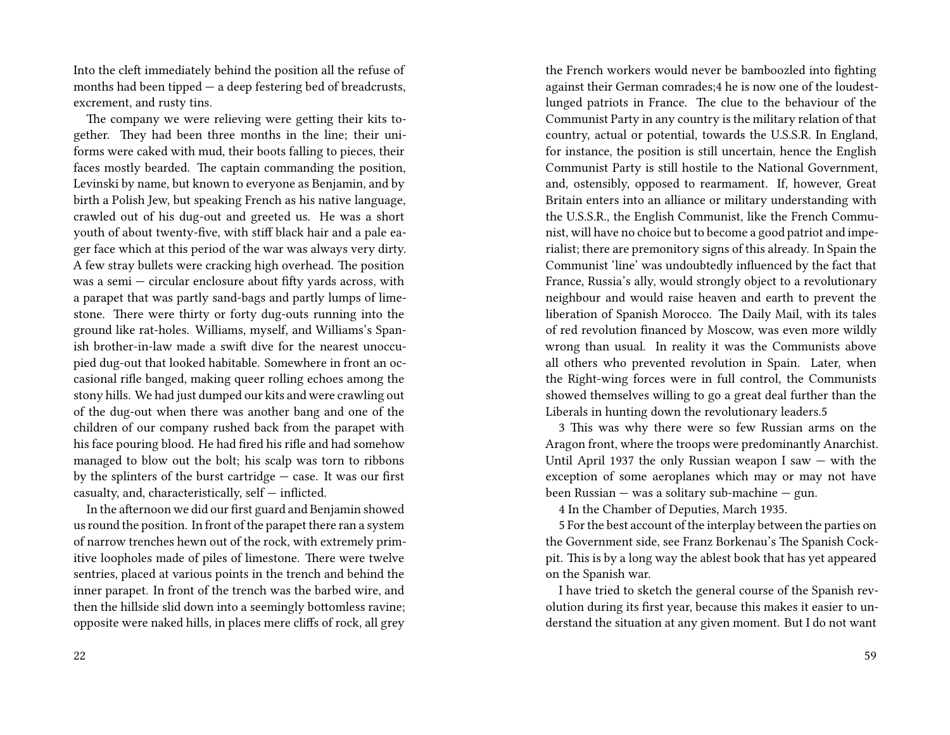Into the cleft immediately behind the position all the refuse of months had been tipped — a deep festering bed of breadcrusts, excrement, and rusty tins.

The company we were relieving were getting their kits together. They had been three months in the line; their uniforms were caked with mud, their boots falling to pieces, their faces mostly bearded. The captain commanding the position, Levinski by name, but known to everyone as Benjamin, and by birth a Polish Jew, but speaking French as his native language, crawled out of his dug-out and greeted us. He was a short youth of about twenty-five, with stiff black hair and a pale eager face which at this period of the war was always very dirty. A few stray bullets were cracking high overhead. The position was a semi — circular enclosure about fifty yards across, with a parapet that was partly sand-bags and partly lumps of limestone. There were thirty or forty dug-outs running into the ground like rat-holes. Williams, myself, and Williams's Spanish brother-in-law made a swift dive for the nearest unoccupied dug-out that looked habitable. Somewhere in front an occasional rifle banged, making queer rolling echoes among the stony hills. We had just dumped our kits and were crawling out of the dug-out when there was another bang and one of the children of our company rushed back from the parapet with his face pouring blood. He had fired his rifle and had somehow managed to blow out the bolt; his scalp was torn to ribbons by the splinters of the burst cartridge — case. It was our first casualty, and, characteristically, self — inflicted.

In the afternoon we did our first guard and Benjamin showed us round the position. In front of the parapet there ran a system of narrow trenches hewn out of the rock, with extremely primitive loopholes made of piles of limestone. There were twelve sentries, placed at various points in the trench and behind the inner parapet. In front of the trench was the barbed wire, and then the hillside slid down into a seemingly bottomless ravine; opposite were naked hills, in places mere cliffs of rock, all grey

the French workers would never be bamboozled into fighting against their German comrades;4 he is now one of the loudestlunged patriots in France. The clue to the behaviour of the Communist Party in any country is the military relation of that country, actual or potential, towards the U.S.S.R. In England, for instance, the position is still uncertain, hence the English Communist Party is still hostile to the National Government, and, ostensibly, opposed to rearmament. If, however, Great Britain enters into an alliance or military understanding with the U.S.S.R., the English Communist, like the French Communist, will have no choice but to become a good patriot and imperialist; there are premonitory signs of this already. In Spain the Communist 'line' was undoubtedly influenced by the fact that France, Russia's ally, would strongly object to a revolutionary neighbour and would raise heaven and earth to prevent the liberation of Spanish Morocco. The Daily Mail, with its tales of red revolution financed by Moscow, was even more wildly wrong than usual. In reality it was the Communists above all others who prevented revolution in Spain. Later, when the Right-wing forces were in full control, the Communists showed themselves willing to go a great deal further than the Liberals in hunting down the revolutionary leaders.5

3 This was why there were so few Russian arms on the Aragon front, where the troops were predominantly Anarchist. Until April 1937 the only Russian weapon I saw  $-$  with the exception of some aeroplanes which may or may not have been Russian — was a solitary sub-machine — gun.

4 In the Chamber of Deputies, March 1935.

5 For the best account of the interplay between the parties on the Government side, see Franz Borkenau's The Spanish Cockpit. This is by a long way the ablest book that has yet appeared on the Spanish war.

I have tried to sketch the general course of the Spanish revolution during its first year, because this makes it easier to understand the situation at any given moment. But I do not want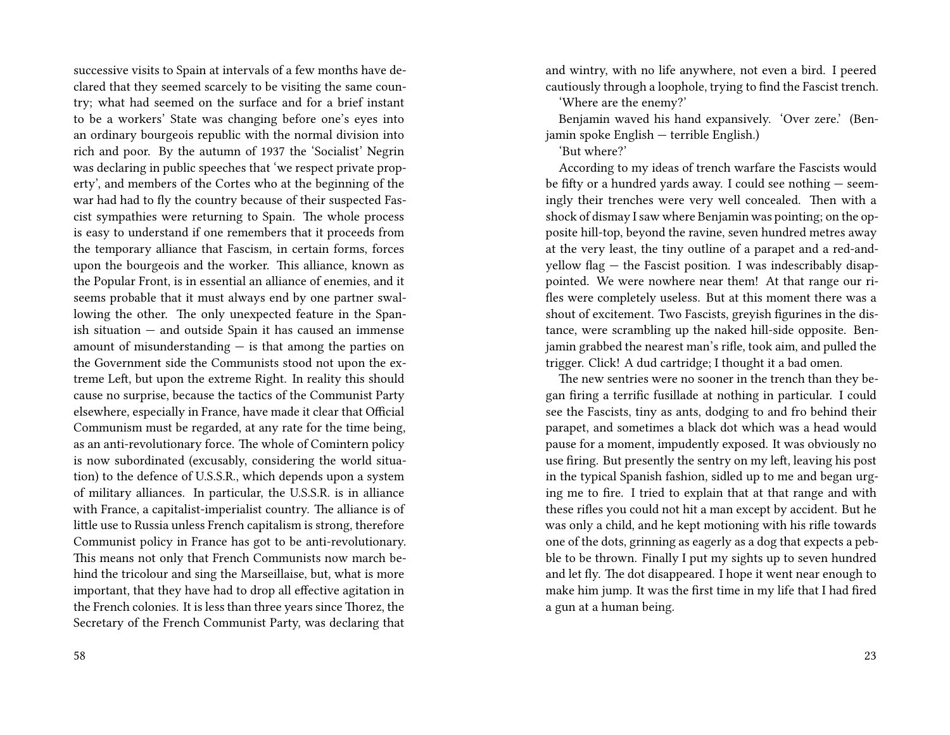successive visits to Spain at intervals of a few months have declared that they seemed scarcely to be visiting the same country; what had seemed on the surface and for a brief instant to be a workers' State was changing before one's eyes into an ordinary bourgeois republic with the normal division into rich and poor. By the autumn of 1937 the 'Socialist' Negrin was declaring in public speeches that 'we respect private property', and members of the Cortes who at the beginning of the war had had to fly the country because of their suspected Fascist sympathies were returning to Spain. The whole process is easy to understand if one remembers that it proceeds from the temporary alliance that Fascism, in certain forms, forces upon the bourgeois and the worker. This alliance, known as the Popular Front, is in essential an alliance of enemies, and it seems probable that it must always end by one partner swallowing the other. The only unexpected feature in the Spanish situation — and outside Spain it has caused an immense amount of misunderstanding — is that among the parties on the Government side the Communists stood not upon the extreme Left, but upon the extreme Right. In reality this should cause no surprise, because the tactics of the Communist Party elsewhere, especially in France, have made it clear that Official Communism must be regarded, at any rate for the time being, as an anti-revolutionary force. The whole of Comintern policy is now subordinated (excusably, considering the world situation) to the defence of U.S.S.R., which depends upon a system of military alliances. In particular, the U.S.S.R. is in alliance with France, a capitalist-imperialist country. The alliance is of little use to Russia unless French capitalism is strong, therefore Communist policy in France has got to be anti-revolutionary. This means not only that French Communists now march behind the tricolour and sing the Marseillaise, but, what is more important, that they have had to drop all effective agitation in the French colonies. It is less than three years since Thorez, the Secretary of the French Communist Party, was declaring that

and wintry, with no life anywhere, not even a bird. I peered cautiously through a loophole, trying to find the Fascist trench.

'Where are the enemy?'

Benjamin waved his hand expansively. 'Over zere.' (Benjamin spoke English — terrible English.)

'But where?'

According to my ideas of trench warfare the Fascists would be fifty or a hundred yards away. I could see nothing — seemingly their trenches were very well concealed. Then with a shock of dismay I saw where Benjamin was pointing; on the opposite hill-top, beyond the ravine, seven hundred metres away at the very least, the tiny outline of a parapet and a red-andyellow flag — the Fascist position. I was indescribably disappointed. We were nowhere near them! At that range our rifles were completely useless. But at this moment there was a shout of excitement. Two Fascists, greyish figurines in the distance, were scrambling up the naked hill-side opposite. Benjamin grabbed the nearest man's rifle, took aim, and pulled the trigger. Click! A dud cartridge; I thought it a bad omen.

The new sentries were no sooner in the trench than they began firing a terrific fusillade at nothing in particular. I could see the Fascists, tiny as ants, dodging to and fro behind their parapet, and sometimes a black dot which was a head would pause for a moment, impudently exposed. It was obviously no use firing. But presently the sentry on my left, leaving his post in the typical Spanish fashion, sidled up to me and began urging me to fire. I tried to explain that at that range and with these rifles you could not hit a man except by accident. But he was only a child, and he kept motioning with his rifle towards one of the dots, grinning as eagerly as a dog that expects a pebble to be thrown. Finally I put my sights up to seven hundred and let fly. The dot disappeared. I hope it went near enough to make him jump. It was the first time in my life that I had fired a gun at a human being.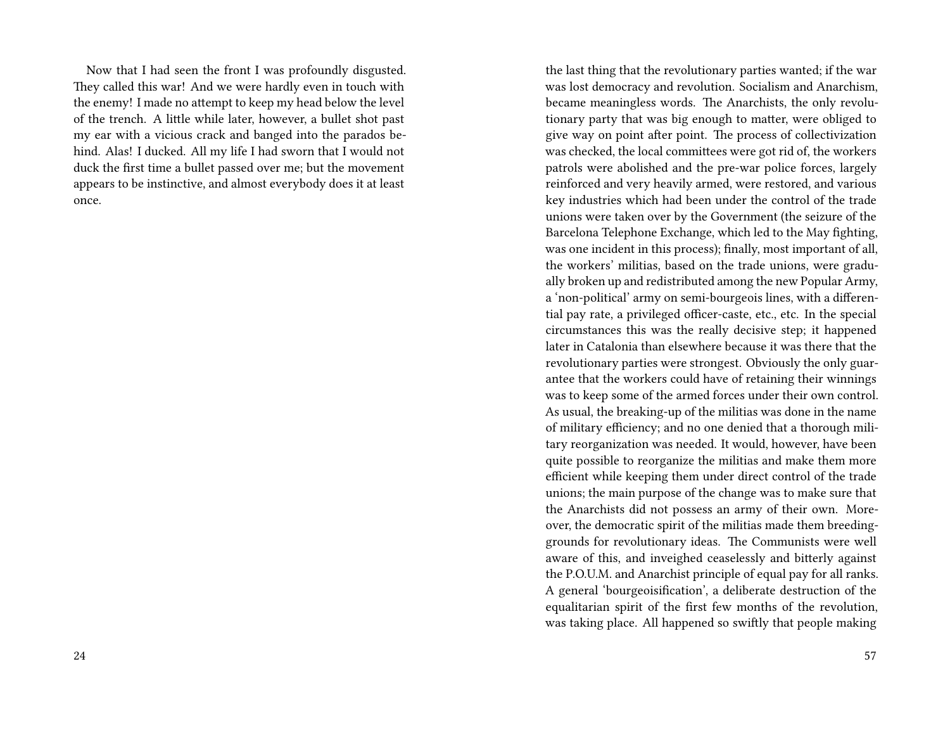Now that I had seen the front I was profoundly disgusted. They called this war! And we were hardly even in touch with the enemy! I made no attempt to keep my head below the level of the trench. A little while later, however, a bullet shot past my ear with a vicious crack and banged into the parados behind. Alas! I ducked. All my life I had sworn that I would not duck the first time a bullet passed over me; but the movement appears to be instinctive, and almost everybody does it at least once.

the last thing that the revolutionary parties wanted; if the war was lost democracy and revolution. Socialism and Anarchism, became meaningless words. The Anarchists, the only revolutionary party that was big enough to matter, were obliged to give way on point after point. The process of collectivization was checked, the local committees were got rid of, the workers patrols were abolished and the pre-war police forces, largely reinforced and very heavily armed, were restored, and various key industries which had been under the control of the trade unions were taken over by the Government (the seizure of the Barcelona Telephone Exchange, which led to the May fighting, was one incident in this process); finally, most important of all, the workers' militias, based on the trade unions, were gradually broken up and redistributed among the new Popular Army, a 'non-political' army on semi-bourgeois lines, with a differential pay rate, a privileged officer-caste, etc., etc. In the special circumstances this was the really decisive step; it happened later in Catalonia than elsewhere because it was there that the revolutionary parties were strongest. Obviously the only guarantee that the workers could have of retaining their winnings was to keep some of the armed forces under their own control. As usual, the breaking-up of the militias was done in the name of military efficiency; and no one denied that a thorough military reorganization was needed. It would, however, have been quite possible to reorganize the militias and make them more efficient while keeping them under direct control of the trade unions; the main purpose of the change was to make sure that the Anarchists did not possess an army of their own. Moreover, the democratic spirit of the militias made them breedinggrounds for revolutionary ideas. The Communists were well aware of this, and inveighed ceaselessly and bitterly against the P.O.U.M. and Anarchist principle of equal pay for all ranks. A general 'bourgeoisification', a deliberate destruction of the equalitarian spirit of the first few months of the revolution, was taking place. All happened so swiftly that people making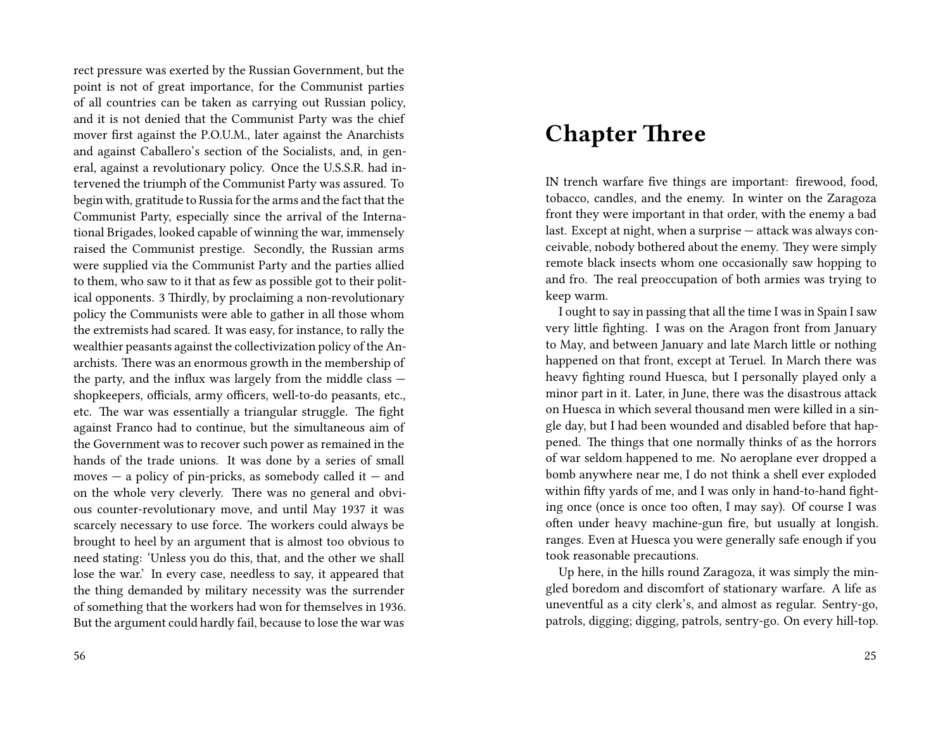rect pressure was exerted by the Russian Government, but the point is not of great importance, for the Communist parties of all countries can be taken as carrying out Russian policy, and it is not denied that the Communist Party was the chief mover first against the P.O.U.M., later against the Anarchists and against Caballero's section of the Socialists, and, in general, against a revolutionary policy. Once the U.S.S.R. had intervened the triumph of the Communist Party was assured. To begin with, gratitude to Russia for the arms and the fact that the Communist Party, especially since the arrival of the International Brigades, looked capable of winning the war, immensely raised the Communist prestige. Secondly, the Russian arms were supplied via the Communist Party and the parties allied to them, who saw to it that as few as possible got to their political opponents. 3 Thirdly, by proclaiming a non-revolutionary policy the Communists were able to gather in all those whom the extremists had scared. It was easy, for instance, to rally the wealthier peasants against the collectivization policy of the Anarchists. There was an enormous growth in the membership of the party, and the influx was largely from the middle class shopkeepers, officials, army officers, well-to-do peasants, etc., etc. The war was essentially a triangular struggle. The fight against Franco had to continue, but the simultaneous aim of the Government was to recover such power as remained in the hands of the trade unions. It was done by a series of small moves  $-$  a policy of pin-pricks, as somebody called it  $-$  and on the whole very cleverly. There was no general and obvious counter-revolutionary move, and until May 1937 it was scarcely necessary to use force. The workers could always be brought to heel by an argument that is almost too obvious to need stating: 'Unless you do this, that, and the other we shall lose the war.' In every case, needless to say, it appeared that the thing demanded by military necessity was the surrender of something that the workers had won for themselves in 1936. But the argument could hardly fail, because to lose the war was

## **Chapter Three**

IN trench warfare five things are important: firewood, food, tobacco, candles, and the enemy. In winter on the Zaragoza front they were important in that order, with the enemy a bad last. Except at night, when a surprise — attack was always conceivable, nobody bothered about the enemy. They were simply remote black insects whom one occasionally saw hopping to and fro. The real preoccupation of both armies was trying to keep warm.

I ought to say in passing that all the time I was in Spain I saw very little fighting. I was on the Aragon front from January to May, and between January and late March little or nothing happened on that front, except at Teruel. In March there was heavy fighting round Huesca, but I personally played only a minor part in it. Later, in June, there was the disastrous attack on Huesca in which several thousand men were killed in a single day, but I had been wounded and disabled before that happened. The things that one normally thinks of as the horrors of war seldom happened to me. No aeroplane ever dropped a bomb anywhere near me, I do not think a shell ever exploded within fifty yards of me, and I was only in hand-to-hand fighting once (once is once too often, I may say). Of course I was often under heavy machine-gun fire, but usually at longish. ranges. Even at Huesca you were generally safe enough if you took reasonable precautions.

Up here, in the hills round Zaragoza, it was simply the mingled boredom and discomfort of stationary warfare. A life as uneventful as a city clerk's, and almost as regular. Sentry-go, patrols, digging; digging, patrols, sentry-go. On every hill-top.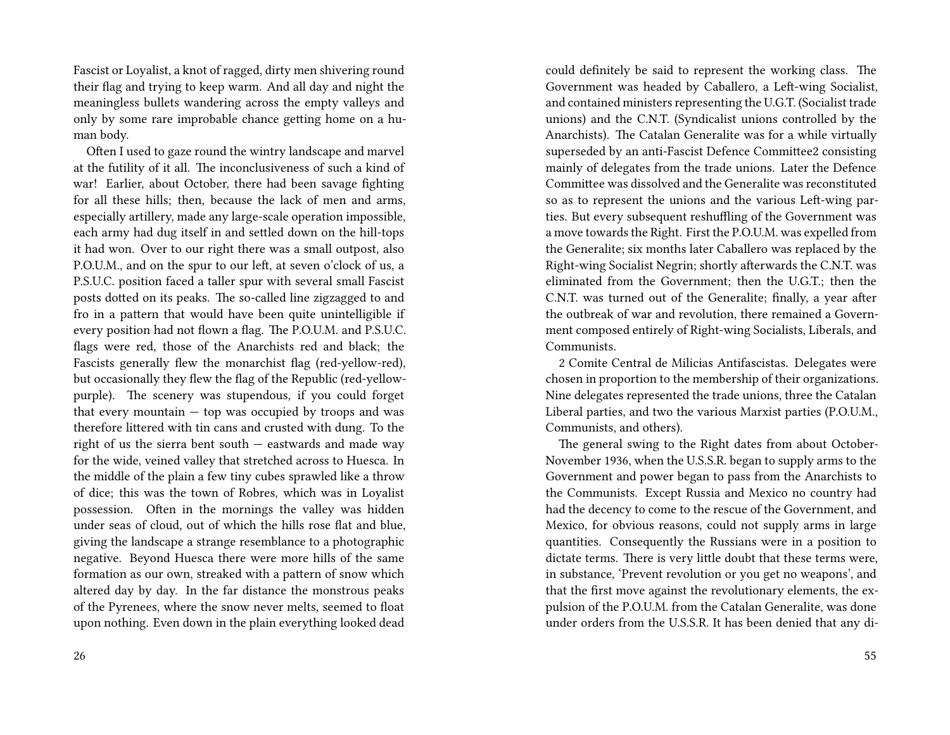Fascist or Loyalist, a knot of ragged, dirty men shivering round their flag and trying to keep warm. And all day and night the meaningless bullets wandering across the empty valleys and only by some rare improbable chance getting home on a human body.

Often I used to gaze round the wintry landscape and marvel at the futility of it all. The inconclusiveness of such a kind of war! Earlier, about October, there had been savage fighting for all these hills; then, because the lack of men and arms, especially artillery, made any large-scale operation impossible, each army had dug itself in and settled down on the hill-tops it had won. Over to our right there was a small outpost, also P.O.U.M., and on the spur to our left, at seven o'clock of us, a P.S.U.C. position faced a taller spur with several small Fascist posts dotted on its peaks. The so-called line zigzagged to and fro in a pattern that would have been quite unintelligible if every position had not flown a flag. The P.O.U.M. and P.S.U.C. flags were red, those of the Anarchists red and black; the Fascists generally flew the monarchist flag (red-yellow-red), but occasionally they flew the flag of the Republic (red-yellowpurple). The scenery was stupendous, if you could forget that every mountain  $-$  top was occupied by troops and was therefore littered with tin cans and crusted with dung. To the right of us the sierra bent south — eastwards and made way for the wide, veined valley that stretched across to Huesca. In the middle of the plain a few tiny cubes sprawled like a throw of dice; this was the town of Robres, which was in Loyalist possession. Often in the mornings the valley was hidden under seas of cloud, out of which the hills rose flat and blue, giving the landscape a strange resemblance to a photographic negative. Beyond Huesca there were more hills of the same formation as our own, streaked with a pattern of snow which altered day by day. In the far distance the monstrous peaks of the Pyrenees, where the snow never melts, seemed to float upon nothing. Even down in the plain everything looked dead

26

could definitely be said to represent the working class. The Government was headed by Caballero, a Left-wing Socialist, and contained ministers representing the U.G.T. (Socialist trade unions) and the C.N.T. (Syndicalist unions controlled by the Anarchists). The Catalan Generalite was for a while virtually superseded by an anti-Fascist Defence Committee2 consisting mainly of delegates from the trade unions. Later the Defence Committee was dissolved and the Generalite was reconstituted so as to represent the unions and the various Left-wing parties. But every subsequent reshuffling of the Government was a move towards the Right. First the P.O.U.M. was expelled from the Generalite; six months later Caballero was replaced by the Right-wing Socialist Negrin; shortly afterwards the C.N.T. was eliminated from the Government; then the U.G.T.; then the C.N.T. was turned out of the Generalite; finally, a year after the outbreak of war and revolution, there remained a Government composed entirely of Right-wing Socialists, Liberals, and Communists.

2 Comite Central de Milicias Antifascistas. Delegates were chosen in proportion to the membership of their organizations. Nine delegates represented the trade unions, three the Catalan Liberal parties, and two the various Marxist parties (P.O.U.M., Communists, and others).

The general swing to the Right dates from about October-November 1936, when the U.S.S.R. began to supply arms to the Government and power began to pass from the Anarchists to the Communists. Except Russia and Mexico no country had had the decency to come to the rescue of the Government, and Mexico, for obvious reasons, could not supply arms in large quantities. Consequently the Russians were in a position to dictate terms. There is very little doubt that these terms were, in substance, 'Prevent revolution or you get no weapons', and that the first move against the revolutionary elements, the expulsion of the P.O.U.M. from the Catalan Generalite, was done under orders from the U.S.S.R. It has been denied that any di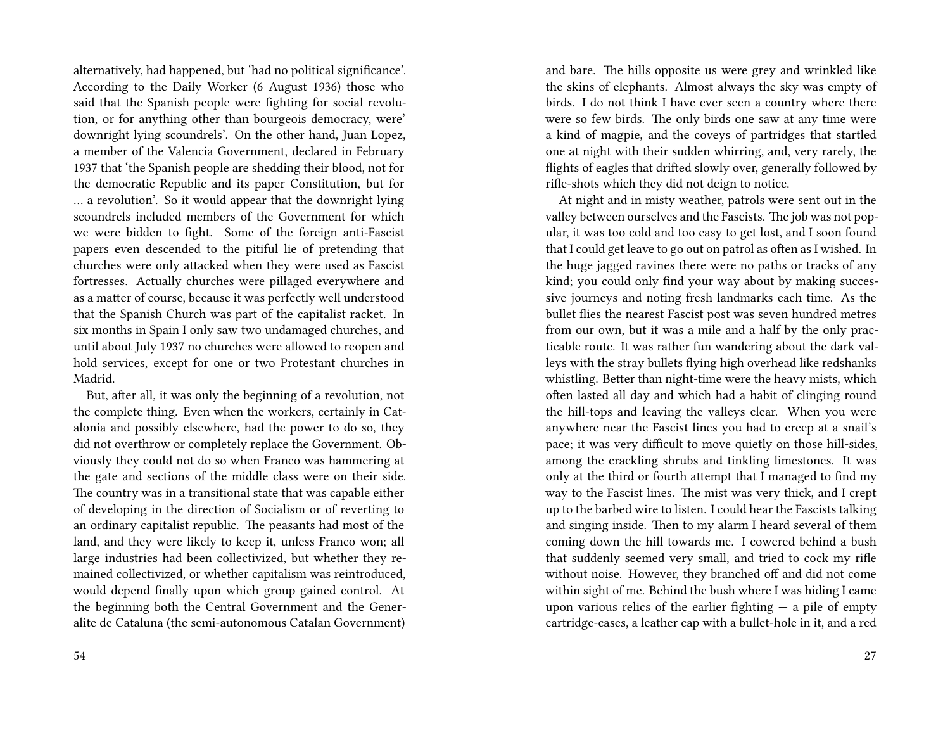alternatively, had happened, but 'had no political significance'. According to the Daily Worker (6 August 1936) those who said that the Spanish people were fighting for social revolution, or for anything other than bourgeois democracy, were' downright lying scoundrels'. On the other hand, Juan Lopez, a member of the Valencia Government, declared in February 1937 that 'the Spanish people are shedding their blood, not for the democratic Republic and its paper Constitution, but for … a revolution'. So it would appear that the downright lying scoundrels included members of the Government for which we were bidden to fight. Some of the foreign anti-Fascist papers even descended to the pitiful lie of pretending that churches were only attacked when they were used as Fascist fortresses. Actually churches were pillaged everywhere and as a matter of course, because it was perfectly well understood that the Spanish Church was part of the capitalist racket. In six months in Spain I only saw two undamaged churches, and until about July 1937 no churches were allowed to reopen and hold services, except for one or two Protestant churches in Madrid.

But, after all, it was only the beginning of a revolution, not the complete thing. Even when the workers, certainly in Catalonia and possibly elsewhere, had the power to do so, they did not overthrow or completely replace the Government. Obviously they could not do so when Franco was hammering at the gate and sections of the middle class were on their side. The country was in a transitional state that was capable either of developing in the direction of Socialism or of reverting to an ordinary capitalist republic. The peasants had most of the land, and they were likely to keep it, unless Franco won; all large industries had been collectivized, but whether they remained collectivized, or whether capitalism was reintroduced, would depend finally upon which group gained control. At the beginning both the Central Government and the Generalite de Cataluna (the semi-autonomous Catalan Government)

and bare. The hills opposite us were grey and wrinkled like the skins of elephants. Almost always the sky was empty of birds. I do not think I have ever seen a country where there were so few birds. The only birds one saw at any time were a kind of magpie, and the coveys of partridges that startled one at night with their sudden whirring, and, very rarely, the flights of eagles that drifted slowly over, generally followed by rifle-shots which they did not deign to notice.

At night and in misty weather, patrols were sent out in the valley between ourselves and the Fascists. The job was not popular, it was too cold and too easy to get lost, and I soon found that I could get leave to go out on patrol as often as I wished. In the huge jagged ravines there were no paths or tracks of any kind; you could only find your way about by making successive journeys and noting fresh landmarks each time. As the bullet flies the nearest Fascist post was seven hundred metres from our own, but it was a mile and a half by the only practicable route. It was rather fun wandering about the dark valleys with the stray bullets flying high overhead like redshanks whistling. Better than night-time were the heavy mists, which often lasted all day and which had a habit of clinging round the hill-tops and leaving the valleys clear. When you were anywhere near the Fascist lines you had to creep at a snail's pace; it was very difficult to move quietly on those hill-sides, among the crackling shrubs and tinkling limestones. It was only at the third or fourth attempt that I managed to find my way to the Fascist lines. The mist was very thick, and I crept up to the barbed wire to listen. I could hear the Fascists talking and singing inside. Then to my alarm I heard several of them coming down the hill towards me. I cowered behind a bush that suddenly seemed very small, and tried to cock my rifle without noise. However, they branched off and did not come within sight of me. Behind the bush where I was hiding I came upon various relics of the earlier fighting  $-$  a pile of empty cartridge-cases, a leather cap with a bullet-hole in it, and a red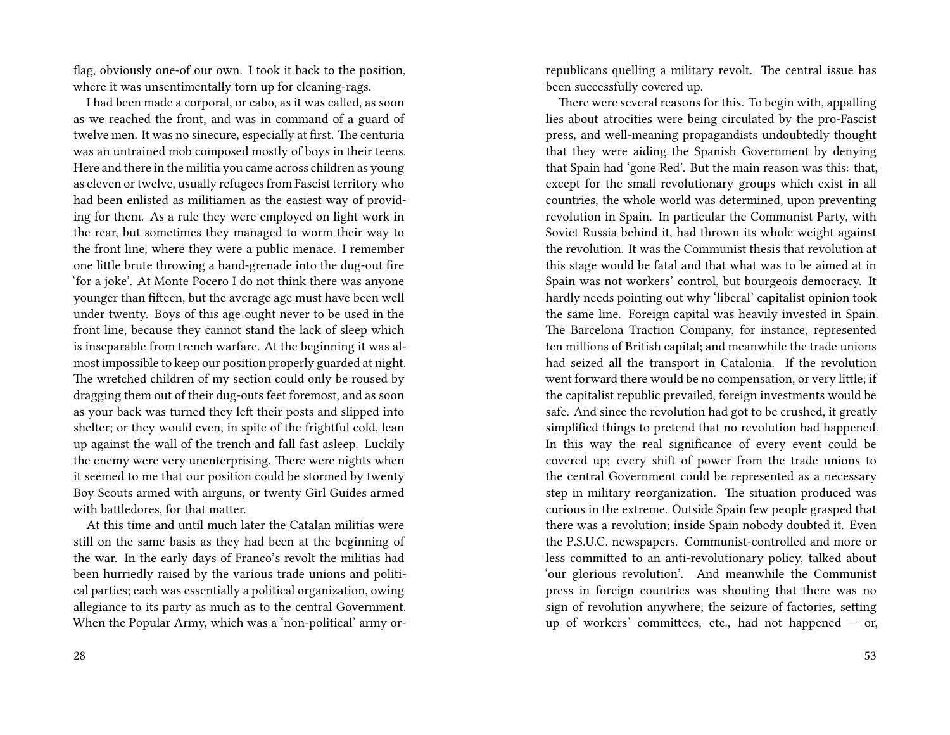flag, obviously one-of our own. I took it back to the position, where it was unsentimentally torn up for cleaning-rags.

I had been made a corporal, or cabo, as it was called, as soon as we reached the front, and was in command of a guard of twelve men. It was no sinecure, especially at first. The centuria was an untrained mob composed mostly of boys in their teens. Here and there in the militia you came across children as young as eleven or twelve, usually refugees from Fascist territory who had been enlisted as militiamen as the easiest way of providing for them. As a rule they were employed on light work in the rear, but sometimes they managed to worm their way to the front line, where they were a public menace. I remember one little brute throwing a hand-grenade into the dug-out fire 'for a joke'. At Monte Pocero I do not think there was anyone younger than fifteen, but the average age must have been well under twenty. Boys of this age ought never to be used in the front line, because they cannot stand the lack of sleep which is inseparable from trench warfare. At the beginning it was almost impossible to keep our position properly guarded at night. The wretched children of my section could only be roused by dragging them out of their dug-outs feet foremost, and as soon as your back was turned they left their posts and slipped into shelter; or they would even, in spite of the frightful cold, lean up against the wall of the trench and fall fast asleep. Luckily the enemy were very unenterprising. There were nights when it seemed to me that our position could be stormed by twenty Boy Scouts armed with airguns, or twenty Girl Guides armed with battledores, for that matter.

At this time and until much later the Catalan militias were still on the same basis as they had been at the beginning of the war. In the early days of Franco's revolt the militias had been hurriedly raised by the various trade unions and political parties; each was essentially a political organization, owing allegiance to its party as much as to the central Government. When the Popular Army, which was a 'non-political' army orrepublicans quelling a military revolt. The central issue has been successfully covered up.

There were several reasons for this. To begin with, appalling lies about atrocities were being circulated by the pro-Fascist press, and well-meaning propagandists undoubtedly thought that they were aiding the Spanish Government by denying that Spain had 'gone Red'. But the main reason was this: that, except for the small revolutionary groups which exist in all countries, the whole world was determined, upon preventing revolution in Spain. In particular the Communist Party, with Soviet Russia behind it, had thrown its whole weight against the revolution. It was the Communist thesis that revolution at this stage would be fatal and that what was to be aimed at in Spain was not workers' control, but bourgeois democracy. It hardly needs pointing out why 'liberal' capitalist opinion took the same line. Foreign capital was heavily invested in Spain. The Barcelona Traction Company, for instance, represented ten millions of British capital; and meanwhile the trade unions had seized all the transport in Catalonia. If the revolution went forward there would be no compensation, or very little; if the capitalist republic prevailed, foreign investments would be safe. And since the revolution had got to be crushed, it greatly simplified things to pretend that no revolution had happened. In this way the real significance of every event could be covered up; every shift of power from the trade unions to the central Government could be represented as a necessary step in military reorganization. The situation produced was curious in the extreme. Outside Spain few people grasped that there was a revolution; inside Spain nobody doubted it. Even the P.S.U.C. newspapers. Communist-controlled and more or less committed to an anti-revolutionary policy, talked about 'our glorious revolution'. And meanwhile the Communist press in foreign countries was shouting that there was no sign of revolution anywhere; the seizure of factories, setting up of workers' committees, etc., had not happened  $-$  or,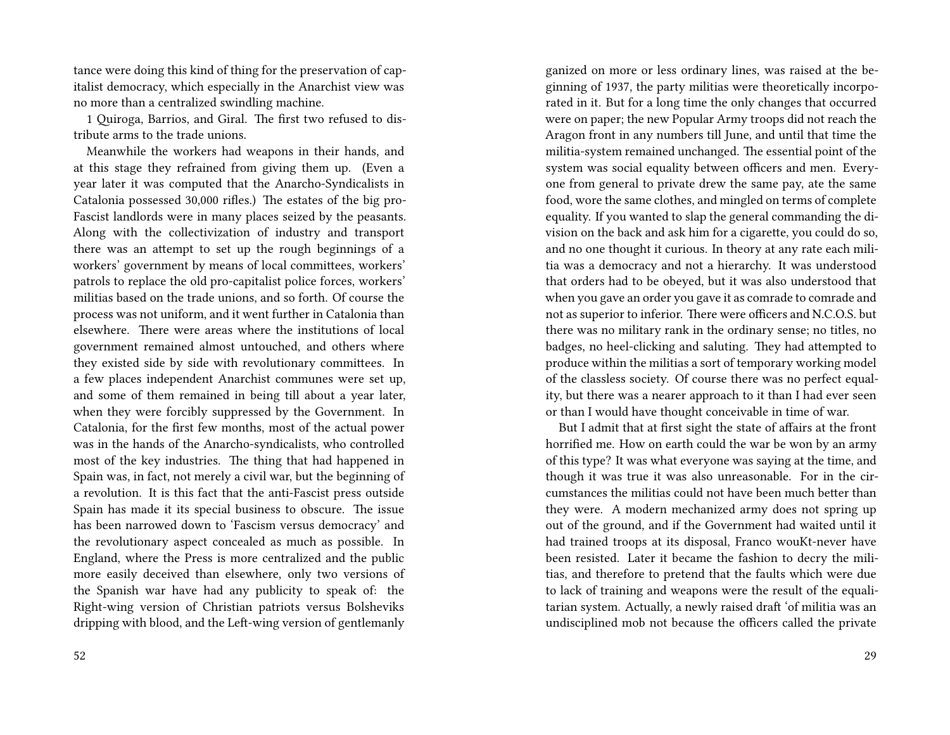tance were doing this kind of thing for the preservation of capitalist democracy, which especially in the Anarchist view was no more than a centralized swindling machine.

1 Quiroga, Barrios, and Giral. The first two refused to distribute arms to the trade unions.

Meanwhile the workers had weapons in their hands, and at this stage they refrained from giving them up. (Even a year later it was computed that the Anarcho-Syndicalists in Catalonia possessed 30,000 rifles.) The estates of the big pro-Fascist landlords were in many places seized by the peasants. Along with the collectivization of industry and transport there was an attempt to set up the rough beginnings of a workers' government by means of local committees, workers' patrols to replace the old pro-capitalist police forces, workers' militias based on the trade unions, and so forth. Of course the process was not uniform, and it went further in Catalonia than elsewhere. There were areas where the institutions of local government remained almost untouched, and others where they existed side by side with revolutionary committees. In a few places independent Anarchist communes were set up, and some of them remained in being till about a year later, when they were forcibly suppressed by the Government. In Catalonia, for the first few months, most of the actual power was in the hands of the Anarcho-syndicalists, who controlled most of the key industries. The thing that had happened in Spain was, in fact, not merely a civil war, but the beginning of a revolution. It is this fact that the anti-Fascist press outside Spain has made it its special business to obscure. The issue has been narrowed down to 'Fascism versus democracy' and the revolutionary aspect concealed as much as possible. In England, where the Press is more centralized and the public more easily deceived than elsewhere, only two versions of the Spanish war have had any publicity to speak of: the Right-wing version of Christian patriots versus Bolsheviks dripping with blood, and the Left-wing version of gentlemanly

ganized on more or less ordinary lines, was raised at the beginning of 1937, the party militias were theoretically incorporated in it. But for a long time the only changes that occurred were on paper; the new Popular Army troops did not reach the Aragon front in any numbers till June, and until that time the militia-system remained unchanged. The essential point of the system was social equality between officers and men. Everyone from general to private drew the same pay, ate the same food, wore the same clothes, and mingled on terms of complete equality. If you wanted to slap the general commanding the division on the back and ask him for a cigarette, you could do so, and no one thought it curious. In theory at any rate each militia was a democracy and not a hierarchy. It was understood that orders had to be obeyed, but it was also understood that when you gave an order you gave it as comrade to comrade and not as superior to inferior. There were officers and N.C.O.S. but there was no military rank in the ordinary sense; no titles, no badges, no heel-clicking and saluting. They had attempted to produce within the militias a sort of temporary working model of the classless society. Of course there was no perfect equality, but there was a nearer approach to it than I had ever seen or than I would have thought conceivable in time of war. But I admit that at first sight the state of affairs at the front

horrified me. How on earth could the war be won by an army of this type? It was what everyone was saying at the time, and though it was true it was also unreasonable. For in the circumstances the militias could not have been much better than they were. A modern mechanized army does not spring up out of the ground, and if the Government had waited until it had trained troops at its disposal, Franco wouKt-never have been resisted. Later it became the fashion to decry the militias, and therefore to pretend that the faults which were due to lack of training and weapons were the result of the equalitarian system. Actually, a newly raised draft 'of militia was an undisciplined mob not because the officers called the private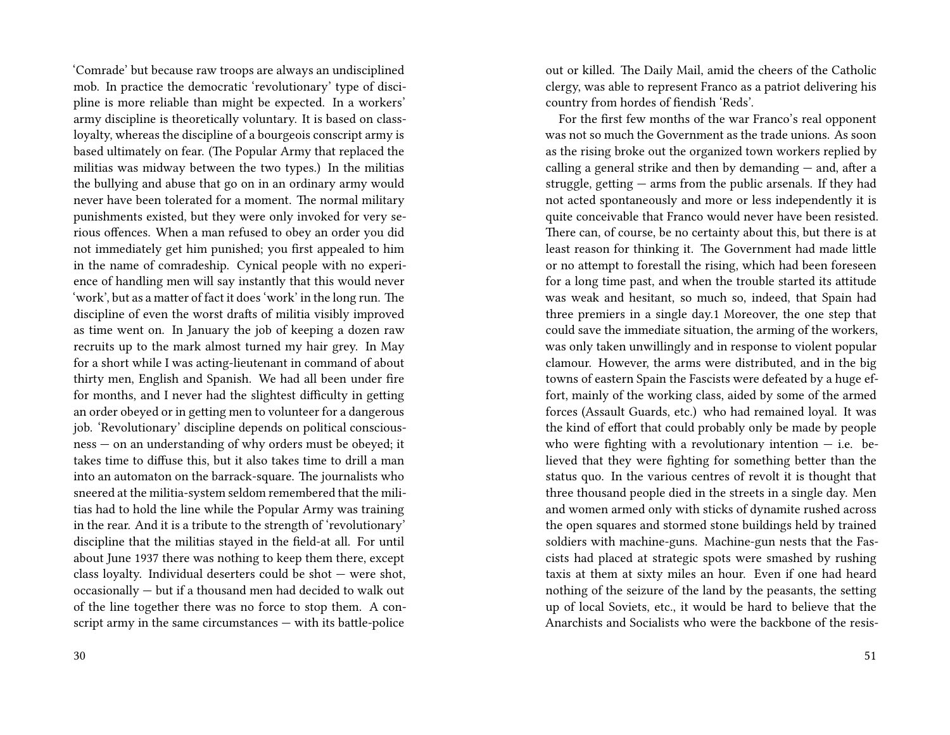'Comrade' but because raw troops are always an undisciplined mob. In practice the democratic 'revolutionary' type of discipline is more reliable than might be expected. In a workers' army discipline is theoretically voluntary. It is based on classloyalty, whereas the discipline of a bourgeois conscript army is based ultimately on fear. (The Popular Army that replaced the militias was midway between the two types.) In the militias the bullying and abuse that go on in an ordinary army would never have been tolerated for a moment. The normal military punishments existed, but they were only invoked for very serious offences. When a man refused to obey an order you did not immediately get him punished; you first appealed to him in the name of comradeship. Cynical people with no experience of handling men will say instantly that this would never 'work', but as a matter of fact it does 'work' in the long run. The discipline of even the worst drafts of militia visibly improved as time went on. In January the job of keeping a dozen raw recruits up to the mark almost turned my hair grey. In May for a short while I was acting-lieutenant in command of about thirty men, English and Spanish. We had all been under fire for months, and I never had the slightest difficulty in getting an order obeyed or in getting men to volunteer for a dangerous job. 'Revolutionary' discipline depends on political consciousness — on an understanding of why orders must be obeyed; it takes time to diffuse this, but it also takes time to drill a man into an automaton on the barrack-square. The journalists who sneered at the militia-system seldom remembered that the militias had to hold the line while the Popular Army was training in the rear. And it is a tribute to the strength of 'revolutionary' discipline that the militias stayed in the field-at all. For until about June 1937 there was nothing to keep them there, except class loyalty. Individual deserters could be shot — were shot, occasionally — but if a thousand men had decided to walk out of the line together there was no force to stop them. A conscript army in the same circumstances — with its battle-police

out or killed. The Daily Mail, amid the cheers of the Catholic clergy, was able to represent Franco as a patriot delivering his country from hordes of fiendish 'Reds'.

For the first few months of the war Franco's real opponent was not so much the Government as the trade unions. As soon as the rising broke out the organized town workers replied by calling a general strike and then by demanding — and, after a struggle, getting  $-$  arms from the public arsenals. If they had not acted spontaneously and more or less independently it is quite conceivable that Franco would never have been resisted. There can, of course, be no certainty about this, but there is at least reason for thinking it. The Government had made little or no attempt to forestall the rising, which had been foreseen for a long time past, and when the trouble started its attitude was weak and hesitant, so much so, indeed, that Spain had three premiers in a single day.1 Moreover, the one step that could save the immediate situation, the arming of the workers, was only taken unwillingly and in response to violent popular clamour. However, the arms were distributed, and in the big towns of eastern Spain the Fascists were defeated by a huge effort, mainly of the working class, aided by some of the armed forces (Assault Guards, etc.) who had remained loyal. It was the kind of effort that could probably only be made by people who were fighting with a revolutionary intention  $-$  i.e. believed that they were fighting for something better than the status quo. In the various centres of revolt it is thought that three thousand people died in the streets in a single day. Men and women armed only with sticks of dynamite rushed across the open squares and stormed stone buildings held by trained soldiers with machine-guns. Machine-gun nests that the Fascists had placed at strategic spots were smashed by rushing taxis at them at sixty miles an hour. Even if one had heard nothing of the seizure of the land by the peasants, the setting up of local Soviets, etc., it would be hard to believe that the Anarchists and Socialists who were the backbone of the resis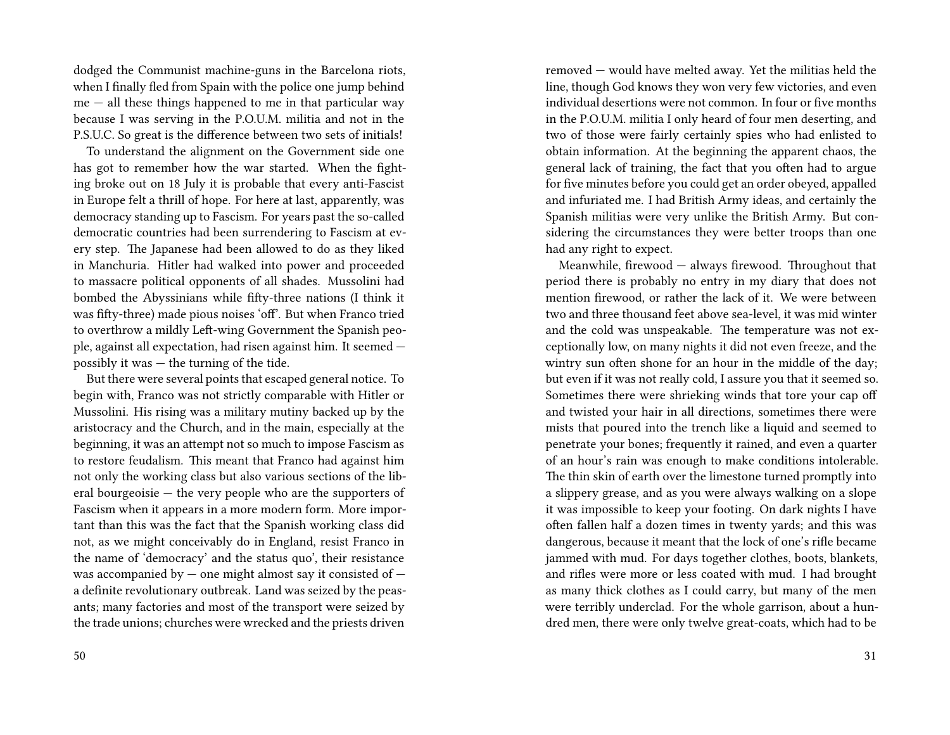dodged the Communist machine-guns in the Barcelona riots, when I finally fled from Spain with the police one jump behind me — all these things happened to me in that particular way because I was serving in the P.O.U.M. militia and not in the P.S.U.C. So great is the difference between two sets of initials!

To understand the alignment on the Government side one has got to remember how the war started. When the fighting broke out on 18 July it is probable that every anti-Fascist in Europe felt a thrill of hope. For here at last, apparently, was democracy standing up to Fascism. For years past the so-called democratic countries had been surrendering to Fascism at every step. The Japanese had been allowed to do as they liked in Manchuria. Hitler had walked into power and proceeded to massacre political opponents of all shades. Mussolini had bombed the Abyssinians while fifty-three nations (I think it was fifty-three) made pious noises 'of'. But when Franco tried to overthrow a mildly Left-wing Government the Spanish people, against all expectation, had risen against him. It seemed possibly it was — the turning of the tide.

But there were several points that escaped general notice. To begin with, Franco was not strictly comparable with Hitler or Mussolini. His rising was a military mutiny backed up by the aristocracy and the Church, and in the main, especially at the beginning, it was an attempt not so much to impose Fascism as to restore feudalism. This meant that Franco had against him not only the working class but also various sections of the liberal bourgeoisie — the very people who are the supporters of Fascism when it appears in a more modern form. More important than this was the fact that the Spanish working class did not, as we might conceivably do in England, resist Franco in the name of 'democracy' and the status quo', their resistance was accompanied by  $-$  one might almost say it consisted of  $$ a definite revolutionary outbreak. Land was seized by the peasants; many factories and most of the transport were seized by the trade unions; churches were wrecked and the priests driven

removed — would have melted away. Yet the militias held the line, though God knows they won very few victories, and even individual desertions were not common. In four or five months in the P.O.U.M. militia I only heard of four men deserting, and two of those were fairly certainly spies who had enlisted to obtain information. At the beginning the apparent chaos, the general lack of training, the fact that you often had to argue for five minutes before you could get an order obeyed, appalled and infuriated me. I had British Army ideas, and certainly the Spanish militias were very unlike the British Army. But considering the circumstances they were better troops than one had any right to expect.

Meanwhile, firewood — always firewood. Throughout that period there is probably no entry in my diary that does not mention firewood, or rather the lack of it. We were between two and three thousand feet above sea-level, it was mid winter and the cold was unspeakable. The temperature was not exceptionally low, on many nights it did not even freeze, and the wintry sun often shone for an hour in the middle of the day; but even if it was not really cold, I assure you that it seemed so. Sometimes there were shrieking winds that tore your cap off and twisted your hair in all directions, sometimes there were mists that poured into the trench like a liquid and seemed to penetrate your bones; frequently it rained, and even a quarter of an hour's rain was enough to make conditions intolerable. The thin skin of earth over the limestone turned promptly into a slippery grease, and as you were always walking on a slope it was impossible to keep your footing. On dark nights I have often fallen half a dozen times in twenty yards; and this was dangerous, because it meant that the lock of one's rifle became jammed with mud. For days together clothes, boots, blankets, and rifles were more or less coated with mud. I had brought as many thick clothes as I could carry, but many of the men were terribly underclad. For the whole garrison, about a hundred men, there were only twelve great-coats, which had to be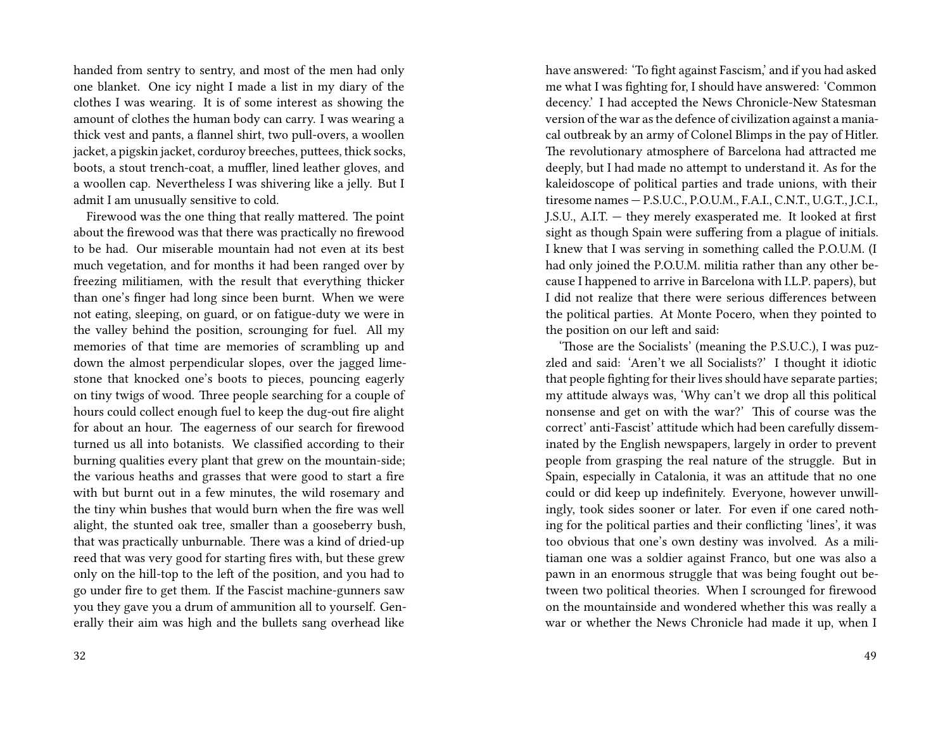handed from sentry to sentry, and most of the men had only one blanket. One icy night I made a list in my diary of the clothes I was wearing. It is of some interest as showing the amount of clothes the human body can carry. I was wearing a thick vest and pants, a flannel shirt, two pull-overs, a woollen jacket, a pigskin jacket, corduroy breeches, puttees, thick socks, boots, a stout trench-coat, a muffler, lined leather gloves, and a woollen cap. Nevertheless I was shivering like a jelly. But I admit I am unusually sensitive to cold.

Firewood was the one thing that really mattered. The point about the firewood was that there was practically no firewood to be had. Our miserable mountain had not even at its best much vegetation, and for months it had been ranged over by freezing militiamen, with the result that everything thicker than one's finger had long since been burnt. When we were not eating, sleeping, on guard, or on fatigue-duty we were in the valley behind the position, scrounging for fuel. All my memories of that time are memories of scrambling up and down the almost perpendicular slopes, over the jagged limestone that knocked one's boots to pieces, pouncing eagerly on tiny twigs of wood. Three people searching for a couple of hours could collect enough fuel to keep the dug-out fire alight for about an hour. The eagerness of our search for firewood turned us all into botanists. We classified according to their burning qualities every plant that grew on the mountain-side; the various heaths and grasses that were good to start a fire with but burnt out in a few minutes, the wild rosemary and the tiny whin bushes that would burn when the fire was well alight, the stunted oak tree, smaller than a gooseberry bush, that was practically unburnable. There was a kind of dried-up reed that was very good for starting fires with, but these grew only on the hill-top to the left of the position, and you had to go under fire to get them. If the Fascist machine-gunners saw you they gave you a drum of ammunition all to yourself. Generally their aim was high and the bullets sang overhead like

have answered: 'To fight against Fascism,' and if you had asked me what I was fighting for, I should have answered: 'Common decency.' I had accepted the News Chronicle-New Statesman version of the war as the defence of civilization against a maniacal outbreak by an army of Colonel Blimps in the pay of Hitler. The revolutionary atmosphere of Barcelona had attracted me deeply, but I had made no attempt to understand it. As for the kaleidoscope of political parties and trade unions, with their tiresome names — P.S.U.C., P.O.U.M., F.A.I., C.N.T., U.G.T., J.C.I., J.S.U., A.I.T. — they merely exasperated me. It looked at first sight as though Spain were suffering from a plague of initials. I knew that I was serving in something called the P.O.U.M. (I had only joined the P.O.U.M. militia rather than any other because I happened to arrive in Barcelona with I.L.P. papers), but I did not realize that there were serious differences between the political parties. At Monte Pocero, when they pointed to the position on our left and said:

'Those are the Socialists' (meaning the P.S.U.C.), I was puzzled and said: 'Aren't we all Socialists?' I thought it idiotic that people fighting for their lives should have separate parties; my attitude always was, 'Why can't we drop all this political nonsense and get on with the war?' This of course was the correct' anti-Fascist' attitude which had been carefully disseminated by the English newspapers, largely in order to prevent people from grasping the real nature of the struggle. But in Spain, especially in Catalonia, it was an attitude that no one could or did keep up indefinitely. Everyone, however unwillingly, took sides sooner or later. For even if one cared nothing for the political parties and their conflicting 'lines', it was too obvious that one's own destiny was involved. As a militiaman one was a soldier against Franco, but one was also a pawn in an enormous struggle that was being fought out between two political theories. When I scrounged for firewood on the mountainside and wondered whether this was really a war or whether the News Chronicle had made it up, when I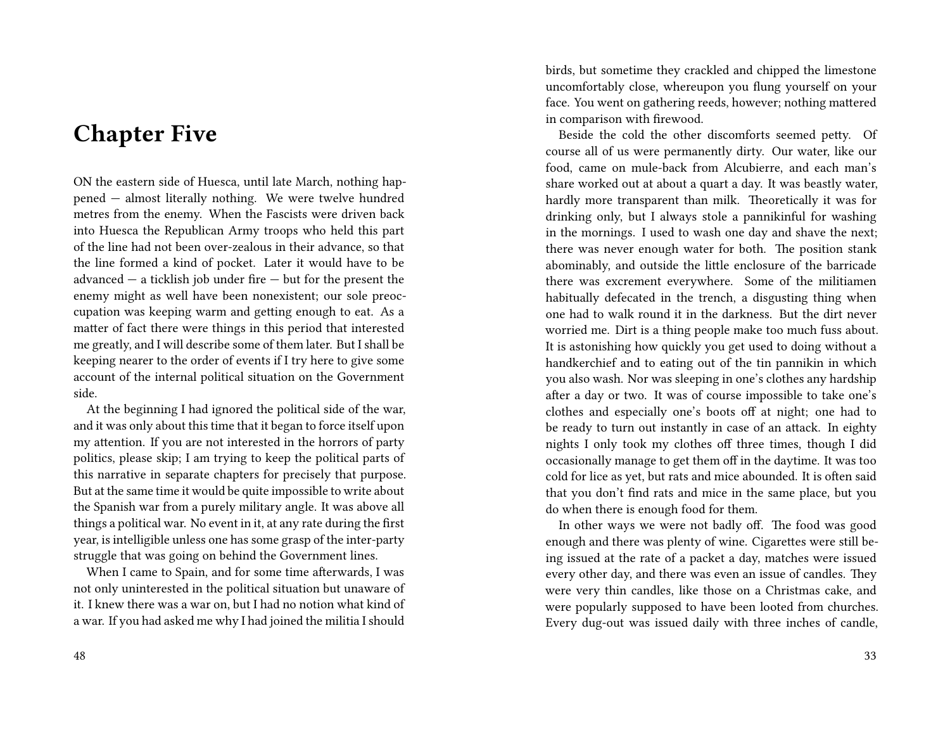# **Chapter Five**

ON the eastern side of Huesca, until late March, nothing happened — almost literally nothing. We were twelve hundred metres from the enemy. When the Fascists were driven back into Huesca the Republican Army troops who held this part of the line had not been over-zealous in their advance, so that the line formed a kind of pocket. Later it would have to be  $advanced - a ticklish job under fire - but for the present the$ enemy might as well have been nonexistent; our sole preoccupation was keeping warm and getting enough to eat. As a matter of fact there were things in this period that interested me greatly, and I will describe some of them later. But I shall be keeping nearer to the order of events if I try here to give some account of the internal political situation on the Government side.

At the beginning I had ignored the political side of the war, and it was only about this time that it began to force itself upon my attention. If you are not interested in the horrors of party politics, please skip; I am trying to keep the political parts of this narrative in separate chapters for precisely that purpose. But at the same time it would be quite impossible to write about the Spanish war from a purely military angle. It was above all things a political war. No event in it, at any rate during the first year, is intelligible unless one has some grasp of the inter-party struggle that was going on behind the Government lines.

When I came to Spain, and for some time afterwards, I was not only uninterested in the political situation but unaware of it. I knew there was a war on, but I had no notion what kind of a war. If you had asked me why I had joined the militia I should

birds, but sometime they crackled and chipped the limestone uncomfortably close, whereupon you flung yourself on your face. You went on gathering reeds, however; nothing mattered in comparison with firewood.

Beside the cold the other discomforts seemed petty. Of course all of us were permanently dirty. Our water, like our food, came on mule-back from Alcubierre, and each man's share worked out at about a quart a day. It was beastly water, hardly more transparent than milk. Theoretically it was for drinking only, but I always stole a pannikinful for washing in the mornings. I used to wash one day and shave the next; there was never enough water for both. The position stank abominably, and outside the little enclosure of the barricade there was excrement everywhere. Some of the militiamen habitually defecated in the trench, a disgusting thing when one had to walk round it in the darkness. But the dirt never worried me. Dirt is a thing people make too much fuss about. It is astonishing how quickly you get used to doing without a handkerchief and to eating out of the tin pannikin in which you also wash. Nor was sleeping in one's clothes any hardship after a day or two. It was of course impossible to take one's clothes and especially one's boots off at night; one had to be ready to turn out instantly in case of an attack. In eighty nights I only took my clothes off three times, though I did occasionally manage to get them off in the daytime. It was too cold for lice as yet, but rats and mice abounded. It is often said that you don't find rats and mice in the same place, but you do when there is enough food for them.

In other ways we were not badly off. The food was good enough and there was plenty of wine. Cigarettes were still being issued at the rate of a packet a day, matches were issued every other day, and there was even an issue of candles. They were very thin candles, like those on a Christmas cake, and were popularly supposed to have been looted from churches. Every dug-out was issued daily with three inches of candle,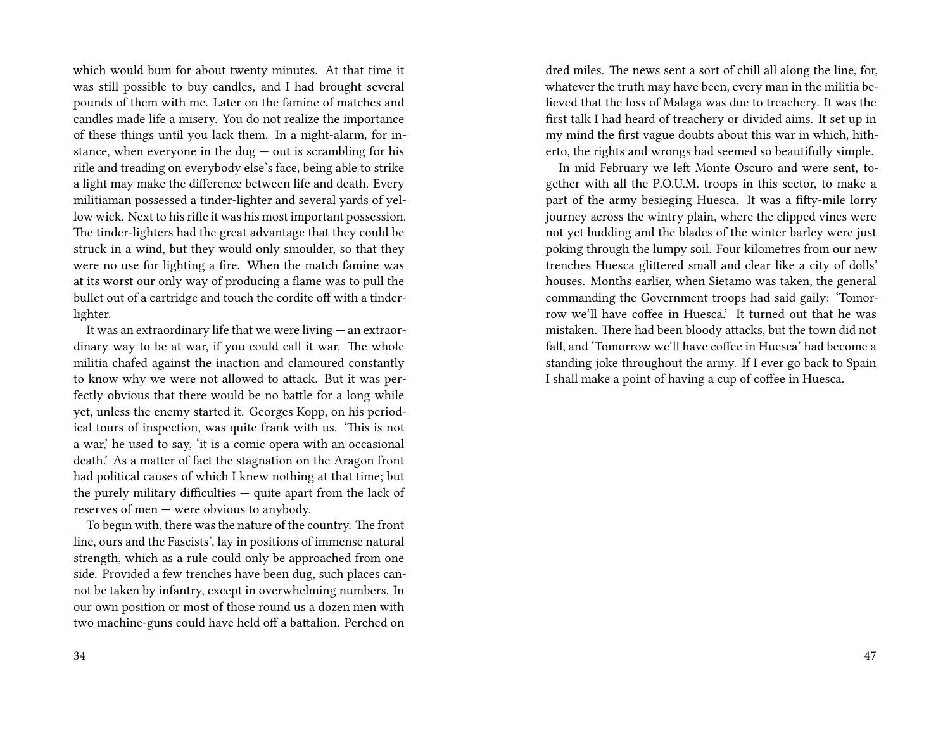which would bum for about twenty minutes. At that time it was still possible to buy candles, and I had brought several pounds of them with me. Later on the famine of matches and candles made life a misery. You do not realize the importance of these things until you lack them. In a night-alarm, for instance, when everyone in the dug  $-$  out is scrambling for his rifle and treading on everybody else's face, being able to strike a light may make the difference between life and death. Every militiaman possessed a tinder-lighter and several yards of yellow wick. Next to his rifle it was his most important possession. The tinder-lighters had the great advantage that they could be struck in a wind, but they would only smoulder, so that they were no use for lighting a fire. When the match famine was at its worst our only way of producing a flame was to pull the bullet out of a cartridge and touch the cordite off with a tinderlighter.

It was an extraordinary life that we were living — an extraordinary way to be at war, if you could call it war. The whole militia chafed against the inaction and clamoured constantly to know why we were not allowed to attack. But it was perfectly obvious that there would be no battle for a long while yet, unless the enemy started it. Georges Kopp, on his periodical tours of inspection, was quite frank with us. 'This is not a war,' he used to say, 'it is a comic opera with an occasional death.' As a matter of fact the stagnation on the Aragon front had political causes of which I knew nothing at that time; but the purely military difficulties — quite apart from the lack of reserves of men — were obvious to anybody.

To begin with, there was the nature of the country. The front line, ours and the Fascists', lay in positions of immense natural strength, which as a rule could only be approached from one side. Provided a few trenches have been dug, such places cannot be taken by infantry, except in overwhelming numbers. In our own position or most of those round us a dozen men with two machine-guns could have held off a battalion. Perched on

dred miles. The news sent a sort of chill all along the line, for, whatever the truth may have been, every man in the militia believed that the loss of Malaga was due to treachery. It was the first talk I had heard of treachery or divided aims. It set up in my mind the first vague doubts about this war in which, hitherto, the rights and wrongs had seemed so beautifully simple.

In mid February we left Monte Oscuro and were sent, together with all the P.O.U.M. troops in this sector, to make a part of the army besieging Huesca. It was a fifty-mile lorry journey across the wintry plain, where the clipped vines were not yet budding and the blades of the winter barley were just poking through the lumpy soil. Four kilometres from our new trenches Huesca glittered small and clear like a city of dolls' houses. Months earlier, when Sietamo was taken, the general commanding the Government troops had said gaily: 'Tomorrow we'll have coffee in Huesca.' It turned out that he was mistaken. There had been bloody attacks, but the town did not fall, and 'Tomorrow we'll have coffee in Huesca' had become a standing joke throughout the army. If I ever go back to Spain I shall make a point of having a cup of coffee in Huesca.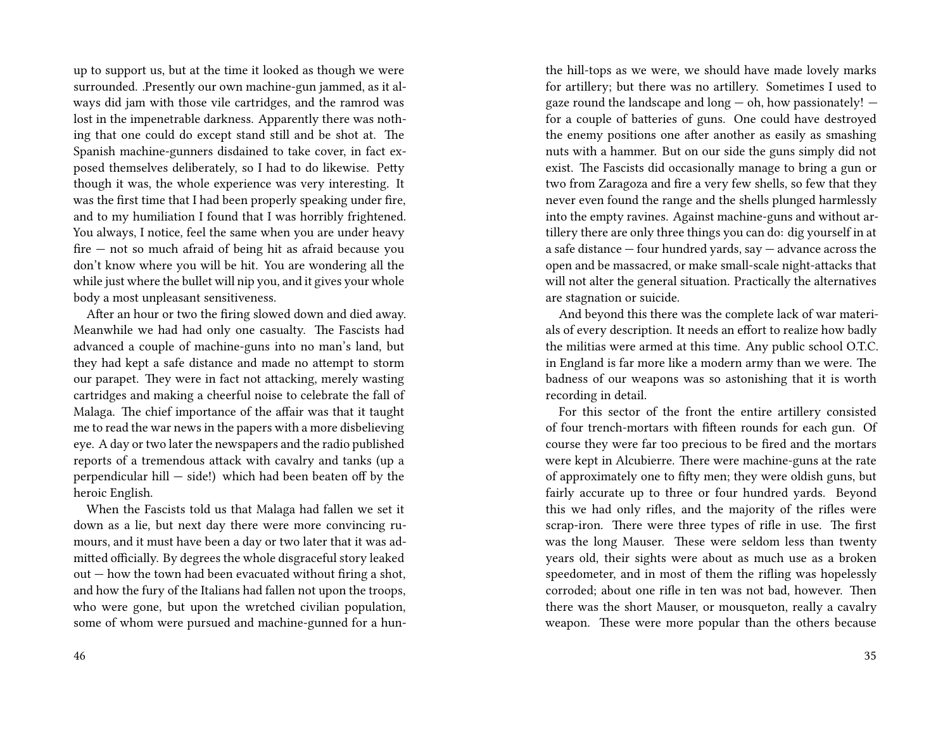up to support us, but at the time it looked as though we were surrounded. .Presently our own machine-gun jammed, as it always did jam with those vile cartridges, and the ramrod was lost in the impenetrable darkness. Apparently there was nothing that one could do except stand still and be shot at. The Spanish machine-gunners disdained to take cover, in fact exposed themselves deliberately, so I had to do likewise. Petty though it was, the whole experience was very interesting. It was the first time that I had been properly speaking under fire, and to my humiliation I found that I was horribly frightened. You always, I notice, feel the same when you are under heavy fire — not so much afraid of being hit as afraid because you don't know where you will be hit. You are wondering all the while just where the bullet will nip you, and it gives your whole body a most unpleasant sensitiveness.

After an hour or two the firing slowed down and died away. Meanwhile we had had only one casualty. The Fascists had advanced a couple of machine-guns into no man's land, but they had kept a safe distance and made no attempt to storm our parapet. They were in fact not attacking, merely wasting cartridges and making a cheerful noise to celebrate the fall of Malaga. The chief importance of the affair was that it taught me to read the war news in the papers with a more disbelieving eye. A day or two later the newspapers and the radio published reports of a tremendous attack with cavalry and tanks (up a perpendicular hill  $-$  side!) which had been beaten off by the heroic English.

When the Fascists told us that Malaga had fallen we set it down as a lie, but next day there were more convincing rumours, and it must have been a day or two later that it was admitted officially. By degrees the whole disgraceful story leaked out — how the town had been evacuated without firing a shot, and how the fury of the Italians had fallen not upon the troops, who were gone, but upon the wretched civilian population, some of whom were pursued and machine-gunned for a hunthe hill-tops as we were, we should have made lovely marks for artillery; but there was no artillery. Sometimes I used to gaze round the landscape and  $\log - \text{oh}$ , how passionately!  $$ for a couple of batteries of guns. One could have destroyed the enemy positions one after another as easily as smashing nuts with a hammer. But on our side the guns simply did not exist. The Fascists did occasionally manage to bring a gun or two from Zaragoza and fire a very few shells, so few that they never even found the range and the shells plunged harmlessly into the empty ravines. Against machine-guns and without artillery there are only three things you can do: dig yourself in at a safe distance — four hundred yards, say — advance across the open and be massacred, or make small-scale night-attacks that will not alter the general situation. Practically the alternatives are stagnation or suicide.

And beyond this there was the complete lack of war materials of every description. It needs an effort to realize how badly the militias were armed at this time. Any public school O.T.C. in England is far more like a modern army than we were. The badness of our weapons was so astonishing that it is worth recording in detail.

For this sector of the front the entire artillery consisted of four trench-mortars with fifteen rounds for each gun. Of course they were far too precious to be fired and the mortars were kept in Alcubierre. There were machine-guns at the rate of approximately one to fifty men; they were oldish guns, but fairly accurate up to three or four hundred yards. Beyond this we had only rifles, and the majority of the rifles were scrap-iron. There were three types of rifle in use. The first was the long Mauser. These were seldom less than twenty years old, their sights were about as much use as a broken speedometer, and in most of them the rifling was hopelessly corroded; about one rifle in ten was not bad, however. Then there was the short Mauser, or mousqueton, really a cavalry weapon. These were more popular than the others because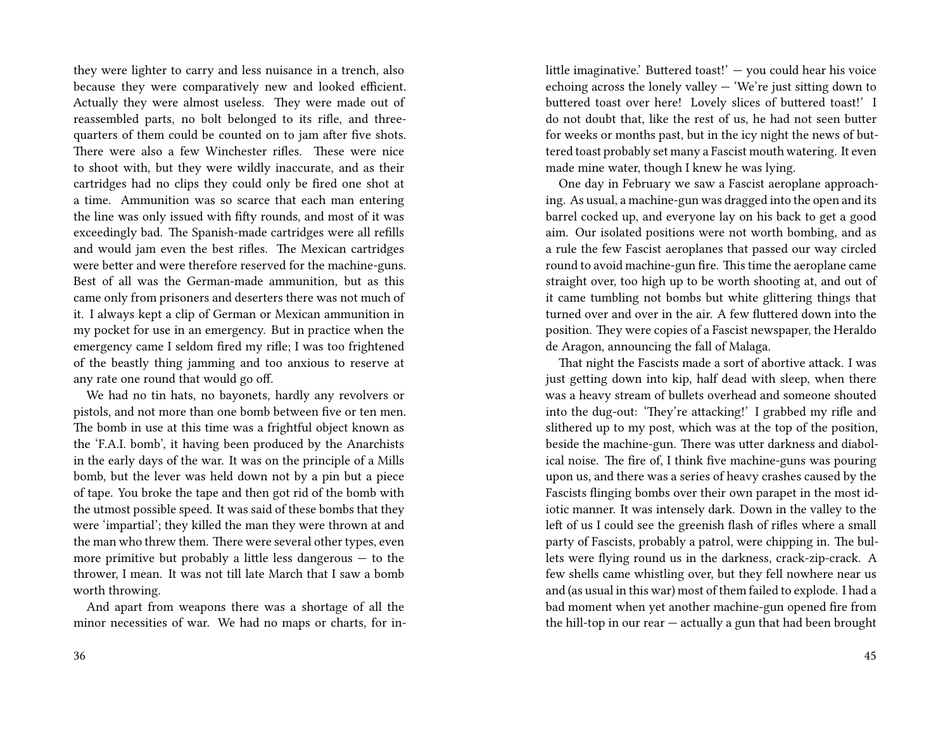they were lighter to carry and less nuisance in a trench, also because they were comparatively new and looked efficient. Actually they were almost useless. They were made out of reassembled parts, no bolt belonged to its rifle, and threequarters of them could be counted on to jam after five shots. There were also a few Winchester rifles. These were nice to shoot with, but they were wildly inaccurate, and as their cartridges had no clips they could only be fired one shot at a time. Ammunition was so scarce that each man entering the line was only issued with fifty rounds, and most of it was exceedingly bad. The Spanish-made cartridges were all refills and would jam even the best rifles. The Mexican cartridges were better and were therefore reserved for the machine-guns. Best of all was the German-made ammunition, but as this came only from prisoners and deserters there was not much of it. I always kept a clip of German or Mexican ammunition in my pocket for use in an emergency. But in practice when the emergency came I seldom fired my rifle; I was too frightened of the beastly thing jamming and too anxious to reserve at any rate one round that would go off.

We had no tin hats, no bayonets, hardly any revolvers or pistols, and not more than one bomb between five or ten men. The bomb in use at this time was a frightful object known as the 'F.A.I. bomb', it having been produced by the Anarchists in the early days of the war. It was on the principle of a Mills bomb, but the lever was held down not by a pin but a piece of tape. You broke the tape and then got rid of the bomb with the utmost possible speed. It was said of these bombs that they were 'impartial'; they killed the man they were thrown at and the man who threw them. There were several other types, even more primitive but probably a little less dangerous  $-$  to the thrower, I mean. It was not till late March that I saw a bomb worth throwing.

And apart from weapons there was a shortage of all the minor necessities of war. We had no maps or charts, for inlittle imaginative.' Buttered toast!' — you could hear his voice echoing across the lonely valley — 'We're just sitting down to buttered toast over here! Lovely slices of buttered toast!' I do not doubt that, like the rest of us, he had not seen butter for weeks or months past, but in the icy night the news of buttered toast probably set many a Fascist mouth watering. It even made mine water, though I knew he was lying.

One day in February we saw a Fascist aeroplane approaching. As usual, a machine-gun was dragged into the open and its barrel cocked up, and everyone lay on his back to get a good aim. Our isolated positions were not worth bombing, and as a rule the few Fascist aeroplanes that passed our way circled round to avoid machine-gun fire. This time the aeroplane came straight over, too high up to be worth shooting at, and out of it came tumbling not bombs but white glittering things that turned over and over in the air. A few fluttered down into the position. They were copies of a Fascist newspaper, the Heraldo de Aragon, announcing the fall of Malaga.

That night the Fascists made a sort of abortive attack. I was just getting down into kip, half dead with sleep, when there was a heavy stream of bullets overhead and someone shouted into the dug-out: 'They're attacking!' I grabbed my rifle and slithered up to my post, which was at the top of the position, beside the machine-gun. There was utter darkness and diabolical noise. The fire of, I think five machine-guns was pouring upon us, and there was a series of heavy crashes caused by the Fascists flinging bombs over their own parapet in the most idiotic manner. It was intensely dark. Down in the valley to the left of us I could see the greenish flash of rifles where a small party of Fascists, probably a patrol, were chipping in. The bullets were flying round us in the darkness, crack-zip-crack. A few shells came whistling over, but they fell nowhere near us and (as usual in this war) most of them failed to explode. I had a bad moment when yet another machine-gun opened fire from the hill-top in our rear — actually a gun that had been brought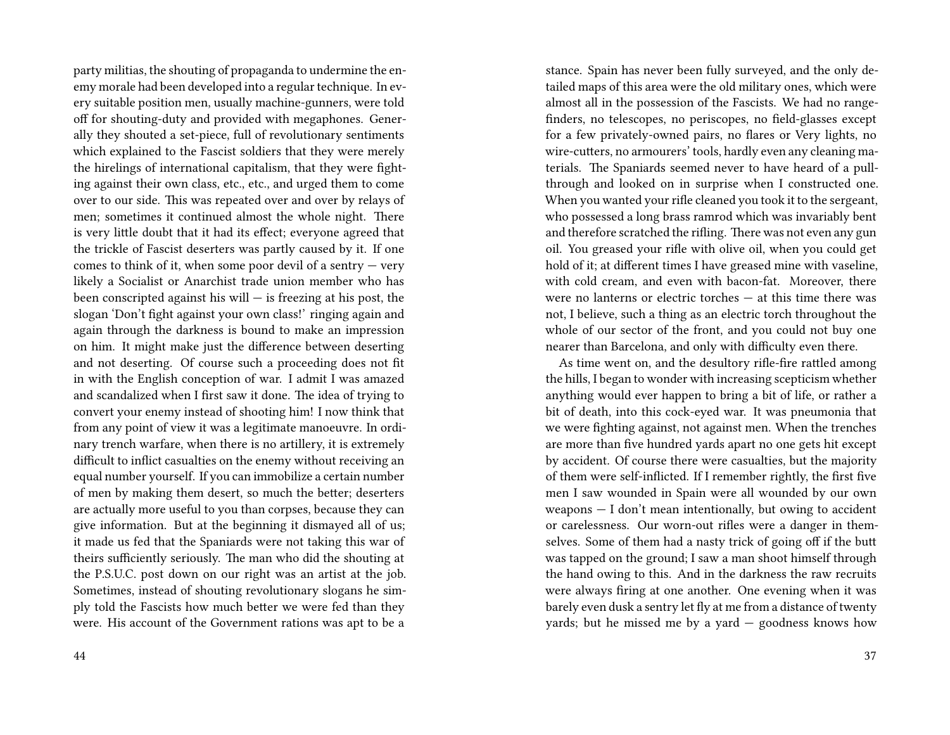party militias, the shouting of propaganda to undermine the enemy morale had been developed into a regular technique. In every suitable position men, usually machine-gunners, were told off for shouting-duty and provided with megaphones. Generally they shouted a set-piece, full of revolutionary sentiments which explained to the Fascist soldiers that they were merely the hirelings of international capitalism, that they were fighting against their own class, etc., etc., and urged them to come over to our side. This was repeated over and over by relays of men; sometimes it continued almost the whole night. There is very little doubt that it had its effect; everyone agreed that the trickle of Fascist deserters was partly caused by it. If one comes to think of it, when some poor devil of a sentry — very likely a Socialist or Anarchist trade union member who has been conscripted against his will  $-$  is freezing at his post, the slogan 'Don't fight against your own class!' ringing again and again through the darkness is bound to make an impression on him. It might make just the difference between deserting and not deserting. Of course such a proceeding does not fit in with the English conception of war. I admit I was amazed and scandalized when I first saw it done. The idea of trying to convert your enemy instead of shooting him! I now think that from any point of view it was a legitimate manoeuvre. In ordinary trench warfare, when there is no artillery, it is extremely difficult to inflict casualties on the enemy without receiving an equal number yourself. If you can immobilize a certain number of men by making them desert, so much the better; deserters are actually more useful to you than corpses, because they can give information. But at the beginning it dismayed all of us; it made us fed that the Spaniards were not taking this war of theirs sufficiently seriously. The man who did the shouting at the P.S.U.C. post down on our right was an artist at the job. Sometimes, instead of shouting revolutionary slogans he simply told the Fascists how much better we were fed than they were. His account of the Government rations was apt to be a

stance. Spain has never been fully surveyed, and the only detailed maps of this area were the old military ones, which were almost all in the possession of the Fascists. We had no rangefinders, no telescopes, no periscopes, no field-glasses except for a few privately-owned pairs, no flares or Very lights, no wire-cutters, no armourers' tools, hardly even any cleaning materials. The Spaniards seemed never to have heard of a pullthrough and looked on in surprise when I constructed one. When you wanted your rifle cleaned you took it to the sergeant, who possessed a long brass ramrod which was invariably bent and therefore scratched the rifling. There was not even any gun oil. You greased your rifle with olive oil, when you could get hold of it; at different times I have greased mine with vaseline, with cold cream, and even with bacon-fat. Moreover, there were no lanterns or electric torches — at this time there was not, I believe, such a thing as an electric torch throughout the whole of our sector of the front, and you could not buy one nearer than Barcelona, and only with difficulty even there.

As time went on, and the desultory rifle-fire rattled among the hills, I began to wonder with increasing scepticism whether anything would ever happen to bring a bit of life, or rather a bit of death, into this cock-eyed war. It was pneumonia that we were fighting against, not against men. When the trenches are more than five hundred yards apart no one gets hit except by accident. Of course there were casualties, but the majority of them were self-inflicted. If I remember rightly, the first five men I saw wounded in Spain were all wounded by our own weapons — I don't mean intentionally, but owing to accident or carelessness. Our worn-out rifles were a danger in themselves. Some of them had a nasty trick of going off if the butt was tapped on the ground; I saw a man shoot himself through the hand owing to this. And in the darkness the raw recruits were always firing at one another. One evening when it was barely even dusk a sentry let fly at me from a distance of twenty yards; but he missed me by a yard — goodness knows how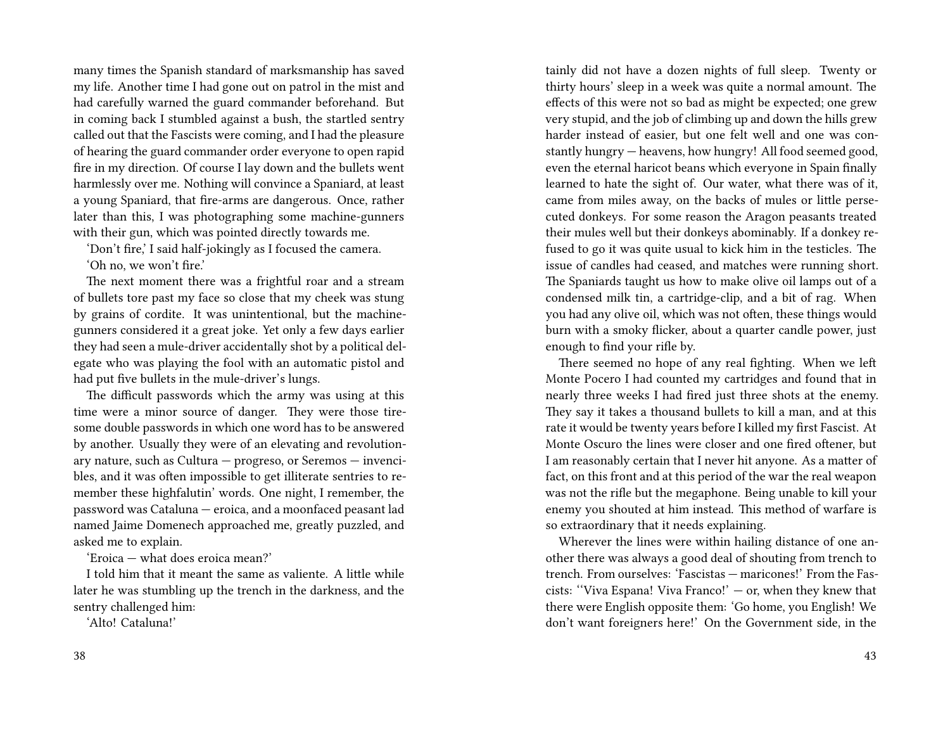many times the Spanish standard of marksmanship has saved my life. Another time I had gone out on patrol in the mist and had carefully warned the guard commander beforehand. But in coming back I stumbled against a bush, the startled sentry called out that the Fascists were coming, and I had the pleasure of hearing the guard commander order everyone to open rapid fire in my direction. Of course I lay down and the bullets went harmlessly over me. Nothing will convince a Spaniard, at least a young Spaniard, that fire-arms are dangerous. Once, rather later than this, I was photographing some machine-gunners with their gun, which was pointed directly towards me.

'Don't fire,' I said half-jokingly as I focused the camera. 'Oh no, we won't fire.'

The next moment there was a frightful roar and a stream of bullets tore past my face so close that my cheek was stung by grains of cordite. It was unintentional, but the machinegunners considered it a great joke. Yet only a few days earlier they had seen a mule-driver accidentally shot by a political delegate who was playing the fool with an automatic pistol and had put five bullets in the mule-driver's lungs.

The difficult passwords which the army was using at this time were a minor source of danger. They were those tiresome double passwords in which one word has to be answered by another. Usually they were of an elevating and revolutionary nature, such as Cultura — progreso, or Seremos — invencibles, and it was often impossible to get illiterate sentries to remember these highfalutin' words. One night, I remember, the password was Cataluna — eroica, and a moonfaced peasant lad named Jaime Domenech approached me, greatly puzzled, and asked me to explain.

'Eroica — what does eroica mean?'

I told him that it meant the same as valiente. A little while later he was stumbling up the trench in the darkness, and the sentry challenged him:

'Alto! Cataluna!'

tainly did not have a dozen nights of full sleep. Twenty or thirty hours' sleep in a week was quite a normal amount. The effects of this were not so bad as might be expected; one grew very stupid, and the job of climbing up and down the hills grew harder instead of easier, but one felt well and one was constantly hungry — heavens, how hungry! All food seemed good, even the eternal haricot beans which everyone in Spain finally learned to hate the sight of. Our water, what there was of it, came from miles away, on the backs of mules or little persecuted donkeys. For some reason the Aragon peasants treated their mules well but their donkeys abominably. If a donkey refused to go it was quite usual to kick him in the testicles. The issue of candles had ceased, and matches were running short. The Spaniards taught us how to make olive oil lamps out of a condensed milk tin, a cartridge-clip, and a bit of rag. When you had any olive oil, which was not often, these things would burn with a smoky flicker, about a quarter candle power, just enough to find your rifle by.

There seemed no hope of any real fighting. When we left Monte Pocero I had counted my cartridges and found that in nearly three weeks I had fired just three shots at the enemy. They say it takes a thousand bullets to kill a man, and at this rate it would be twenty years before I killed my first Fascist. At Monte Oscuro the lines were closer and one fired oftener, but I am reasonably certain that I never hit anyone. As a matter of fact, on this front and at this period of the war the real weapon was not the rifle but the megaphone. Being unable to kill your enemy you shouted at him instead. This method of warfare is so extraordinary that it needs explaining.

Wherever the lines were within hailing distance of one another there was always a good deal of shouting from trench to trench. From ourselves: 'Fascistas — maricones!' From the Fascists: ''Viva Espana! Viva Franco!' — or, when they knew that there were English opposite them: 'Go home, you English! We don't want foreigners here!' On the Government side, in the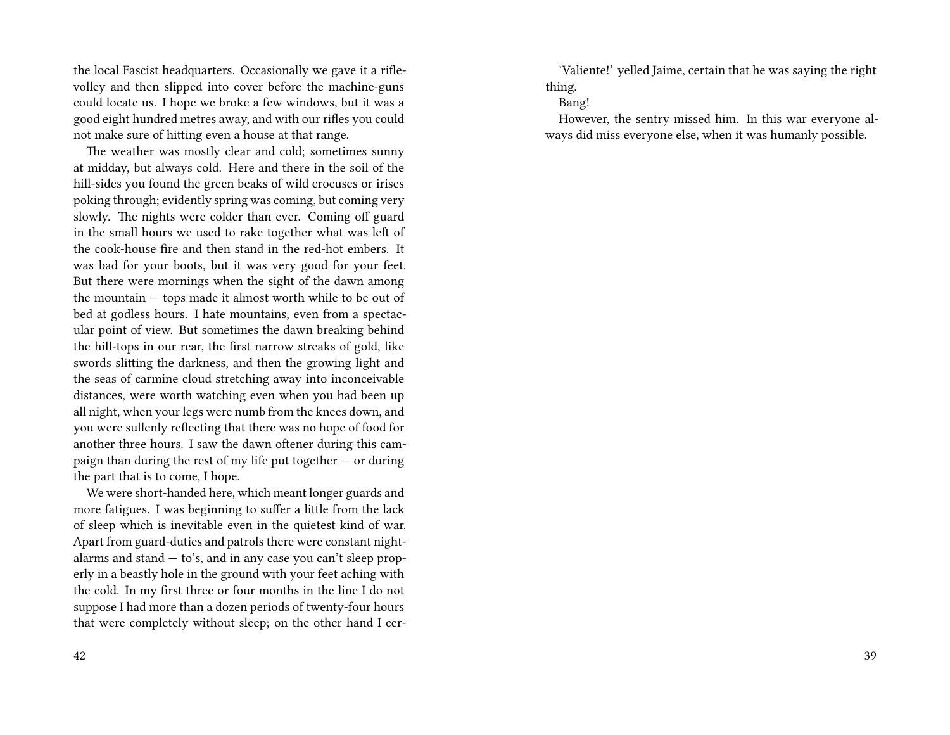the local Fascist headquarters. Occasionally we gave it a riflevolley and then slipped into cover before the machine-guns could locate us. I hope we broke a few windows, but it was a good eight hundred metres away, and with our rifles you could not make sure of hitting even a house at that range.

The weather was mostly clear and cold; sometimes sunny at midday, but always cold. Here and there in the soil of the hill-sides you found the green beaks of wild crocuses or irises poking through; evidently spring was coming, but coming very slowly. The nights were colder than ever. Coming off guard in the small hours we used to rake together what was left of the cook-house fire and then stand in the red-hot embers. It was bad for your boots, but it was very good for your feet. But there were mornings when the sight of the dawn among the mountain — tops made it almost worth while to be out of bed at godless hours. I hate mountains, even from a spectacular point of view. But sometimes the dawn breaking behind the hill-tops in our rear, the first narrow streaks of gold, like swords slitting the darkness, and then the growing light and the seas of carmine cloud stretching away into inconceivable distances, were worth watching even when you had been up all night, when your legs were numb from the knees down, and you were sullenly reflecting that there was no hope of food for another three hours. I saw the dawn oftener during this campaign than during the rest of my life put together — or during the part that is to come, I hope.

We were short-handed here, which meant longer guards and more fatigues. I was beginning to suffer a little from the lack of sleep which is inevitable even in the quietest kind of war. Apart from guard-duties and patrols there were constant nightalarms and stand  $-$  to's, and in any case you can't sleep properly in a beastly hole in the ground with your feet aching with the cold. In my first three or four months in the line I do not suppose I had more than a dozen periods of twenty-four hours that were completely without sleep; on the other hand I cer-

'Valiente!' yelled Jaime, certain that he was saying the right thing.

Bang!

However, the sentry missed him. In this war everyone always did miss everyone else, when it was humanly possible.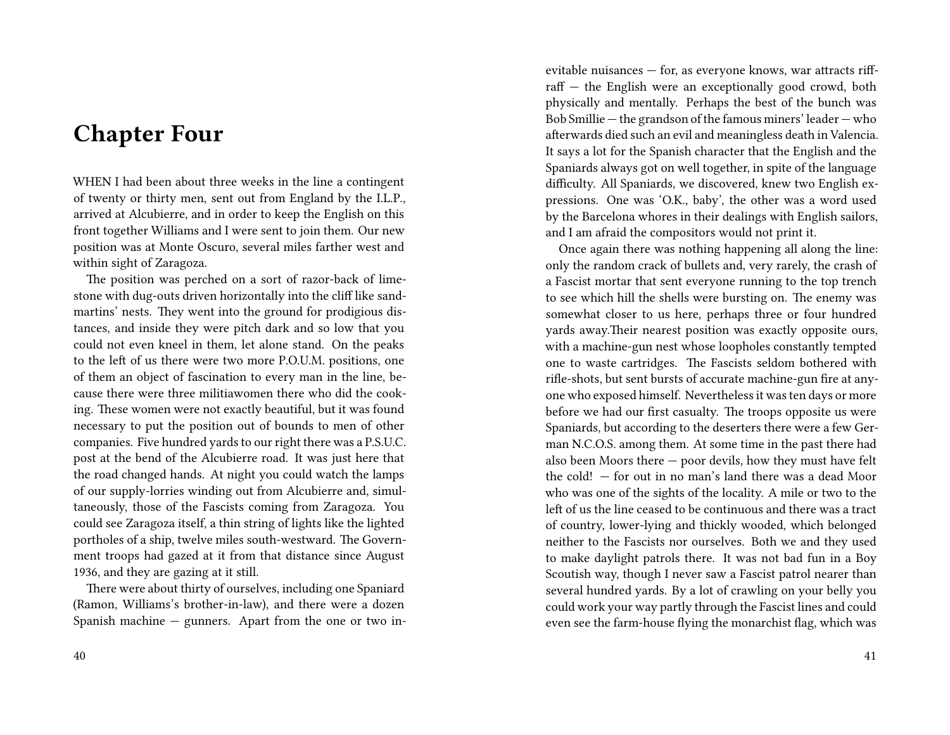#### **Chapter Four**

WHEN I had been about three weeks in the line a contingent of twenty or thirty men, sent out from England by the I.L.P., arrived at Alcubierre, and in order to keep the English on this front together Williams and I were sent to join them. Our new position was at Monte Oscuro, several miles farther west and within sight of Zaragoza.

The position was perched on a sort of razor-back of limestone with dug-outs driven horizontally into the cliff like sandmartins' nests. They went into the ground for prodigious distances, and inside they were pitch dark and so low that you could not even kneel in them, let alone stand. On the peaks to the left of us there were two more P.O.U.M. positions, one of them an object of fascination to every man in the line, because there were three militiawomen there who did the cooking. These women were not exactly beautiful, but it was found necessary to put the position out of bounds to men of other companies. Five hundred yards to our right there was a P.S.U.C. post at the bend of the Alcubierre road. It was just here that the road changed hands. At night you could watch the lamps of our supply-lorries winding out from Alcubierre and, simultaneously, those of the Fascists coming from Zaragoza. You could see Zaragoza itself, a thin string of lights like the lighted portholes of a ship, twelve miles south-westward. The Government troops had gazed at it from that distance since August 1936, and they are gazing at it still.

There were about thirty of ourselves, including one Spaniard (Ramon, Williams's brother-in-law), and there were a dozen Spanish machine — gunners. Apart from the one or two inevitable nuisances — for, as everyone knows, war attracts riffraff — the English were an exceptionally good crowd, both physically and mentally. Perhaps the best of the bunch was Bob Smillie — the grandson of the famous miners' leader — who afterwards died such an evil and meaningless death in Valencia. It says a lot for the Spanish character that the English and the Spaniards always got on well together, in spite of the language difficulty. All Spaniards, we discovered, knew two English expressions. One was 'O.K., baby', the other was a word used by the Barcelona whores in their dealings with English sailors, and I am afraid the compositors would not print it.

Once again there was nothing happening all along the line: only the random crack of bullets and, very rarely, the crash of a Fascist mortar that sent everyone running to the top trench to see which hill the shells were bursting on. The enemy was somewhat closer to us here, perhaps three or four hundred yards away.Their nearest position was exactly opposite ours, with a machine-gun nest whose loopholes constantly tempted one to waste cartridges. The Fascists seldom bothered with rifle-shots, but sent bursts of accurate machine-gun fire at anyone who exposed himself. Nevertheless it was ten days or more before we had our first casualty. The troops opposite us were Spaniards, but according to the deserters there were a few German N.C.O.S. among them. At some time in the past there had also been Moors there — poor devils, how they must have felt the cold! — for out in no man's land there was a dead Moor who was one of the sights of the locality. A mile or two to the left of us the line ceased to be continuous and there was a tract of country, lower-lying and thickly wooded, which belonged neither to the Fascists nor ourselves. Both we and they used to make daylight patrols there. It was not bad fun in a Boy Scoutish way, though I never saw a Fascist patrol nearer than several hundred yards. By a lot of crawling on your belly you could work your way partly through the Fascist lines and could even see the farm-house flying the monarchist flag, which was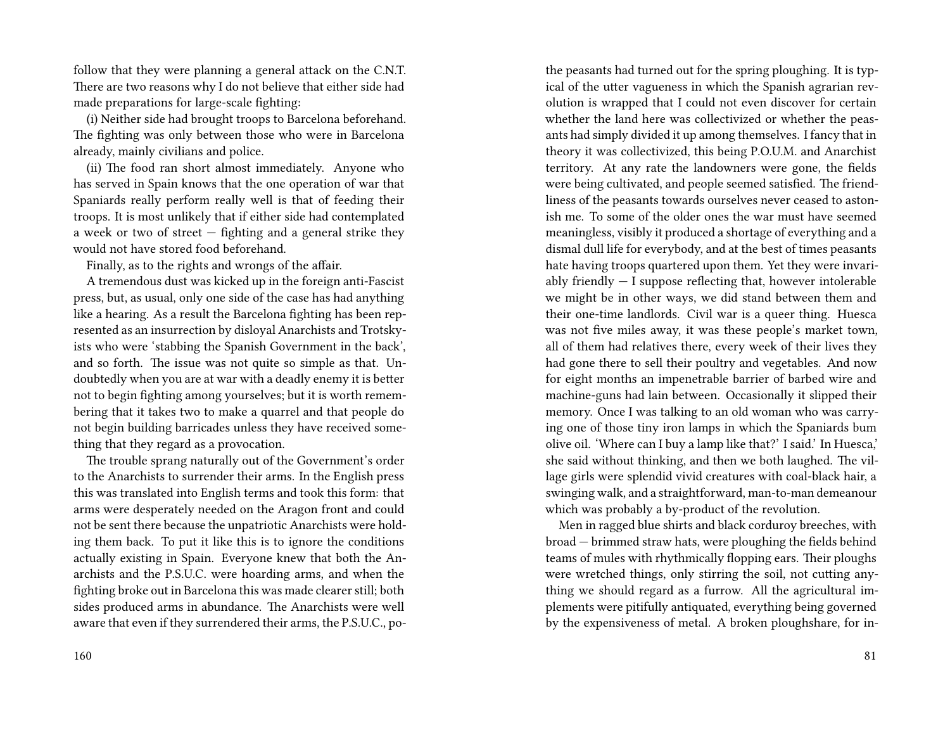follow that they were planning a general attack on the C.N.T. There are two reasons why I do not believe that either side had made preparations for large-scale fighting:

(i) Neither side had brought troops to Barcelona beforehand. The fighting was only between those who were in Barcelona already, mainly civilians and police.

(ii) The food ran short almost immediately. Anyone who has served in Spain knows that the one operation of war that Spaniards really perform really well is that of feeding their troops. It is most unlikely that if either side had contemplated a week or two of street — fighting and a general strike they would not have stored food beforehand.

Finally, as to the rights and wrongs of the affair.

A tremendous dust was kicked up in the foreign anti-Fascist press, but, as usual, only one side of the case has had anything like a hearing. As a result the Barcelona fighting has been represented as an insurrection by disloyal Anarchists and Trotskyists who were 'stabbing the Spanish Government in the back', and so forth. The issue was not quite so simple as that. Undoubtedly when you are at war with a deadly enemy it is better not to begin fighting among yourselves; but it is worth remembering that it takes two to make a quarrel and that people do not begin building barricades unless they have received something that they regard as a provocation.

The trouble sprang naturally out of the Government's order to the Anarchists to surrender their arms. In the English press this was translated into English terms and took this form: that arms were desperately needed on the Aragon front and could not be sent there because the unpatriotic Anarchists were holding them back. To put it like this is to ignore the conditions actually existing in Spain. Everyone knew that both the Anarchists and the P.S.U.C. were hoarding arms, and when the fighting broke out in Barcelona this was made clearer still; both sides produced arms in abundance. The Anarchists were well aware that even if they surrendered their arms, the P.S.U.C., pothe peasants had turned out for the spring ploughing. It is typical of the utter vagueness in which the Spanish agrarian revolution is wrapped that I could not even discover for certain whether the land here was collectivized or whether the peasants had simply divided it up among themselves. I fancy that in theory it was collectivized, this being P.O.U.M. and Anarchist territory. At any rate the landowners were gone, the fields were being cultivated, and people seemed satisfied. The friendliness of the peasants towards ourselves never ceased to astonish me. To some of the older ones the war must have seemed meaningless, visibly it produced a shortage of everything and a dismal dull life for everybody, and at the best of times peasants hate having troops quartered upon them. Yet they were invariably friendly  $-$  I suppose reflecting that, however intolerable we might be in other ways, we did stand between them and their one-time landlords. Civil war is a queer thing. Huesca was not five miles away, it was these people's market town, all of them had relatives there, every week of their lives they had gone there to sell their poultry and vegetables. And now for eight months an impenetrable barrier of barbed wire and machine-guns had lain between. Occasionally it slipped their memory. Once I was talking to an old woman who was carrying one of those tiny iron lamps in which the Spaniards bum olive oil. 'Where can I buy a lamp like that?' I said.' In Huesca,' she said without thinking, and then we both laughed. The village girls were splendid vivid creatures with coal-black hair, a swinging walk, and a straightforward, man-to-man demeanour which was probably a by-product of the revolution.

Men in ragged blue shirts and black corduroy breeches, with broad — brimmed straw hats, were ploughing the fields behind teams of mules with rhythmically flopping ears. Their ploughs were wretched things, only stirring the soil, not cutting anything we should regard as a furrow. All the agricultural implements were pitifully antiquated, everything being governed by the expensiveness of metal. A broken ploughshare, for in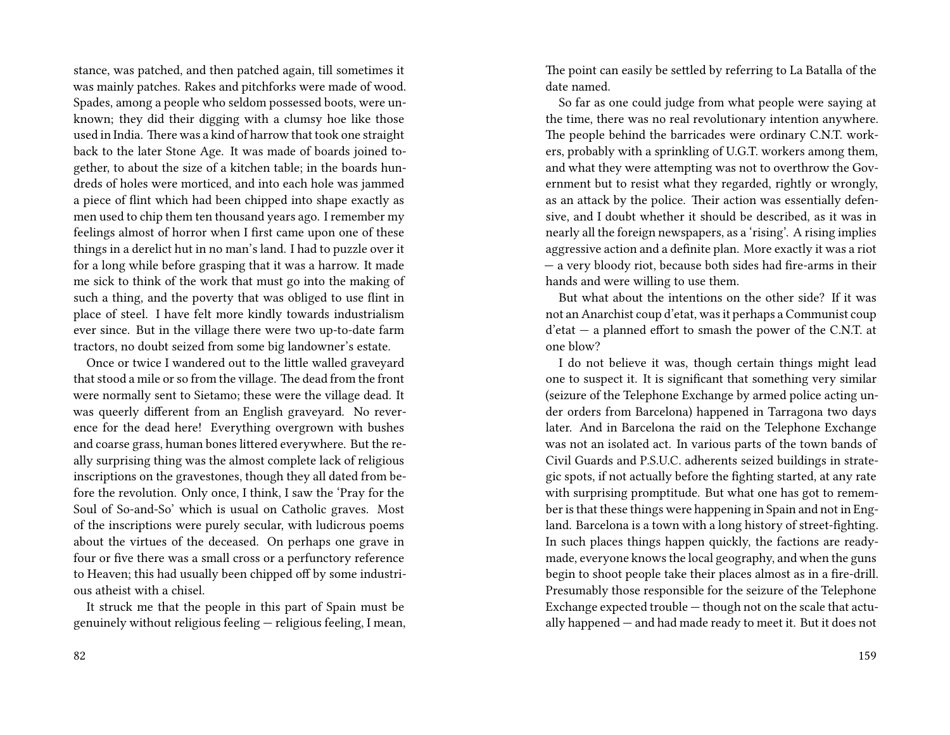stance, was patched, and then patched again, till sometimes it was mainly patches. Rakes and pitchforks were made of wood. Spades, among a people who seldom possessed boots, were unknown; they did their digging with a clumsy hoe like those used in India. There was a kind of harrow that took one straight back to the later Stone Age. It was made of boards joined together, to about the size of a kitchen table; in the boards hundreds of holes were morticed, and into each hole was jammed a piece of flint which had been chipped into shape exactly as men used to chip them ten thousand years ago. I remember my feelings almost of horror when I first came upon one of these things in a derelict hut in no man's land. I had to puzzle over it for a long while before grasping that it was a harrow. It made me sick to think of the work that must go into the making of such a thing, and the poverty that was obliged to use flint in place of steel. I have felt more kindly towards industrialism ever since. But in the village there were two up-to-date farm tractors, no doubt seized from some big landowner's estate.

Once or twice I wandered out to the little walled graveyard that stood a mile or so from the village. The dead from the front were normally sent to Sietamo; these were the village dead. It was queerly different from an English graveyard. No reverence for the dead here! Everything overgrown with bushes and coarse grass, human bones littered everywhere. But the really surprising thing was the almost complete lack of religious inscriptions on the gravestones, though they all dated from before the revolution. Only once, I think, I saw the 'Pray for the Soul of So-and-So' which is usual on Catholic graves. Most of the inscriptions were purely secular, with ludicrous poems about the virtues of the deceased. On perhaps one grave in four or five there was a small cross or a perfunctory reference to Heaven; this had usually been chipped off by some industrious atheist with a chisel.

It struck me that the people in this part of Spain must be genuinely without religious feeling — religious feeling, I mean, The point can easily be settled by referring to La Batalla of the date named.

So far as one could judge from what people were saying at the time, there was no real revolutionary intention anywhere. The people behind the barricades were ordinary C.N.T. workers, probably with a sprinkling of U.G.T. workers among them, and what they were attempting was not to overthrow the Government but to resist what they regarded, rightly or wrongly, as an attack by the police. Their action was essentially defensive, and I doubt whether it should be described, as it was in nearly all the foreign newspapers, as a 'rising'. A rising implies aggressive action and a definite plan. More exactly it was a riot — a very bloody riot, because both sides had fire-arms in their hands and were willing to use them.

But what about the intentions on the other side? If it was not an Anarchist coup d'etat, was it perhaps a Communist coup d'etat — a planned effort to smash the power of the C.N.T. at one blow?

I do not believe it was, though certain things might lead one to suspect it. It is significant that something very similar (seizure of the Telephone Exchange by armed police acting under orders from Barcelona) happened in Tarragona two days later. And in Barcelona the raid on the Telephone Exchange was not an isolated act. In various parts of the town bands of Civil Guards and P.S.U.C. adherents seized buildings in strategic spots, if not actually before the fighting started, at any rate with surprising promptitude. But what one has got to remember is that these things were happening in Spain and not in England. Barcelona is a town with a long history of street-fighting. In such places things happen quickly, the factions are readymade, everyone knows the local geography, and when the guns begin to shoot people take their places almost as in a fire-drill. Presumably those responsible for the seizure of the Telephone Exchange expected trouble — though not on the scale that actually happened — and had made ready to meet it. But it does not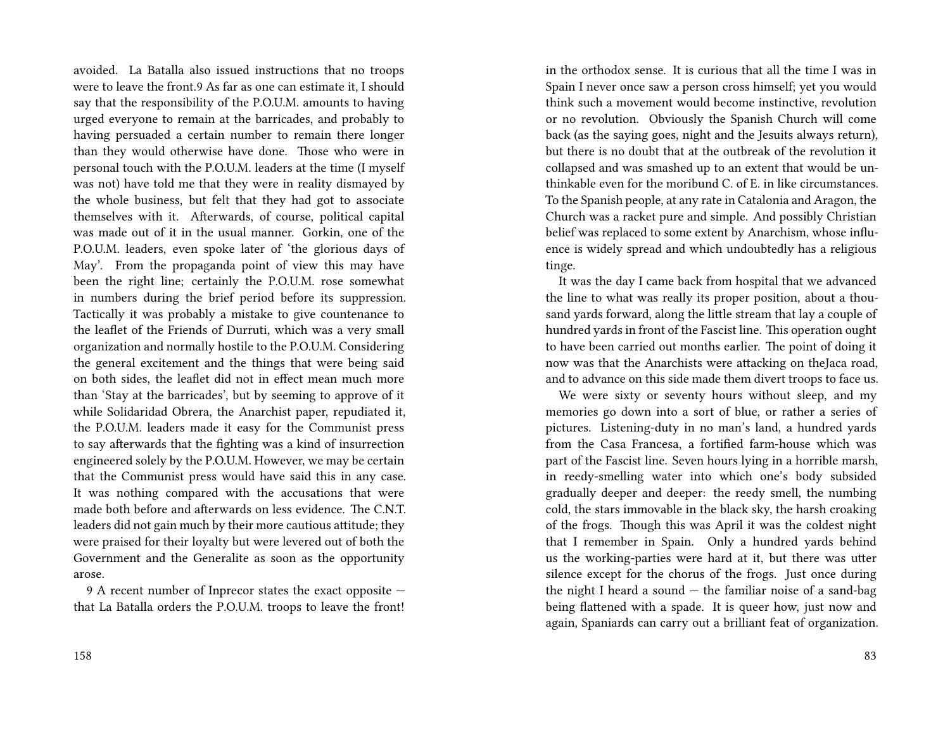avoided. La Batalla also issued instructions that no troops were to leave the front.9 As far as one can estimate it, I should say that the responsibility of the P.O.U.M. amounts to having urged everyone to remain at the barricades, and probably to having persuaded a certain number to remain there longer than they would otherwise have done. Those who were in personal touch with the P.O.U.M. leaders at the time (I myself was not) have told me that they were in reality dismayed by the whole business, but felt that they had got to associate themselves with it. Afterwards, of course, political capital was made out of it in the usual manner. Gorkin, one of the P.O.U.M. leaders, even spoke later of 'the glorious days of May'. From the propaganda point of view this may have been the right line; certainly the P.O.U.M. rose somewhat in numbers during the brief period before its suppression. Tactically it was probably a mistake to give countenance to the leaflet of the Friends of Durruti, which was a very small organization and normally hostile to the P.O.U.M. Considering the general excitement and the things that were being said on both sides, the leaflet did not in effect mean much more than 'Stay at the barricades', but by seeming to approve of it while Solidaridad Obrera, the Anarchist paper, repudiated it, the P.O.U.M. leaders made it easy for the Communist press to say afterwards that the fighting was a kind of insurrection engineered solely by the P.O.U.M. However, we may be certain that the Communist press would have said this in any case. It was nothing compared with the accusations that were made both before and afterwards on less evidence. The C.N.T. leaders did not gain much by their more cautious attitude; they were praised for their loyalty but were levered out of both the Government and the Generalite as soon as the opportunity arose.

9 A recent number of Inprecor states the exact opposite that La Batalla orders the P.O.U.M. troops to leave the front! in the orthodox sense. It is curious that all the time I was in Spain I never once saw a person cross himself; yet you would think such a movement would become instinctive, revolution or no revolution. Obviously the Spanish Church will come back (as the saying goes, night and the Jesuits always return), but there is no doubt that at the outbreak of the revolution it collapsed and was smashed up to an extent that would be unthinkable even for the moribund C. of E. in like circumstances. To the Spanish people, at any rate in Catalonia and Aragon, the Church was a racket pure and simple. And possibly Christian belief was replaced to some extent by Anarchism, whose influence is widely spread and which undoubtedly has a religious tinge.

It was the day I came back from hospital that we advanced the line to what was really its proper position, about a thousand yards forward, along the little stream that lay a couple of hundred yards in front of the Fascist line. This operation ought to have been carried out months earlier. The point of doing it now was that the Anarchists were attacking on theJaca road, and to advance on this side made them divert troops to face us.

We were sixty or seventy hours without sleep, and my memories go down into a sort of blue, or rather a series of pictures. Listening-duty in no man's land, a hundred yards from the Casa Francesa, a fortified farm-house which was part of the Fascist line. Seven hours lying in a horrible marsh, in reedy-smelling water into which one's body subsided gradually deeper and deeper: the reedy smell, the numbing cold, the stars immovable in the black sky, the harsh croaking of the frogs. Though this was April it was the coldest night that I remember in Spain. Only a hundred yards behind us the working-parties were hard at it, but there was utter silence except for the chorus of the frogs. Just once during the night I heard a sound  $-$  the familiar noise of a sand-bag being flattened with a spade. It is queer how, just now and again, Spaniards can carry out a brilliant feat of organization.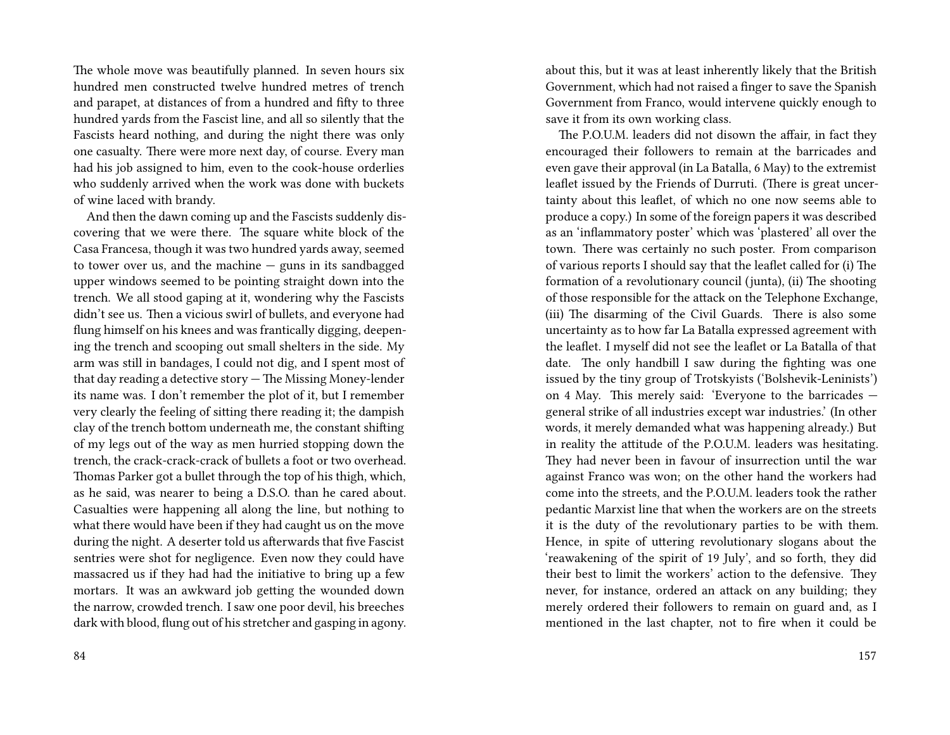The whole move was beautifully planned. In seven hours six hundred men constructed twelve hundred metres of trench and parapet, at distances of from a hundred and fifty to three hundred yards from the Fascist line, and all so silently that the Fascists heard nothing, and during the night there was only one casualty. There were more next day, of course. Every man had his job assigned to him, even to the cook-house orderlies who suddenly arrived when the work was done with buckets of wine laced with brandy.

And then the dawn coming up and the Fascists suddenly discovering that we were there. The square white block of the Casa Francesa, though it was two hundred yards away, seemed to tower over us, and the machine  $-$  guns in its sandbagged upper windows seemed to be pointing straight down into the trench. We all stood gaping at it, wondering why the Fascists didn't see us. Then a vicious swirl of bullets, and everyone had flung himself on his knees and was frantically digging, deepening the trench and scooping out small shelters in the side. My arm was still in bandages, I could not dig, and I spent most of that day reading a detective story — The Missing Money-lender its name was. I don't remember the plot of it, but I remember very clearly the feeling of sitting there reading it; the dampish clay of the trench bottom underneath me, the constant shifting of my legs out of the way as men hurried stopping down the trench, the crack-crack-crack of bullets a foot or two overhead. Thomas Parker got a bullet through the top of his thigh, which, as he said, was nearer to being a D.S.O. than he cared about. Casualties were happening all along the line, but nothing to what there would have been if they had caught us on the move during the night. A deserter told us afterwards that five Fascist sentries were shot for negligence. Even now they could have massacred us if they had had the initiative to bring up a few mortars. It was an awkward job getting the wounded down the narrow, crowded trench. I saw one poor devil, his breeches dark with blood, flung out of his stretcher and gasping in agony.

84

about this, but it was at least inherently likely that the British Government, which had not raised a finger to save the Spanish Government from Franco, would intervene quickly enough to save it from its own working class.

The P.O.U.M. leaders did not disown the affair, in fact they encouraged their followers to remain at the barricades and even gave their approval (in La Batalla, 6 May) to the extremist leaflet issued by the Friends of Durruti. (There is great uncertainty about this leaflet, of which no one now seems able to produce a copy.) In some of the foreign papers it was described as an 'inflammatory poster' which was 'plastered' all over the town. There was certainly no such poster. From comparison of various reports I should say that the leaflet called for (i) The formation of a revolutionary council (junta), (ii) The shooting of those responsible for the attack on the Telephone Exchange, (iii) The disarming of the Civil Guards. There is also some uncertainty as to how far La Batalla expressed agreement with the leaflet. I myself did not see the leaflet or La Batalla of that date. The only handbill I saw during the fighting was one issued by the tiny group of Trotskyists ('Bolshevik-Leninists') on 4 May. This merely said: 'Everyone to the barricades general strike of all industries except war industries.' (In other words, it merely demanded what was happening already.) But in reality the attitude of the P.O.U.M. leaders was hesitating. They had never been in favour of insurrection until the war against Franco was won; on the other hand the workers had come into the streets, and the P.O.U.M. leaders took the rather pedantic Marxist line that when the workers are on the streets it is the duty of the revolutionary parties to be with them. Hence, in spite of uttering revolutionary slogans about the 'reawakening of the spirit of 19 July', and so forth, they did their best to limit the workers' action to the defensive. They never, for instance, ordered an attack on any building; they merely ordered their followers to remain on guard and, as I mentioned in the last chapter, not to fire when it could be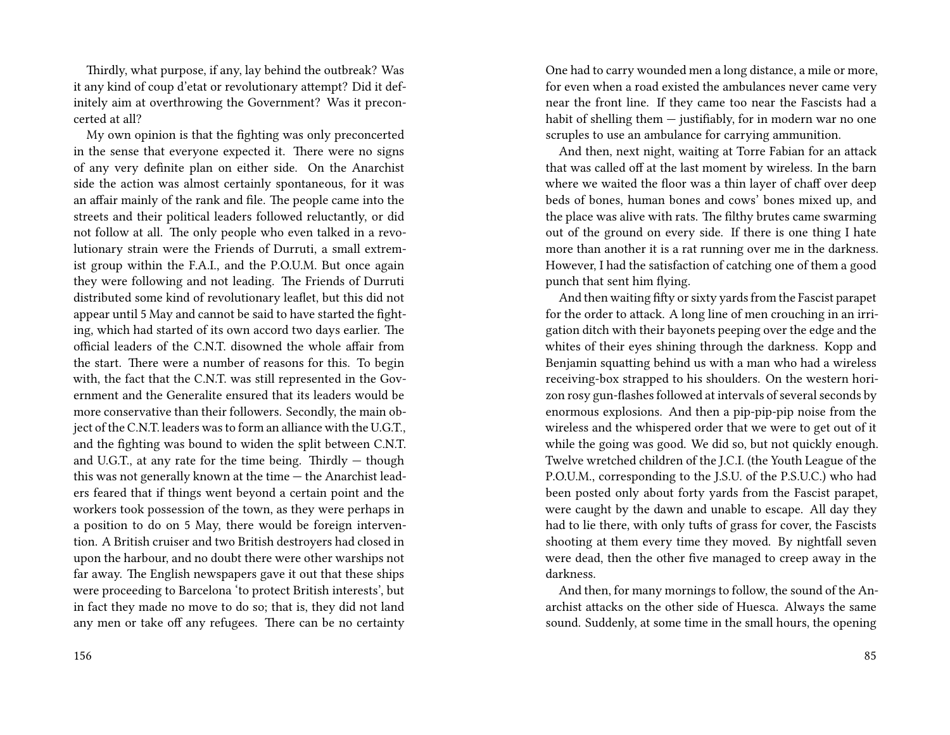Thirdly, what purpose, if any, lay behind the outbreak? Was it any kind of coup d'etat or revolutionary attempt? Did it definitely aim at overthrowing the Government? Was it preconcerted at all?

My own opinion is that the fighting was only preconcerted in the sense that everyone expected it. There were no signs of any very definite plan on either side. On the Anarchist side the action was almost certainly spontaneous, for it was an affair mainly of the rank and file. The people came into the streets and their political leaders followed reluctantly, or did not follow at all. The only people who even talked in a revolutionary strain were the Friends of Durruti, a small extremist group within the F.A.I., and the P.O.U.M. But once again they were following and not leading. The Friends of Durruti distributed some kind of revolutionary leaflet, but this did not appear until 5 May and cannot be said to have started the fighting, which had started of its own accord two days earlier. The official leaders of the C.N.T. disowned the whole affair from the start. There were a number of reasons for this. To begin with, the fact that the C.N.T. was still represented in the Government and the Generalite ensured that its leaders would be more conservative than their followers. Secondly, the main object of the C.N.T. leaders was to form an alliance with the U.G.T., and the fighting was bound to widen the split between C.N.T. and U.G.T., at any rate for the time being. Thirdly  $-$  though this was not generally known at the time — the Anarchist leaders feared that if things went beyond a certain point and the workers took possession of the town, as they were perhaps in a position to do on 5 May, there would be foreign intervention. A British cruiser and two British destroyers had closed in upon the harbour, and no doubt there were other warships not far away. The English newspapers gave it out that these ships were proceeding to Barcelona 'to protect British interests', but in fact they made no move to do so; that is, they did not land any men or take off any refugees. There can be no certainty

156

One had to carry wounded men a long distance, a mile or more, for even when a road existed the ambulances never came very near the front line. If they came too near the Fascists had a habit of shelling them — justifiably, for in modern war no one scruples to use an ambulance for carrying ammunition.

And then, next night, waiting at Torre Fabian for an attack that was called off at the last moment by wireless. In the barn where we waited the floor was a thin layer of chaff over deep beds of bones, human bones and cows' bones mixed up, and the place was alive with rats. The filthy brutes came swarming out of the ground on every side. If there is one thing I hate more than another it is a rat running over me in the darkness. However, I had the satisfaction of catching one of them a good punch that sent him flying.

And then waiting fifty or sixty yards from the Fascist parapet for the order to attack. A long line of men crouching in an irrigation ditch with their bayonets peeping over the edge and the whites of their eyes shining through the darkness. Kopp and Benjamin squatting behind us with a man who had a wireless receiving-box strapped to his shoulders. On the western horizon rosy gun-flashes followed at intervals of several seconds by enormous explosions. And then a pip-pip-pip noise from the wireless and the whispered order that we were to get out of it while the going was good. We did so, but not quickly enough. Twelve wretched children of the J.C.I. (the Youth League of the P.O.U.M., corresponding to the J.S.U. of the P.S.U.C.) who had been posted only about forty yards from the Fascist parapet, were caught by the dawn and unable to escape. All day they had to lie there, with only tufts of grass for cover, the Fascists shooting at them every time they moved. By nightfall seven were dead, then the other five managed to creep away in the darkness.

And then, for many mornings to follow, the sound of the Anarchist attacks on the other side of Huesca. Always the same sound. Suddenly, at some time in the small hours, the opening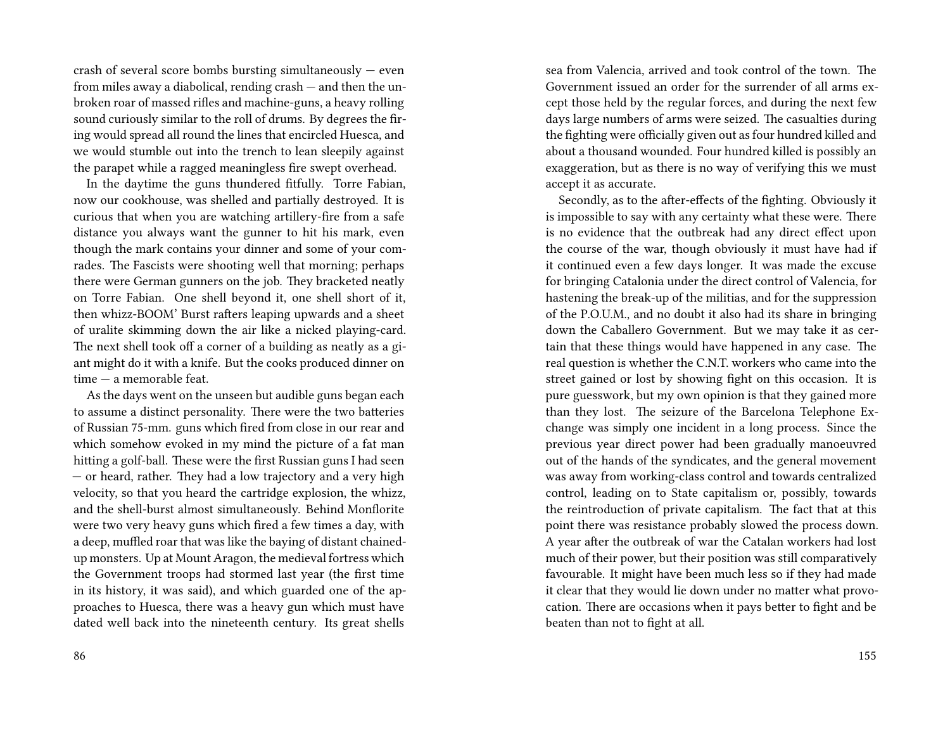crash of several score bombs bursting simultaneously — even from miles away a diabolical, rending crash — and then the unbroken roar of massed rifles and machine-guns, a heavy rolling sound curiously similar to the roll of drums. By degrees the firing would spread all round the lines that encircled Huesca, and we would stumble out into the trench to lean sleepily against the parapet while a ragged meaningless fire swept overhead.

In the daytime the guns thundered fitfully. Torre Fabian, now our cookhouse, was shelled and partially destroyed. It is curious that when you are watching artillery-fire from a safe distance you always want the gunner to hit his mark, even though the mark contains your dinner and some of your comrades. The Fascists were shooting well that morning; perhaps there were German gunners on the job. They bracketed neatly on Torre Fabian. One shell beyond it, one shell short of it, then whizz-BOOM' Burst rafters leaping upwards and a sheet of uralite skimming down the air like a nicked playing-card. The next shell took off a corner of a building as neatly as a giant might do it with a knife. But the cooks produced dinner on time — a memorable feat.

As the days went on the unseen but audible guns began each to assume a distinct personality. There were the two batteries of Russian 75-mm. guns which fired from close in our rear and which somehow evoked in my mind the picture of a fat man hitting a golf-ball. These were the first Russian guns I had seen — or heard, rather. They had a low trajectory and a very high velocity, so that you heard the cartridge explosion, the whizz, and the shell-burst almost simultaneously. Behind Monflorite were two very heavy guns which fired a few times a day, with a deep, muffled roar that was like the baying of distant chainedup monsters. Up at Mount Aragon, the medieval fortress which the Government troops had stormed last year (the first time in its history, it was said), and which guarded one of the approaches to Huesca, there was a heavy gun which must have dated well back into the nineteenth century. Its great shells

sea from Valencia, arrived and took control of the town. The Government issued an order for the surrender of all arms except those held by the regular forces, and during the next few days large numbers of arms were seized. The casualties during the fighting were officially given out as four hundred killed and about a thousand wounded. Four hundred killed is possibly an exaggeration, but as there is no way of verifying this we must accept it as accurate.

Secondly, as to the after-effects of the fighting. Obviously it is impossible to say with any certainty what these were. There is no evidence that the outbreak had any direct effect upon the course of the war, though obviously it must have had if it continued even a few days longer. It was made the excuse for bringing Catalonia under the direct control of Valencia, for hastening the break-up of the militias, and for the suppression of the P.O.U.M., and no doubt it also had its share in bringing down the Caballero Government. But we may take it as certain that these things would have happened in any case. The real question is whether the C.N.T. workers who came into the street gained or lost by showing fight on this occasion. It is pure guesswork, but my own opinion is that they gained more than they lost. The seizure of the Barcelona Telephone Exchange was simply one incident in a long process. Since the previous year direct power had been gradually manoeuvred out of the hands of the syndicates, and the general movement was away from working-class control and towards centralized control, leading on to State capitalism or, possibly, towards the reintroduction of private capitalism. The fact that at this point there was resistance probably slowed the process down. A year after the outbreak of war the Catalan workers had lost much of their power, but their position was still comparatively favourable. It might have been much less so if they had made it clear that they would lie down under no matter what provocation. There are occasions when it pays better to fight and be beaten than not to fight at all.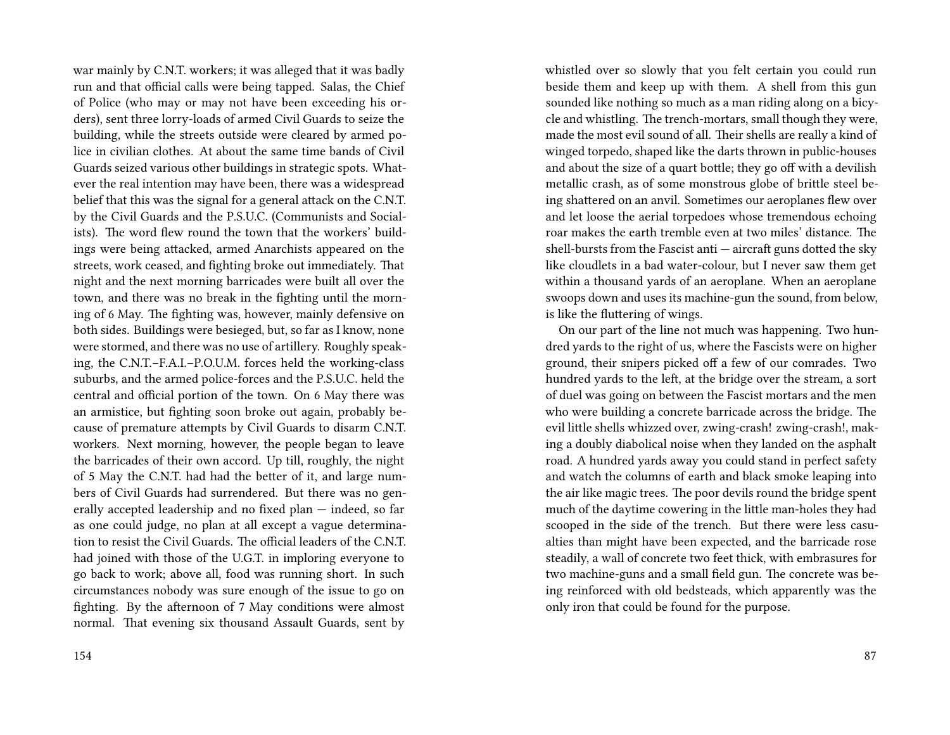war mainly by C.N.T. workers; it was alleged that it was badly run and that official calls were being tapped. Salas, the Chief of Police (who may or may not have been exceeding his orders), sent three lorry-loads of armed Civil Guards to seize the building, while the streets outside were cleared by armed police in civilian clothes. At about the same time bands of Civil Guards seized various other buildings in strategic spots. Whatever the real intention may have been, there was a widespread belief that this was the signal for a general attack on the C.N.T. by the Civil Guards and the P.S.U.C. (Communists and Socialists). The word flew round the town that the workers' buildings were being attacked, armed Anarchists appeared on the streets, work ceased, and fighting broke out immediately. That night and the next morning barricades were built all over the town, and there was no break in the fighting until the morning of 6 May. The fighting was, however, mainly defensive on both sides. Buildings were besieged, but, so far as I know, none were stormed, and there was no use of artillery. Roughly speaking, the C.N.T.–F.A.I.–P.O.U.M. forces held the working-class suburbs, and the armed police-forces and the P.S.U.C. held the central and official portion of the town. On 6 May there was an armistice, but fighting soon broke out again, probably because of premature attempts by Civil Guards to disarm C.N.T. workers. Next morning, however, the people began to leave the barricades of their own accord. Up till, roughly, the night of 5 May the C.N.T. had had the better of it, and large numbers of Civil Guards had surrendered. But there was no generally accepted leadership and no fixed plan — indeed, so far as one could judge, no plan at all except a vague determination to resist the Civil Guards. The official leaders of the C.N.T. had joined with those of the U.G.T. in imploring everyone to go back to work; above all, food was running short. In such circumstances nobody was sure enough of the issue to go on fighting. By the afternoon of 7 May conditions were almost normal. That evening six thousand Assault Guards, sent by

whistled over so slowly that you felt certain you could run beside them and keep up with them. A shell from this gun sounded like nothing so much as a man riding along on a bicycle and whistling. The trench-mortars, small though they were, made the most evil sound of all. Their shells are really a kind of winged torpedo, shaped like the darts thrown in public-houses and about the size of a quart bottle; they go off with a devilish metallic crash, as of some monstrous globe of brittle steel being shattered on an anvil. Sometimes our aeroplanes flew over and let loose the aerial torpedoes whose tremendous echoing roar makes the earth tremble even at two miles' distance. The shell-bursts from the Fascist anti  $-$  aircraft guns dotted the sky like cloudlets in a bad water-colour, but I never saw them get within a thousand yards of an aeroplane. When an aeroplane swoops down and uses its machine-gun the sound, from below, is like the fluttering of wings.

On our part of the line not much was happening. Two hundred yards to the right of us, where the Fascists were on higher ground, their snipers picked off a few of our comrades. Two hundred yards to the left, at the bridge over the stream, a sort of duel was going on between the Fascist mortars and the men who were building a concrete barricade across the bridge. The evil little shells whizzed over, zwing-crash! zwing-crash!, making a doubly diabolical noise when they landed on the asphalt road. A hundred yards away you could stand in perfect safety and watch the columns of earth and black smoke leaping into the air like magic trees. The poor devils round the bridge spent much of the daytime cowering in the little man-holes they had scooped in the side of the trench. But there were less casualties than might have been expected, and the barricade rose steadily, a wall of concrete two feet thick, with embrasures for two machine-guns and a small field gun. The concrete was being reinforced with old bedsteads, which apparently was the only iron that could be found for the purpose.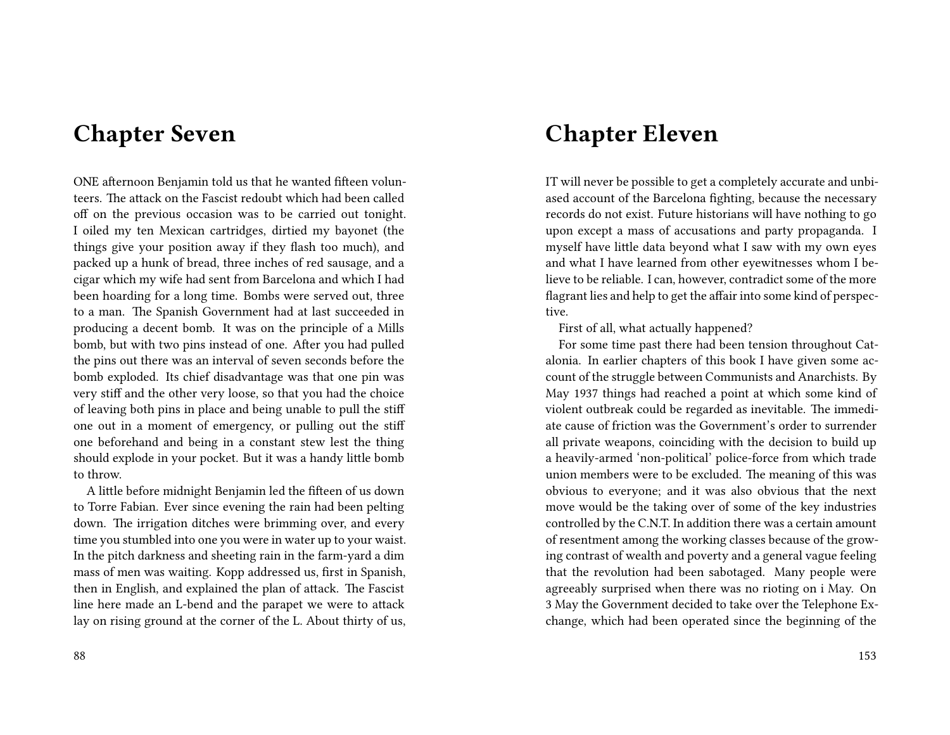### **Chapter Seven**

ONE afternoon Benjamin told us that he wanted fifteen volunteers. The attack on the Fascist redoubt which had been called off on the previous occasion was to be carried out tonight. I oiled my ten Mexican cartridges, dirtied my bayonet (the things give your position away if they flash too much), and packed up a hunk of bread, three inches of red sausage, and a cigar which my wife had sent from Barcelona and which I had been hoarding for a long time. Bombs were served out, three to a man. The Spanish Government had at last succeeded in producing a decent bomb. It was on the principle of a Mills bomb, but with two pins instead of one. After you had pulled the pins out there was an interval of seven seconds before the bomb exploded. Its chief disadvantage was that one pin was very stiff and the other very loose, so that you had the choice of leaving both pins in place and being unable to pull the stiff one out in a moment of emergency, or pulling out the stiff one beforehand and being in a constant stew lest the thing should explode in your pocket. But it was a handy little bomb to throw.

A little before midnight Benjamin led the fifteen of us down to Torre Fabian. Ever since evening the rain had been pelting down. The irrigation ditches were brimming over, and every time you stumbled into one you were in water up to your waist. In the pitch darkness and sheeting rain in the farm-yard a dim mass of men was waiting. Kopp addressed us, first in Spanish, then in English, and explained the plan of attack. The Fascist line here made an L-bend and the parapet we were to attack lay on rising ground at the corner of the L. About thirty of us,

# **Chapter Eleven**

IT will never be possible to get a completely accurate and unbiased account of the Barcelona fighting, because the necessary records do not exist. Future historians will have nothing to go upon except a mass of accusations and party propaganda. I myself have little data beyond what I saw with my own eyes and what I have learned from other eyewitnesses whom I believe to be reliable. I can, however, contradict some of the more flagrant lies and help to get the affair into some kind of perspective.

First of all, what actually happened?

For some time past there had been tension throughout Catalonia. In earlier chapters of this book I have given some account of the struggle between Communists and Anarchists. By May 1937 things had reached a point at which some kind of violent outbreak could be regarded as inevitable. The immediate cause of friction was the Government's order to surrender all private weapons, coinciding with the decision to build up a heavily-armed 'non-political' police-force from which trade union members were to be excluded. The meaning of this was obvious to everyone; and it was also obvious that the next move would be the taking over of some of the key industries controlled by the C.N.T. In addition there was a certain amount of resentment among the working classes because of the growing contrast of wealth and poverty and a general vague feeling that the revolution had been sabotaged. Many people were agreeably surprised when there was no rioting on i May. On 3 May the Government decided to take over the Telephone Exchange, which had been operated since the beginning of the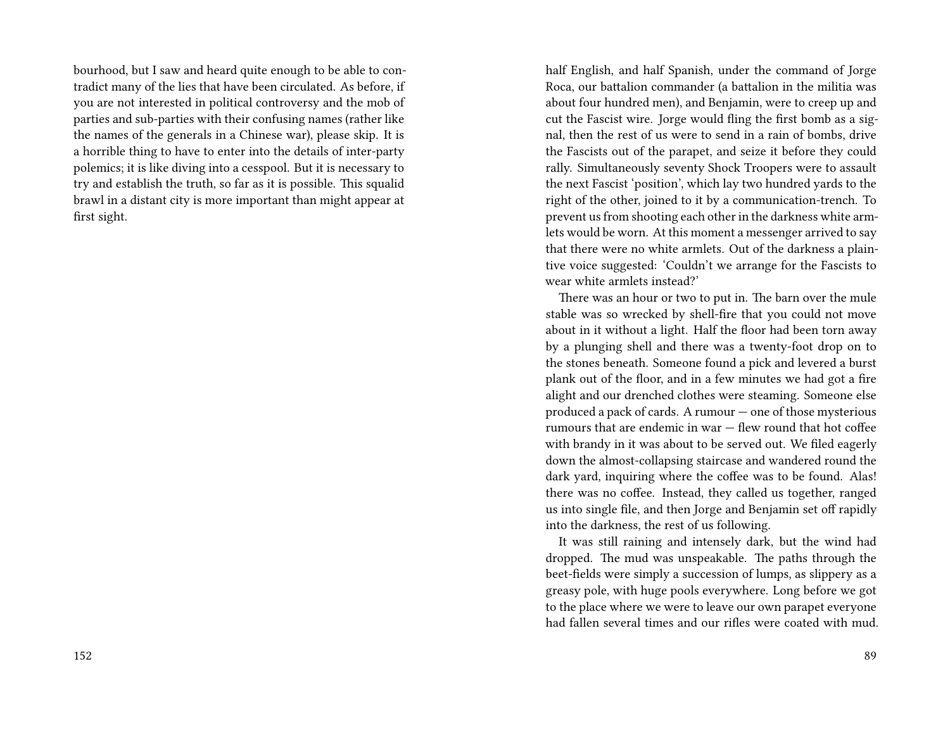bourhood, but I saw and heard quite enough to be able to contradict many of the lies that have been circulated. As before, if you are not interested in political controversy and the mob of parties and sub-parties with their confusing names (rather like the names of the generals in a Chinese war), please skip. It is a horrible thing to have to enter into the details of inter-party polemics; it is like diving into a cesspool. But it is necessary to try and establish the truth, so far as it is possible. This squalid brawl in a distant city is more important than might appear at first sight.

half English, and half Spanish, under the command of Jorge Roca, our battalion commander (a battalion in the militia was about four hundred men), and Benjamin, were to creep up and cut the Fascist wire. Jorge would fling the first bomb as a signal, then the rest of us were to send in a rain of bombs, drive the Fascists out of the parapet, and seize it before they could rally. Simultaneously seventy Shock Troopers were to assault the next Fascist 'position', which lay two hundred yards to the right of the other, joined to it by a communication-trench. To prevent us from shooting each other in the darkness white armlets would be worn. At this moment a messenger arrived to say that there were no white armlets. Out of the darkness a plaintive voice suggested: 'Couldn't we arrange for the Fascists to wear white armlets instead?'

There was an hour or two to put in. The barn over the mule stable was so wrecked by shell-fire that you could not move about in it without a light. Half the floor had been torn away by a plunging shell and there was a twenty-foot drop on to the stones beneath. Someone found a pick and levered a burst plank out of the floor, and in a few minutes we had got a fire alight and our drenched clothes were steaming. Someone else produced a pack of cards. A rumour — one of those mysterious rumours that are endemic in war — flew round that hot coffee with brandy in it was about to be served out. We filed eagerly down the almost-collapsing staircase and wandered round the dark yard, inquiring where the coffee was to be found. Alas! there was no coffee. Instead, they called us together, ranged us into single file, and then Jorge and Benjamin set off rapidly into the darkness, the rest of us following.

It was still raining and intensely dark, but the wind had dropped. The mud was unspeakable. The paths through the beet-fields were simply a succession of lumps, as slippery as a greasy pole, with huge pools everywhere. Long before we got to the place where we were to leave our own parapet everyone had fallen several times and our rifles were coated with mud.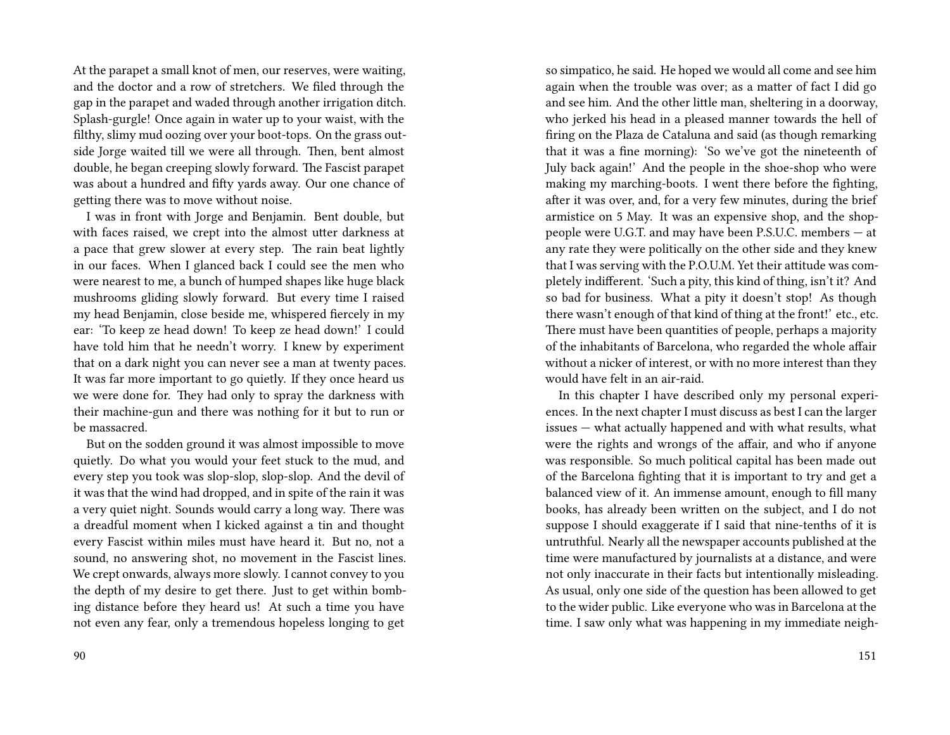At the parapet a small knot of men, our reserves, were waiting, and the doctor and a row of stretchers. We filed through the gap in the parapet and waded through another irrigation ditch. Splash-gurgle! Once again in water up to your waist, with the filthy, slimy mud oozing over your boot-tops. On the grass outside Jorge waited till we were all through. Then, bent almost double, he began creeping slowly forward. The Fascist parapet was about a hundred and fifty yards away. Our one chance of getting there was to move without noise.

I was in front with Jorge and Benjamin. Bent double, but with faces raised, we crept into the almost utter darkness at a pace that grew slower at every step. The rain beat lightly in our faces. When I glanced back I could see the men who were nearest to me, a bunch of humped shapes like huge black mushrooms gliding slowly forward. But every time I raised my head Benjamin, close beside me, whispered fiercely in my ear: 'To keep ze head down! To keep ze head down!' I could have told him that he needn't worry. I knew by experiment that on a dark night you can never see a man at twenty paces. It was far more important to go quietly. If they once heard us we were done for. They had only to spray the darkness with their machine-gun and there was nothing for it but to run or be massacred.

But on the sodden ground it was almost impossible to move quietly. Do what you would your feet stuck to the mud, and every step you took was slop-slop, slop-slop. And the devil of it was that the wind had dropped, and in spite of the rain it was a very quiet night. Sounds would carry a long way. There was a dreadful moment when I kicked against a tin and thought every Fascist within miles must have heard it. But no, not a sound, no answering shot, no movement in the Fascist lines. We crept onwards, always more slowly. I cannot convey to you the depth of my desire to get there. Just to get within bombing distance before they heard us! At such a time you have not even any fear, only a tremendous hopeless longing to get

so simpatico, he said. He hoped we would all come and see him again when the trouble was over; as a matter of fact I did go and see him. And the other little man, sheltering in a doorway, who jerked his head in a pleased manner towards the hell of firing on the Plaza de Cataluna and said (as though remarking that it was a fine morning): 'So we've got the nineteenth of July back again!' And the people in the shoe-shop who were making my marching-boots. I went there before the fighting, after it was over, and, for a very few minutes, during the brief armistice on 5 May. It was an expensive shop, and the shoppeople were U.G.T. and may have been P.S.U.C. members — at any rate they were politically on the other side and they knew that I was serving with the P.O.U.M. Yet their attitude was completely indifferent. 'Such a pity, this kind of thing, isn't it? And so bad for business. What a pity it doesn't stop! As though there wasn't enough of that kind of thing at the front!' etc., etc. There must have been quantities of people, perhaps a majority of the inhabitants of Barcelona, who regarded the whole affair without a nicker of interest, or with no more interest than they would have felt in an air-raid.

In this chapter I have described only my personal experiences. In the next chapter I must discuss as best I can the larger issues — what actually happened and with what results, what were the rights and wrongs of the affair, and who if anyone was responsible. So much political capital has been made out of the Barcelona fighting that it is important to try and get a balanced view of it. An immense amount, enough to fill many books, has already been written on the subject, and I do not suppose I should exaggerate if I said that nine-tenths of it is untruthful. Nearly all the newspaper accounts published at the time were manufactured by journalists at a distance, and were not only inaccurate in their facts but intentionally misleading. As usual, only one side of the question has been allowed to get to the wider public. Like everyone who was in Barcelona at the time. I saw only what was happening in my immediate neigh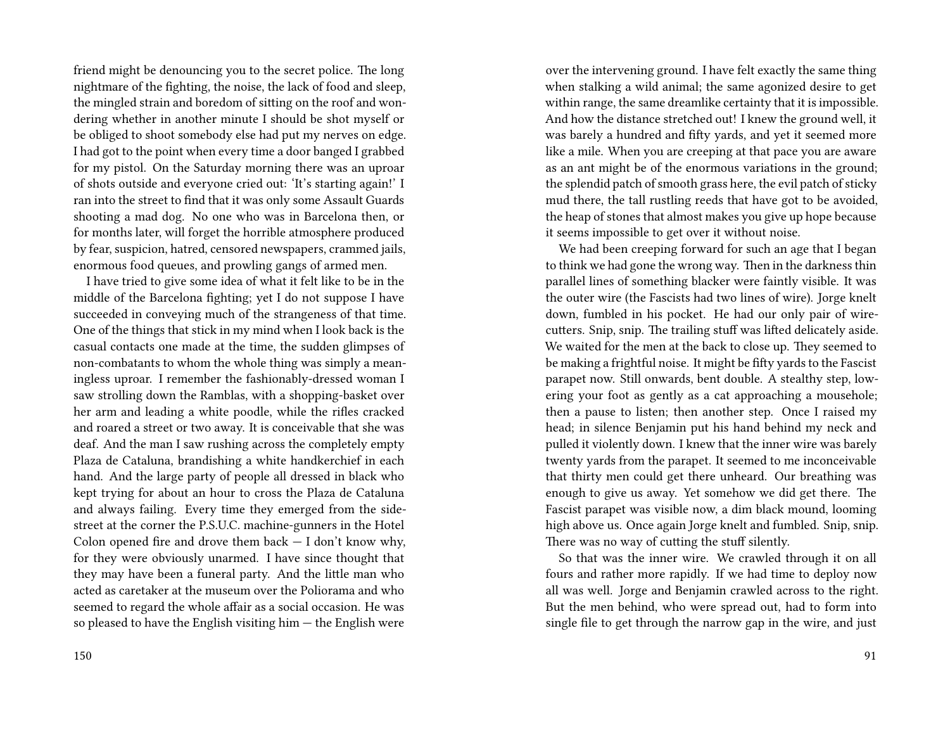friend might be denouncing you to the secret police. The long nightmare of the fighting, the noise, the lack of food and sleep, the mingled strain and boredom of sitting on the roof and wondering whether in another minute I should be shot myself or be obliged to shoot somebody else had put my nerves on edge. I had got to the point when every time a door banged I grabbed for my pistol. On the Saturday morning there was an uproar of shots outside and everyone cried out: 'It's starting again!' I ran into the street to find that it was only some Assault Guards shooting a mad dog. No one who was in Barcelona then, or for months later, will forget the horrible atmosphere produced by fear, suspicion, hatred, censored newspapers, crammed jails, enormous food queues, and prowling gangs of armed men.

I have tried to give some idea of what it felt like to be in the middle of the Barcelona fighting; yet I do not suppose I have succeeded in conveying much of the strangeness of that time. One of the things that stick in my mind when I look back is the casual contacts one made at the time, the sudden glimpses of non-combatants to whom the whole thing was simply a meaningless uproar. I remember the fashionably-dressed woman I saw strolling down the Ramblas, with a shopping-basket over her arm and leading a white poodle, while the rifles cracked and roared a street or two away. It is conceivable that she was deaf. And the man I saw rushing across the completely empty Plaza de Cataluna, brandishing a white handkerchief in each hand. And the large party of people all dressed in black who kept trying for about an hour to cross the Plaza de Cataluna and always failing. Every time they emerged from the sidestreet at the corner the P.S.U.C. machine-gunners in the Hotel Colon opened fire and drove them back  $-$  I don't know why, for they were obviously unarmed. I have since thought that they may have been a funeral party. And the little man who acted as caretaker at the museum over the Poliorama and who seemed to regard the whole affair as a social occasion. He was so pleased to have the English visiting  $him - the$  English were

over the intervening ground. I have felt exactly the same thing when stalking a wild animal; the same agonized desire to get within range, the same dreamlike certainty that it is impossible. And how the distance stretched out! I knew the ground well, it was barely a hundred and fifty yards, and yet it seemed more like a mile. When you are creeping at that pace you are aware as an ant might be of the enormous variations in the ground; the splendid patch of smooth grass here, the evil patch of sticky mud there, the tall rustling reeds that have got to be avoided, the heap of stones that almost makes you give up hope because it seems impossible to get over it without noise.

We had been creeping forward for such an age that I began to think we had gone the wrong way. Then in the darkness thin parallel lines of something blacker were faintly visible. It was the outer wire (the Fascists had two lines of wire). Jorge knelt down, fumbled in his pocket. He had our only pair of wirecutters. Snip, snip. The trailing stuff was lifted delicately aside. We waited for the men at the back to close up. They seemed to be making a frightful noise. It might be fifty yards to the Fascist parapet now. Still onwards, bent double. A stealthy step, lowering your foot as gently as a cat approaching a mousehole; then a pause to listen; then another step. Once I raised my head; in silence Benjamin put his hand behind my neck and pulled it violently down. I knew that the inner wire was barely twenty yards from the parapet. It seemed to me inconceivable that thirty men could get there unheard. Our breathing was enough to give us away. Yet somehow we did get there. The Fascist parapet was visible now, a dim black mound, looming high above us. Once again Jorge knelt and fumbled. Snip, snip. There was no way of cutting the stuff silently.

So that was the inner wire. We crawled through it on all fours and rather more rapidly. If we had time to deploy now all was well. Jorge and Benjamin crawled across to the right. But the men behind, who were spread out, had to form into single file to get through the narrow gap in the wire, and just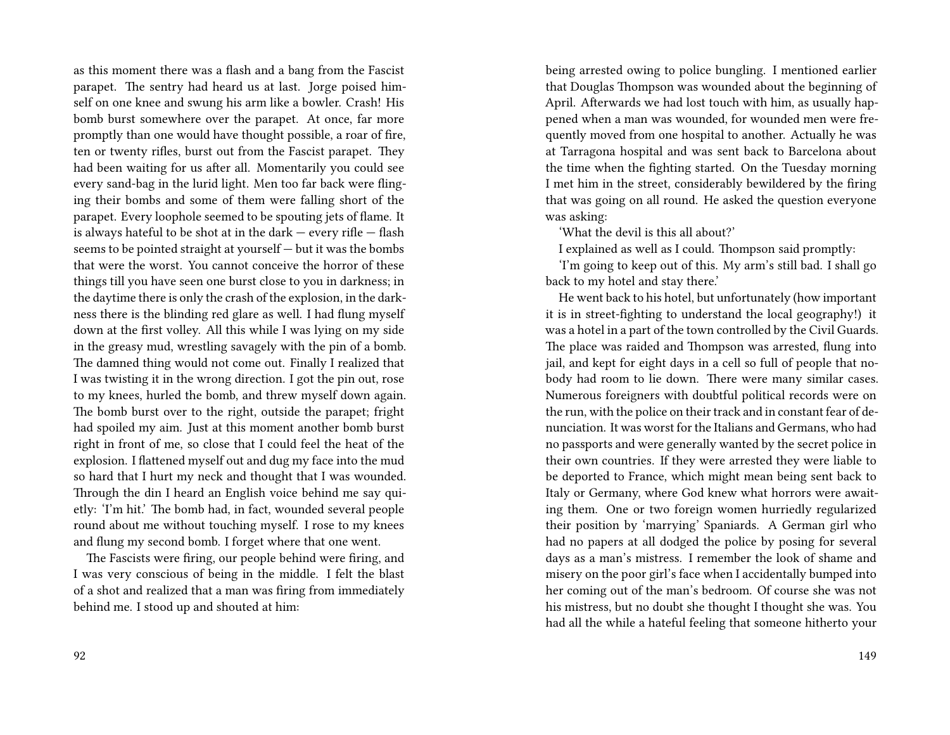as this moment there was a flash and a bang from the Fascist parapet. The sentry had heard us at last. Jorge poised himself on one knee and swung his arm like a bowler. Crash! His bomb burst somewhere over the parapet. At once, far more promptly than one would have thought possible, a roar of fire, ten or twenty rifles, burst out from the Fascist parapet. They had been waiting for us after all. Momentarily you could see every sand-bag in the lurid light. Men too far back were flinging their bombs and some of them were falling short of the parapet. Every loophole seemed to be spouting jets of flame. It is always hateful to be shot at in the dark  $-$  every rifle  $-$  flash seems to be pointed straight at yourself — but it was the bombs that were the worst. You cannot conceive the horror of these things till you have seen one burst close to you in darkness; in the daytime there is only the crash of the explosion, in the darkness there is the blinding red glare as well. I had flung myself down at the first volley. All this while I was lying on my side in the greasy mud, wrestling savagely with the pin of a bomb. The damned thing would not come out. Finally I realized that I was twisting it in the wrong direction. I got the pin out, rose to my knees, hurled the bomb, and threw myself down again. The bomb burst over to the right, outside the parapet; fright had spoiled my aim. Just at this moment another bomb burst right in front of me, so close that I could feel the heat of the explosion. I flattened myself out and dug my face into the mud so hard that I hurt my neck and thought that I was wounded. Through the din I heard an English voice behind me say quietly: 'I'm hit.' The bomb had, in fact, wounded several people round about me without touching myself. I rose to my knees and flung my second bomb. I forget where that one went.

The Fascists were firing, our people behind were firing, and I was very conscious of being in the middle. I felt the blast of a shot and realized that a man was firing from immediately behind me. I stood up and shouted at him:

being arrested owing to police bungling. I mentioned earlier that Douglas Thompson was wounded about the beginning of April. Afterwards we had lost touch with him, as usually happened when a man was wounded, for wounded men were frequently moved from one hospital to another. Actually he was at Tarragona hospital and was sent back to Barcelona about the time when the fighting started. On the Tuesday morning I met him in the street, considerably bewildered by the firing that was going on all round. He asked the question everyone was asking:

'What the devil is this all about?'

I explained as well as I could. Thompson said promptly:

'I'm going to keep out of this. My arm's still bad. I shall go back to my hotel and stay there.'

He went back to his hotel, but unfortunately (how important it is in street-fighting to understand the local geography!) it was a hotel in a part of the town controlled by the Civil Guards. The place was raided and Thompson was arrested, flung into jail, and kept for eight days in a cell so full of people that nobody had room to lie down. There were many similar cases. Numerous foreigners with doubtful political records were on the run, with the police on their track and in constant fear of denunciation. It was worst for the Italians and Germans, who had no passports and were generally wanted by the secret police in their own countries. If they were arrested they were liable to be deported to France, which might mean being sent back to Italy or Germany, where God knew what horrors were awaiting them. One or two foreign women hurriedly regularized their position by 'marrying' Spaniards. A German girl who had no papers at all dodged the police by posing for several days as a man's mistress. I remember the look of shame and misery on the poor girl's face when I accidentally bumped into her coming out of the man's bedroom. Of course she was not his mistress, but no doubt she thought I thought she was. You had all the while a hateful feeling that someone hitherto your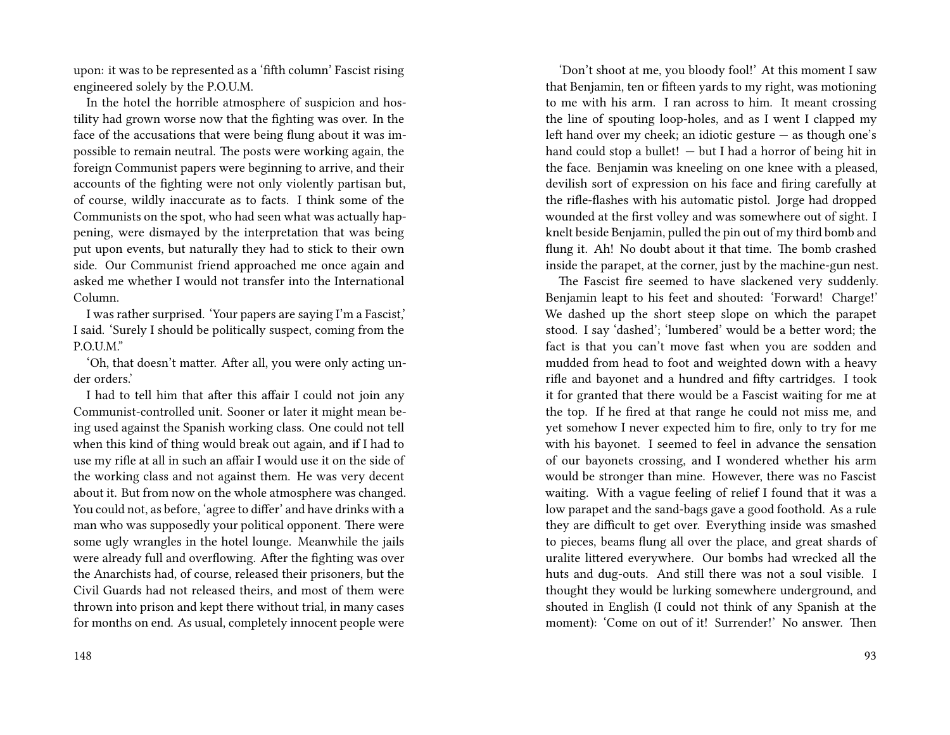upon: it was to be represented as a 'fifth column' Fascist rising engineered solely by the P.O.U.M.

In the hotel the horrible atmosphere of suspicion and hostility had grown worse now that the fighting was over. In the face of the accusations that were being flung about it was impossible to remain neutral. The posts were working again, the foreign Communist papers were beginning to arrive, and their accounts of the fighting were not only violently partisan but, of course, wildly inaccurate as to facts. I think some of the Communists on the spot, who had seen what was actually happening, were dismayed by the interpretation that was being put upon events, but naturally they had to stick to their own side. Our Communist friend approached me once again and asked me whether I would not transfer into the International Column.

I was rather surprised. 'Your papers are saying I'm a Fascist,' I said. 'Surely I should be politically suspect, coming from the P.O.U.M."

'Oh, that doesn't matter. After all, you were only acting under orders.'

I had to tell him that after this affair I could not join any Communist-controlled unit. Sooner or later it might mean being used against the Spanish working class. One could not tell when this kind of thing would break out again, and if I had to use my rifle at all in such an affair I would use it on the side of the working class and not against them. He was very decent about it. But from now on the whole atmosphere was changed. You could not, as before, 'agree to differ' and have drinks with a man who was supposedly your political opponent. There were some ugly wrangles in the hotel lounge. Meanwhile the jails were already full and overflowing. After the fighting was over the Anarchists had, of course, released their prisoners, but the Civil Guards had not released theirs, and most of them were thrown into prison and kept there without trial, in many cases for months on end. As usual, completely innocent people were

'Don't shoot at me, you bloody fool!' At this moment I saw that Benjamin, ten or fifteen yards to my right, was motioning to me with his arm. I ran across to him. It meant crossing the line of spouting loop-holes, and as I went I clapped my left hand over my cheek; an idiotic gesture — as though one's hand could stop a bullet! — but I had a horror of being hit in the face. Benjamin was kneeling on one knee with a pleased, devilish sort of expression on his face and firing carefully at the rifle-flashes with his automatic pistol. Jorge had dropped wounded at the first volley and was somewhere out of sight. I knelt beside Benjamin, pulled the pin out of my third bomb and flung it. Ah! No doubt about it that time. The bomb crashed inside the parapet, at the corner, just by the machine-gun nest.

The Fascist fire seemed to have slackened very suddenly. Benjamin leapt to his feet and shouted: 'Forward! Charge!' We dashed up the short steep slope on which the parapet stood. I say 'dashed'; 'lumbered' would be a better word; the fact is that you can't move fast when you are sodden and mudded from head to foot and weighted down with a heavy rifle and bayonet and a hundred and fifty cartridges. I took it for granted that there would be a Fascist waiting for me at the top. If he fired at that range he could not miss me, and yet somehow I never expected him to fire, only to try for me with his bayonet. I seemed to feel in advance the sensation of our bayonets crossing, and I wondered whether his arm would be stronger than mine. However, there was no Fascist waiting. With a vague feeling of relief I found that it was a low parapet and the sand-bags gave a good foothold. As a rule they are difficult to get over. Everything inside was smashed to pieces, beams flung all over the place, and great shards of uralite littered everywhere. Our bombs had wrecked all the huts and dug-outs. And still there was not a soul visible. I thought they would be lurking somewhere underground, and shouted in English (I could not think of any Spanish at the moment): 'Come on out of it! Surrender!' No answer. Then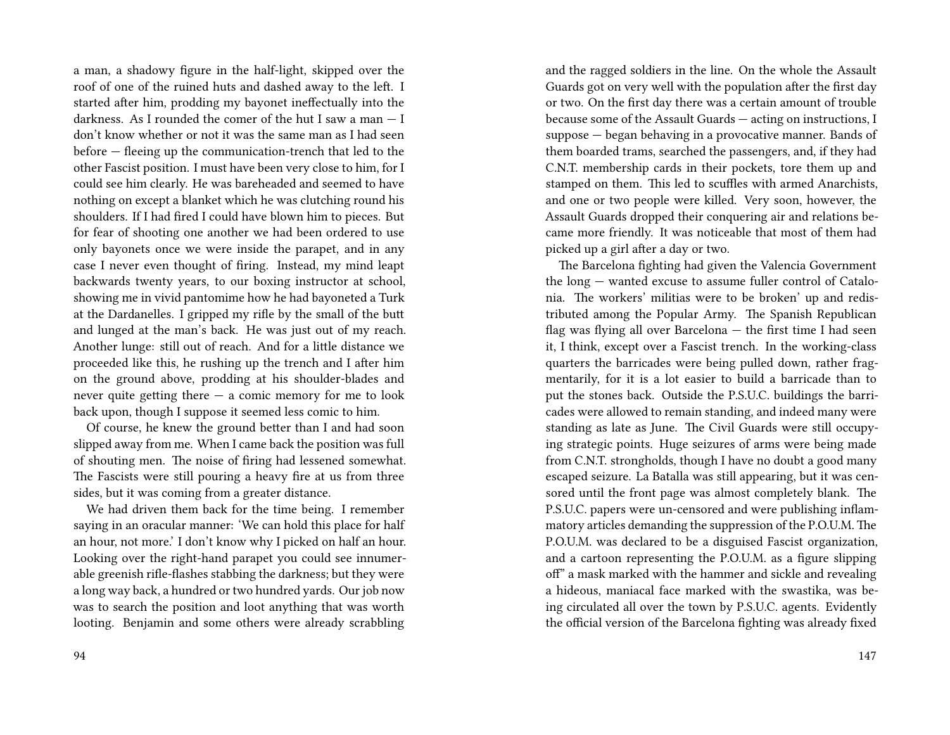a man, a shadowy figure in the half-light, skipped over the roof of one of the ruined huts and dashed away to the left. I started after him, prodding my bayonet ineffectually into the darkness. As I rounded the comer of the hut I saw a man — I don't know whether or not it was the same man as I had seen before — fleeing up the communication-trench that led to the other Fascist position. I must have been very close to him, for I could see him clearly. He was bareheaded and seemed to have nothing on except a blanket which he was clutching round his shoulders. If I had fired I could have blown him to pieces. But for fear of shooting one another we had been ordered to use only bayonets once we were inside the parapet, and in any case I never even thought of firing. Instead, my mind leapt backwards twenty years, to our boxing instructor at school, showing me in vivid pantomime how he had bayoneted a Turk at the Dardanelles. I gripped my rifle by the small of the butt and lunged at the man's back. He was just out of my reach. Another lunge: still out of reach. And for a little distance we proceeded like this, he rushing up the trench and I after him on the ground above, prodding at his shoulder-blades and never quite getting there  $-$  a comic memory for me to look back upon, though I suppose it seemed less comic to him.

Of course, he knew the ground better than I and had soon slipped away from me. When I came back the position was full of shouting men. The noise of firing had lessened somewhat. The Fascists were still pouring a heavy fire at us from three sides, but it was coming from a greater distance.

We had driven them back for the time being. I remember saying in an oracular manner: 'We can hold this place for half an hour, not more.' I don't know why I picked on half an hour. Looking over the right-hand parapet you could see innumerable greenish rifle-flashes stabbing the darkness; but they were a long way back, a hundred or two hundred yards. Our job now was to search the position and loot anything that was worth looting. Benjamin and some others were already scrabbling

and the ragged soldiers in the line. On the whole the Assault Guards got on very well with the population after the first day or two. On the first day there was a certain amount of trouble because some of the Assault Guards — acting on instructions, I suppose — began behaving in a provocative manner. Bands of them boarded trams, searched the passengers, and, if they had C.N.T. membership cards in their pockets, tore them up and stamped on them. This led to scuffles with armed Anarchists, and one or two people were killed. Very soon, however, the Assault Guards dropped their conquering air and relations became more friendly. It was noticeable that most of them had picked up a girl after a day or two.

The Barcelona fighting had given the Valencia Government the long — wanted excuse to assume fuller control of Catalonia. The workers' militias were to be broken' up and redistributed among the Popular Army. The Spanish Republican flag was flying all over Barcelona — the first time I had seen it, I think, except over a Fascist trench. In the working-class quarters the barricades were being pulled down, rather fragmentarily, for it is a lot easier to build a barricade than to put the stones back. Outside the P.S.U.C. buildings the barricades were allowed to remain standing, and indeed many were standing as late as June. The Civil Guards were still occupying strategic points. Huge seizures of arms were being made from C.N.T. strongholds, though I have no doubt a good many escaped seizure. La Batalla was still appearing, but it was censored until the front page was almost completely blank. The P.S.U.C. papers were un-censored and were publishing inflammatory articles demanding the suppression of the P.O.U.M. The P.O.U.M. was declared to be a disguised Fascist organization, and a cartoon representing the P.O.U.M. as a figure slipping of" a mask marked with the hammer and sickle and revealing a hideous, maniacal face marked with the swastika, was being circulated all over the town by P.S.U.C. agents. Evidently the official version of the Barcelona fighting was already fixed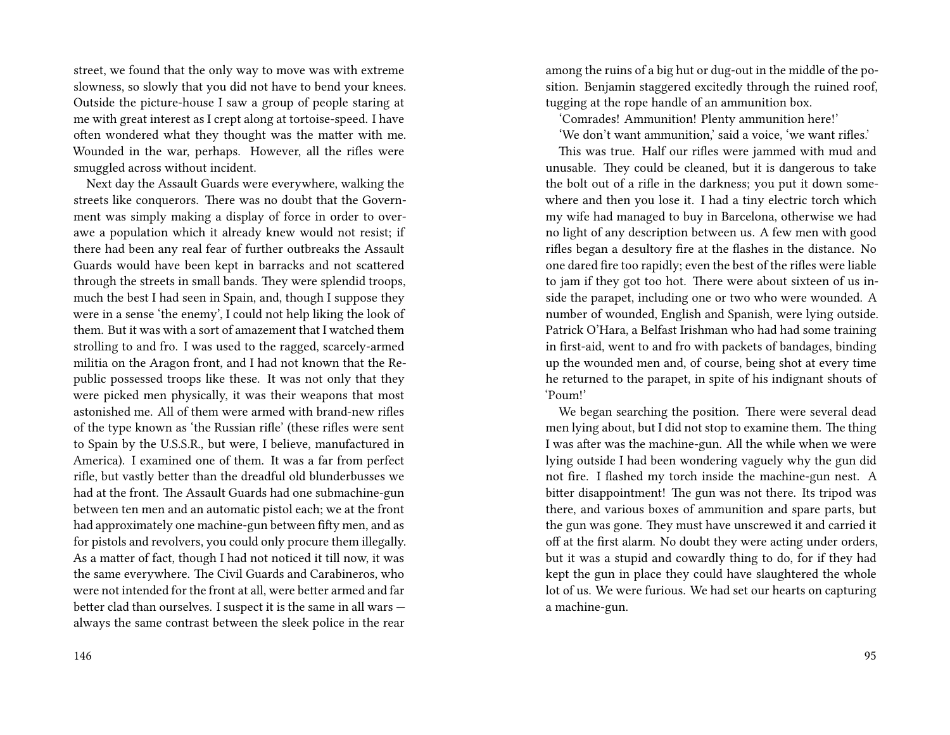street, we found that the only way to move was with extreme slowness, so slowly that you did not have to bend your knees. Outside the picture-house I saw a group of people staring at me with great interest as I crept along at tortoise-speed. I have often wondered what they thought was the matter with me. Wounded in the war, perhaps. However, all the rifles were smuggled across without incident.

Next day the Assault Guards were everywhere, walking the streets like conquerors. There was no doubt that the Government was simply making a display of force in order to overawe a population which it already knew would not resist; if there had been any real fear of further outbreaks the Assault Guards would have been kept in barracks and not scattered through the streets in small bands. They were splendid troops, much the best I had seen in Spain, and, though I suppose they were in a sense 'the enemy', I could not help liking the look of them. But it was with a sort of amazement that I watched them strolling to and fro. I was used to the ragged, scarcely-armed militia on the Aragon front, and I had not known that the Republic possessed troops like these. It was not only that they were picked men physically, it was their weapons that most astonished me. All of them were armed with brand-new rifles of the type known as 'the Russian rifle' (these rifles were sent to Spain by the U.S.S.R., but were, I believe, manufactured in America). I examined one of them. It was a far from perfect rifle, but vastly better than the dreadful old blunderbusses we had at the front. The Assault Guards had one submachine-gun between ten men and an automatic pistol each; we at the front had approximately one machine-gun between fifty men, and as for pistols and revolvers, you could only procure them illegally. As a matter of fact, though I had not noticed it till now, it was the same everywhere. The Civil Guards and Carabineros, who were not intended for the front at all, were better armed and far better clad than ourselves. I suspect it is the same in all wars always the same contrast between the sleek police in the rear

among the ruins of a big hut or dug-out in the middle of the position. Benjamin staggered excitedly through the ruined roof, tugging at the rope handle of an ammunition box.

'Comrades! Ammunition! Plenty ammunition here!'

'We don't want ammunition,' said a voice, 'we want rifles.'

This was true. Half our rifles were jammed with mud and unusable. They could be cleaned, but it is dangerous to take the bolt out of a rifle in the darkness; you put it down somewhere and then you lose it. I had a tiny electric torch which my wife had managed to buy in Barcelona, otherwise we had no light of any description between us. A few men with good rifles began a desultory fire at the flashes in the distance. No one dared fire too rapidly; even the best of the rifles were liable to jam if they got too hot. There were about sixteen of us inside the parapet, including one or two who were wounded. A number of wounded, English and Spanish, were lying outside. Patrick O'Hara, a Belfast Irishman who had had some training in first-aid, went to and fro with packets of bandages, binding up the wounded men and, of course, being shot at every time he returned to the parapet, in spite of his indignant shouts of 'Poum!'

We began searching the position. There were several dead men lying about, but I did not stop to examine them. The thing I was after was the machine-gun. All the while when we were lying outside I had been wondering vaguely why the gun did not fire. I flashed my torch inside the machine-gun nest. A bitter disappointment! The gun was not there. Its tripod was there, and various boxes of ammunition and spare parts, but the gun was gone. They must have unscrewed it and carried it off at the first alarm. No doubt they were acting under orders, but it was a stupid and cowardly thing to do, for if they had kept the gun in place they could have slaughtered the whole lot of us. We were furious. We had set our hearts on capturing a machine-gun.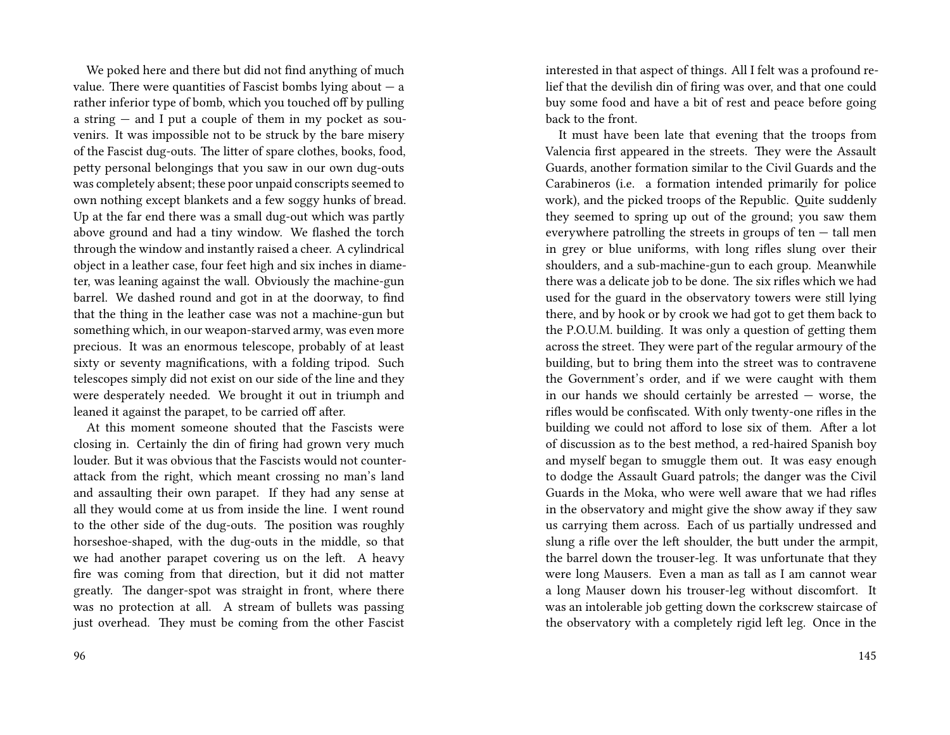We poked here and there but did not find anything of much value. There were quantities of Fascist bombs lying about  $-$  a rather inferior type of bomb, which you touched off by pulling a string — and I put a couple of them in my pocket as souvenirs. It was impossible not to be struck by the bare misery of the Fascist dug-outs. The litter of spare clothes, books, food, petty personal belongings that you saw in our own dug-outs was completely absent; these poor unpaid conscripts seemed to own nothing except blankets and a few soggy hunks of bread. Up at the far end there was a small dug-out which was partly above ground and had a tiny window. We flashed the torch through the window and instantly raised a cheer. A cylindrical object in a leather case, four feet high and six inches in diameter, was leaning against the wall. Obviously the machine-gun barrel. We dashed round and got in at the doorway, to find that the thing in the leather case was not a machine-gun but something which, in our weapon-starved army, was even more precious. It was an enormous telescope, probably of at least sixty or seventy magnifications, with a folding tripod. Such telescopes simply did not exist on our side of the line and they were desperately needed. We brought it out in triumph and leaned it against the parapet, to be carried off after.

At this moment someone shouted that the Fascists were closing in. Certainly the din of firing had grown very much louder. But it was obvious that the Fascists would not counterattack from the right, which meant crossing no man's land and assaulting their own parapet. If they had any sense at all they would come at us from inside the line. I went round to the other side of the dug-outs. The position was roughly horseshoe-shaped, with the dug-outs in the middle, so that we had another parapet covering us on the left. A heavy fire was coming from that direction, but it did not matter greatly. The danger-spot was straight in front, where there was no protection at all. A stream of bullets was passing just overhead. They must be coming from the other Fascist

interested in that aspect of things. All I felt was a profound relief that the devilish din of firing was over, and that one could buy some food and have a bit of rest and peace before going back to the front.

It must have been late that evening that the troops from Valencia first appeared in the streets. They were the Assault Guards, another formation similar to the Civil Guards and the Carabineros (i.e. a formation intended primarily for police work), and the picked troops of the Republic. Quite suddenly they seemed to spring up out of the ground; you saw them everywhere patrolling the streets in groups of ten  $-$  tall men in grey or blue uniforms, with long rifles slung over their shoulders, and a sub-machine-gun to each group. Meanwhile there was a delicate job to be done. The six rifles which we had used for the guard in the observatory towers were still lying there, and by hook or by crook we had got to get them back to the P.O.U.M. building. It was only a question of getting them across the street. They were part of the regular armoury of the building, but to bring them into the street was to contravene the Government's order, and if we were caught with them in our hands we should certainly be arrested — worse, the rifles would be confiscated. With only twenty-one rifles in the building we could not afford to lose six of them. After a lot of discussion as to the best method, a red-haired Spanish boy and myself began to smuggle them out. It was easy enough to dodge the Assault Guard patrols; the danger was the Civil Guards in the Moka, who were well aware that we had rifles in the observatory and might give the show away if they saw us carrying them across. Each of us partially undressed and slung a rifle over the left shoulder, the butt under the armpit, the barrel down the trouser-leg. It was unfortunate that they were long Mausers. Even a man as tall as I am cannot wear a long Mauser down his trouser-leg without discomfort. It was an intolerable job getting down the corkscrew staircase of the observatory with a completely rigid left leg. Once in the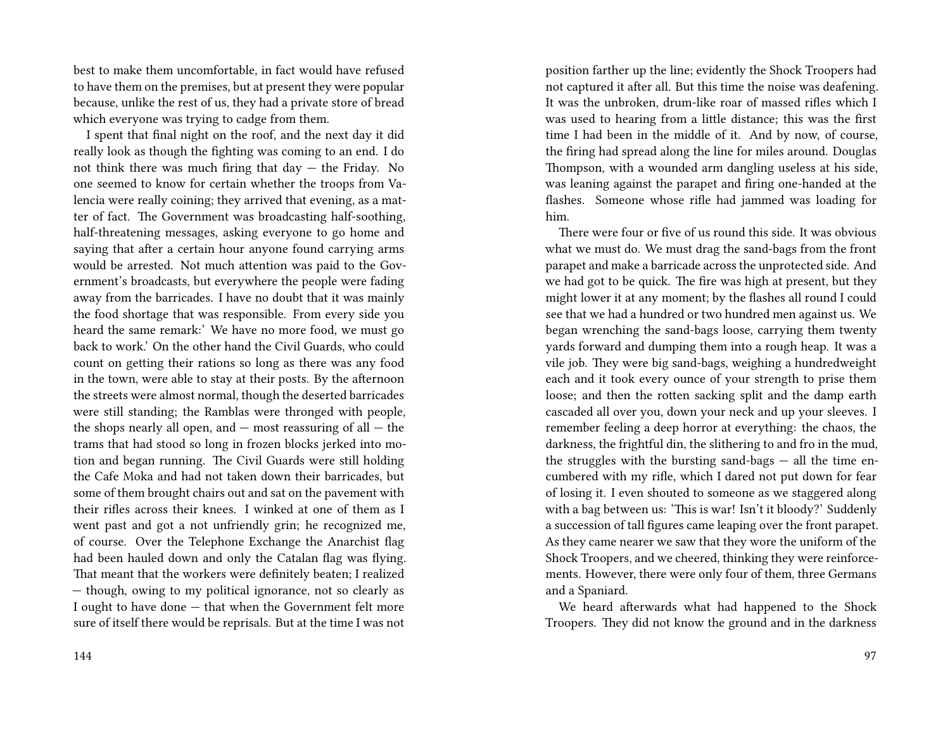best to make them uncomfortable, in fact would have refused to have them on the premises, but at present they were popular because, unlike the rest of us, they had a private store of bread which everyone was trying to cadge from them.

I spent that final night on the roof, and the next day it did really look as though the fighting was coming to an end. I do not think there was much firing that day — the Friday. No one seemed to know for certain whether the troops from Valencia were really coining; they arrived that evening, as a matter of fact. The Government was broadcasting half-soothing, half-threatening messages, asking everyone to go home and saying that after a certain hour anyone found carrying arms would be arrested. Not much attention was paid to the Government's broadcasts, but everywhere the people were fading away from the barricades. I have no doubt that it was mainly the food shortage that was responsible. From every side you heard the same remark:' We have no more food, we must go back to work.' On the other hand the Civil Guards, who could count on getting their rations so long as there was any food in the town, were able to stay at their posts. By the afternoon the streets were almost normal, though the deserted barricades were still standing; the Ramblas were thronged with people, the shops nearly all open, and  $-$  most reassuring of all  $-$  the trams that had stood so long in frozen blocks jerked into motion and began running. The Civil Guards were still holding the Cafe Moka and had not taken down their barricades, but some of them brought chairs out and sat on the pavement with their rifles across their knees. I winked at one of them as I went past and got a not unfriendly grin; he recognized me, of course. Over the Telephone Exchange the Anarchist flag had been hauled down and only the Catalan flag was flying. That meant that the workers were definitely beaten; I realized — though, owing to my political ignorance, not so clearly as I ought to have done — that when the Government felt more sure of itself there would be reprisals. But at the time I was not

position farther up the line; evidently the Shock Troopers had not captured it after all. But this time the noise was deafening. It was the unbroken, drum-like roar of massed rifles which I was used to hearing from a little distance; this was the first time I had been in the middle of it. And by now, of course, the firing had spread along the line for miles around. Douglas Thompson, with a wounded arm dangling useless at his side, was leaning against the parapet and firing one-handed at the flashes. Someone whose rifle had jammed was loading for him.

There were four or five of us round this side. It was obvious what we must do. We must drag the sand-bags from the front parapet and make a barricade across the unprotected side. And we had got to be quick. The fire was high at present, but they might lower it at any moment; by the flashes all round I could see that we had a hundred or two hundred men against us. We began wrenching the sand-bags loose, carrying them twenty yards forward and dumping them into a rough heap. It was a vile job. They were big sand-bags, weighing a hundredweight each and it took every ounce of your strength to prise them loose; and then the rotten sacking split and the damp earth cascaded all over you, down your neck and up your sleeves. I remember feeling a deep horror at everything: the chaos, the darkness, the frightful din, the slithering to and fro in the mud, the struggles with the bursting sand-bags  $-$  all the time encumbered with my rifle, which I dared not put down for fear of losing it. I even shouted to someone as we staggered along with a bag between us: 'This is war! Isn't it bloody?' Suddenly a succession of tall figures came leaping over the front parapet. As they came nearer we saw that they wore the uniform of the Shock Troopers, and we cheered, thinking they were reinforcements. However, there were only four of them, three Germans and a Spaniard.

We heard afterwards what had happened to the Shock Troopers. They did not know the ground and in the darkness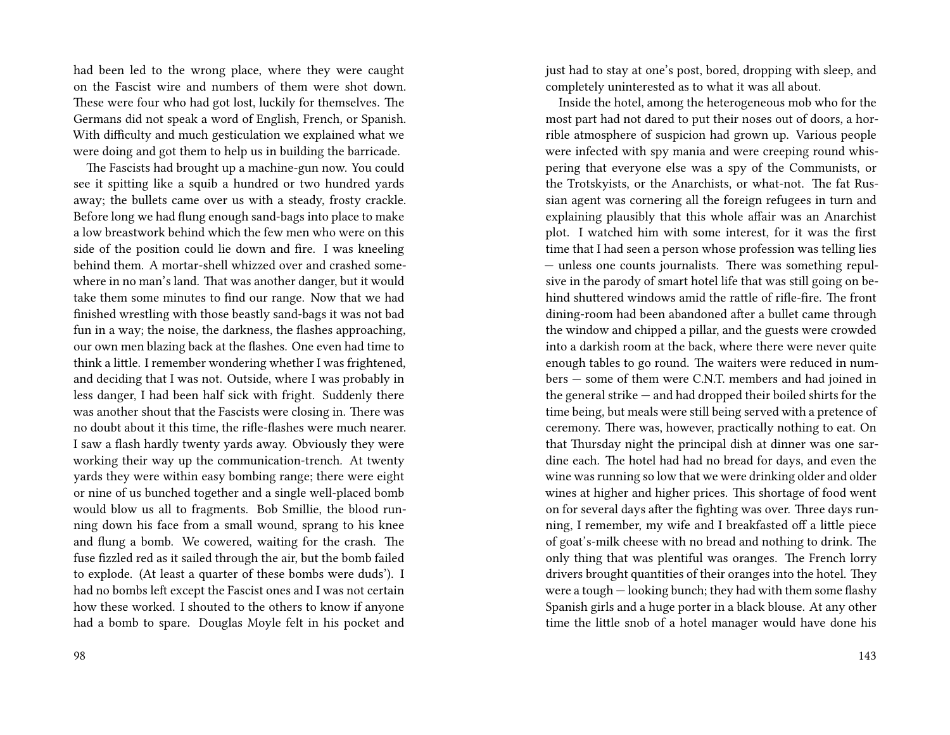had been led to the wrong place, where they were caught on the Fascist wire and numbers of them were shot down. These were four who had got lost, luckily for themselves. The Germans did not speak a word of English, French, or Spanish. With difficulty and much gesticulation we explained what we were doing and got them to help us in building the barricade.

The Fascists had brought up a machine-gun now. You could see it spitting like a squib a hundred or two hundred yards away; the bullets came over us with a steady, frosty crackle. Before long we had flung enough sand-bags into place to make a low breastwork behind which the few men who were on this side of the position could lie down and fire. I was kneeling behind them. A mortar-shell whizzed over and crashed somewhere in no man's land. That was another danger, but it would take them some minutes to find our range. Now that we had finished wrestling with those beastly sand-bags it was not bad fun in a way; the noise, the darkness, the flashes approaching, our own men blazing back at the flashes. One even had time to think a little. I remember wondering whether I was frightened, and deciding that I was not. Outside, where I was probably in less danger, I had been half sick with fright. Suddenly there was another shout that the Fascists were closing in. There was no doubt about it this time, the rifle-flashes were much nearer. I saw a flash hardly twenty yards away. Obviously they were working their way up the communication-trench. At twenty yards they were within easy bombing range; there were eight or nine of us bunched together and a single well-placed bomb would blow us all to fragments. Bob Smillie, the blood running down his face from a small wound, sprang to his knee and flung a bomb. We cowered, waiting for the crash. The fuse fizzled red as it sailed through the air, but the bomb failed to explode. (At least a quarter of these bombs were duds'). I had no bombs left except the Fascist ones and I was not certain how these worked. I shouted to the others to know if anyone had a bomb to spare. Douglas Moyle felt in his pocket and

just had to stay at one's post, bored, dropping with sleep, and completely uninterested as to what it was all about.

Inside the hotel, among the heterogeneous mob who for the most part had not dared to put their noses out of doors, a horrible atmosphere of suspicion had grown up. Various people were infected with spy mania and were creeping round whispering that everyone else was a spy of the Communists, or the Trotskyists, or the Anarchists, or what-not. The fat Russian agent was cornering all the foreign refugees in turn and explaining plausibly that this whole affair was an Anarchist plot. I watched him with some interest, for it was the first time that I had seen a person whose profession was telling lies — unless one counts journalists. There was something repulsive in the parody of smart hotel life that was still going on behind shuttered windows amid the rattle of rifle-fire. The front dining-room had been abandoned after a bullet came through the window and chipped a pillar, and the guests were crowded into a darkish room at the back, where there were never quite enough tables to go round. The waiters were reduced in numbers — some of them were C.N.T. members and had joined in the general strike — and had dropped their boiled shirts for the time being, but meals were still being served with a pretence of ceremony. There was, however, practically nothing to eat. On that Thursday night the principal dish at dinner was one sardine each. The hotel had had no bread for days, and even the wine was running so low that we were drinking older and older wines at higher and higher prices. This shortage of food went on for several days after the fighting was over. Three days running, I remember, my wife and I breakfasted off a little piece of goat's-milk cheese with no bread and nothing to drink. The only thing that was plentiful was oranges. The French lorry drivers brought quantities of their oranges into the hotel. They were a tough — looking bunch; they had with them some flashy Spanish girls and a huge porter in a black blouse. At any other time the little snob of a hotel manager would have done his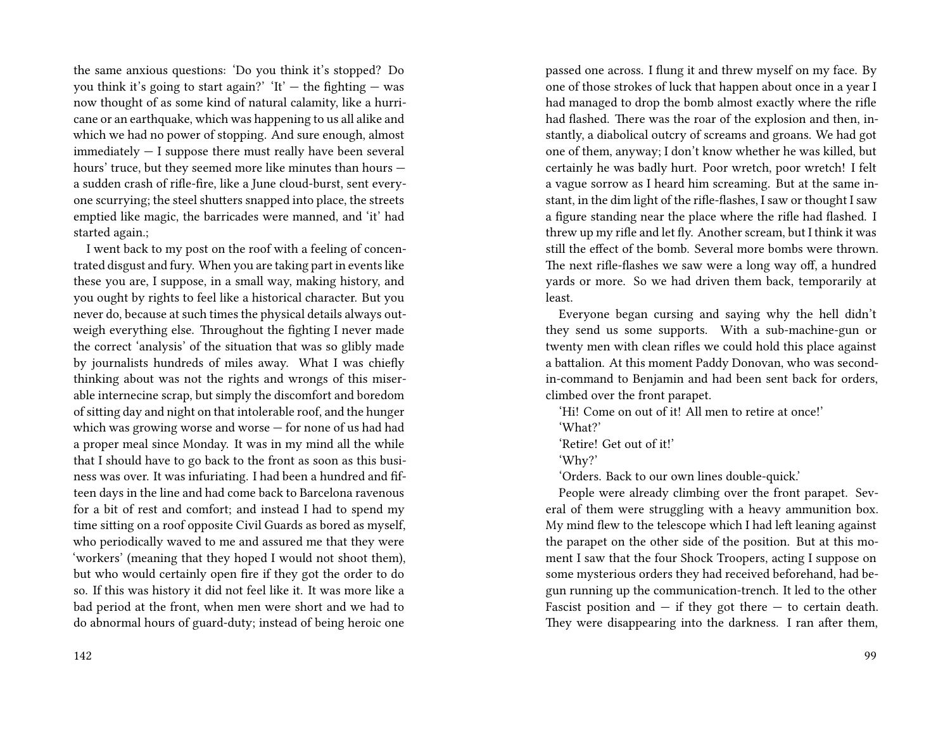the same anxious questions: 'Do you think it's stopped? Do you think it's going to start again?'  $It' - the fighting - was$ now thought of as some kind of natural calamity, like a hurricane or an earthquake, which was happening to us all alike and which we had no power of stopping. And sure enough, almost immediately — I suppose there must really have been several hours' truce, but they seemed more like minutes than hours a sudden crash of rifle-fire, like a June cloud-burst, sent everyone scurrying; the steel shutters snapped into place, the streets emptied like magic, the barricades were manned, and 'it' had started again.;

I went back to my post on the roof with a feeling of concentrated disgust and fury. When you are taking part in events like these you are, I suppose, in a small way, making history, and you ought by rights to feel like a historical character. But you never do, because at such times the physical details always outweigh everything else. Throughout the fighting I never made the correct 'analysis' of the situation that was so glibly made by journalists hundreds of miles away. What I was chiefly thinking about was not the rights and wrongs of this miserable internecine scrap, but simply the discomfort and boredom of sitting day and night on that intolerable roof, and the hunger which was growing worse and worse — for none of us had had a proper meal since Monday. It was in my mind all the while that I should have to go back to the front as soon as this business was over. It was infuriating. I had been a hundred and fifteen days in the line and had come back to Barcelona ravenous for a bit of rest and comfort; and instead I had to spend my time sitting on a roof opposite Civil Guards as bored as myself, who periodically waved to me and assured me that they were 'workers' (meaning that they hoped I would not shoot them), but who would certainly open fire if they got the order to do so. If this was history it did not feel like it. It was more like a bad period at the front, when men were short and we had to do abnormal hours of guard-duty; instead of being heroic one

passed one across. I flung it and threw myself on my face. By one of those strokes of luck that happen about once in a year I had managed to drop the bomb almost exactly where the rifle had flashed. There was the roar of the explosion and then, instantly, a diabolical outcry of screams and groans. We had got one of them, anyway; I don't know whether he was killed, but certainly he was badly hurt. Poor wretch, poor wretch! I felt a vague sorrow as I heard him screaming. But at the same instant, in the dim light of the rifle-flashes, I saw or thought I saw a figure standing near the place where the rifle had flashed. I threw up my rifle and let fly. Another scream, but I think it was still the effect of the bomb. Several more bombs were thrown. The next rifle-flashes we saw were a long way off, a hundred yards or more. So we had driven them back, temporarily at least.

Everyone began cursing and saying why the hell didn't they send us some supports. With a sub-machine-gun or twenty men with clean rifles we could hold this place against a battalion. At this moment Paddy Donovan, who was secondin-command to Benjamin and had been sent back for orders, climbed over the front parapet.

'Hi! Come on out of it! All men to retire at once!' 'What?'

'Retire! Get out of it!'

'Why?'

'Orders. Back to our own lines double-quick.'

People were already climbing over the front parapet. Several of them were struggling with a heavy ammunition box. My mind flew to the telescope which I had left leaning against the parapet on the other side of the position. But at this moment I saw that the four Shock Troopers, acting I suppose on some mysterious orders they had received beforehand, had begun running up the communication-trench. It led to the other Fascist position and  $-$  if they got there  $-$  to certain death. They were disappearing into the darkness. I ran after them,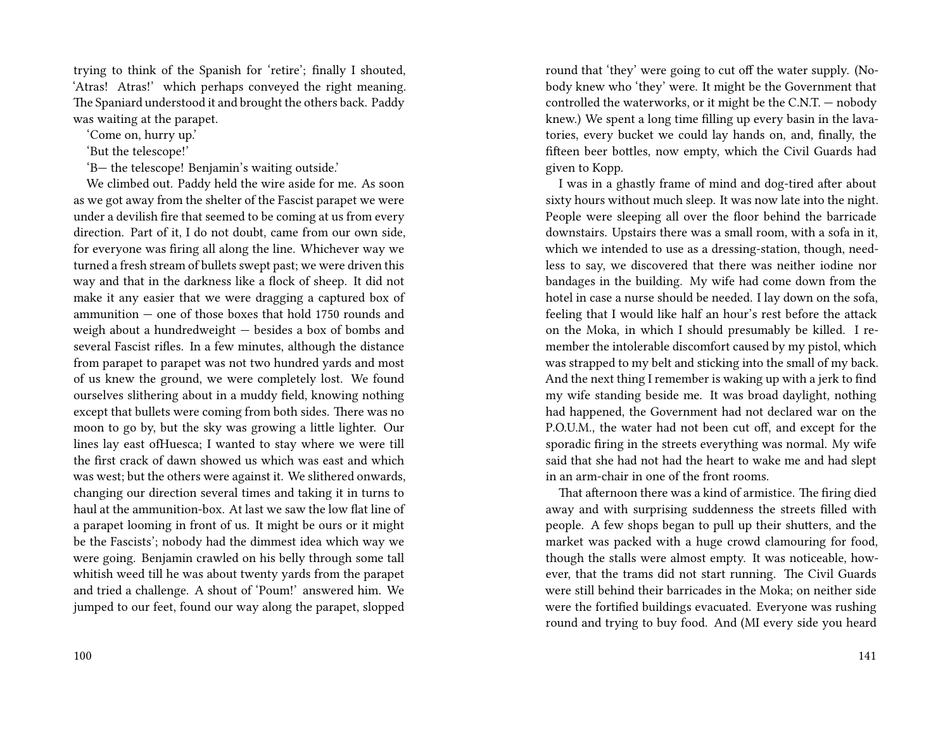trying to think of the Spanish for 'retire'; finally I shouted, 'Atras! Atras!' which perhaps conveyed the right meaning. The Spaniard understood it and brought the others back. Paddy was waiting at the parapet.

'Come on, hurry up.'

'But the telescope!'

'B— the telescope! Benjamin's waiting outside.'

We climbed out. Paddy held the wire aside for me. As soon as we got away from the shelter of the Fascist parapet we were under a devilish fire that seemed to be coming at us from every direction. Part of it, I do not doubt, came from our own side, for everyone was firing all along the line. Whichever way we turned a fresh stream of bullets swept past; we were driven this way and that in the darkness like a flock of sheep. It did not make it any easier that we were dragging a captured box of ammunition — one of those boxes that hold 1750 rounds and weigh about a hundredweight — besides a box of bombs and several Fascist rifles. In a few minutes, although the distance from parapet to parapet was not two hundred yards and most of us knew the ground, we were completely lost. We found ourselves slithering about in a muddy field, knowing nothing except that bullets were coming from both sides. There was no moon to go by, but the sky was growing a little lighter. Our lines lay east ofHuesca; I wanted to stay where we were till the first crack of dawn showed us which was east and which was west; but the others were against it. We slithered onwards, changing our direction several times and taking it in turns to haul at the ammunition-box. At last we saw the low flat line of a parapet looming in front of us. It might be ours or it might be the Fascists'; nobody had the dimmest idea which way we were going. Benjamin crawled on his belly through some tall whitish weed till he was about twenty yards from the parapet and tried a challenge. A shout of 'Poum!' answered him. We jumped to our feet, found our way along the parapet, slopped

round that 'they' were going to cut off the water supply. (Nobody knew who 'they' were. It might be the Government that controlled the waterworks, or it might be the C.N.T. — nobody knew.) We spent a long time filling up every basin in the lavatories, every bucket we could lay hands on, and, finally, the fifteen beer bottles, now empty, which the Civil Guards had given to Kopp.

I was in a ghastly frame of mind and dog-tired after about sixty hours without much sleep. It was now late into the night. People were sleeping all over the floor behind the barricade downstairs. Upstairs there was a small room, with a sofa in it, which we intended to use as a dressing-station, though, needless to say, we discovered that there was neither iodine nor bandages in the building. My wife had come down from the hotel in case a nurse should be needed. I lay down on the sofa, feeling that I would like half an hour's rest before the attack on the Moka, in which I should presumably be killed. I remember the intolerable discomfort caused by my pistol, which was strapped to my belt and sticking into the small of my back. And the next thing I remember is waking up with a jerk to find my wife standing beside me. It was broad daylight, nothing had happened, the Government had not declared war on the P.O.U.M., the water had not been cut off, and except for the sporadic firing in the streets everything was normal. My wife said that she had not had the heart to wake me and had slept in an arm-chair in one of the front rooms.

That afternoon there was a kind of armistice. The firing died away and with surprising suddenness the streets filled with people. A few shops began to pull up their shutters, and the market was packed with a huge crowd clamouring for food, though the stalls were almost empty. It was noticeable, however, that the trams did not start running. The Civil Guards were still behind their barricades in the Moka; on neither side were the fortified buildings evacuated. Everyone was rushing round and trying to buy food. And (MI every side you heard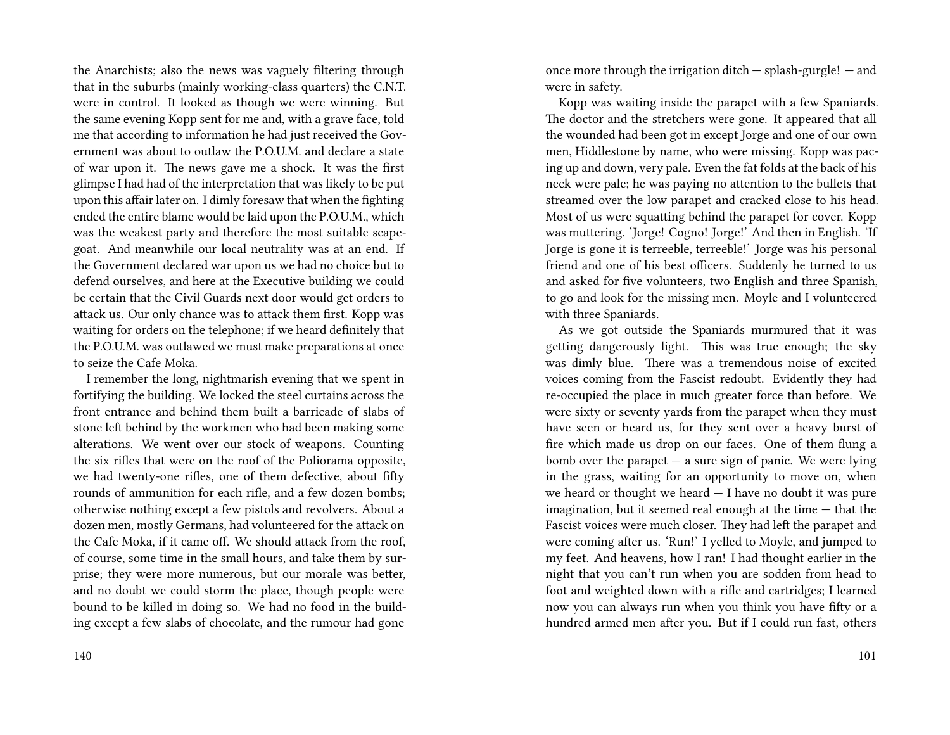the Anarchists; also the news was vaguely filtering through that in the suburbs (mainly working-class quarters) the C.N.T. were in control. It looked as though we were winning. But the same evening Kopp sent for me and, with a grave face, told me that according to information he had just received the Government was about to outlaw the P.O.U.M. and declare a state of war upon it. The news gave me a shock. It was the first glimpse I had had of the interpretation that was likely to be put upon this affair later on. I dimly foresaw that when the fighting ended the entire blame would be laid upon the P.O.U.M., which was the weakest party and therefore the most suitable scapegoat. And meanwhile our local neutrality was at an end. If the Government declared war upon us we had no choice but to defend ourselves, and here at the Executive building we could be certain that the Civil Guards next door would get orders to attack us. Our only chance was to attack them first. Kopp was waiting for orders on the telephone; if we heard definitely that the P.O.U.M. was outlawed we must make preparations at once to seize the Cafe Moka.

I remember the long, nightmarish evening that we spent in fortifying the building. We locked the steel curtains across the front entrance and behind them built a barricade of slabs of stone left behind by the workmen who had been making some alterations. We went over our stock of weapons. Counting the six rifles that were on the roof of the Poliorama opposite, we had twenty-one rifles, one of them defective, about fifty rounds of ammunition for each rifle, and a few dozen bombs; otherwise nothing except a few pistols and revolvers. About a dozen men, mostly Germans, had volunteered for the attack on the Cafe Moka, if it came off. We should attack from the roof, of course, some time in the small hours, and take them by surprise; they were more numerous, but our morale was better, and no doubt we could storm the place, though people were bound to be killed in doing so. We had no food in the building except a few slabs of chocolate, and the rumour had gone

once more through the irrigation ditch — splash-gurgle! — and were in safety.

Kopp was waiting inside the parapet with a few Spaniards. The doctor and the stretchers were gone. It appeared that all the wounded had been got in except Jorge and one of our own men, Hiddlestone by name, who were missing. Kopp was pacing up and down, very pale. Even the fat folds at the back of his neck were pale; he was paying no attention to the bullets that streamed over the low parapet and cracked close to his head. Most of us were squatting behind the parapet for cover. Kopp was muttering. 'Jorge! Cogno! Jorge!' And then in English. 'If Jorge is gone it is terreeble, terreeble!' Jorge was his personal friend and one of his best officers. Suddenly he turned to us and asked for five volunteers, two English and three Spanish, to go and look for the missing men. Moyle and I volunteered with three Spaniards.

As we got outside the Spaniards murmured that it was getting dangerously light. This was true enough; the sky was dimly blue. There was a tremendous noise of excited voices coming from the Fascist redoubt. Evidently they had re-occupied the place in much greater force than before. We were sixty or seventy yards from the parapet when they must have seen or heard us, for they sent over a heavy burst of fire which made us drop on our faces. One of them flung a bomb over the parapet  $-$  a sure sign of panic. We were lying in the grass, waiting for an opportunity to move on, when we heard or thought we heard — I have no doubt it was pure imagination, but it seemed real enough at the time — that the Fascist voices were much closer. They had left the parapet and were coming after us. 'Run!' I yelled to Moyle, and jumped to my feet. And heavens, how I ran! I had thought earlier in the night that you can't run when you are sodden from head to foot and weighted down with a rifle and cartridges; I learned now you can always run when you think you have fifty or a hundred armed men after you. But if I could run fast, others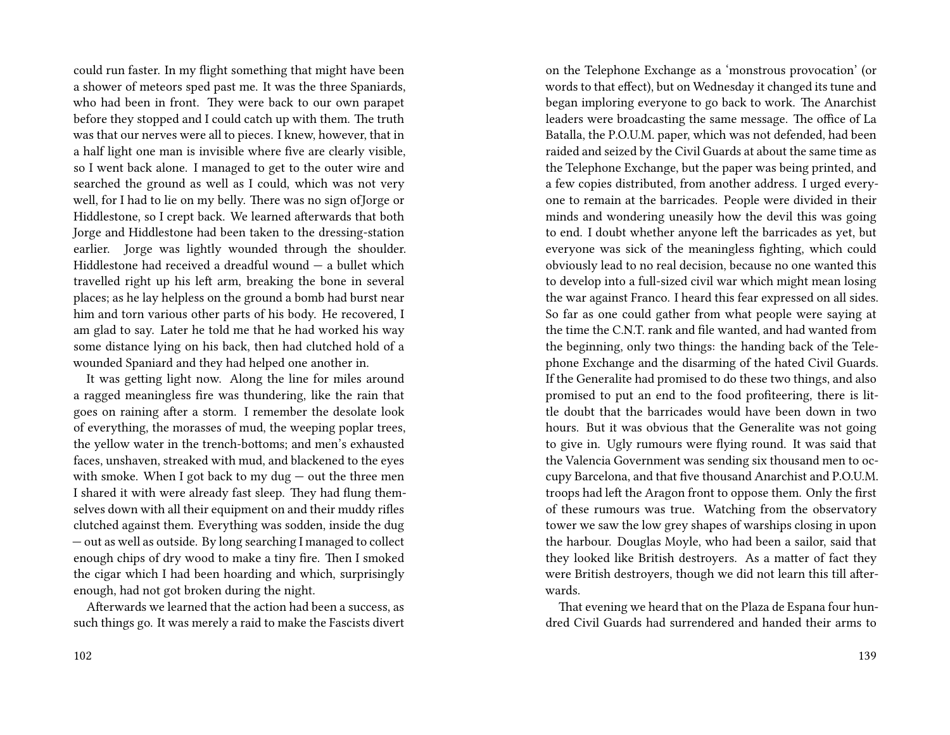could run faster. In my flight something that might have been a shower of meteors sped past me. It was the three Spaniards, who had been in front. They were back to our own parapet before they stopped and I could catch up with them. The truth was that our nerves were all to pieces. I knew, however, that in a half light one man is invisible where five are clearly visible, so I went back alone. I managed to get to the outer wire and searched the ground as well as I could, which was not very well, for I had to lie on my belly. There was no sign ofJorge or Hiddlestone, so I crept back. We learned afterwards that both Jorge and Hiddlestone had been taken to the dressing-station earlier. Jorge was lightly wounded through the shoulder. Hiddlestone had received a dreadful wound — a bullet which travelled right up his left arm, breaking the bone in several places; as he lay helpless on the ground a bomb had burst near him and torn various other parts of his body. He recovered, I am glad to say. Later he told me that he had worked his way some distance lying on his back, then had clutched hold of a wounded Spaniard and they had helped one another in.

It was getting light now. Along the line for miles around a ragged meaningless fire was thundering, like the rain that goes on raining after a storm. I remember the desolate look of everything, the morasses of mud, the weeping poplar trees, the yellow water in the trench-bottoms; and men's exhausted faces, unshaven, streaked with mud, and blackened to the eyes with smoke. When I got back to my dug  $-$  out the three men I shared it with were already fast sleep. They had flung themselves down with all their equipment on and their muddy rifles clutched against them. Everything was sodden, inside the dug — out as well as outside. By long searching I managed to collect enough chips of dry wood to make a tiny fire. Then I smoked the cigar which I had been hoarding and which, surprisingly enough, had not got broken during the night.

Afterwards we learned that the action had been a success, as such things go. It was merely a raid to make the Fascists divert on the Telephone Exchange as a 'monstrous provocation' (or words to that effect), but on Wednesday it changed its tune and began imploring everyone to go back to work. The Anarchist leaders were broadcasting the same message. The office of La Batalla, the P.O.U.M. paper, which was not defended, had been raided and seized by the Civil Guards at about the same time as the Telephone Exchange, but the paper was being printed, and a few copies distributed, from another address. I urged everyone to remain at the barricades. People were divided in their minds and wondering uneasily how the devil this was going to end. I doubt whether anyone left the barricades as yet, but everyone was sick of the meaningless fighting, which could obviously lead to no real decision, because no one wanted this to develop into a full-sized civil war which might mean losing the war against Franco. I heard this fear expressed on all sides. So far as one could gather from what people were saying at the time the C.N.T. rank and file wanted, and had wanted from the beginning, only two things: the handing back of the Telephone Exchange and the disarming of the hated Civil Guards. If the Generalite had promised to do these two things, and also promised to put an end to the food profiteering, there is little doubt that the barricades would have been down in two hours. But it was obvious that the Generalite was not going to give in. Ugly rumours were flying round. It was said that the Valencia Government was sending six thousand men to occupy Barcelona, and that five thousand Anarchist and P.O.U.M. troops had left the Aragon front to oppose them. Only the first of these rumours was true. Watching from the observatory tower we saw the low grey shapes of warships closing in upon the harbour. Douglas Moyle, who had been a sailor, said that they looked like British destroyers. As a matter of fact they were British destroyers, though we did not learn this till afterwards.

That evening we heard that on the Plaza de Espana four hundred Civil Guards had surrendered and handed their arms to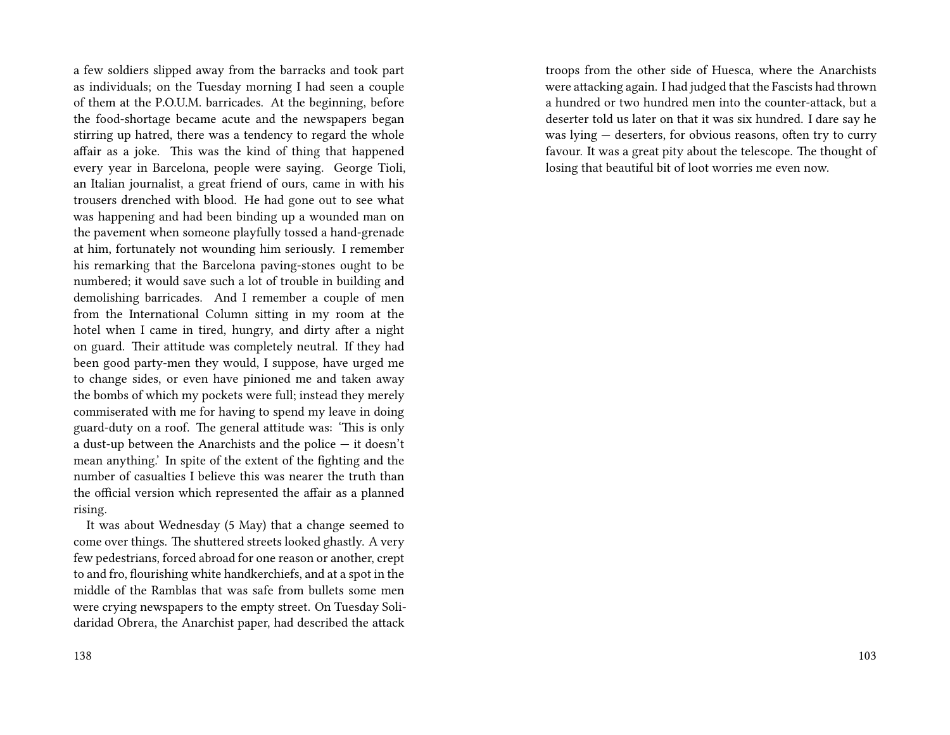a few soldiers slipped away from the barracks and took part as individuals; on the Tuesday morning I had seen a couple of them at the P.O.U.M. barricades. At the beginning, before the food-shortage became acute and the newspapers began stirring up hatred, there was a tendency to regard the whole affair as a joke. This was the kind of thing that happened every year in Barcelona, people were saying. George Tioli, an Italian journalist, a great friend of ours, came in with his trousers drenched with blood. He had gone out to see what was happening and had been binding up a wounded man on the pavement when someone playfully tossed a hand-grenade at him, fortunately not wounding him seriously. I remember his remarking that the Barcelona paving-stones ought to be numbered; it would save such a lot of trouble in building and demolishing barricades. And I remember a couple of men from the International Column sitting in my room at the hotel when I came in tired, hungry, and dirty after a night on guard. Their attitude was completely neutral. If they had been good party-men they would, I suppose, have urged me to change sides, or even have pinioned me and taken away the bombs of which my pockets were full; instead they merely commiserated with me for having to spend my leave in doing guard-duty on a roof. The general attitude was: 'This is only a dust-up between the Anarchists and the police — it doesn't mean anything.' In spite of the extent of the fighting and the number of casualties I believe this was nearer the truth than the official version which represented the affair as a planned rising.

It was about Wednesday (5 May) that a change seemed to come over things. The shuttered streets looked ghastly. A very few pedestrians, forced abroad for one reason or another, crept to and fro, flourishing white handkerchiefs, and at a spot in the middle of the Ramblas that was safe from bullets some men were crying newspapers to the empty street. On Tuesday Solidaridad Obrera, the Anarchist paper, had described the attack troops from the other side of Huesca, where the Anarchists were attacking again. I had judged that the Fascists had thrown a hundred or two hundred men into the counter-attack, but a deserter told us later on that it was six hundred. I dare say he was lying — deserters, for obvious reasons, often try to curry favour. It was a great pity about the telescope. The thought of losing that beautiful bit of loot worries me even now.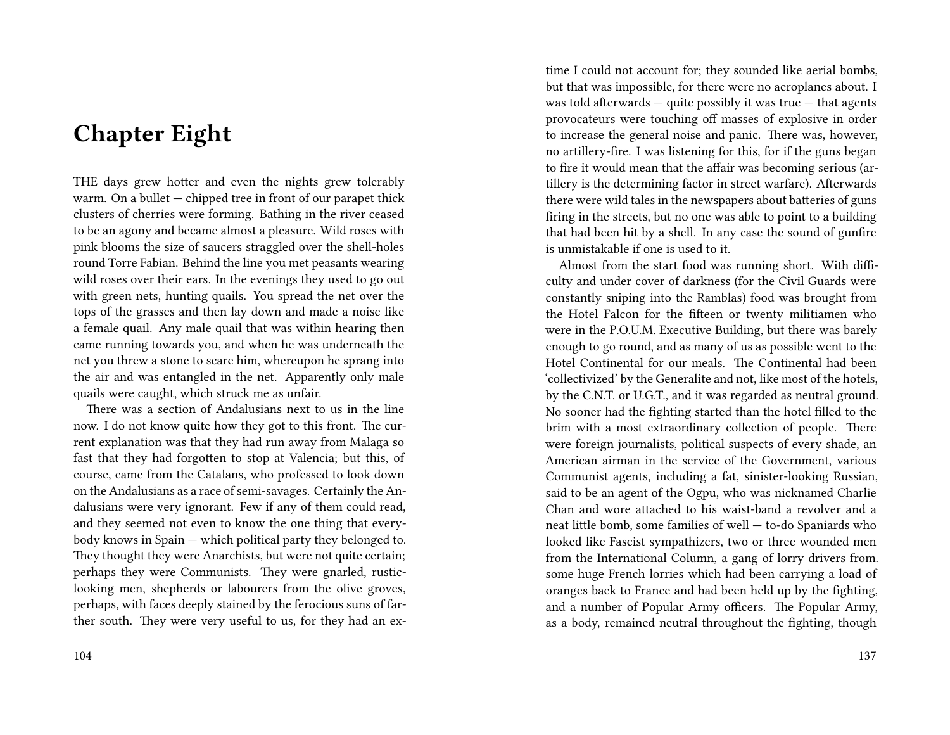# **Chapter Eight**

THE days grew hotter and even the nights grew tolerably warm. On a bullet — chipped tree in front of our parapet thick clusters of cherries were forming. Bathing in the river ceased to be an agony and became almost a pleasure. Wild roses with pink blooms the size of saucers straggled over the shell-holes round Torre Fabian. Behind the line you met peasants wearing wild roses over their ears. In the evenings they used to go out with green nets, hunting quails. You spread the net over the tops of the grasses and then lay down and made a noise like a female quail. Any male quail that was within hearing then came running towards you, and when he was underneath the net you threw a stone to scare him, whereupon he sprang into the air and was entangled in the net. Apparently only male quails were caught, which struck me as unfair.

There was a section of Andalusians next to us in the line now. I do not know quite how they got to this front. The current explanation was that they had run away from Malaga so fast that they had forgotten to stop at Valencia; but this, of course, came from the Catalans, who professed to look down on the Andalusians as a race of semi-savages. Certainly the Andalusians were very ignorant. Few if any of them could read, and they seemed not even to know the one thing that everybody knows in Spain — which political party they belonged to. They thought they were Anarchists, but were not quite certain; perhaps they were Communists. They were gnarled, rusticlooking men, shepherds or labourers from the olive groves, perhaps, with faces deeply stained by the ferocious suns of farther south. They were very useful to us, for they had an extime I could not account for; they sounded like aerial bombs, but that was impossible, for there were no aeroplanes about. I was told afterwards  $-$  quite possibly it was true  $-$  that agents provocateurs were touching off masses of explosive in order to increase the general noise and panic. There was, however, no artillery-fire. I was listening for this, for if the guns began to fire it would mean that the affair was becoming serious (artillery is the determining factor in street warfare). Afterwards there were wild tales in the newspapers about batteries of guns firing in the streets, but no one was able to point to a building that had been hit by a shell. In any case the sound of gunfire is unmistakable if one is used to it.

Almost from the start food was running short. With difficulty and under cover of darkness (for the Civil Guards were constantly sniping into the Ramblas) food was brought from the Hotel Falcon for the fifteen or twenty militiamen who were in the P.O.U.M. Executive Building, but there was barely enough to go round, and as many of us as possible went to the Hotel Continental for our meals. The Continental had been 'collectivized' by the Generalite and not, like most of the hotels, by the C.N.T. or U.G.T., and it was regarded as neutral ground. No sooner had the fighting started than the hotel filled to the brim with a most extraordinary collection of people. There were foreign journalists, political suspects of every shade, an American airman in the service of the Government, various Communist agents, including a fat, sinister-looking Russian, said to be an agent of the Ogpu, who was nicknamed Charlie Chan and wore attached to his waist-band a revolver and a neat little bomb, some families of well — to-do Spaniards who looked like Fascist sympathizers, two or three wounded men from the International Column, a gang of lorry drivers from. some huge French lorries which had been carrying a load of oranges back to France and had been held up by the fighting, and a number of Popular Army officers. The Popular Army, as a body, remained neutral throughout the fighting, though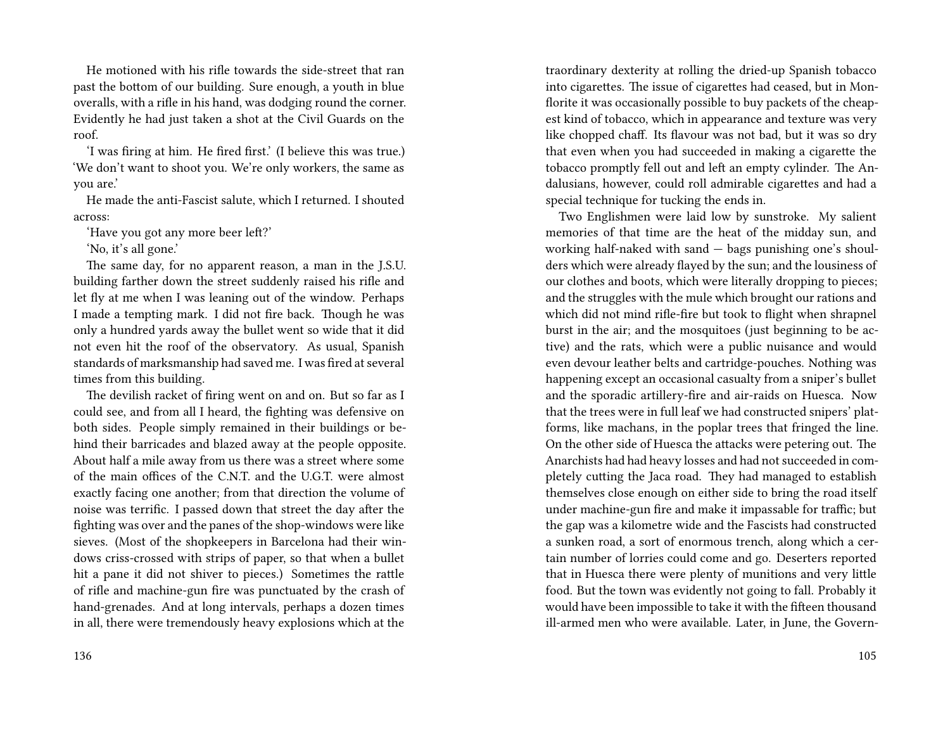He motioned with his rifle towards the side-street that ran past the bottom of our building. Sure enough, a youth in blue overalls, with a rifle in his hand, was dodging round the corner. Evidently he had just taken a shot at the Civil Guards on the roof.

'I was firing at him. He fired first.' (I believe this was true.) 'We don't want to shoot you. We're only workers, the same as you are.'

He made the anti-Fascist salute, which I returned. I shouted across:

'Have you got any more beer left?'

'No, it's all gone.'

The same day, for no apparent reason, a man in the J.S.U. building farther down the street suddenly raised his rifle and let fly at me when I was leaning out of the window. Perhaps I made a tempting mark. I did not fire back. Though he was only a hundred yards away the bullet went so wide that it did not even hit the roof of the observatory. As usual, Spanish standards of marksmanship had saved me. I was fired at several times from this building.

The devilish racket of firing went on and on. But so far as I could see, and from all I heard, the fighting was defensive on both sides. People simply remained in their buildings or behind their barricades and blazed away at the people opposite. About half a mile away from us there was a street where some of the main offices of the C.N.T. and the U.G.T. were almost exactly facing one another; from that direction the volume of noise was terrific. I passed down that street the day after the fighting was over and the panes of the shop-windows were like sieves. (Most of the shopkeepers in Barcelona had their windows criss-crossed with strips of paper, so that when a bullet hit a pane it did not shiver to pieces.) Sometimes the rattle of rifle and machine-gun fire was punctuated by the crash of hand-grenades. And at long intervals, perhaps a dozen times in all, there were tremendously heavy explosions which at the

traordinary dexterity at rolling the dried-up Spanish tobacco into cigarettes. The issue of cigarettes had ceased, but in Monflorite it was occasionally possible to buy packets of the cheapest kind of tobacco, which in appearance and texture was very like chopped chaff. Its flavour was not bad, but it was so dry that even when you had succeeded in making a cigarette the tobacco promptly fell out and left an empty cylinder. The Andalusians, however, could roll admirable cigarettes and had a special technique for tucking the ends in.

Two Englishmen were laid low by sunstroke. My salient memories of that time are the heat of the midday sun, and working half-naked with sand — bags punishing one's shoulders which were already flayed by the sun; and the lousiness of our clothes and boots, which were literally dropping to pieces; and the struggles with the mule which brought our rations and which did not mind rifle-fire but took to flight when shrapnel burst in the air; and the mosquitoes (just beginning to be active) and the rats, which were a public nuisance and would even devour leather belts and cartridge-pouches. Nothing was happening except an occasional casualty from a sniper's bullet and the sporadic artillery-fire and air-raids on Huesca. Now that the trees were in full leaf we had constructed snipers' platforms, like machans, in the poplar trees that fringed the line. On the other side of Huesca the attacks were petering out. The Anarchists had had heavy losses and had not succeeded in completely cutting the Jaca road. They had managed to establish themselves close enough on either side to bring the road itself under machine-gun fire and make it impassable for traffic; but the gap was a kilometre wide and the Fascists had constructed a sunken road, a sort of enormous trench, along which a certain number of lorries could come and go. Deserters reported that in Huesca there were plenty of munitions and very little food. But the town was evidently not going to fall. Probably it would have been impossible to take it with the fifteen thousand ill-armed men who were available. Later, in June, the Govern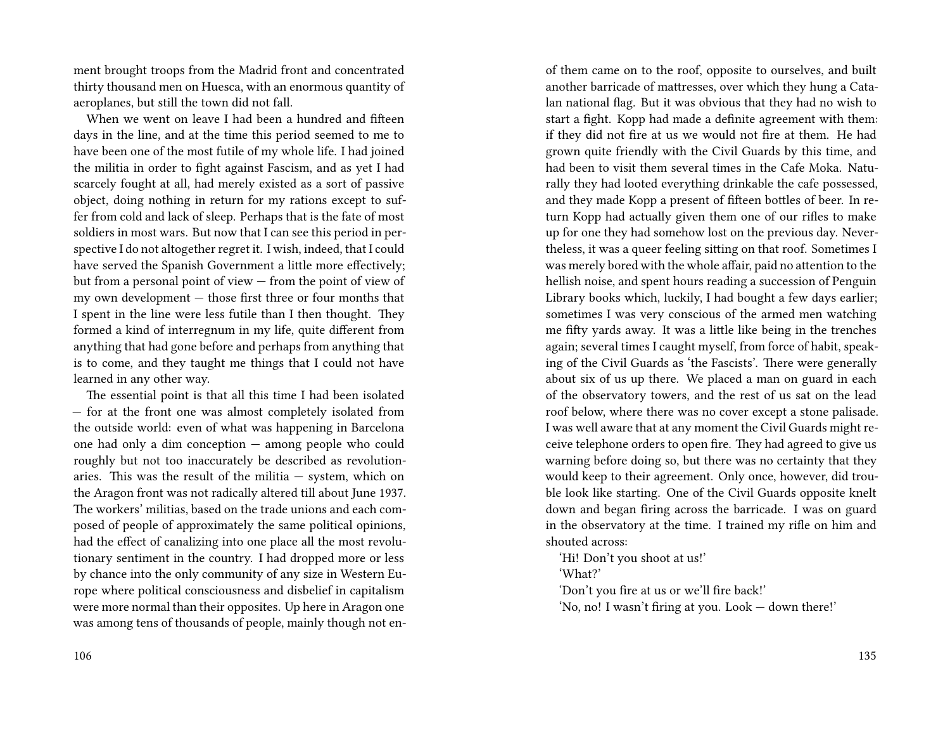ment brought troops from the Madrid front and concentrated thirty thousand men on Huesca, with an enormous quantity of aeroplanes, but still the town did not fall.

When we went on leave I had been a hundred and fifteen days in the line, and at the time this period seemed to me to have been one of the most futile of my whole life. I had joined the militia in order to fight against Fascism, and as yet I had scarcely fought at all, had merely existed as a sort of passive object, doing nothing in return for my rations except to suffer from cold and lack of sleep. Perhaps that is the fate of most soldiers in most wars. But now that I can see this period in perspective I do not altogether regret it. I wish, indeed, that I could have served the Spanish Government a little more effectively; but from a personal point of view — from the point of view of my own development — those first three or four months that I spent in the line were less futile than I then thought. They formed a kind of interregnum in my life, quite different from anything that had gone before and perhaps from anything that is to come, and they taught me things that I could not have learned in any other way.

The essential point is that all this time I had been isolated — for at the front one was almost completely isolated from the outside world: even of what was happening in Barcelona one had only a dim conception — among people who could roughly but not too inaccurately be described as revolutionaries. This was the result of the militia — system, which on the Aragon front was not radically altered till about June 1937. The workers' militias, based on the trade unions and each composed of people of approximately the same political opinions, had the effect of canalizing into one place all the most revolutionary sentiment in the country. I had dropped more or less by chance into the only community of any size in Western Europe where political consciousness and disbelief in capitalism were more normal than their opposites. Up here in Aragon one was among tens of thousands of people, mainly though not enof them came on to the roof, opposite to ourselves, and built another barricade of mattresses, over which they hung a Catalan national flag. But it was obvious that they had no wish to start a fight. Kopp had made a definite agreement with them: if they did not fire at us we would not fire at them. He had grown quite friendly with the Civil Guards by this time, and had been to visit them several times in the Cafe Moka. Naturally they had looted everything drinkable the cafe possessed, and they made Kopp a present of fifteen bottles of beer. In return Kopp had actually given them one of our rifles to make up for one they had somehow lost on the previous day. Nevertheless, it was a queer feeling sitting on that roof. Sometimes I was merely bored with the whole affair, paid no attention to the hellish noise, and spent hours reading a succession of Penguin Library books which, luckily, I had bought a few days earlier; sometimes I was very conscious of the armed men watching me fifty yards away. It was a little like being in the trenches again; several times I caught myself, from force of habit, speaking of the Civil Guards as 'the Fascists'. There were generally about six of us up there. We placed a man on guard in each of the observatory towers, and the rest of us sat on the lead roof below, where there was no cover except a stone palisade. I was well aware that at any moment the Civil Guards might receive telephone orders to open fire. They had agreed to give us warning before doing so, but there was no certainty that they would keep to their agreement. Only once, however, did trouble look like starting. One of the Civil Guards opposite knelt down and began firing across the barricade. I was on guard in the observatory at the time. I trained my rifle on him and shouted across:

'Hi! Don't you shoot at us!' 'What?' 'Don't you fire at us or we'll fire back!'

'No, no! I wasn't firing at you. Look — down there!'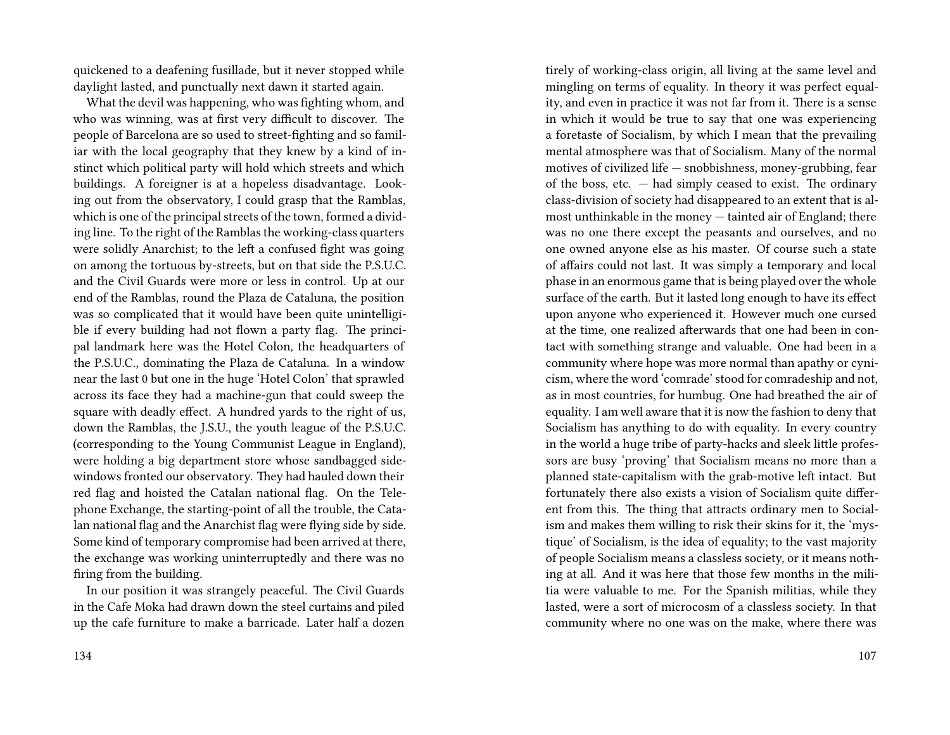quickened to a deafening fusillade, but it never stopped while daylight lasted, and punctually next dawn it started again.

What the devil was happening, who was fighting whom, and who was winning, was at first very difficult to discover. The people of Barcelona are so used to street-fighting and so familiar with the local geography that they knew by a kind of instinct which political party will hold which streets and which buildings. A foreigner is at a hopeless disadvantage. Looking out from the observatory, I could grasp that the Ramblas, which is one of the principal streets of the town, formed a dividing line. To the right of the Ramblas the working-class quarters were solidly Anarchist; to the left a confused fight was going on among the tortuous by-streets, but on that side the P.S.U.C. and the Civil Guards were more or less in control. Up at our end of the Ramblas, round the Plaza de Cataluna, the position was so complicated that it would have been quite unintelligible if every building had not flown a party flag. The principal landmark here was the Hotel Colon, the headquarters of the P.S.U.C., dominating the Plaza de Cataluna. In a window near the last 0 but one in the huge 'Hotel Colon' that sprawled across its face they had a machine-gun that could sweep the square with deadly effect. A hundred yards to the right of us, down the Ramblas, the J.S.U., the youth league of the P.S.U.C. (corresponding to the Young Communist League in England), were holding a big department store whose sandbagged sidewindows fronted our observatory. They had hauled down their red flag and hoisted the Catalan national flag. On the Telephone Exchange, the starting-point of all the trouble, the Catalan national flag and the Anarchist flag were flying side by side. Some kind of temporary compromise had been arrived at there, the exchange was working uninterruptedly and there was no firing from the building.

In our position it was strangely peaceful. The Civil Guards in the Cafe Moka had drawn down the steel curtains and piled up the cafe furniture to make a barricade. Later half a dozen tirely of working-class origin, all living at the same level and mingling on terms of equality. In theory it was perfect equality, and even in practice it was not far from it. There is a sense in which it would be true to say that one was experiencing a foretaste of Socialism, by which I mean that the prevailing mental atmosphere was that of Socialism. Many of the normal motives of civilized life — snobbishness, money-grubbing, fear of the boss, etc.  $-$  had simply ceased to exist. The ordinary class-division of society had disappeared to an extent that is almost unthinkable in the money — tainted air of England; there was no one there except the peasants and ourselves, and no one owned anyone else as his master. Of course such a state of affairs could not last. It was simply a temporary and local phase in an enormous game that is being played over the whole surface of the earth. But it lasted long enough to have its effect upon anyone who experienced it. However much one cursed at the time, one realized afterwards that one had been in contact with something strange and valuable. One had been in a community where hope was more normal than apathy or cynicism, where the word 'comrade' stood for comradeship and not, as in most countries, for humbug. One had breathed the air of equality. I am well aware that it is now the fashion to deny that Socialism has anything to do with equality. In every country in the world a huge tribe of party-hacks and sleek little professors are busy 'proving' that Socialism means no more than a planned state-capitalism with the grab-motive left intact. But fortunately there also exists a vision of Socialism quite different from this. The thing that attracts ordinary men to Socialism and makes them willing to risk their skins for it, the 'mystique' of Socialism, is the idea of equality; to the vast majority of people Socialism means a classless society, or it means nothing at all. And it was here that those few months in the militia were valuable to me. For the Spanish militias, while they lasted, were a sort of microcosm of a classless society. In that community where no one was on the make, where there was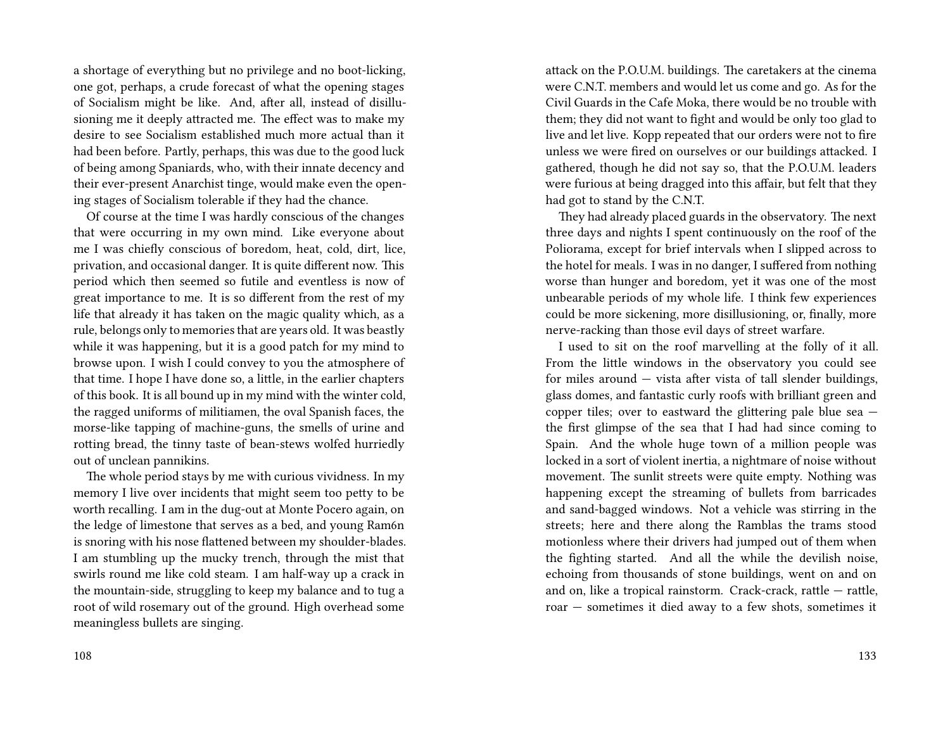a shortage of everything but no privilege and no boot-licking, one got, perhaps, a crude forecast of what the opening stages of Socialism might be like. And, after all, instead of disillusioning me it deeply attracted me. The effect was to make my desire to see Socialism established much more actual than it had been before. Partly, perhaps, this was due to the good luck of being among Spaniards, who, with their innate decency and their ever-present Anarchist tinge, would make even the opening stages of Socialism tolerable if they had the chance.

Of course at the time I was hardly conscious of the changes that were occurring in my own mind. Like everyone about me I was chiefly conscious of boredom, heat, cold, dirt, lice, privation, and occasional danger. It is quite different now. This period which then seemed so futile and eventless is now of great importance to me. It is so different from the rest of my life that already it has taken on the magic quality which, as a rule, belongs only to memories that are years old. It was beastly while it was happening, but it is a good patch for my mind to browse upon. I wish I could convey to you the atmosphere of that time. I hope I have done so, a little, in the earlier chapters of this book. It is all bound up in my mind with the winter cold, the ragged uniforms of militiamen, the oval Spanish faces, the morse-like tapping of machine-guns, the smells of urine and rotting bread, the tinny taste of bean-stews wolfed hurriedly out of unclean pannikins.

The whole period stays by me with curious vividness. In my memory I live over incidents that might seem too petty to be worth recalling. I am in the dug-out at Monte Pocero again, on the ledge of limestone that serves as a bed, and young Ram6n is snoring with his nose flattened between my shoulder-blades. I am stumbling up the mucky trench, through the mist that swirls round me like cold steam. I am half-way up a crack in the mountain-side, struggling to keep my balance and to tug a root of wild rosemary out of the ground. High overhead some meaningless bullets are singing.

attack on the P.O.U.M. buildings. The caretakers at the cinema were C.N.T. members and would let us come and go. As for the Civil Guards in the Cafe Moka, there would be no trouble with them; they did not want to fight and would be only too glad to live and let live. Kopp repeated that our orders were not to fire unless we were fired on ourselves or our buildings attacked. I gathered, though he did not say so, that the P.O.U.M. leaders were furious at being dragged into this affair, but felt that they had got to stand by the C.N.T.

They had already placed guards in the observatory. The next three days and nights I spent continuously on the roof of the Poliorama, except for brief intervals when I slipped across to the hotel for meals. I was in no danger, I suffered from nothing worse than hunger and boredom, yet it was one of the most unbearable periods of my whole life. I think few experiences could be more sickening, more disillusioning, or, finally, more nerve-racking than those evil days of street warfare.

I used to sit on the roof marvelling at the folly of it all. From the little windows in the observatory you could see for miles around  $-$  vista after vista of tall slender buildings, glass domes, and fantastic curly roofs with brilliant green and copper tiles; over to eastward the glittering pale blue sea  $$ the first glimpse of the sea that I had had since coming to Spain. And the whole huge town of a million people was locked in a sort of violent inertia, a nightmare of noise without movement. The sunlit streets were quite empty. Nothing was happening except the streaming of bullets from barricades and sand-bagged windows. Not a vehicle was stirring in the streets; here and there along the Ramblas the trams stood motionless where their drivers had jumped out of them when the fighting started. And all the while the devilish noise, echoing from thousands of stone buildings, went on and on and on, like a tropical rainstorm. Crack-crack, rattle — rattle, roar — sometimes it died away to a few shots, sometimes it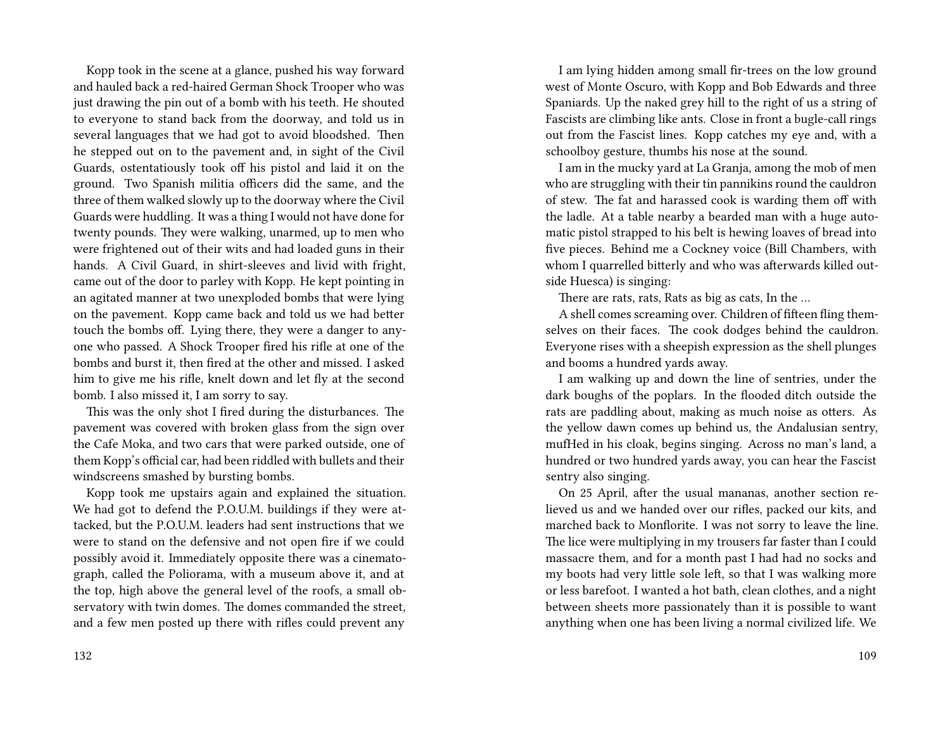Kopp took in the scene at a glance, pushed his way forward and hauled back a red-haired German Shock Trooper who was just drawing the pin out of a bomb with his teeth. He shouted to everyone to stand back from the doorway, and told us in several languages that we had got to avoid bloodshed. Then he stepped out on to the pavement and, in sight of the Civil Guards, ostentatiously took off his pistol and laid it on the ground. Two Spanish militia officers did the same, and the three of them walked slowly up to the doorway where the Civil Guards were huddling. It was a thing I would not have done for twenty pounds. They were walking, unarmed, up to men who were frightened out of their wits and had loaded guns in their hands. A Civil Guard, in shirt-sleeves and livid with fright, came out of the door to parley with Kopp. He kept pointing in an agitated manner at two unexploded bombs that were lying on the pavement. Kopp came back and told us we had better touch the bombs off. Lying there, they were a danger to anyone who passed. A Shock Trooper fired his rifle at one of the bombs and burst it, then fired at the other and missed. I asked him to give me his rifle, knelt down and let fly at the second bomb. I also missed it, I am sorry to say.

This was the only shot I fired during the disturbances. The pavement was covered with broken glass from the sign over the Cafe Moka, and two cars that were parked outside, one of them Kopp's official car, had been riddled with bullets and their windscreens smashed by bursting bombs.

Kopp took me upstairs again and explained the situation. We had got to defend the P.O.U.M. buildings if they were attacked, but the P.O.U.M. leaders had sent instructions that we were to stand on the defensive and not open fire if we could possibly avoid it. Immediately opposite there was a cinematograph, called the Poliorama, with a museum above it, and at the top, high above the general level of the roofs, a small observatory with twin domes. The domes commanded the street, and a few men posted up there with rifles could prevent any

I am lying hidden among small fir-trees on the low ground west of Monte Oscuro, with Kopp and Bob Edwards and three Spaniards. Up the naked grey hill to the right of us a string of Fascists are climbing like ants. Close in front a bugle-call rings out from the Fascist lines. Kopp catches my eye and, with a schoolboy gesture, thumbs his nose at the sound.

I am in the mucky yard at La Granja, among the mob of men who are struggling with their tin pannikins round the cauldron of stew. The fat and harassed cook is warding them off with the ladle. At a table nearby a bearded man with a huge automatic pistol strapped to his belt is hewing loaves of bread into five pieces. Behind me a Cockney voice (Bill Chambers, with whom I quarrelled bitterly and who was afterwards killed outside Huesca) is singing:

There are rats, rats, Rats as big as cats, In the …

A shell comes screaming over. Children of fifteen fling themselves on their faces. The cook dodges behind the cauldron. Everyone rises with a sheepish expression as the shell plunges and booms a hundred yards away.

I am walking up and down the line of sentries, under the dark boughs of the poplars. In the flooded ditch outside the rats are paddling about, making as much noise as otters. As the yellow dawn comes up behind us, the Andalusian sentry, mufHed in his cloak, begins singing. Across no man's land, a hundred or two hundred yards away, you can hear the Fascist sentry also singing.

On 25 April, after the usual mananas, another section relieved us and we handed over our rifles, packed our kits, and marched back to Monflorite. I was not sorry to leave the line. The lice were multiplying in my trousers far faster than I could massacre them, and for a month past I had had no socks and my boots had very little sole left, so that I was walking more or less barefoot. I wanted a hot bath, clean clothes, and a night between sheets more passionately than it is possible to want anything when one has been living a normal civilized life. We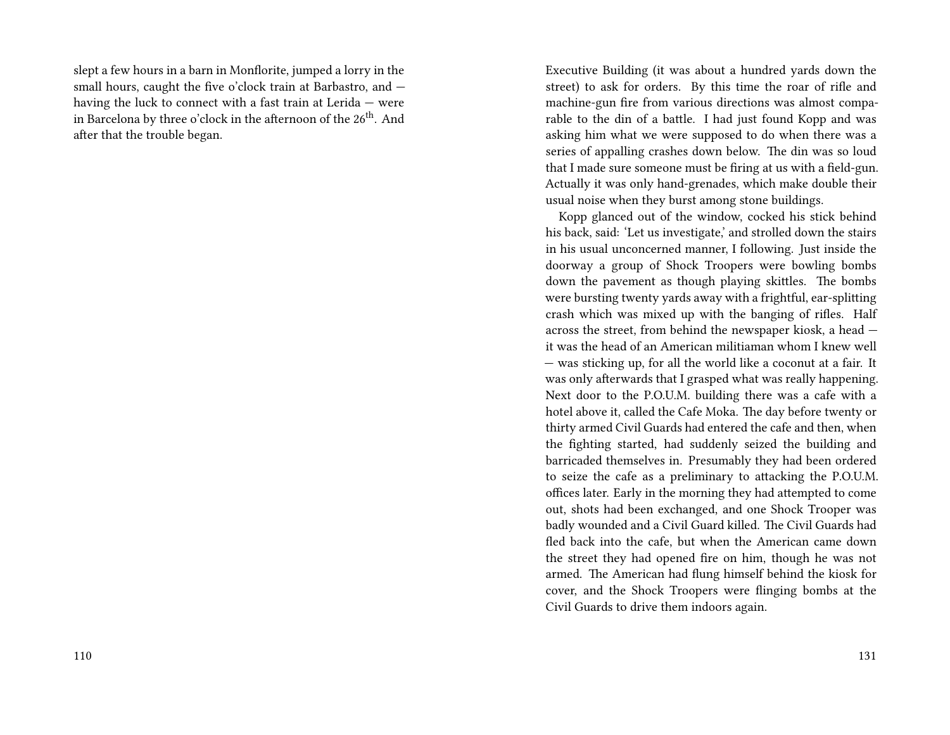slept a few hours in a barn in Monflorite, jumped a lorry in the small hours, caught the five o'clock train at Barbastro, and having the luck to connect with a fast train at Lerida — were in Barcelona by three o'clock in the afternoon of the  $26<sup>th</sup>$ . And after that the trouble began.

Executive Building (it was about a hundred yards down the street) to ask for orders. By this time the roar of rifle and machine-gun fire from various directions was almost comparable to the din of a battle. I had just found Kopp and was asking him what we were supposed to do when there was a series of appalling crashes down below. The din was so loud that I made sure someone must be firing at us with a field-gun. Actually it was only hand-grenades, which make double their usual noise when they burst among stone buildings.

Kopp glanced out of the window, cocked his stick behind his back, said: 'Let us investigate,' and strolled down the stairs in his usual unconcerned manner, I following. Just inside the doorway a group of Shock Troopers were bowling bombs down the pavement as though playing skittles. The bombs were bursting twenty yards away with a frightful, ear-splitting crash which was mixed up with the banging of rifles. Half across the street, from behind the newspaper kiosk, a head it was the head of an American militiaman whom I knew well — was sticking up, for all the world like a coconut at a fair. It was only afterwards that I grasped what was really happening. Next door to the P.O.U.M. building there was a cafe with a hotel above it, called the Cafe Moka. The day before twenty or thirty armed Civil Guards had entered the cafe and then, when the fighting started, had suddenly seized the building and barricaded themselves in. Presumably they had been ordered to seize the cafe as a preliminary to attacking the P.O.U.M. offices later. Early in the morning they had attempted to come out, shots had been exchanged, and one Shock Trooper was badly wounded and a Civil Guard killed. The Civil Guards had fled back into the cafe, but when the American came down the street they had opened fire on him, though he was not armed. The American had flung himself behind the kiosk for cover, and the Shock Troopers were flinging bombs at the Civil Guards to drive them indoors again.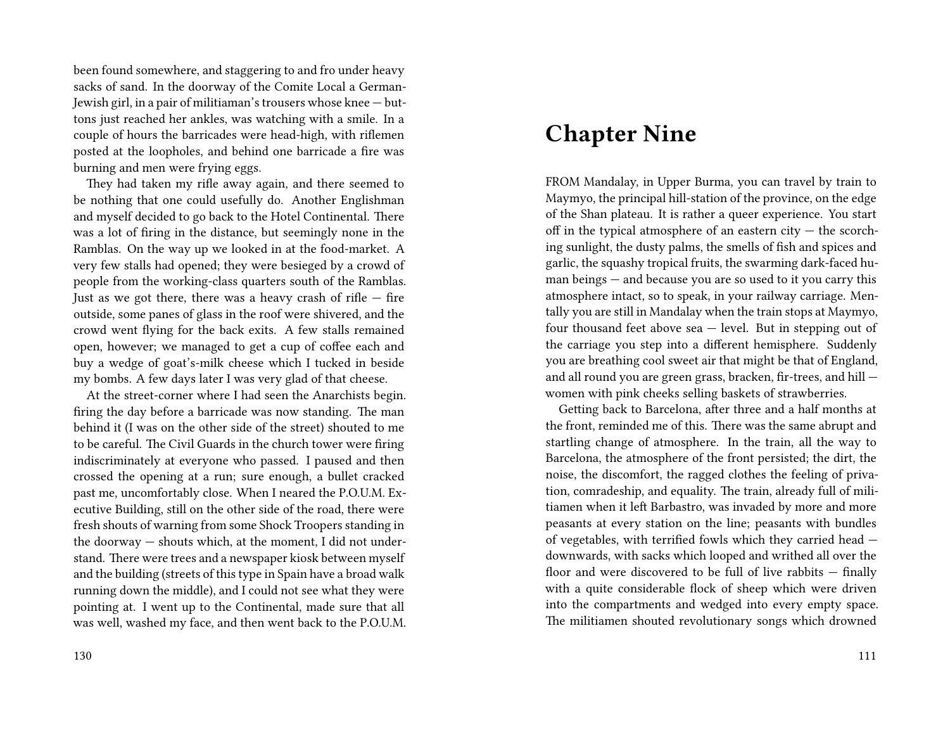been found somewhere, and staggering to and fro under heavy sacks of sand. In the doorway of the Comite Local a German-Jewish girl, in a pair of militiaman's trousers whose knee — buttons just reached her ankles, was watching with a smile. In a couple of hours the barricades were head-high, with riflemen posted at the loopholes, and behind one barricade a fire was burning and men were frying eggs.

They had taken my rifle away again, and there seemed to be nothing that one could usefully do. Another Englishman and myself decided to go back to the Hotel Continental. There was a lot of firing in the distance, but seemingly none in the Ramblas. On the way up we looked in at the food-market. A very few stalls had opened; they were besieged by a crowd of people from the working-class quarters south of the Ramblas. Just as we got there, there was a heavy crash of rifle  $-$  fire outside, some panes of glass in the roof were shivered, and the crowd went flying for the back exits. A few stalls remained open, however; we managed to get a cup of coffee each and buy a wedge of goat's-milk cheese which I tucked in beside my bombs. A few days later I was very glad of that cheese.

At the street-corner where I had seen the Anarchists begin. firing the day before a barricade was now standing. The man behind it (I was on the other side of the street) shouted to me to be careful. The Civil Guards in the church tower were firing indiscriminately at everyone who passed. I paused and then crossed the opening at a run; sure enough, a bullet cracked past me, uncomfortably close. When I neared the P.O.U.M. Executive Building, still on the other side of the road, there were fresh shouts of warning from some Shock Troopers standing in the doorway — shouts which, at the moment, I did not understand. There were trees and a newspaper kiosk between myself and the building (streets of this type in Spain have a broad walk running down the middle), and I could not see what they were pointing at. I went up to the Continental, made sure that all was well, washed my face, and then went back to the P.O.U.M.

### **Chapter Nine**

FROM Mandalay, in Upper Burma, you can travel by train to Maymyo, the principal hill-station of the province, on the edge of the Shan plateau. It is rather a queer experience. You start off in the typical atmosphere of an eastern city  $-$  the scorching sunlight, the dusty palms, the smells of fish and spices and garlic, the squashy tropical fruits, the swarming dark-faced human beings — and because you are so used to it you carry this atmosphere intact, so to speak, in your railway carriage. Mentally you are still in Mandalay when the train stops at Maymyo, four thousand feet above sea — level. But in stepping out of the carriage you step into a different hemisphere. Suddenly you are breathing cool sweet air that might be that of England, and all round you are green grass, bracken, fir-trees, and hill women with pink cheeks selling baskets of strawberries.

Getting back to Barcelona, after three and a half months at the front, reminded me of this. There was the same abrupt and startling change of atmosphere. In the train, all the way to Barcelona, the atmosphere of the front persisted; the dirt, the noise, the discomfort, the ragged clothes the feeling of privation, comradeship, and equality. The train, already full of militiamen when it left Barbastro, was invaded by more and more peasants at every station on the line; peasants with bundles of vegetables, with terrified fowls which they carried head downwards, with sacks which looped and writhed all over the floor and were discovered to be full of live rabbits — finally with a quite considerable flock of sheep which were driven into the compartments and wedged into every empty space. The militiamen shouted revolutionary songs which drowned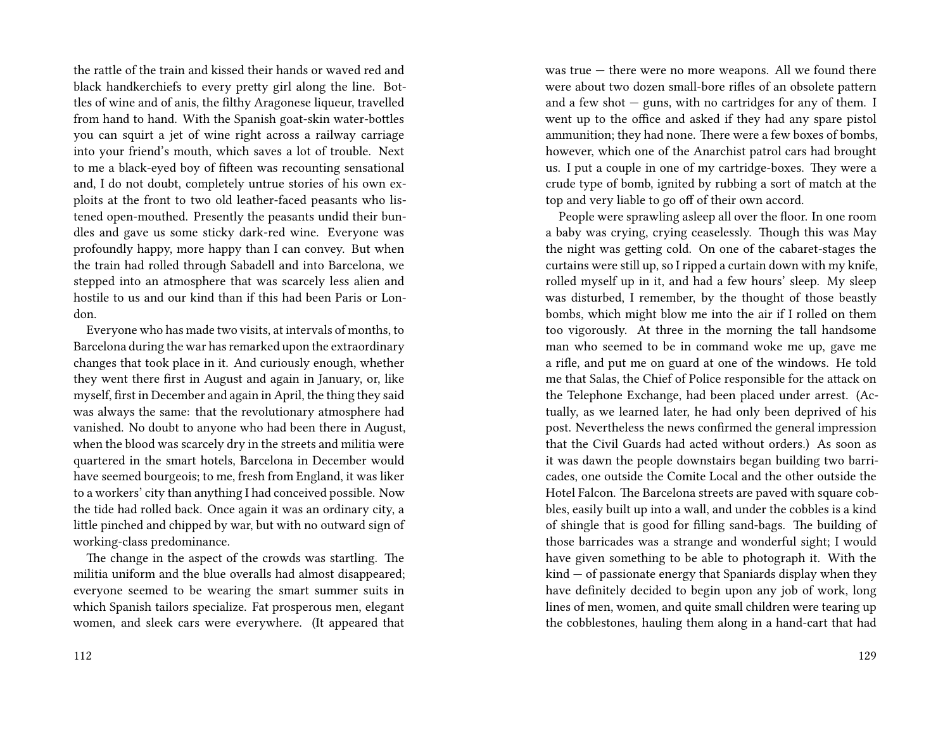the rattle of the train and kissed their hands or waved red and black handkerchiefs to every pretty girl along the line. Bottles of wine and of anis, the filthy Aragonese liqueur, travelled from hand to hand. With the Spanish goat-skin water-bottles you can squirt a jet of wine right across a railway carriage into your friend's mouth, which saves a lot of trouble. Next to me a black-eyed boy of fifteen was recounting sensational and, I do not doubt, completely untrue stories of his own exploits at the front to two old leather-faced peasants who listened open-mouthed. Presently the peasants undid their bundles and gave us some sticky dark-red wine. Everyone was profoundly happy, more happy than I can convey. But when the train had rolled through Sabadell and into Barcelona, we stepped into an atmosphere that was scarcely less alien and hostile to us and our kind than if this had been Paris or London.

Everyone who has made two visits, at intervals of months, to Barcelona during the war has remarked upon the extraordinary changes that took place in it. And curiously enough, whether they went there first in August and again in January, or, like myself, first in December and again in April, the thing they said was always the same: that the revolutionary atmosphere had vanished. No doubt to anyone who had been there in August, when the blood was scarcely dry in the streets and militia were quartered in the smart hotels, Barcelona in December would have seemed bourgeois; to me, fresh from England, it was liker to a workers' city than anything I had conceived possible. Now the tide had rolled back. Once again it was an ordinary city, a little pinched and chipped by war, but with no outward sign of working-class predominance.

The change in the aspect of the crowds was startling. The militia uniform and the blue overalls had almost disappeared; everyone seemed to be wearing the smart summer suits in which Spanish tailors specialize. Fat prosperous men, elegant women, and sleek cars were everywhere. (It appeared that

was true  $-$  there were no more weapons. All we found there were about two dozen small-bore rifles of an obsolete pattern and a few shot  $-$  guns, with no cartridges for any of them. I went up to the office and asked if they had any spare pistol ammunition; they had none. There were a few boxes of bombs, however, which one of the Anarchist patrol cars had brought us. I put a couple in one of my cartridge-boxes. They were a crude type of bomb, ignited by rubbing a sort of match at the top and very liable to go off of their own accord.

People were sprawling asleep all over the floor. In one room a baby was crying, crying ceaselessly. Though this was May the night was getting cold. On one of the cabaret-stages the curtains were still up, so I ripped a curtain down with my knife, rolled myself up in it, and had a few hours' sleep. My sleep was disturbed, I remember, by the thought of those beastly bombs, which might blow me into the air if I rolled on them too vigorously. At three in the morning the tall handsome man who seemed to be in command woke me up, gave me a rifle, and put me on guard at one of the windows. He told me that Salas, the Chief of Police responsible for the attack on the Telephone Exchange, had been placed under arrest. (Actually, as we learned later, he had only been deprived of his post. Nevertheless the news confirmed the general impression that the Civil Guards had acted without orders.) As soon as it was dawn the people downstairs began building two barricades, one outside the Comite Local and the other outside the Hotel Falcon. The Barcelona streets are paved with square cobbles, easily built up into a wall, and under the cobbles is a kind of shingle that is good for filling sand-bags. The building of those barricades was a strange and wonderful sight; I would have given something to be able to photograph it. With the kind — of passionate energy that Spaniards display when they have definitely decided to begin upon any job of work, long lines of men, women, and quite small children were tearing up the cobblestones, hauling them along in a hand-cart that had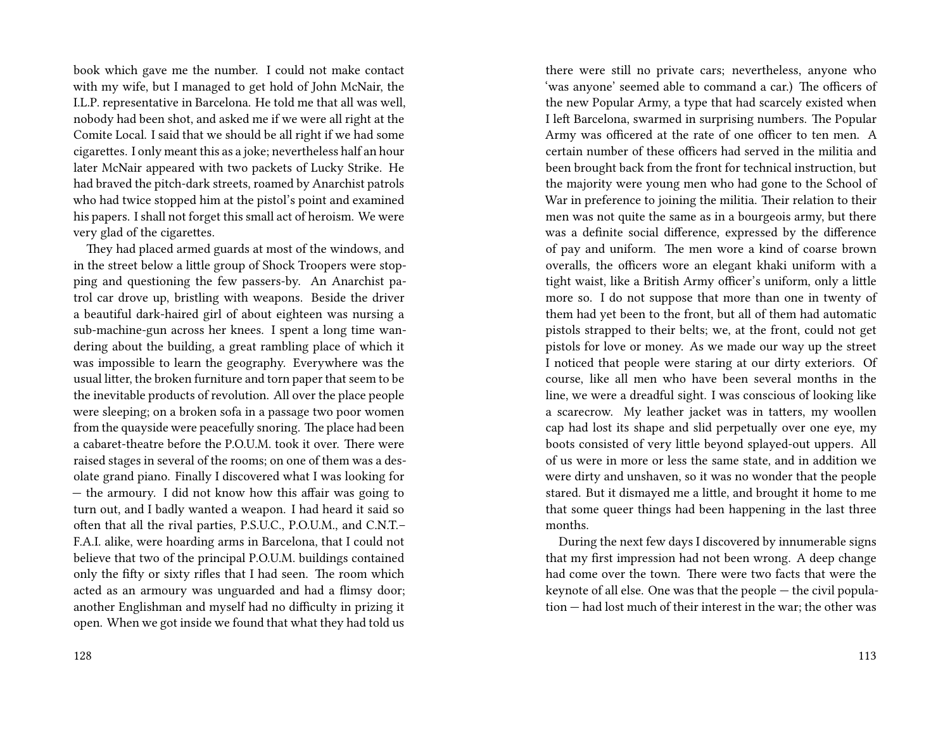book which gave me the number. I could not make contact with my wife, but I managed to get hold of John McNair, the I.L.P. representative in Barcelona. He told me that all was well, nobody had been shot, and asked me if we were all right at the Comite Local. I said that we should be all right if we had some cigarettes. I only meant this as a joke; nevertheless half an hour later McNair appeared with two packets of Lucky Strike. He had braved the pitch-dark streets, roamed by Anarchist patrols who had twice stopped him at the pistol's point and examined his papers. I shall not forget this small act of heroism. We were very glad of the cigarettes.

They had placed armed guards at most of the windows, and in the street below a little group of Shock Troopers were stopping and questioning the few passers-by. An Anarchist patrol car drove up, bristling with weapons. Beside the driver a beautiful dark-haired girl of about eighteen was nursing a sub-machine-gun across her knees. I spent a long time wandering about the building, a great rambling place of which it was impossible to learn the geography. Everywhere was the usual litter, the broken furniture and torn paper that seem to be the inevitable products of revolution. All over the place people were sleeping; on a broken sofa in a passage two poor women from the quayside were peacefully snoring. The place had been a cabaret-theatre before the P.O.U.M. took it over. There were raised stages in several of the rooms; on one of them was a desolate grand piano. Finally I discovered what I was looking for — the armoury. I did not know how this affair was going to turn out, and I badly wanted a weapon. I had heard it said so often that all the rival parties, P.S.U.C., P.O.U.M., and C.N.T.– F.A.I. alike, were hoarding arms in Barcelona, that I could not believe that two of the principal P.O.U.M. buildings contained only the fifty or sixty rifles that I had seen. The room which acted as an armoury was unguarded and had a flimsy door; another Englishman and myself had no difficulty in prizing it open. When we got inside we found that what they had told us

128

there were still no private cars; nevertheless, anyone who 'was anyone' seemed able to command a car.) The officers of the new Popular Army, a type that had scarcely existed when I left Barcelona, swarmed in surprising numbers. The Popular Army was officered at the rate of one officer to ten men. A certain number of these officers had served in the militia and been brought back from the front for technical instruction, but the majority were young men who had gone to the School of War in preference to joining the militia. Their relation to their men was not quite the same as in a bourgeois army, but there was a definite social difference, expressed by the difference of pay and uniform. The men wore a kind of coarse brown overalls, the officers wore an elegant khaki uniform with a tight waist, like a British Army officer's uniform, only a little more so. I do not suppose that more than one in twenty of them had yet been to the front, but all of them had automatic pistols strapped to their belts; we, at the front, could not get pistols for love or money. As we made our way up the street I noticed that people were staring at our dirty exteriors. Of course, like all men who have been several months in the line, we were a dreadful sight. I was conscious of looking like a scarecrow. My leather jacket was in tatters, my woollen cap had lost its shape and slid perpetually over one eye, my boots consisted of very little beyond splayed-out uppers. All of us were in more or less the same state, and in addition we were dirty and unshaven, so it was no wonder that the people stared. But it dismayed me a little, and brought it home to me that some queer things had been happening in the last three months.

During the next few days I discovered by innumerable signs that my first impression had not been wrong. A deep change had come over the town. There were two facts that were the keynote of all else. One was that the people — the civil population — had lost much of their interest in the war; the other was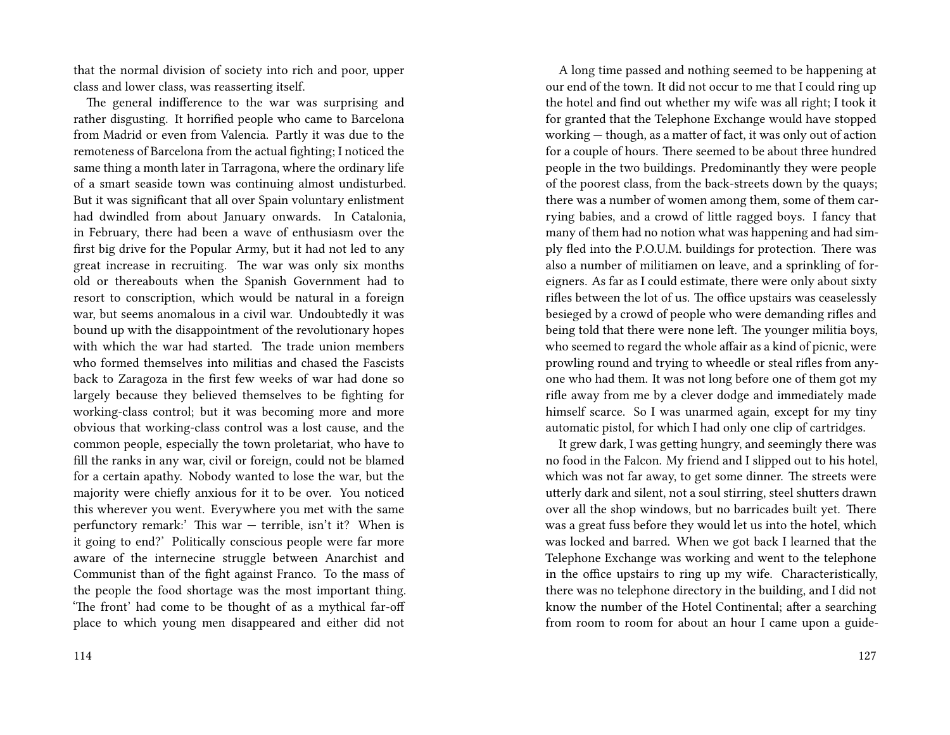that the normal division of society into rich and poor, upper class and lower class, was reasserting itself.

The general indifference to the war was surprising and rather disgusting. It horrified people who came to Barcelona from Madrid or even from Valencia. Partly it was due to the remoteness of Barcelona from the actual fighting; I noticed the same thing a month later in Tarragona, where the ordinary life of a smart seaside town was continuing almost undisturbed. But it was significant that all over Spain voluntary enlistment had dwindled from about January onwards. In Catalonia, in February, there had been a wave of enthusiasm over the first big drive for the Popular Army, but it had not led to any great increase in recruiting. The war was only six months old or thereabouts when the Spanish Government had to resort to conscription, which would be natural in a foreign war, but seems anomalous in a civil war. Undoubtedly it was bound up with the disappointment of the revolutionary hopes with which the war had started. The trade union members who formed themselves into militias and chased the Fascists back to Zaragoza in the first few weeks of war had done so largely because they believed themselves to be fighting for working-class control; but it was becoming more and more obvious that working-class control was a lost cause, and the common people, especially the town proletariat, who have to fill the ranks in any war, civil or foreign, could not be blamed for a certain apathy. Nobody wanted to lose the war, but the majority were chiefly anxious for it to be over. You noticed this wherever you went. Everywhere you met with the same perfunctory remark:' This war — terrible, isn't it? When is it going to end?' Politically conscious people were far more aware of the internecine struggle between Anarchist and Communist than of the fight against Franco. To the mass of the people the food shortage was the most important thing. 'The front' had come to be thought of as a mythical far-off place to which young men disappeared and either did not

A long time passed and nothing seemed to be happening at our end of the town. It did not occur to me that I could ring up the hotel and find out whether my wife was all right; I took it for granted that the Telephone Exchange would have stopped working — though, as a matter of fact, it was only out of action for a couple of hours. There seemed to be about three hundred people in the two buildings. Predominantly they were people of the poorest class, from the back-streets down by the quays; there was a number of women among them, some of them carrying babies, and a crowd of little ragged boys. I fancy that many of them had no notion what was happening and had simply fled into the P.O.U.M. buildings for protection. There was also a number of militiamen on leave, and a sprinkling of foreigners. As far as I could estimate, there were only about sixty rifles between the lot of us. The office upstairs was ceaselessly besieged by a crowd of people who were demanding rifles and being told that there were none left. The younger militia boys, who seemed to regard the whole affair as a kind of picnic, were prowling round and trying to wheedle or steal rifles from anyone who had them. It was not long before one of them got my rifle away from me by a clever dodge and immediately made himself scarce. So I was unarmed again, except for my tiny automatic pistol, for which I had only one clip of cartridges.

It grew dark, I was getting hungry, and seemingly there was no food in the Falcon. My friend and I slipped out to his hotel, which was not far away, to get some dinner. The streets were utterly dark and silent, not a soul stirring, steel shutters drawn over all the shop windows, but no barricades built yet. There was a great fuss before they would let us into the hotel, which was locked and barred. When we got back I learned that the Telephone Exchange was working and went to the telephone in the office upstairs to ring up my wife. Characteristically, there was no telephone directory in the building, and I did not know the number of the Hotel Continental; after a searching from room to room for about an hour I came upon a guide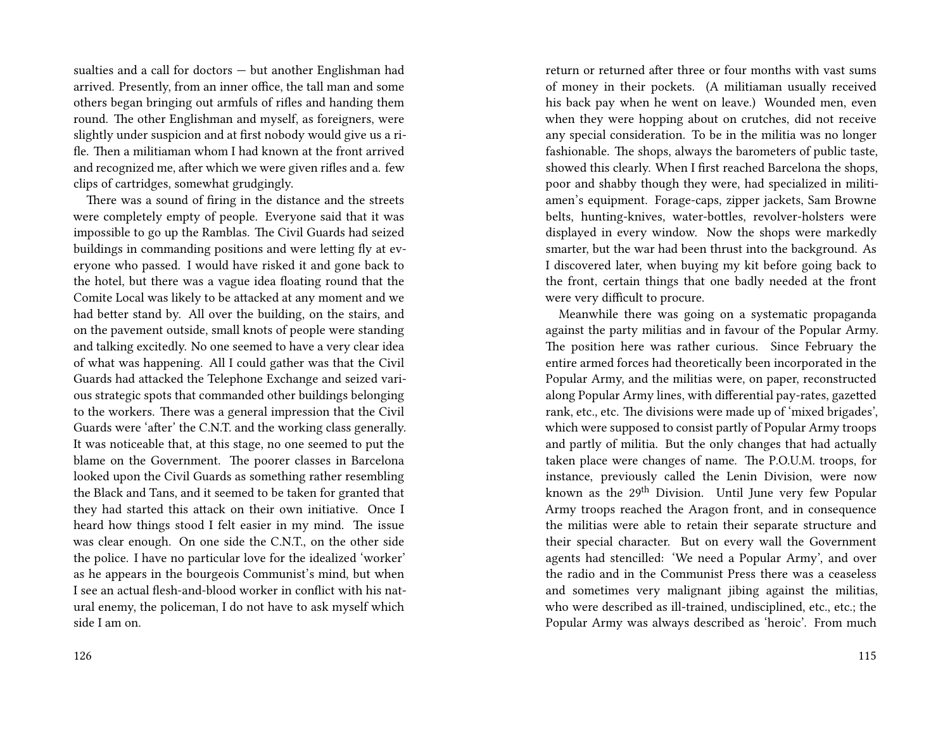sualties and a call for doctors — but another Englishman had arrived. Presently, from an inner office, the tall man and some others began bringing out armfuls of rifles and handing them round. The other Englishman and myself, as foreigners, were slightly under suspicion and at first nobody would give us a rifle. Then a militiaman whom I had known at the front arrived and recognized me, after which we were given rifles and a. few clips of cartridges, somewhat grudgingly.

There was a sound of firing in the distance and the streets were completely empty of people. Everyone said that it was impossible to go up the Ramblas. The Civil Guards had seized buildings in commanding positions and were letting fly at everyone who passed. I would have risked it and gone back to the hotel, but there was a vague idea floating round that the Comite Local was likely to be attacked at any moment and we had better stand by. All over the building, on the stairs, and on the pavement outside, small knots of people were standing and talking excitedly. No one seemed to have a very clear idea of what was happening. All I could gather was that the Civil Guards had attacked the Telephone Exchange and seized various strategic spots that commanded other buildings belonging to the workers. There was a general impression that the Civil Guards were 'after' the C.N.T. and the working class generally. It was noticeable that, at this stage, no one seemed to put the blame on the Government. The poorer classes in Barcelona looked upon the Civil Guards as something rather resembling the Black and Tans, and it seemed to be taken for granted that they had started this attack on their own initiative. Once I heard how things stood I felt easier in my mind. The issue was clear enough. On one side the C.N.T., on the other side the police. I have no particular love for the idealized 'worker' as he appears in the bourgeois Communist's mind, but when I see an actual flesh-and-blood worker in conflict with his natural enemy, the policeman, I do not have to ask myself which side I am on.

return or returned after three or four months with vast sums of money in their pockets. (A militiaman usually received his back pay when he went on leave.) Wounded men, even when they were hopping about on crutches, did not receive any special consideration. To be in the militia was no longer fashionable. The shops, always the barometers of public taste, showed this clearly. When I first reached Barcelona the shops, poor and shabby though they were, had specialized in militiamen's equipment. Forage-caps, zipper jackets, Sam Browne belts, hunting-knives, water-bottles, revolver-holsters were displayed in every window. Now the shops were markedly smarter, but the war had been thrust into the background. As I discovered later, when buying my kit before going back to the front, certain things that one badly needed at the front were very difficult to procure.

Meanwhile there was going on a systematic propaganda against the party militias and in favour of the Popular Army. The position here was rather curious. Since February the entire armed forces had theoretically been incorporated in the Popular Army, and the militias were, on paper, reconstructed along Popular Army lines, with differential pay-rates, gazetted rank, etc., etc. The divisions were made up of 'mixed brigades', which were supposed to consist partly of Popular Army troops and partly of militia. But the only changes that had actually taken place were changes of name. The P.O.U.M. troops, for instance, previously called the Lenin Division, were now known as the 29<sup>th</sup> Division. Until June very few Popular Army troops reached the Aragon front, and in consequence the militias were able to retain their separate structure and their special character. But on every wall the Government agents had stencilled: 'We need a Popular Army', and over the radio and in the Communist Press there was a ceaseless and sometimes very malignant jibing against the militias, who were described as ill-trained, undisciplined, etc., etc.; the Popular Army was always described as 'heroic'. From much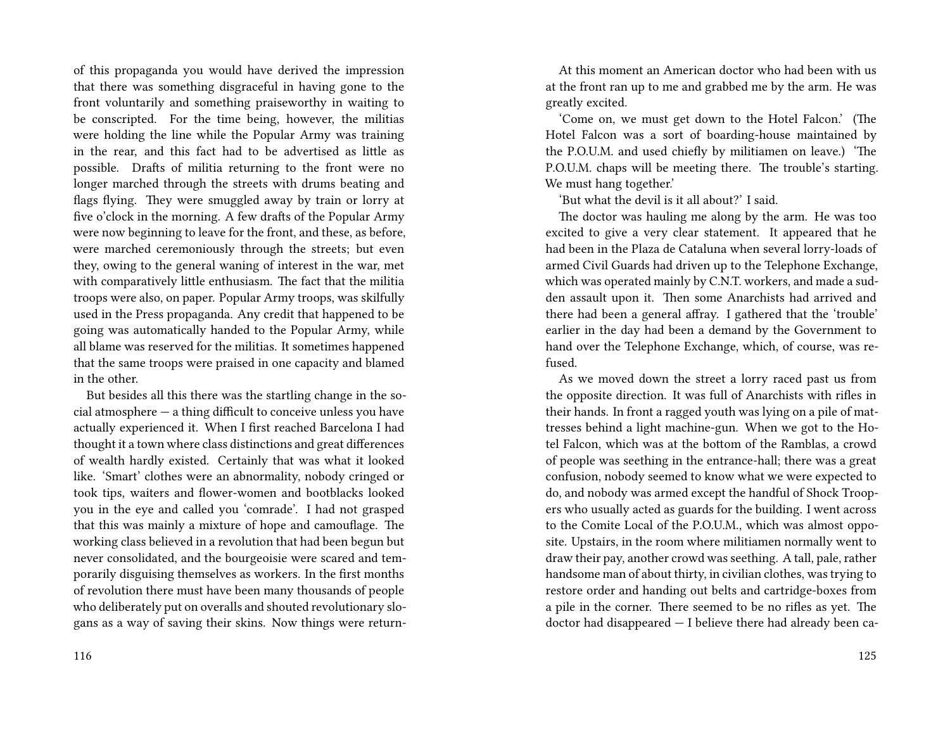of this propaganda you would have derived the impression that there was something disgraceful in having gone to the front voluntarily and something praiseworthy in waiting to be conscripted. For the time being, however, the militias were holding the line while the Popular Army was training in the rear, and this fact had to be advertised as little as possible. Drafts of militia returning to the front were no longer marched through the streets with drums beating and flags flying. They were smuggled away by train or lorry at five o'clock in the morning. A few drafts of the Popular Army were now beginning to leave for the front, and these, as before, were marched ceremoniously through the streets; but even they, owing to the general waning of interest in the war, met with comparatively little enthusiasm. The fact that the militia troops were also, on paper. Popular Army troops, was skilfully used in the Press propaganda. Any credit that happened to be going was automatically handed to the Popular Army, while all blame was reserved for the militias. It sometimes happened that the same troops were praised in one capacity and blamed in the other.

But besides all this there was the startling change in the social atmosphere — a thing difficult to conceive unless you have actually experienced it. When I first reached Barcelona I had thought it a town where class distinctions and great differences of wealth hardly existed. Certainly that was what it looked like. 'Smart' clothes were an abnormality, nobody cringed or took tips, waiters and flower-women and bootblacks looked you in the eye and called you 'comrade'. I had not grasped that this was mainly a mixture of hope and camouflage. The working class believed in a revolution that had been begun but never consolidated, and the bourgeoisie were scared and temporarily disguising themselves as workers. In the first months of revolution there must have been many thousands of people who deliberately put on overalls and shouted revolutionary slogans as a way of saving their skins. Now things were return-

At this moment an American doctor who had been with us at the front ran up to me and grabbed me by the arm. He was greatly excited.

'Come on, we must get down to the Hotel Falcon.' (The Hotel Falcon was a sort of boarding-house maintained by the P.O.U.M. and used chiefly by militiamen on leave.) 'The P.O.U.M. chaps will be meeting there. The trouble's starting. We must hang together.'

'But what the devil is it all about?' I said.

The doctor was hauling me along by the arm. He was too excited to give a very clear statement. It appeared that he had been in the Plaza de Cataluna when several lorry-loads of armed Civil Guards had driven up to the Telephone Exchange, which was operated mainly by C.N.T. workers, and made a sudden assault upon it. Then some Anarchists had arrived and there had been a general affray. I gathered that the 'trouble' earlier in the day had been a demand by the Government to hand over the Telephone Exchange, which, of course, was refused.

As we moved down the street a lorry raced past us from the opposite direction. It was full of Anarchists with rifles in their hands. In front a ragged youth was lying on a pile of mattresses behind a light machine-gun. When we got to the Hotel Falcon, which was at the bottom of the Ramblas, a crowd of people was seething in the entrance-hall; there was a great confusion, nobody seemed to know what we were expected to do, and nobody was armed except the handful of Shock Troopers who usually acted as guards for the building. I went across to the Comite Local of the P.O.U.M., which was almost opposite. Upstairs, in the room where militiamen normally went to draw their pay, another crowd was seething. A tall, pale, rather handsome man of about thirty, in civilian clothes, was trying to restore order and handing out belts and cartridge-boxes from a pile in the corner. There seemed to be no rifles as yet. The doctor had disappeared — I believe there had already been ca-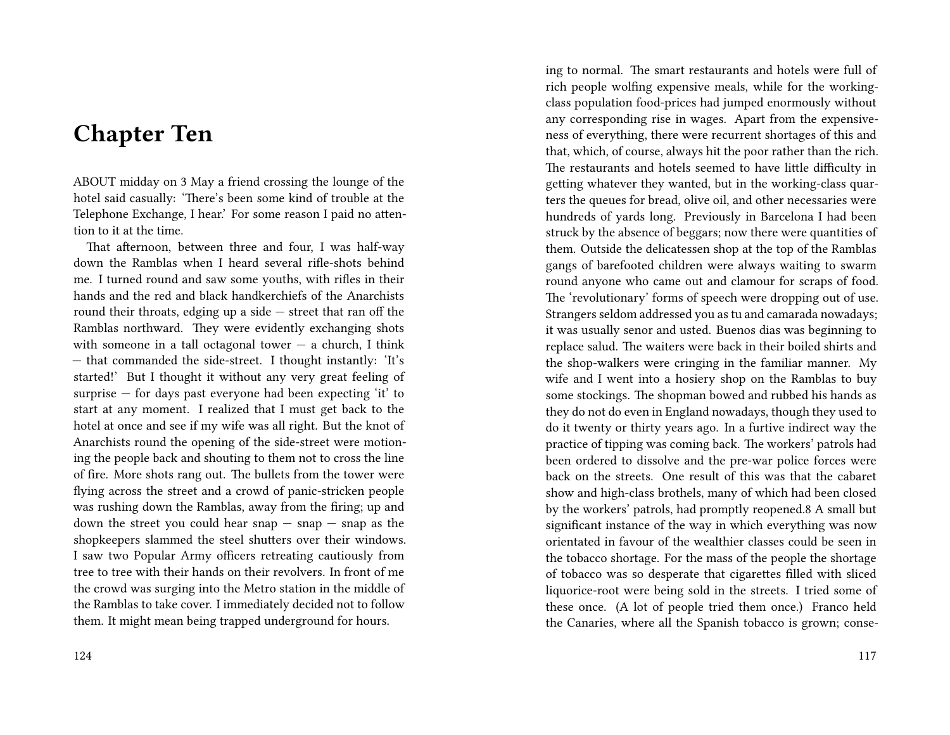# **Chapter Ten**

ABOUT midday on 3 May a friend crossing the lounge of the hotel said casually: 'There's been some kind of trouble at the Telephone Exchange, I hear.' For some reason I paid no attention to it at the time.

That afternoon, between three and four, I was half-way down the Ramblas when I heard several rifle-shots behind me. I turned round and saw some youths, with rifles in their hands and the red and black handkerchiefs of the Anarchists round their throats, edging up a side  $-$  street that ran off the Ramblas northward. They were evidently exchanging shots with someone in a tall octagonal tower  $-$  a church, I think — that commanded the side-street. I thought instantly: 'It's started!' But I thought it without any very great feeling of surprise — for days past everyone had been expecting 'it' to start at any moment. I realized that I must get back to the hotel at once and see if my wife was all right. But the knot of Anarchists round the opening of the side-street were motioning the people back and shouting to them not to cross the line of fire. More shots rang out. The bullets from the tower were flying across the street and a crowd of panic-stricken people was rushing down the Ramblas, away from the firing; up and down the street you could hear snap  $-$  snap  $-$  snap as the shopkeepers slammed the steel shutters over their windows. I saw two Popular Army officers retreating cautiously from tree to tree with their hands on their revolvers. In front of me the crowd was surging into the Metro station in the middle of the Ramblas to take cover. I immediately decided not to follow them. It might mean being trapped underground for hours.

rich people wolfing expensive meals, while for the workingclass population food-prices had jumped enormously without any corresponding rise in wages. Apart from the expensiveness of everything, there were recurrent shortages of this and that, which, of course, always hit the poor rather than the rich. The restaurants and hotels seemed to have little difficulty in getting whatever they wanted, but in the working-class quarters the queues for bread, olive oil, and other necessaries were hundreds of yards long. Previously in Barcelona I had been struck by the absence of beggars; now there were quantities of them. Outside the delicatessen shop at the top of the Ramblas gangs of barefooted children were always waiting to swarm round anyone who came out and clamour for scraps of food. The 'revolutionary' forms of speech were dropping out of use. Strangers seldom addressed you as tu and camarada nowadays; it was usually senor and usted. Buenos dias was beginning to replace salud. The waiters were back in their boiled shirts and the shop-walkers were cringing in the familiar manner. My wife and I went into a hosiery shop on the Ramblas to buy some stockings. The shopman bowed and rubbed his hands as they do not do even in England nowadays, though they used to do it twenty or thirty years ago. In a furtive indirect way the practice of tipping was coming back. The workers' patrols had been ordered to dissolve and the pre-war police forces were back on the streets. One result of this was that the cabaret show and high-class brothels, many of which had been closed by the workers' patrols, had promptly reopened.8 A small but significant instance of the way in which everything was now orientated in favour of the wealthier classes could be seen in the tobacco shortage. For the mass of the people the shortage of tobacco was so desperate that cigarettes filled with sliced liquorice-root were being sold in the streets. I tried some of these once. (A lot of people tried them once.) Franco held the Canaries, where all the Spanish tobacco is grown; conse-

ing to normal. The smart restaurants and hotels were full of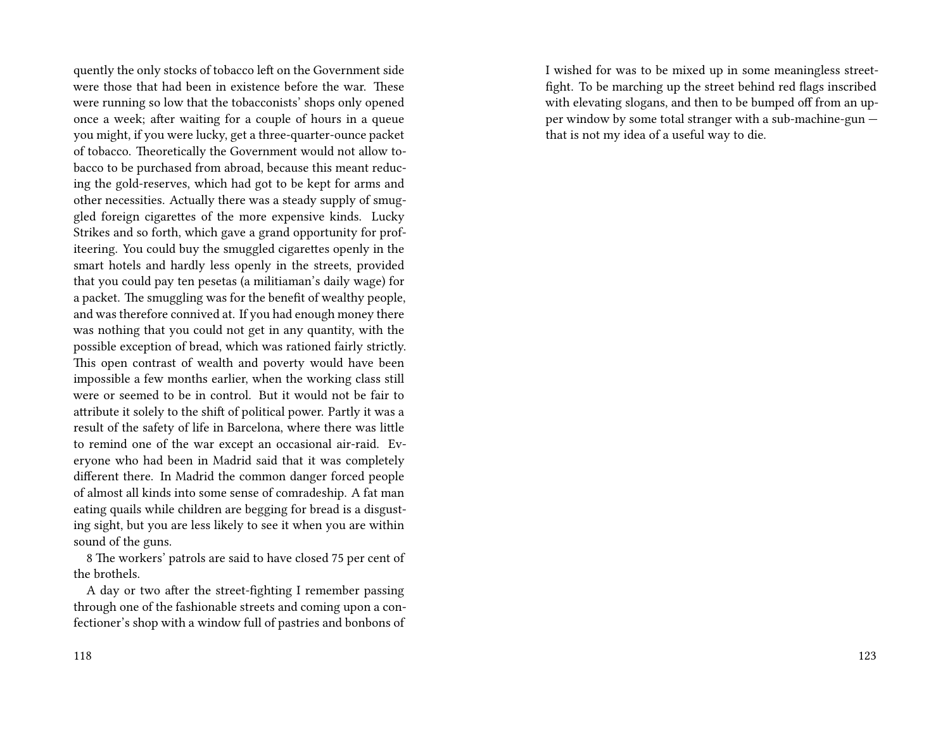quently the only stocks of tobacco left on the Government side were those that had been in existence before the war. These were running so low that the tobacconists' shops only opened once a week; after waiting for a couple of hours in a queue you might, if you were lucky, get a three-quarter-ounce packet of tobacco. Theoretically the Government would not allow tobacco to be purchased from abroad, because this meant reducing the gold-reserves, which had got to be kept for arms and other necessities. Actually there was a steady supply of smuggled foreign cigarettes of the more expensive kinds. Lucky Strikes and so forth, which gave a grand opportunity for profiteering. You could buy the smuggled cigarettes openly in the smart hotels and hardly less openly in the streets, provided that you could pay ten pesetas (a militiaman's daily wage) for a packet. The smuggling was for the benefit of wealthy people, and was therefore connived at. If you had enough money there was nothing that you could not get in any quantity, with the possible exception of bread, which was rationed fairly strictly. This open contrast of wealth and poverty would have been impossible a few months earlier, when the working class still were or seemed to be in control. But it would not be fair to attribute it solely to the shift of political power. Partly it was a result of the safety of life in Barcelona, where there was little to remind one of the war except an occasional air-raid. Everyone who had been in Madrid said that it was completely different there. In Madrid the common danger forced people of almost all kinds into some sense of comradeship. A fat man eating quails while children are begging for bread is a disgusting sight, but you are less likely to see it when you are within sound of the guns.

8 The workers' patrols are said to have closed 75 per cent of the brothels.

A day or two after the street-fighting I remember passing through one of the fashionable streets and coming upon a confectioner's shop with a window full of pastries and bonbons of I wished for was to be mixed up in some meaningless streetfight. To be marching up the street behind red flags inscribed with elevating slogans, and then to be bumped off from an upper window by some total stranger with a sub-machine-gun that is not my idea of a useful way to die.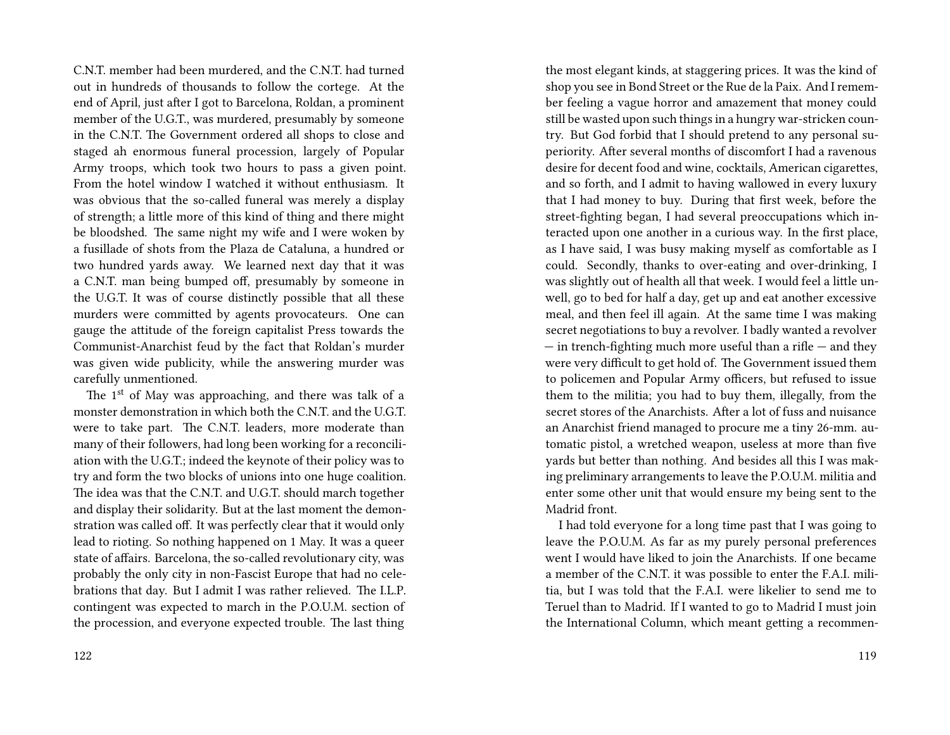C.N.T. member had been murdered, and the C.N.T. had turned out in hundreds of thousands to follow the cortege. At the end of April, just after I got to Barcelona, Roldan, a prominent member of the U.G.T., was murdered, presumably by someone in the C.N.T. The Government ordered all shops to close and staged ah enormous funeral procession, largely of Popular Army troops, which took two hours to pass a given point. From the hotel window I watched it without enthusiasm. It was obvious that the so-called funeral was merely a display of strength; a little more of this kind of thing and there might be bloodshed. The same night my wife and I were woken by a fusillade of shots from the Plaza de Cataluna, a hundred or two hundred yards away. We learned next day that it was a C.N.T. man being bumped off, presumably by someone in the U.G.T. It was of course distinctly possible that all these murders were committed by agents provocateurs. One can gauge the attitude of the foreign capitalist Press towards the Communist-Anarchist feud by the fact that Roldan's murder was given wide publicity, while the answering murder was carefully unmentioned.

The 1<sup>st</sup> of May was approaching, and there was talk of a monster demonstration in which both the C.N.T. and the U.G.T. were to take part. The C.N.T. leaders, more moderate than many of their followers, had long been working for a reconciliation with the U.G.T.; indeed the keynote of their policy was to try and form the two blocks of unions into one huge coalition. The idea was that the C.N.T. and U.G.T. should march together and display their solidarity. But at the last moment the demonstration was called off. It was perfectly clear that it would only lead to rioting. So nothing happened on 1 May. It was a queer state of affairs. Barcelona, the so-called revolutionary city, was probably the only city in non-Fascist Europe that had no celebrations that day. But I admit I was rather relieved. The I.L.P. contingent was expected to march in the P.O.U.M. section of the procession, and everyone expected trouble. The last thing

the most elegant kinds, at staggering prices. It was the kind of shop you see in Bond Street or the Rue de la Paix. And I remember feeling a vague horror and amazement that money could still be wasted upon such things in a hungry war-stricken country. But God forbid that I should pretend to any personal superiority. After several months of discomfort I had a ravenous desire for decent food and wine, cocktails, American cigarettes, and so forth, and I admit to having wallowed in every luxury that I had money to buy. During that first week, before the street-fighting began, I had several preoccupations which interacted upon one another in a curious way. In the first place, as I have said, I was busy making myself as comfortable as I could. Secondly, thanks to over-eating and over-drinking, I was slightly out of health all that week. I would feel a little unwell, go to bed for half a day, get up and eat another excessive meal, and then feel ill again. At the same time I was making secret negotiations to buy a revolver. I badly wanted a revolver  $-$  in trench-fighting much more useful than a rifle  $-$  and they were very difficult to get hold of. The Government issued them to policemen and Popular Army officers, but refused to issue them to the militia; you had to buy them, illegally, from the secret stores of the Anarchists. After a lot of fuss and nuisance an Anarchist friend managed to procure me a tiny 26-mm. automatic pistol, a wretched weapon, useless at more than five yards but better than nothing. And besides all this I was making preliminary arrangements to leave the P.O.U.M. militia and enter some other unit that would ensure my being sent to the Madrid front.

I had told everyone for a long time past that I was going to leave the P.O.U.M. As far as my purely personal preferences went I would have liked to join the Anarchists. If one became a member of the C.N.T. it was possible to enter the F.A.I. militia, but I was told that the F.A.I. were likelier to send me to Teruel than to Madrid. If I wanted to go to Madrid I must join the International Column, which meant getting a recommen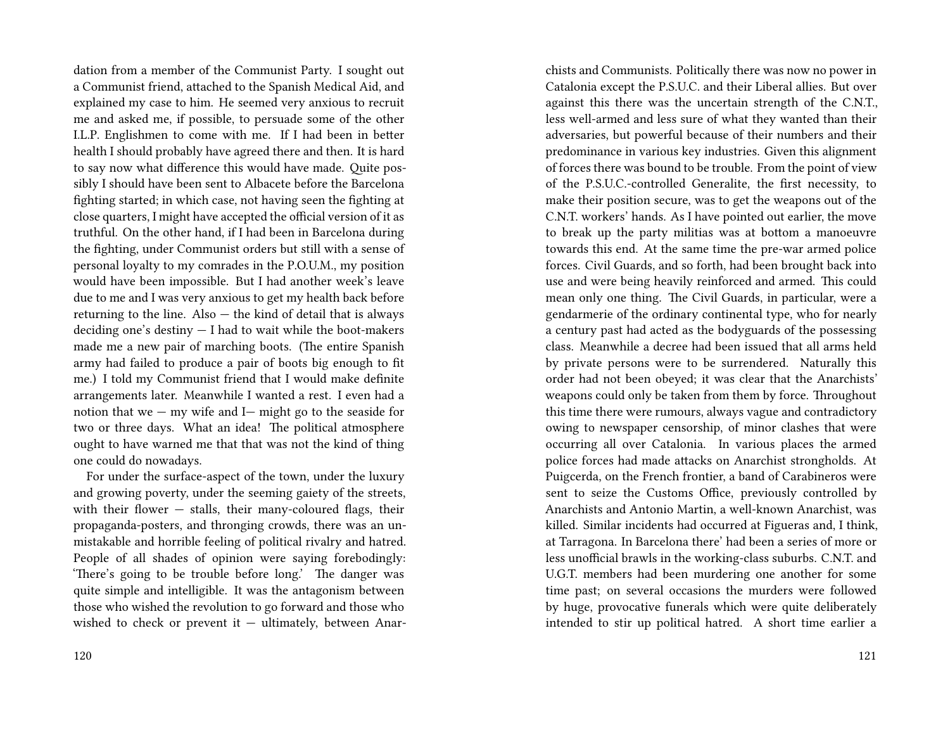dation from a member of the Communist Party. I sought out a Communist friend, attached to the Spanish Medical Aid, and explained my case to him. He seemed very anxious to recruit me and asked me, if possible, to persuade some of the other I.L.P. Englishmen to come with me. If I had been in better health I should probably have agreed there and then. It is hard to say now what difference this would have made. Quite possibly I should have been sent to Albacete before the Barcelona fighting started; in which case, not having seen the fighting at close quarters, I might have accepted the official version of it as truthful. On the other hand, if I had been in Barcelona during the fighting, under Communist orders but still with a sense of personal loyalty to my comrades in the P.O.U.M., my position would have been impossible. But I had another week's leave due to me and I was very anxious to get my health back before returning to the line. Also — the kind of detail that is always deciding one's destiny  $-$  I had to wait while the boot-makers made me a new pair of marching boots. (The entire Spanish army had failed to produce a pair of boots big enough to fit me.) I told my Communist friend that I would make definite arrangements later. Meanwhile I wanted a rest. I even had a notion that we — my wife and I— might go to the seaside for two or three days. What an idea! The political atmosphere ought to have warned me that that was not the kind of thing one could do nowadays.

For under the surface-aspect of the town, under the luxury and growing poverty, under the seeming gaiety of the streets, with their flower  $-$  stalls, their many-coloured flags, their propaganda-posters, and thronging crowds, there was an unmistakable and horrible feeling of political rivalry and hatred. People of all shades of opinion were saying forebodingly: 'There's going to be trouble before long.' The danger was quite simple and intelligible. It was the antagonism between those who wished the revolution to go forward and those who wished to check or prevent it  $-$  ultimately, between Anarchists and Communists. Politically there was now no power in Catalonia except the P.S.U.C. and their Liberal allies. But over against this there was the uncertain strength of the C.N.T., less well-armed and less sure of what they wanted than their adversaries, but powerful because of their numbers and their predominance in various key industries. Given this alignment of forces there was bound to be trouble. From the point of view of the P.S.U.C.-controlled Generalite, the first necessity, to make their position secure, was to get the weapons out of the C.N.T. workers' hands. As I have pointed out earlier, the move to break up the party militias was at bottom a manoeuvre towards this end. At the same time the pre-war armed police forces. Civil Guards, and so forth, had been brought back into use and were being heavily reinforced and armed. This could mean only one thing. The Civil Guards, in particular, were a gendarmerie of the ordinary continental type, who for nearly a century past had acted as the bodyguards of the possessing class. Meanwhile a decree had been issued that all arms held by private persons were to be surrendered. Naturally this order had not been obeyed; it was clear that the Anarchists' weapons could only be taken from them by force. Throughout this time there were rumours, always vague and contradictory owing to newspaper censorship, of minor clashes that were occurring all over Catalonia. In various places the armed police forces had made attacks on Anarchist strongholds. At Puigcerda, on the French frontier, a band of Carabineros were sent to seize the Customs Office, previously controlled by Anarchists and Antonio Martin, a well-known Anarchist, was killed. Similar incidents had occurred at Figueras and, I think, at Tarragona. In Barcelona there' had been a series of more or less unofficial brawls in the working-class suburbs. C.N.T. and U.G.T. members had been murdering one another for some time past; on several occasions the murders were followed by huge, provocative funerals which were quite deliberately intended to stir up political hatred. A short time earlier a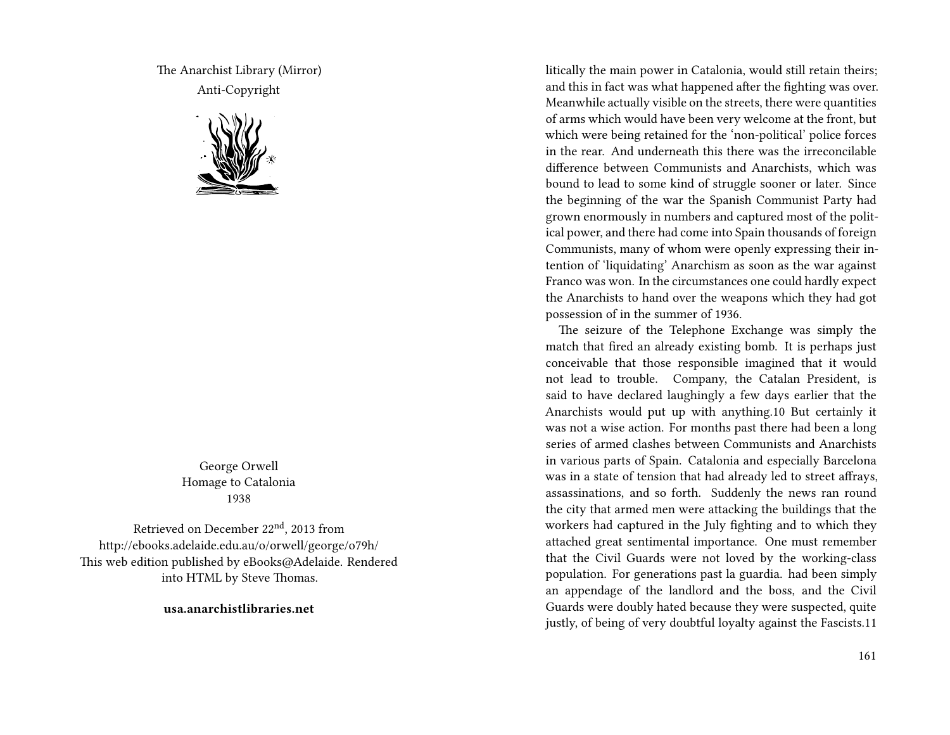The Anarchist Library (Mirror) Anti-Copyright



George Orwell Homage to Catalonia 1938

Retrieved on December 22nd, 2013 from http://ebooks.adelaide.edu.au/o/orwell/george/o79h/ This web edition published by eBooks@Adelaide. Rendered into HTML by Steve Thomas.

**usa.anarchistlibraries.net**

litically the main power in Catalonia, would still retain theirs; and this in fact was what happened after the fighting was over. Meanwhile actually visible on the streets, there were quantities of arms which would have been very welcome at the front, but which were being retained for the 'non-political' police forces in the rear. And underneath this there was the irreconcilable difference between Communists and Anarchists, which was bound to lead to some kind of struggle sooner or later. Since the beginning of the war the Spanish Communist Party had grown enormously in numbers and captured most of the political power, and there had come into Spain thousands of foreign Communists, many of whom were openly expressing their intention of 'liquidating' Anarchism as soon as the war against Franco was won. In the circumstances one could hardly expect the Anarchists to hand over the weapons which they had got possession of in the summer of 1936.

The seizure of the Telephone Exchange was simply the match that fired an already existing bomb. It is perhaps just conceivable that those responsible imagined that it would not lead to trouble. Company, the Catalan President, is said to have declared laughingly a few days earlier that the Anarchists would put up with anything.10 But certainly it was not a wise action. For months past there had been a long series of armed clashes between Communists and Anarchists in various parts of Spain. Catalonia and especially Barcelona was in a state of tension that had already led to street affrays, assassinations, and so forth. Suddenly the news ran round the city that armed men were attacking the buildings that the workers had captured in the July fighting and to which they attached great sentimental importance. One must remember that the Civil Guards were not loved by the working-class population. For generations past la guardia. had been simply an appendage of the landlord and the boss, and the Civil Guards were doubly hated because they were suspected, quite justly, of being of very doubtful loyalty against the Fascists.11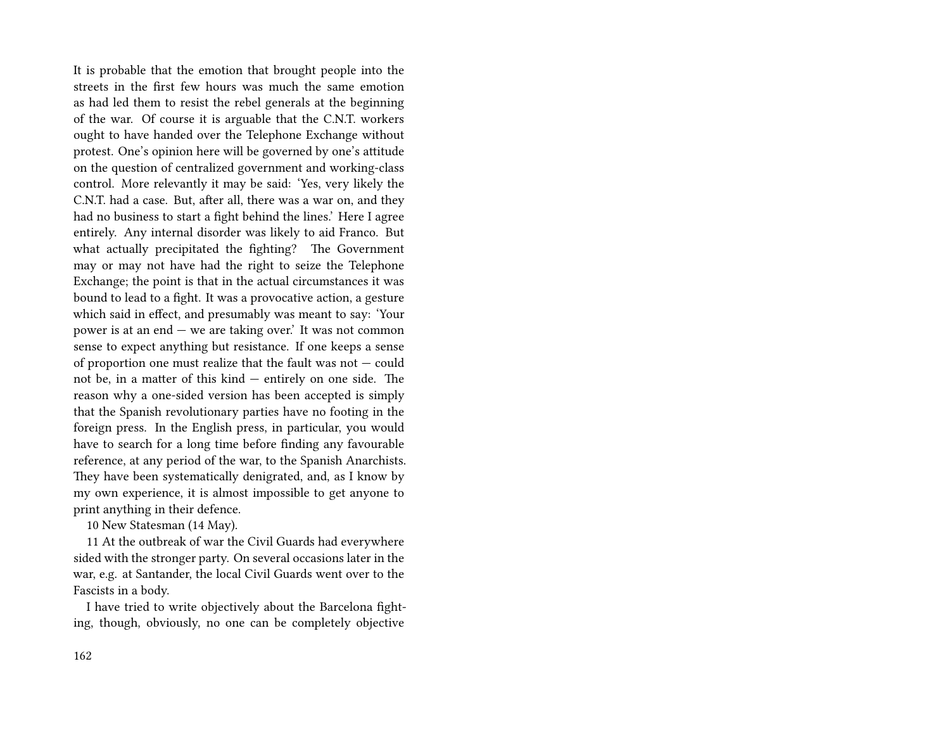It is probable that the emotion that brought people into the streets in the first few hours was much the same emotion as had led them to resist the rebel generals at the beginning of the war. Of course it is arguable that the C.N.T. workers ought to have handed over the Telephone Exchange without protest. One's opinion here will be governed by one's attitude on the question of centralized government and working-class control. More relevantly it may be said: 'Yes, very likely the C.N.T. had a case. But, after all, there was a war on, and they had no business to start a fight behind the lines.' Here I agree entirely. Any internal disorder was likely to aid Franco. But what actually precipitated the fighting? The Government may or may not have had the right to seize the Telephone Exchange; the point is that in the actual circumstances it was bound to lead to a fight. It was a provocative action, a gesture which said in effect, and presumably was meant to say: 'Your power is at an end — we are taking over.' It was not common sense to expect anything but resistance. If one keeps a sense of proportion one must realize that the fault was not — could not be, in a matter of this kind — entirely on one side. The reason why a one-sided version has been accepted is simply that the Spanish revolutionary parties have no footing in the foreign press. In the English press, in particular, you would have to search for a long time before finding any favourable reference, at any period of the war, to the Spanish Anarchists. They have been systematically denigrated, and, as I know by my own experience, it is almost impossible to get anyone to print anything in their defence.

10 New Statesman (14 May).

11 At the outbreak of war the Civil Guards had everywhere sided with the stronger party. On several occasions later in the war, e.g. at Santander, the local Civil Guards went over to the Fascists in a body.

I have tried to write objectively about the Barcelona fighting, though, obviously, no one can be completely objective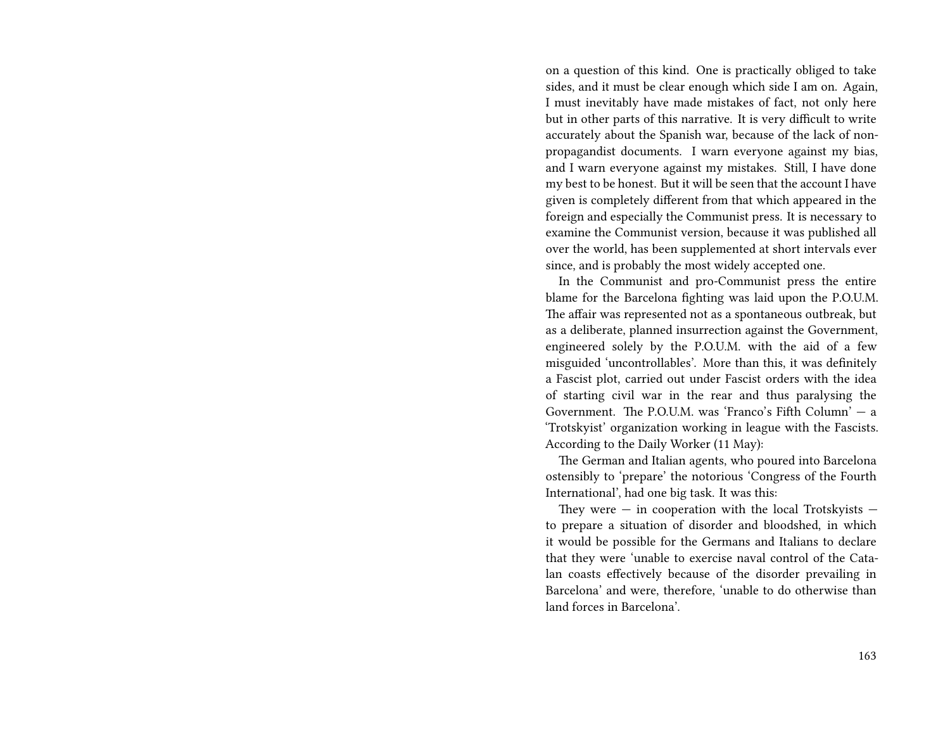on a question of this kind. One is practically obliged to take sides, and it must be clear enough which side I am on. Again, I must inevitably have made mistakes of fact, not only here but in other parts of this narrative. It is very difficult to write accurately about the Spanish war, because of the lack of nonpropagandist documents. I warn everyone against my bias, and I warn everyone against my mistakes. Still, I have done my best to be honest. But it will be seen that the account I have given is completely different from that which appeared in the foreign and especially the Communist press. It is necessary to examine the Communist version, because it was published all over the world, has been supplemented at short intervals ever since, and is probably the most widely accepted one.

In the Communist and pro-Communist press the entire blame for the Barcelona fighting was laid upon the P.O.U.M. The affair was represented not as a spontaneous outbreak, but as a deliberate, planned insurrection against the Government, engineered solely by the P.O.U.M. with the aid of a few misguided 'uncontrollables'. More than this, it was definitely a Fascist plot, carried out under Fascist orders with the idea of starting civil war in the rear and thus paralysing the Government. The P.O.U.M. was 'Franco's Fifth Column' — a 'Trotskyist' organization working in league with the Fascists. According to the Daily Worker (11 May):

The German and Italian agents, who poured into Barcelona ostensibly to 'prepare' the notorious 'Congress of the Fourth International', had one big task. It was this:

They were  $-$  in cooperation with the local Trotskyists  $$ to prepare a situation of disorder and bloodshed, in which it would be possible for the Germans and Italians to declare that they were 'unable to exercise naval control of the Catalan coasts effectively because of the disorder prevailing in Barcelona' and were, therefore, 'unable to do otherwise than land forces in Barcelona'.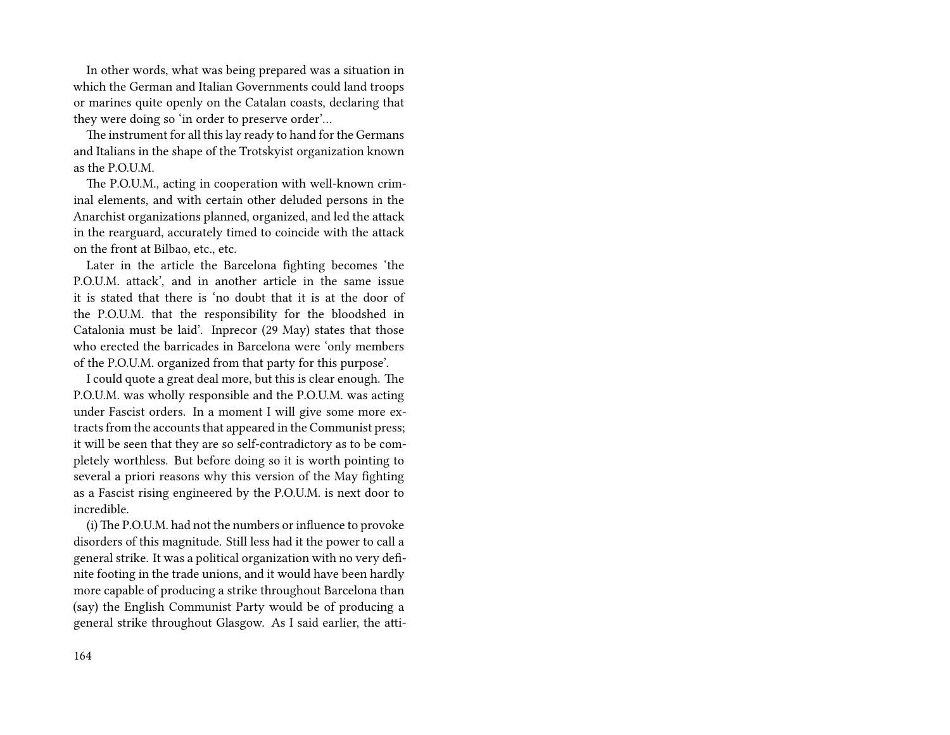In other words, what was being prepared was a situation in which the German and Italian Governments could land troops or marines quite openly on the Catalan coasts, declaring that they were doing so 'in order to preserve order'…

The instrument for all this lay ready to hand for the Germans and Italians in the shape of the Trotskyist organization known as the P.O.U.M.

The P.O.U.M., acting in cooperation with well-known criminal elements, and with certain other deluded persons in the Anarchist organizations planned, organized, and led the attack in the rearguard, accurately timed to coincide with the attack on the front at Bilbao, etc., etc.

Later in the article the Barcelona fighting becomes 'the P.O.U.M. attack', and in another article in the same issue it is stated that there is 'no doubt that it is at the door of the P.O.U.M. that the responsibility for the bloodshed in Catalonia must be laid'. Inprecor (29 May) states that those who erected the barricades in Barcelona were 'only members of the P.O.U.M. organized from that party for this purpose'.

I could quote a great deal more, but this is clear enough. The P.O.U.M. was wholly responsible and the P.O.U.M. was acting under Fascist orders. In a moment I will give some more extracts from the accounts that appeared in the Communist press; it will be seen that they are so self-contradictory as to be completely worthless. But before doing so it is worth pointing to several a priori reasons why this version of the May fighting as a Fascist rising engineered by the P.O.U.M. is next door to incredible.

(i) The P.O.U.M. had not the numbers or influence to provoke disorders of this magnitude. Still less had it the power to call a general strike. It was a political organization with no very definite footing in the trade unions, and it would have been hardly more capable of producing a strike throughout Barcelona than (say) the English Communist Party would be of producing a general strike throughout Glasgow. As I said earlier, the atti-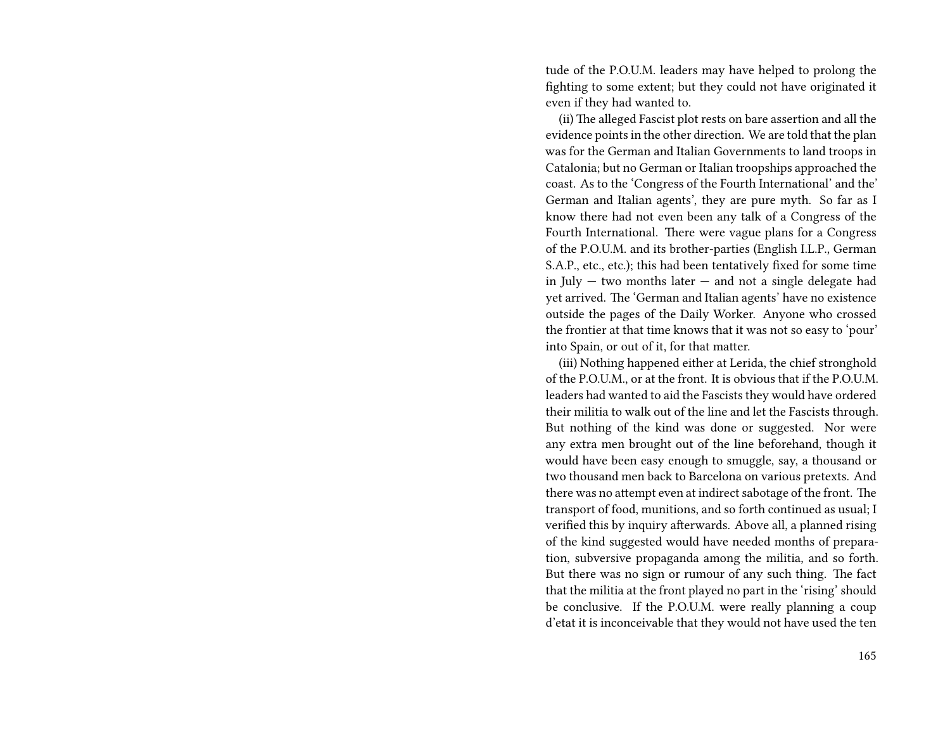tude of the P.O.U.M. leaders may have helped to prolong the fighting to some extent; but they could not have originated it even if they had wanted to.

(ii) The alleged Fascist plot rests on bare assertion and all the evidence points in the other direction. We are told that the plan was for the German and Italian Governments to land troops in Catalonia; but no German or Italian troopships approached the coast. As to the 'Congress of the Fourth International' and the' German and Italian agents', they are pure myth. So far as I know there had not even been any talk of a Congress of the Fourth International. There were vague plans for a Congress of the P.O.U.M. and its brother-parties (English I.L.P., German S.A.P., etc., etc.); this had been tentatively fixed for some time in July  $-$  two months later  $-$  and not a single delegate had yet arrived. The 'German and Italian agents' have no existence outside the pages of the Daily Worker. Anyone who crossed the frontier at that time knows that it was not so easy to 'pour' into Spain, or out of it, for that matter.

(iii) Nothing happened either at Lerida, the chief stronghold of the P.O.U.M., or at the front. It is obvious that if the P.O.U.M. leaders had wanted to aid the Fascists they would have ordered their militia to walk out of the line and let the Fascists through. But nothing of the kind was done or suggested. Nor were any extra men brought out of the line beforehand, though it would have been easy enough to smuggle, say, a thousand or two thousand men back to Barcelona on various pretexts. And there was no attempt even at indirect sabotage of the front. The transport of food, munitions, and so forth continued as usual; I verified this by inquiry afterwards. Above all, a planned rising of the kind suggested would have needed months of preparation, subversive propaganda among the militia, and so forth. But there was no sign or rumour of any such thing. The fact that the militia at the front played no part in the 'rising' should be conclusive. If the P.O.U.M. were really planning a coup d'etat it is inconceivable that they would not have used the ten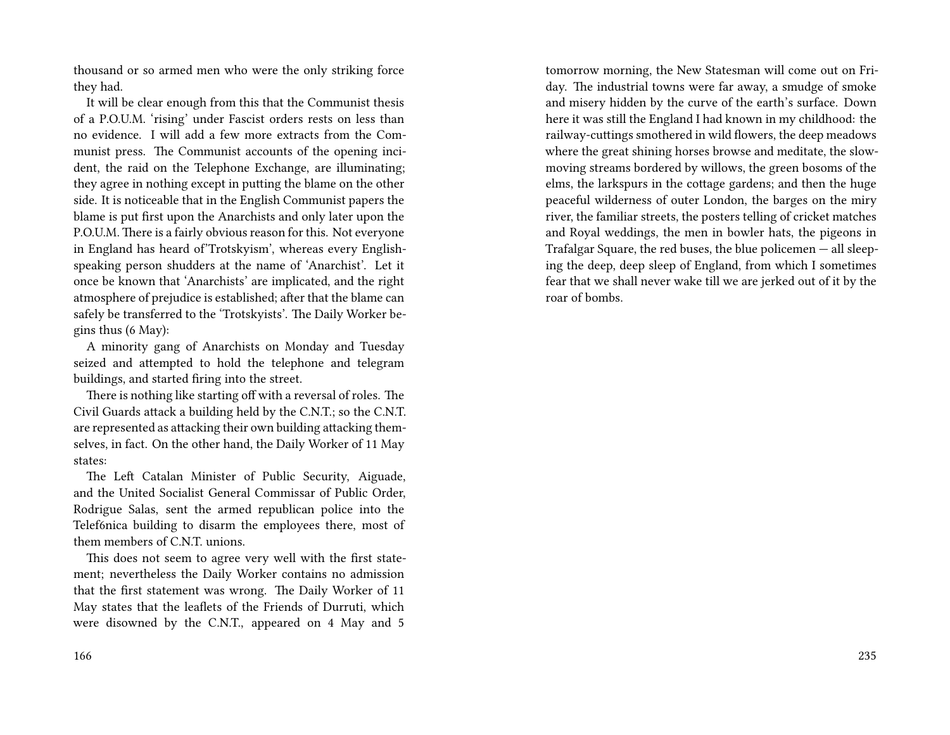thousand or so armed men who were the only striking force they had.

It will be clear enough from this that the Communist thesis of a P.O.U.M. 'rising' under Fascist orders rests on less than no evidence. I will add a few more extracts from the Communist press. The Communist accounts of the opening incident, the raid on the Telephone Exchange, are illuminating; they agree in nothing except in putting the blame on the other side. It is noticeable that in the English Communist papers the blame is put first upon the Anarchists and only later upon the P.O.U.M. There is a fairly obvious reason for this. Not everyone in England has heard of'Trotskyism', whereas every Englishspeaking person shudders at the name of 'Anarchist'. Let it once be known that 'Anarchists' are implicated, and the right atmosphere of prejudice is established; after that the blame can safely be transferred to the 'Trotskyists'. The Daily Worker begins thus (6 May):

A minority gang of Anarchists on Monday and Tuesday seized and attempted to hold the telephone and telegram buildings, and started firing into the street.

There is nothing like starting off with a reversal of roles. The Civil Guards attack a building held by the C.N.T.; so the C.N.T. are represented as attacking their own building attacking themselves, in fact. On the other hand, the Daily Worker of 11 May states:

The Left Catalan Minister of Public Security, Aiguade, and the United Socialist General Commissar of Public Order, Rodrigue Salas, sent the armed republican police into the Telef6nica building to disarm the employees there, most of them members of C.N.T. unions.

This does not seem to agree very well with the first statement; nevertheless the Daily Worker contains no admission that the first statement was wrong. The Daily Worker of 11 May states that the leaflets of the Friends of Durruti, which were disowned by the C.N.T., appeared on 4 May and 5

tomorrow morning, the New Statesman will come out on Friday. The industrial towns were far away, a smudge of smoke and misery hidden by the curve of the earth's surface. Down here it was still the England I had known in my childhood: the railway-cuttings smothered in wild flowers, the deep meadows where the great shining horses browse and meditate, the slowmoving streams bordered by willows, the green bosoms of the elms, the larkspurs in the cottage gardens; and then the huge peaceful wilderness of outer London, the barges on the miry river, the familiar streets, the posters telling of cricket matches and Royal weddings, the men in bowler hats, the pigeons in Trafalgar Square, the red buses, the blue policemen — all sleeping the deep, deep sleep of England, from which I sometimes fear that we shall never wake till we are jerked out of it by the roar of bombs.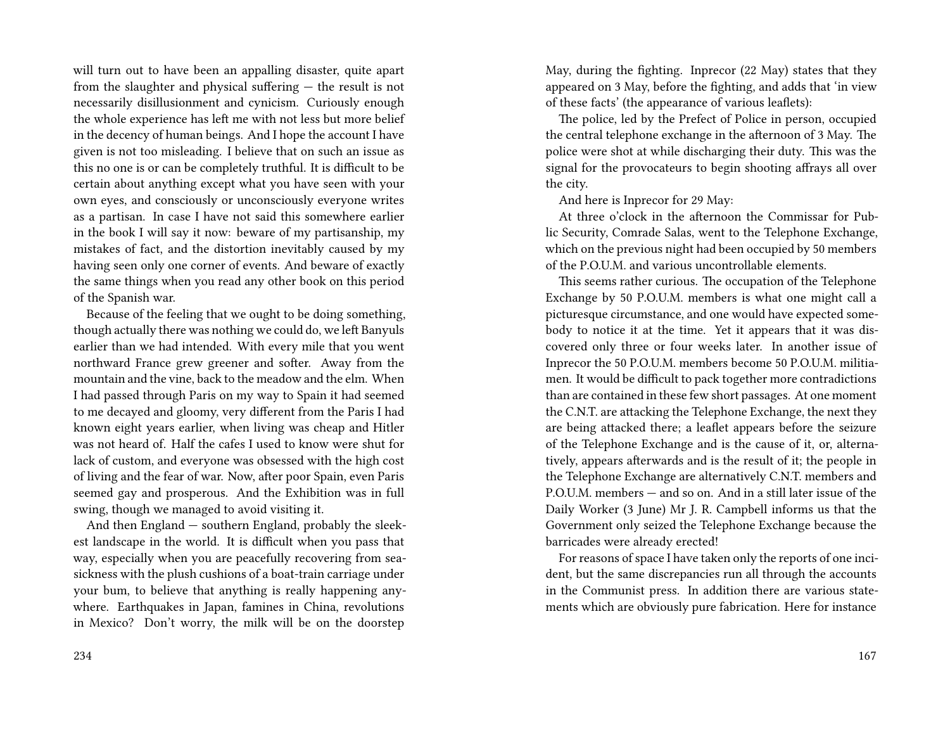will turn out to have been an appalling disaster, quite apart from the slaughter and physical suffering — the result is not necessarily disillusionment and cynicism. Curiously enough the whole experience has left me with not less but more belief in the decency of human beings. And I hope the account I have given is not too misleading. I believe that on such an issue as this no one is or can be completely truthful. It is difficult to be certain about anything except what you have seen with your own eyes, and consciously or unconsciously everyone writes as a partisan. In case I have not said this somewhere earlier in the book I will say it now: beware of my partisanship, my mistakes of fact, and the distortion inevitably caused by my having seen only one corner of events. And beware of exactly the same things when you read any other book on this period of the Spanish war.

Because of the feeling that we ought to be doing something, though actually there was nothing we could do, we left Banyuls earlier than we had intended. With every mile that you went northward France grew greener and softer. Away from the mountain and the vine, back to the meadow and the elm. When I had passed through Paris on my way to Spain it had seemed to me decayed and gloomy, very different from the Paris I had known eight years earlier, when living was cheap and Hitler was not heard of. Half the cafes I used to know were shut for lack of custom, and everyone was obsessed with the high cost of living and the fear of war. Now, after poor Spain, even Paris seemed gay and prosperous. And the Exhibition was in full swing, though we managed to avoid visiting it.

And then England — southern England, probably the sleekest landscape in the world. It is difficult when you pass that way, especially when you are peacefully recovering from seasickness with the plush cushions of a boat-train carriage under your bum, to believe that anything is really happening anywhere. Earthquakes in Japan, famines in China, revolutions in Mexico? Don't worry, the milk will be on the doorstep

May, during the fighting. Inprecor (22 May) states that they appeared on 3 May, before the fighting, and adds that 'in view of these facts' (the appearance of various leaflets):

The police, led by the Prefect of Police in person, occupied the central telephone exchange in the afternoon of 3 May. The police were shot at while discharging their duty. This was the signal for the provocateurs to begin shooting affrays all over the city.

And here is Inprecor for 29 May:

At three o'clock in the afternoon the Commissar for Public Security, Comrade Salas, went to the Telephone Exchange, which on the previous night had been occupied by 50 members of the P.O.U.M. and various uncontrollable elements.

This seems rather curious. The occupation of the Telephone Exchange by 50 P.O.U.M. members is what one might call a picturesque circumstance, and one would have expected somebody to notice it at the time. Yet it appears that it was discovered only three or four weeks later. In another issue of Inprecor the 50 P.O.U.M. members become 50 P.O.U.M. militiamen. It would be difficult to pack together more contradictions than are contained in these few short passages. At one moment the C.N.T. are attacking the Telephone Exchange, the next they are being attacked there; a leaflet appears before the seizure of the Telephone Exchange and is the cause of it, or, alternatively, appears afterwards and is the result of it; the people in the Telephone Exchange are alternatively C.N.T. members and P.O.U.M. members — and so on. And in a still later issue of the Daily Worker (3 June) Mr J. R. Campbell informs us that the Government only seized the Telephone Exchange because the barricades were already erected!

For reasons of space I have taken only the reports of one incident, but the same discrepancies run all through the accounts in the Communist press. In addition there are various statements which are obviously pure fabrication. Here for instance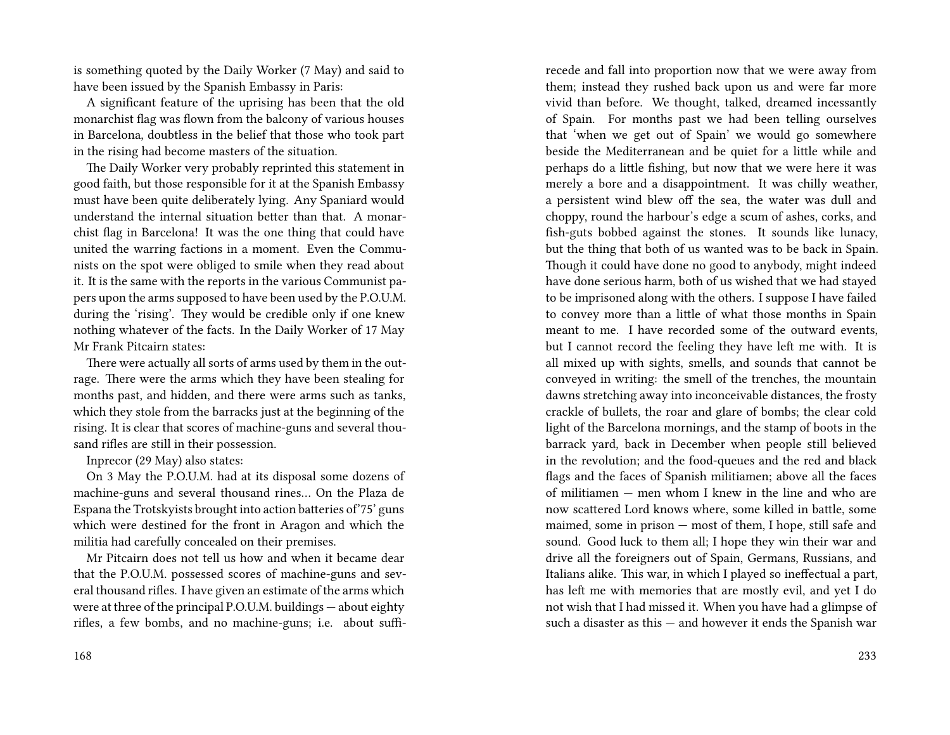is something quoted by the Daily Worker (7 May) and said to have been issued by the Spanish Embassy in Paris:

A significant feature of the uprising has been that the old monarchist flag was flown from the balcony of various houses in Barcelona, doubtless in the belief that those who took part in the rising had become masters of the situation.

The Daily Worker very probably reprinted this statement in good faith, but those responsible for it at the Spanish Embassy must have been quite deliberately lying. Any Spaniard would understand the internal situation better than that. A monarchist flag in Barcelona! It was the one thing that could have united the warring factions in a moment. Even the Communists on the spot were obliged to smile when they read about it. It is the same with the reports in the various Communist papers upon the arms supposed to have been used by the P.O.U.M. during the 'rising'. They would be credible only if one knew nothing whatever of the facts. In the Daily Worker of 17 May Mr Frank Pitcairn states:

There were actually all sorts of arms used by them in the outrage. There were the arms which they have been stealing for months past, and hidden, and there were arms such as tanks, which they stole from the barracks just at the beginning of the rising. It is clear that scores of machine-guns and several thousand rifles are still in their possession.

Inprecor (29 May) also states:

On 3 May the P.O.U.M. had at its disposal some dozens of machine-guns and several thousand rines… On the Plaza de Espana the Trotskyists brought into action batteries of'75' guns which were destined for the front in Aragon and which the militia had carefully concealed on their premises.

Mr Pitcairn does not tell us how and when it became dear that the P.O.U.M. possessed scores of machine-guns and several thousand rifles. I have given an estimate of the arms which were at three of the principal P.O.U.M. buildings — about eighty rifles, a few bombs, and no machine-guns; i.e. about suffirecede and fall into proportion now that we were away from them; instead they rushed back upon us and were far more vivid than before. We thought, talked, dreamed incessantly of Spain. For months past we had been telling ourselves that 'when we get out of Spain' we would go somewhere beside the Mediterranean and be quiet for a little while and perhaps do a little fishing, but now that we were here it was merely a bore and a disappointment. It was chilly weather, a persistent wind blew off the sea, the water was dull and choppy, round the harbour's edge a scum of ashes, corks, and fish-guts bobbed against the stones. It sounds like lunacy, but the thing that both of us wanted was to be back in Spain. Though it could have done no good to anybody, might indeed have done serious harm, both of us wished that we had stayed to be imprisoned along with the others. I suppose I have failed to convey more than a little of what those months in Spain meant to me. I have recorded some of the outward events, but I cannot record the feeling they have left me with. It is all mixed up with sights, smells, and sounds that cannot be conveyed in writing: the smell of the trenches, the mountain dawns stretching away into inconceivable distances, the frosty crackle of bullets, the roar and glare of bombs; the clear cold light of the Barcelona mornings, and the stamp of boots in the barrack yard, back in December when people still believed in the revolution; and the food-queues and the red and black flags and the faces of Spanish militiamen; above all the faces of militiamen — men whom I knew in the line and who are now scattered Lord knows where, some killed in battle, some maimed, some in prison — most of them, I hope, still safe and sound. Good luck to them all; I hope they win their war and drive all the foreigners out of Spain, Germans, Russians, and Italians alike. This war, in which I played so ineffectual a part, has left me with memories that are mostly evil, and yet I do not wish that I had missed it. When you have had a glimpse of such a disaster as this — and however it ends the Spanish war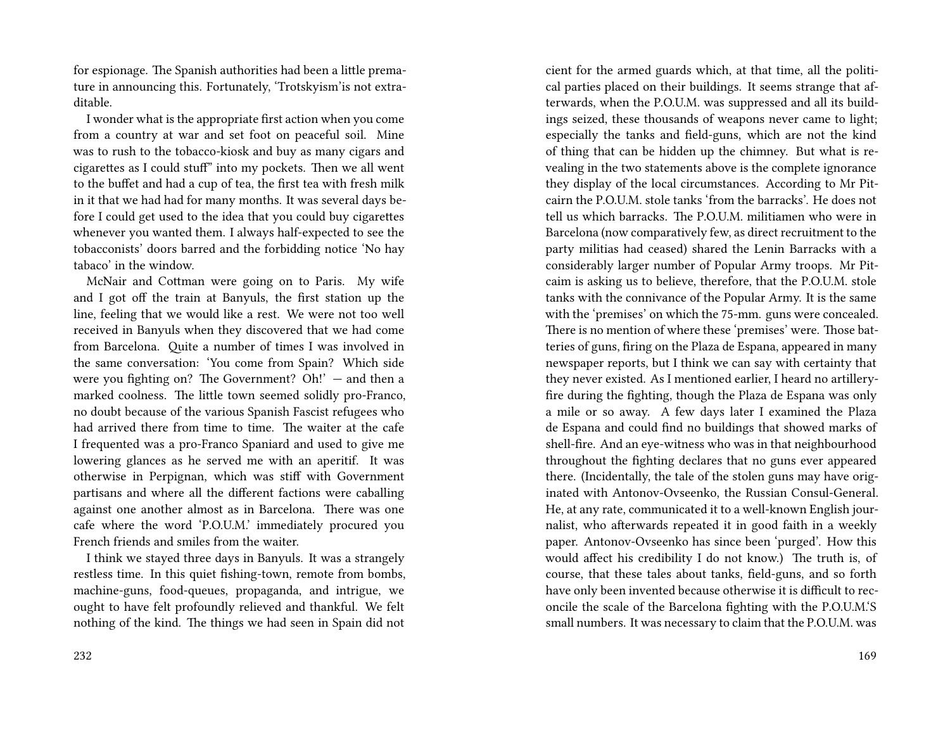for espionage. The Spanish authorities had been a little premature in announcing this. Fortunately, 'Trotskyism'is not extraditable.

I wonder what is the appropriate first action when you come from a country at war and set foot on peaceful soil. Mine was to rush to the tobacco-kiosk and buy as many cigars and cigarettes as I could stuf" into my pockets. Then we all went to the buffet and had a cup of tea, the first tea with fresh milk in it that we had had for many months. It was several days before I could get used to the idea that you could buy cigarettes whenever you wanted them. I always half-expected to see the tobacconists' doors barred and the forbidding notice 'No hay tabaco' in the window.

McNair and Cottman were going on to Paris. My wife and I got off the train at Banyuls, the first station up the line, feeling that we would like a rest. We were not too well received in Banyuls when they discovered that we had come from Barcelona. Quite a number of times I was involved in the same conversation: 'You come from Spain? Which side were you fighting on? The Government?  $Oh!'$  – and then a marked coolness. The little town seemed solidly pro-Franco, no doubt because of the various Spanish Fascist refugees who had arrived there from time to time. The waiter at the cafe I frequented was a pro-Franco Spaniard and used to give me lowering glances as he served me with an aperitif. It was otherwise in Perpignan, which was stiff with Government partisans and where all the different factions were caballing against one another almost as in Barcelona. There was one cafe where the word 'P.O.U.M.' immediately procured you French friends and smiles from the waiter.

I think we stayed three days in Banyuls. It was a strangely restless time. In this quiet fishing-town, remote from bombs, machine-guns, food-queues, propaganda, and intrigue, we ought to have felt profoundly relieved and thankful. We felt nothing of the kind. The things we had seen in Spain did not cient for the armed guards which, at that time, all the political parties placed on their buildings. It seems strange that afterwards, when the P.O.U.M. was suppressed and all its buildings seized, these thousands of weapons never came to light; especially the tanks and field-guns, which are not the kind of thing that can be hidden up the chimney. But what is revealing in the two statements above is the complete ignorance they display of the local circumstances. According to Mr Pitcairn the P.O.U.M. stole tanks 'from the barracks'. He does not tell us which barracks. The P.O.U.M. militiamen who were in Barcelona (now comparatively few, as direct recruitment to the party militias had ceased) shared the Lenin Barracks with a considerably larger number of Popular Army troops. Mr Pitcaim is asking us to believe, therefore, that the P.O.U.M. stole tanks with the connivance of the Popular Army. It is the same with the 'premises' on which the 75-mm. guns were concealed. There is no mention of where these 'premises' were. Those batteries of guns, firing on the Plaza de Espana, appeared in many newspaper reports, but I think we can say with certainty that they never existed. As I mentioned earlier, I heard no artilleryfire during the fighting, though the Plaza de Espana was only a mile or so away. A few days later I examined the Plaza de Espana and could find no buildings that showed marks of shell-fire. And an eye-witness who was in that neighbourhood throughout the fighting declares that no guns ever appeared there. (Incidentally, the tale of the stolen guns may have originated with Antonov-Ovseenko, the Russian Consul-General. He, at any rate, communicated it to a well-known English journalist, who afterwards repeated it in good faith in a weekly paper. Antonov-Ovseenko has since been 'purged'. How this would affect his credibility I do not know.) The truth is, of course, that these tales about tanks, field-guns, and so forth have only been invented because otherwise it is difficult to reconcile the scale of the Barcelona fighting with the P.O.U.M.'S small numbers. It was necessary to claim that the P.O.U.M. was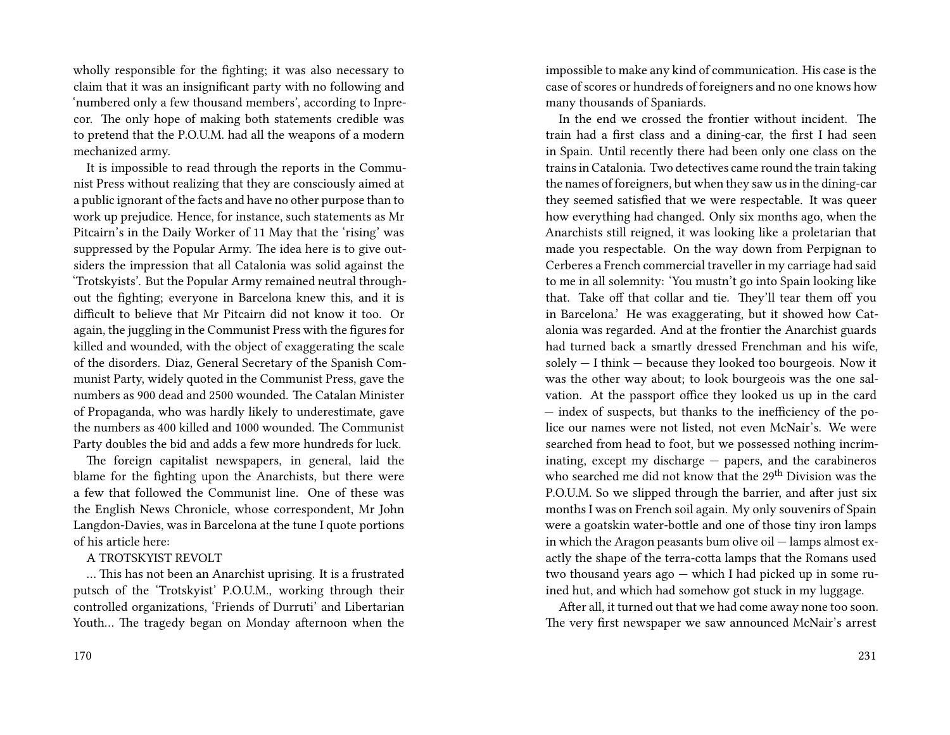wholly responsible for the fighting; it was also necessary to claim that it was an insignificant party with no following and 'numbered only a few thousand members', according to Inprecor. The only hope of making both statements credible was to pretend that the P.O.U.M. had all the weapons of a modern mechanized army.

It is impossible to read through the reports in the Communist Press without realizing that they are consciously aimed at a public ignorant of the facts and have no other purpose than to work up prejudice. Hence, for instance, such statements as Mr Pitcairn's in the Daily Worker of 11 May that the 'rising' was suppressed by the Popular Army. The idea here is to give outsiders the impression that all Catalonia was solid against the 'Trotskyists'. But the Popular Army remained neutral throughout the fighting; everyone in Barcelona knew this, and it is difficult to believe that Mr Pitcairn did not know it too. Or again, the juggling in the Communist Press with the figures for killed and wounded, with the object of exaggerating the scale of the disorders. Diaz, General Secretary of the Spanish Communist Party, widely quoted in the Communist Press, gave the numbers as 900 dead and 2500 wounded. The Catalan Minister of Propaganda, who was hardly likely to underestimate, gave the numbers as 400 killed and 1000 wounded. The Communist Party doubles the bid and adds a few more hundreds for luck.

The foreign capitalist newspapers, in general, laid the blame for the fighting upon the Anarchists, but there were a few that followed the Communist line. One of these was the English News Chronicle, whose correspondent, Mr John Langdon-Davies, was in Barcelona at the tune I quote portions of his article here:

### A TROTSKYIST REVOLT

… This has not been an Anarchist uprising. It is a frustrated putsch of the 'Trotskyist' P.O.U.M., working through their controlled organizations, 'Friends of Durruti' and Libertarian Youth… The tragedy began on Monday afternoon when the impossible to make any kind of communication. His case is the case of scores or hundreds of foreigners and no one knows how many thousands of Spaniards.

In the end we crossed the frontier without incident. The train had a first class and a dining-car, the first I had seen in Spain. Until recently there had been only one class on the trains in Catalonia. Two detectives came round the train taking the names of foreigners, but when they saw us in the dining-car they seemed satisfied that we were respectable. It was queer how everything had changed. Only six months ago, when the Anarchists still reigned, it was looking like a proletarian that made you respectable. On the way down from Perpignan to Cerberes a French commercial traveller in my carriage had said to me in all solemnity: 'You mustn't go into Spain looking like that. Take off that collar and tie. They'll tear them off you in Barcelona.' He was exaggerating, but it showed how Catalonia was regarded. And at the frontier the Anarchist guards had turned back a smartly dressed Frenchman and his wife, solely — I think — because they looked too bourgeois. Now it was the other way about; to look bourgeois was the one salvation. At the passport office they looked us up in the card — index of suspects, but thanks to the inefficiency of the police our names were not listed, not even McNair's. We were searched from head to foot, but we possessed nothing incriminating, except my discharge — papers, and the carabineros who searched me did not know that the 29<sup>th</sup> Division was the P.O.U.M. So we slipped through the barrier, and after just six months I was on French soil again. My only souvenirs of Spain were a goatskin water-bottle and one of those tiny iron lamps in which the Aragon peasants bum olive oil — lamps almost exactly the shape of the terra-cotta lamps that the Romans used two thousand years ago — which I had picked up in some ruined hut, and which had somehow got stuck in my luggage.

After all, it turned out that we had come away none too soon. The very first newspaper we saw announced McNair's arrest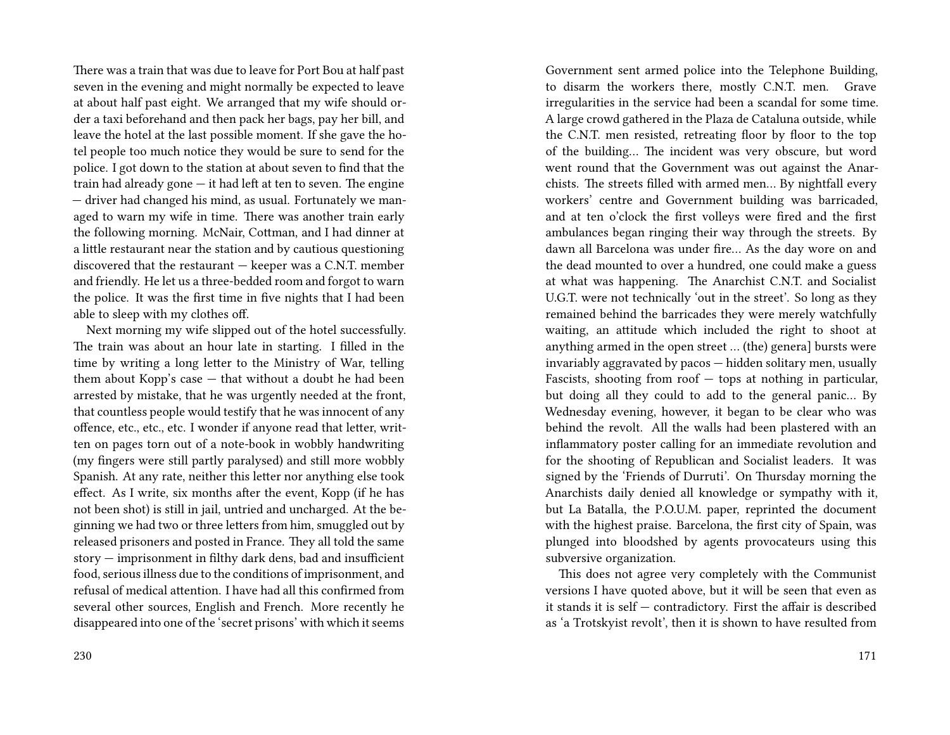There was a train that was due to leave for Port Bou at half past seven in the evening and might normally be expected to leave at about half past eight. We arranged that my wife should order a taxi beforehand and then pack her bags, pay her bill, and leave the hotel at the last possible moment. If she gave the hotel people too much notice they would be sure to send for the police. I got down to the station at about seven to find that the train had already gone  $-$  it had left at ten to seven. The engine — driver had changed his mind, as usual. Fortunately we managed to warn my wife in time. There was another train early the following morning. McNair, Cottman, and I had dinner at a little restaurant near the station and by cautious questioning discovered that the restaurant — keeper was a C.N.T. member and friendly. He let us a three-bedded room and forgot to warn the police. It was the first time in five nights that I had been able to sleep with my clothes off.

Next morning my wife slipped out of the hotel successfully. The train was about an hour late in starting. I filled in the time by writing a long letter to the Ministry of War, telling them about Kopp's case  $-$  that without a doubt he had been arrested by mistake, that he was urgently needed at the front, that countless people would testify that he was innocent of any offence, etc., etc., etc. I wonder if anyone read that letter, written on pages torn out of a note-book in wobbly handwriting (my fingers were still partly paralysed) and still more wobbly Spanish. At any rate, neither this letter nor anything else took effect. As I write, six months after the event, Kopp (if he has not been shot) is still in jail, untried and uncharged. At the beginning we had two or three letters from him, smuggled out by released prisoners and posted in France. They all told the same story — imprisonment in filthy dark dens, bad and insufficient food, serious illness due to the conditions of imprisonment, and refusal of medical attention. I have had all this confirmed from several other sources, English and French. More recently he disappeared into one of the 'secret prisons' with which it seems

to disarm the workers there, mostly C.N.T. men. Grave irregularities in the service had been a scandal for some time. A large crowd gathered in the Plaza de Cataluna outside, while the C.N.T. men resisted, retreating floor by floor to the top of the building… The incident was very obscure, but word went round that the Government was out against the Anarchists. The streets filled with armed men… By nightfall every workers' centre and Government building was barricaded, and at ten o'clock the first volleys were fired and the first ambulances began ringing their way through the streets. By dawn all Barcelona was under fire… As the day wore on and the dead mounted to over a hundred, one could make a guess at what was happening. The Anarchist C.N.T. and Socialist U.G.T. were not technically 'out in the street'. So long as they remained behind the barricades they were merely watchfully waiting, an attitude which included the right to shoot at anything armed in the open street … (the) genera] bursts were invariably aggravated by pacos — hidden solitary men, usually Fascists, shooting from  $\text{roof}$   $-$  tops at nothing in particular, but doing all they could to add to the general panic… By Wednesday evening, however, it began to be clear who was behind the revolt. All the walls had been plastered with an inflammatory poster calling for an immediate revolution and for the shooting of Republican and Socialist leaders. It was signed by the 'Friends of Durruti'. On Thursday morning the Anarchists daily denied all knowledge or sympathy with it, but La Batalla, the P.O.U.M. paper, reprinted the document with the highest praise. Barcelona, the first city of Spain, was plunged into bloodshed by agents provocateurs using this subversive organization. This does not agree very completely with the Communist versions I have quoted above, but it will be seen that even as

it stands it is self — contradictory. First the affair is described as 'a Trotskyist revolt', then it is shown to have resulted from

Government sent armed police into the Telephone Building,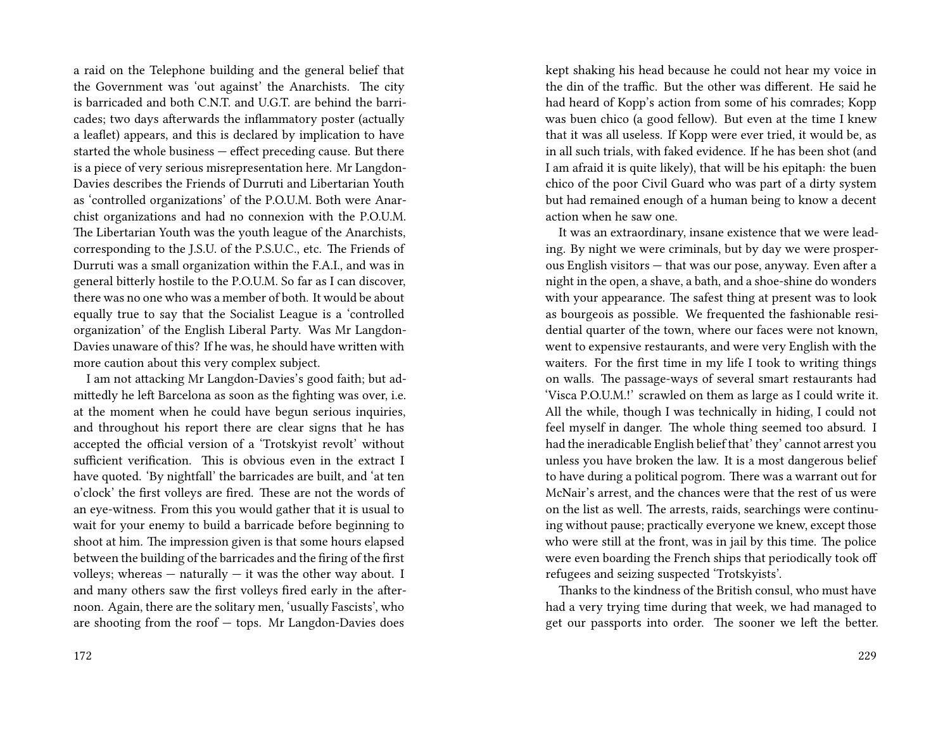a raid on the Telephone building and the general belief that the Government was 'out against' the Anarchists. The city is barricaded and both C.N.T. and U.G.T. are behind the barricades; two days afterwards the inflammatory poster (actually a leaflet) appears, and this is declared by implication to have started the whole business — effect preceding cause. But there is a piece of very serious misrepresentation here. Mr Langdon-Davies describes the Friends of Durruti and Libertarian Youth as 'controlled organizations' of the P.O.U.M. Both were Anarchist organizations and had no connexion with the P.O.U.M. The Libertarian Youth was the youth league of the Anarchists, corresponding to the J.S.U. of the P.S.U.C., etc. The Friends of Durruti was a small organization within the F.A.I., and was in general bitterly hostile to the P.O.U.M. So far as I can discover, there was no one who was a member of both. It would be about equally true to say that the Socialist League is a 'controlled organization' of the English Liberal Party. Was Mr Langdon-Davies unaware of this? If he was, he should have written with more caution about this very complex subject.

I am not attacking Mr Langdon-Davies's good faith; but admittedly he left Barcelona as soon as the fighting was over, i.e. at the moment when he could have begun serious inquiries, and throughout his report there are clear signs that he has accepted the official version of a 'Trotskyist revolt' without sufficient verification. This is obvious even in the extract I have quoted. 'By nightfall' the barricades are built, and 'at ten o'clock' the first volleys are fired. These are not the words of an eye-witness. From this you would gather that it is usual to wait for your enemy to build a barricade before beginning to shoot at him. The impression given is that some hours elapsed between the building of the barricades and the firing of the first volleys; whereas  $-$  naturally  $-$  it was the other way about. I and many others saw the first volleys fired early in the afternoon. Again, there are the solitary men, 'usually Fascists', who are shooting from the roof — tops. Mr Langdon-Davies does

kept shaking his head because he could not hear my voice in the din of the traffic. But the other was different. He said he had heard of Kopp's action from some of his comrades; Kopp was buen chico (a good fellow). But even at the time I knew that it was all useless. If Kopp were ever tried, it would be, as in all such trials, with faked evidence. If he has been shot (and I am afraid it is quite likely), that will be his epitaph: the buen chico of the poor Civil Guard who was part of a dirty system but had remained enough of a human being to know a decent action when he saw one.

It was an extraordinary, insane existence that we were leading. By night we were criminals, but by day we were prosperous English visitors — that was our pose, anyway. Even after a night in the open, a shave, a bath, and a shoe-shine do wonders with your appearance. The safest thing at present was to look as bourgeois as possible. We frequented the fashionable residential quarter of the town, where our faces were not known, went to expensive restaurants, and were very English with the waiters. For the first time in my life I took to writing things on walls. The passage-ways of several smart restaurants had 'Visca P.O.U.M.!' scrawled on them as large as I could write it. All the while, though I was technically in hiding, I could not feel myself in danger. The whole thing seemed too absurd. I had the ineradicable English belief that' they' cannot arrest you unless you have broken the law. It is a most dangerous belief to have during a political pogrom. There was a warrant out for McNair's arrest, and the chances were that the rest of us were on the list as well. The arrests, raids, searchings were continuing without pause; practically everyone we knew, except those who were still at the front, was in jail by this time. The police were even boarding the French ships that periodically took off refugees and seizing suspected 'Trotskyists'.

Thanks to the kindness of the British consul, who must have had a very trying time during that week, we had managed to get our passports into order. The sooner we left the better.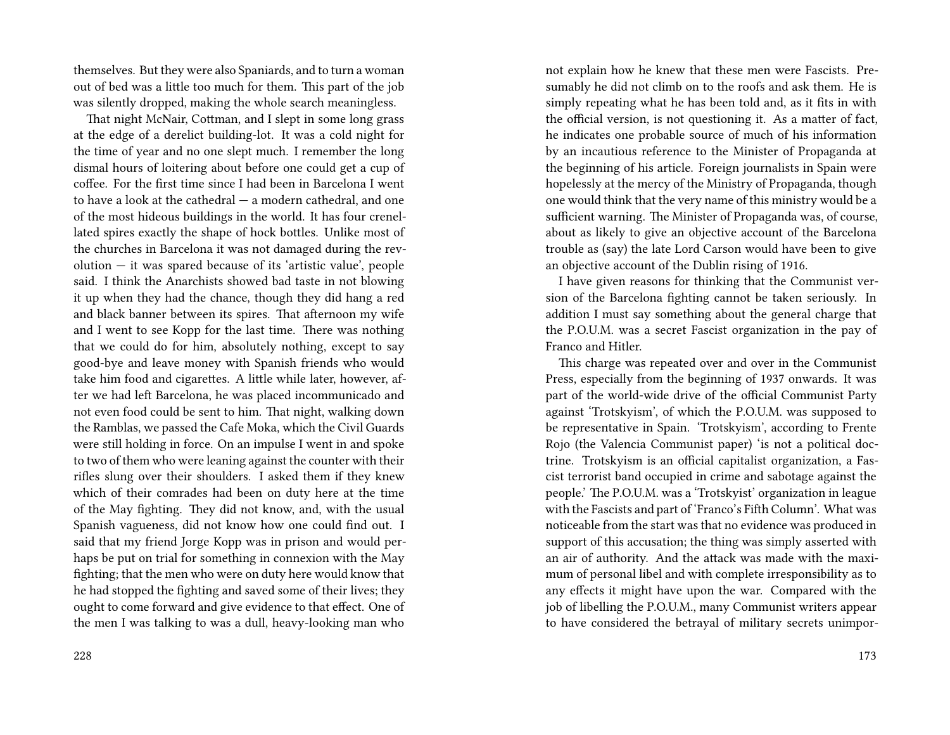themselves. But they were also Spaniards, and to turn a woman out of bed was a little too much for them. This part of the job was silently dropped, making the whole search meaningless.

That night McNair, Cottman, and I slept in some long grass at the edge of a derelict building-lot. It was a cold night for the time of year and no one slept much. I remember the long dismal hours of loitering about before one could get a cup of coffee. For the first time since I had been in Barcelona I went to have a look at the cathedral — a modern cathedral, and one of the most hideous buildings in the world. It has four crenellated spires exactly the shape of hock bottles. Unlike most of the churches in Barcelona it was not damaged during the rev $olution - it was spread because of its 'artistic value', people$ said. I think the Anarchists showed bad taste in not blowing it up when they had the chance, though they did hang a red and black banner between its spires. That afternoon my wife and I went to see Kopp for the last time. There was nothing that we could do for him, absolutely nothing, except to say good-bye and leave money with Spanish friends who would take him food and cigarettes. A little while later, however, after we had left Barcelona, he was placed incommunicado and not even food could be sent to him. That night, walking down the Ramblas, we passed the Cafe Moka, which the Civil Guards were still holding in force. On an impulse I went in and spoke to two of them who were leaning against the counter with their rifles slung over their shoulders. I asked them if they knew which of their comrades had been on duty here at the time of the May fighting. They did not know, and, with the usual Spanish vagueness, did not know how one could find out. I said that my friend Jorge Kopp was in prison and would perhaps be put on trial for something in connexion with the May fighting; that the men who were on duty here would know that he had stopped the fighting and saved some of their lives; they ought to come forward and give evidence to that effect. One of the men I was talking to was a dull, heavy-looking man who

not explain how he knew that these men were Fascists. Presumably he did not climb on to the roofs and ask them. He is simply repeating what he has been told and, as it fits in with the official version, is not questioning it. As a matter of fact, he indicates one probable source of much of his information by an incautious reference to the Minister of Propaganda at the beginning of his article. Foreign journalists in Spain were hopelessly at the mercy of the Ministry of Propaganda, though one would think that the very name of this ministry would be a sufficient warning. The Minister of Propaganda was, of course, about as likely to give an objective account of the Barcelona trouble as (say) the late Lord Carson would have been to give an objective account of the Dublin rising of 1916.

I have given reasons for thinking that the Communist version of the Barcelona fighting cannot be taken seriously. In addition I must say something about the general charge that the P.O.U.M. was a secret Fascist organization in the pay of Franco and Hitler.

This charge was repeated over and over in the Communist Press, especially from the beginning of 1937 onwards. It was part of the world-wide drive of the official Communist Party against 'Trotskyism', of which the P.O.U.M. was supposed to be representative in Spain. 'Trotskyism', according to Frente Rojo (the Valencia Communist paper) 'is not a political doctrine. Trotskyism is an official capitalist organization, a Fascist terrorist band occupied in crime and sabotage against the people.' The P.O.U.M. was a 'Trotskyist' organization in league with the Fascists and part of 'Franco's Fifth Column'. What was noticeable from the start was that no evidence was produced in support of this accusation; the thing was simply asserted with an air of authority. And the attack was made with the maximum of personal libel and with complete irresponsibility as to any effects it might have upon the war. Compared with the job of libelling the P.O.U.M., many Communist writers appear to have considered the betrayal of military secrets unimpor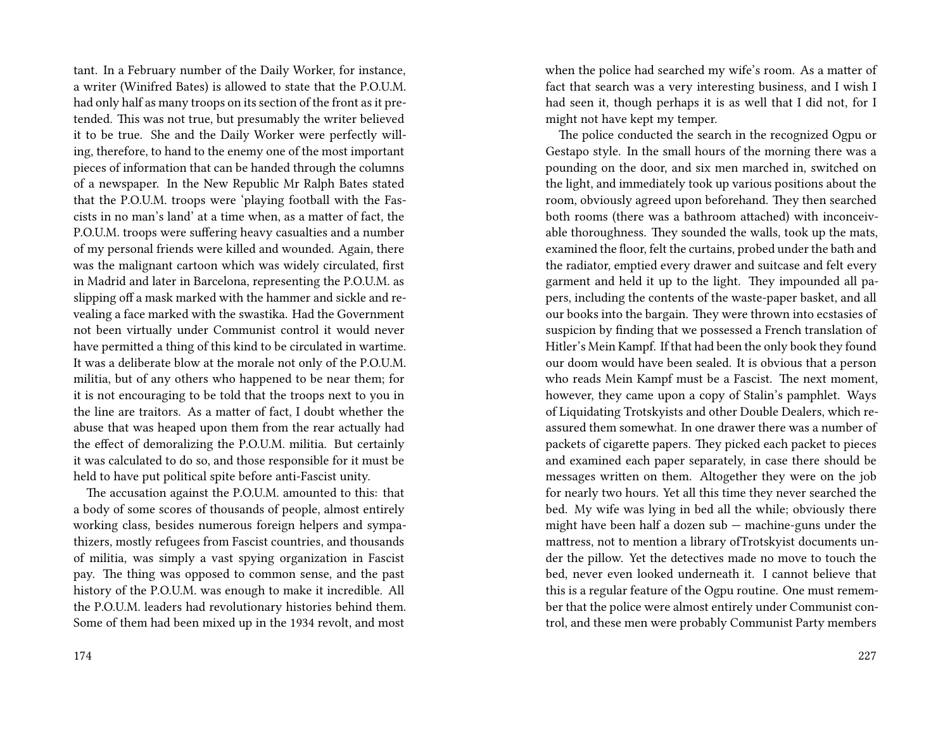tant. In a February number of the Daily Worker, for instance, a writer (Winifred Bates) is allowed to state that the P.O.U.M. had only half as many troops on its section of the front as it pretended. This was not true, but presumably the writer believed it to be true. She and the Daily Worker were perfectly willing, therefore, to hand to the enemy one of the most important pieces of information that can be handed through the columns of a newspaper. In the New Republic Mr Ralph Bates stated that the P.O.U.M. troops were 'playing football with the Fascists in no man's land' at a time when, as a matter of fact, the P.O.U.M. troops were suffering heavy casualties and a number of my personal friends were killed and wounded. Again, there was the malignant cartoon which was widely circulated, first in Madrid and later in Barcelona, representing the P.O.U.M. as slipping off a mask marked with the hammer and sickle and revealing a face marked with the swastika. Had the Government not been virtually under Communist control it would never have permitted a thing of this kind to be circulated in wartime. It was a deliberate blow at the morale not only of the P.O.U.M. militia, but of any others who happened to be near them; for it is not encouraging to be told that the troops next to you in the line are traitors. As a matter of fact, I doubt whether the abuse that was heaped upon them from the rear actually had the effect of demoralizing the P.O.U.M. militia. But certainly it was calculated to do so, and those responsible for it must be held to have put political spite before anti-Fascist unity.

The accusation against the P.O.U.M. amounted to this: that a body of some scores of thousands of people, almost entirely working class, besides numerous foreign helpers and sympathizers, mostly refugees from Fascist countries, and thousands of militia, was simply a vast spying organization in Fascist pay. The thing was opposed to common sense, and the past history of the P.O.U.M. was enough to make it incredible. All the P.O.U.M. leaders had revolutionary histories behind them. Some of them had been mixed up in the 1934 revolt, and most

when the police had searched my wife's room. As a matter of fact that search was a very interesting business, and I wish I had seen it, though perhaps it is as well that I did not, for I might not have kept my temper.

The police conducted the search in the recognized Ogpu or Gestapo style. In the small hours of the morning there was a pounding on the door, and six men marched in, switched on the light, and immediately took up various positions about the room, obviously agreed upon beforehand. They then searched both rooms (there was a bathroom attached) with inconceivable thoroughness. They sounded the walls, took up the mats, examined the floor, felt the curtains, probed under the bath and the radiator, emptied every drawer and suitcase and felt every garment and held it up to the light. They impounded all papers, including the contents of the waste-paper basket, and all our books into the bargain. They were thrown into ecstasies of suspicion by finding that we possessed a French translation of Hitler's Mein Kampf. If that had been the only book they found our doom would have been sealed. It is obvious that a person who reads Mein Kampf must be a Fascist. The next moment, however, they came upon a copy of Stalin's pamphlet. Ways of Liquidating Trotskyists and other Double Dealers, which reassured them somewhat. In one drawer there was a number of packets of cigarette papers. They picked each packet to pieces and examined each paper separately, in case there should be messages written on them. Altogether they were on the job for nearly two hours. Yet all this time they never searched the bed. My wife was lying in bed all the while; obviously there might have been half a dozen sub — machine-guns under the mattress, not to mention a library ofTrotskyist documents under the pillow. Yet the detectives made no move to touch the bed, never even looked underneath it. I cannot believe that this is a regular feature of the Ogpu routine. One must remember that the police were almost entirely under Communist control, and these men were probably Communist Party members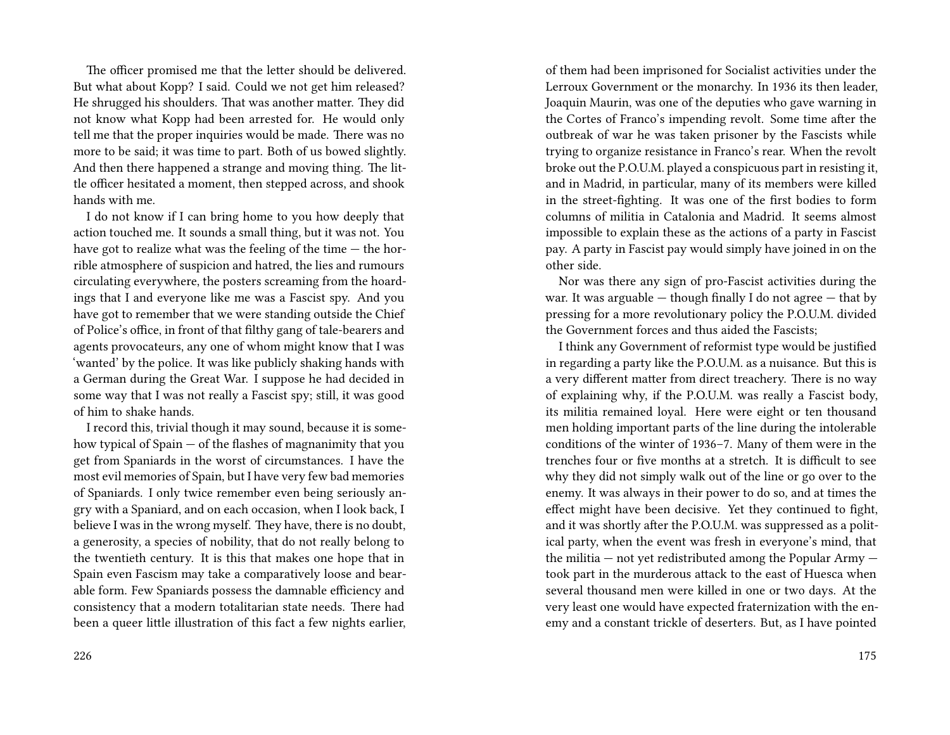The officer promised me that the letter should be delivered. But what about Kopp? I said. Could we not get him released? He shrugged his shoulders. That was another matter. They did not know what Kopp had been arrested for. He would only tell me that the proper inquiries would be made. There was no more to be said; it was time to part. Both of us bowed slightly. And then there happened a strange and moving thing. The little officer hesitated a moment, then stepped across, and shook hands with me.

I do not know if I can bring home to you how deeply that action touched me. It sounds a small thing, but it was not. You have got to realize what was the feeling of the time – the horrible atmosphere of suspicion and hatred, the lies and rumours circulating everywhere, the posters screaming from the hoardings that I and everyone like me was a Fascist spy. And you have got to remember that we were standing outside the Chief of Police's office, in front of that filthy gang of tale-bearers and agents provocateurs, any one of whom might know that I was 'wanted' by the police. It was like publicly shaking hands with a German during the Great War. I suppose he had decided in some way that I was not really a Fascist spy; still, it was good of him to shake hands.

I record this, trivial though it may sound, because it is somehow typical of Spain — of the flashes of magnanimity that you get from Spaniards in the worst of circumstances. I have the most evil memories of Spain, but I have very few bad memories of Spaniards. I only twice remember even being seriously angry with a Spaniard, and on each occasion, when I look back, I believe I was in the wrong myself. They have, there is no doubt, a generosity, a species of nobility, that do not really belong to the twentieth century. It is this that makes one hope that in Spain even Fascism may take a comparatively loose and bearable form. Few Spaniards possess the damnable efficiency and consistency that a modern totalitarian state needs. There had been a queer little illustration of this fact a few nights earlier,

of them had been imprisoned for Socialist activities under the Lerroux Government or the monarchy. In 1936 its then leader, Joaquin Maurin, was one of the deputies who gave warning in the Cortes of Franco's impending revolt. Some time after the outbreak of war he was taken prisoner by the Fascists while trying to organize resistance in Franco's rear. When the revolt broke out the P.O.U.M. played a conspicuous part in resisting it, and in Madrid, in particular, many of its members were killed in the street-fighting. It was one of the first bodies to form columns of militia in Catalonia and Madrid. It seems almost impossible to explain these as the actions of a party in Fascist pay. A party in Fascist pay would simply have joined in on the other side.

Nor was there any sign of pro-Fascist activities during the war. It was arguable  $-$  though finally I do not agree  $-$  that by pressing for a more revolutionary policy the P.O.U.M. divided the Government forces and thus aided the Fascists;

I think any Government of reformist type would be justified in regarding a party like the P.O.U.M. as a nuisance. But this is a very different matter from direct treachery. There is no way of explaining why, if the P.O.U.M. was really a Fascist body, its militia remained loyal. Here were eight or ten thousand men holding important parts of the line during the intolerable conditions of the winter of 1936–7. Many of them were in the trenches four or five months at a stretch. It is difficult to see why they did not simply walk out of the line or go over to the enemy. It was always in their power to do so, and at times the effect might have been decisive. Yet they continued to fight, and it was shortly after the P.O.U.M. was suppressed as a political party, when the event was fresh in everyone's mind, that the militia  $-$  not yet redistributed among the Popular Army  $$ took part in the murderous attack to the east of Huesca when several thousand men were killed in one or two days. At the very least one would have expected fraternization with the enemy and a constant trickle of deserters. But, as I have pointed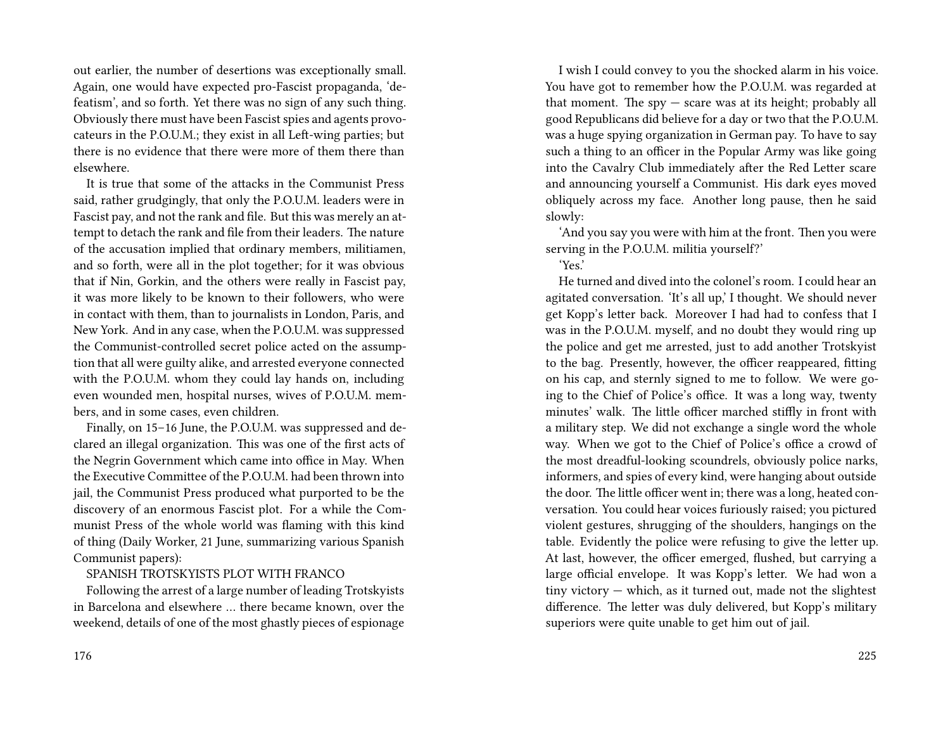out earlier, the number of desertions was exceptionally small. Again, one would have expected pro-Fascist propaganda, 'defeatism', and so forth. Yet there was no sign of any such thing. Obviously there must have been Fascist spies and agents provocateurs in the P.O.U.M.; they exist in all Left-wing parties; but there is no evidence that there were more of them there than elsewhere.

It is true that some of the attacks in the Communist Press said, rather grudgingly, that only the P.O.U.M. leaders were in Fascist pay, and not the rank and file. But this was merely an attempt to detach the rank and file from their leaders. The nature of the accusation implied that ordinary members, militiamen, and so forth, were all in the plot together; for it was obvious that if Nin, Gorkin, and the others were really in Fascist pay, it was more likely to be known to their followers, who were in contact with them, than to journalists in London, Paris, and New York. And in any case, when the P.O.U.M. was suppressed the Communist-controlled secret police acted on the assumption that all were guilty alike, and arrested everyone connected with the P.O.U.M. whom they could lay hands on, including even wounded men, hospital nurses, wives of P.O.U.M. members, and in some cases, even children.

Finally, on 15–16 June, the P.O.U.M. was suppressed and declared an illegal organization. This was one of the first acts of the Negrin Government which came into office in May. When the Executive Committee of the P.O.U.M. had been thrown into jail, the Communist Press produced what purported to be the discovery of an enormous Fascist plot. For a while the Communist Press of the whole world was flaming with this kind of thing (Daily Worker, 21 June, summarizing various Spanish Communist papers):

#### SPANISH TROTSKYISTS PLOT WITH FRANCO

Following the arrest of a large number of leading Trotskyists in Barcelona and elsewhere … there became known, over the weekend, details of one of the most ghastly pieces of espionage

I wish I could convey to you the shocked alarm in his voice. You have got to remember how the P.O.U.M. was regarded at that moment. The  $spy - scare$  was at its height; probably all good Republicans did believe for a day or two that the P.O.U.M. was a huge spying organization in German pay. To have to say such a thing to an officer in the Popular Army was like going into the Cavalry Club immediately after the Red Letter scare and announcing yourself a Communist. His dark eyes moved obliquely across my face. Another long pause, then he said slowly:

'And you say you were with him at the front. Then you were serving in the P.O.U.M. militia yourself?'

'Yes.'

He turned and dived into the colonel's room. I could hear an agitated conversation. 'It's all up,' I thought. We should never get Kopp's letter back. Moreover I had had to confess that I was in the P.O.U.M. myself, and no doubt they would ring up the police and get me arrested, just to add another Trotskyist to the bag. Presently, however, the officer reappeared, fitting on his cap, and sternly signed to me to follow. We were going to the Chief of Police's office. It was a long way, twenty minutes' walk. The little officer marched stiffly in front with a military step. We did not exchange a single word the whole way. When we got to the Chief of Police's office a crowd of the most dreadful-looking scoundrels, obviously police narks, informers, and spies of every kind, were hanging about outside the door. The little officer went in; there was a long, heated conversation. You could hear voices furiously raised; you pictured violent gestures, shrugging of the shoulders, hangings on the table. Evidently the police were refusing to give the letter up. At last, however, the officer emerged, flushed, but carrying a large official envelope. It was Kopp's letter. We had won a tiny victory — which, as it turned out, made not the slightest difference. The letter was duly delivered, but Kopp's military superiors were quite unable to get him out of jail.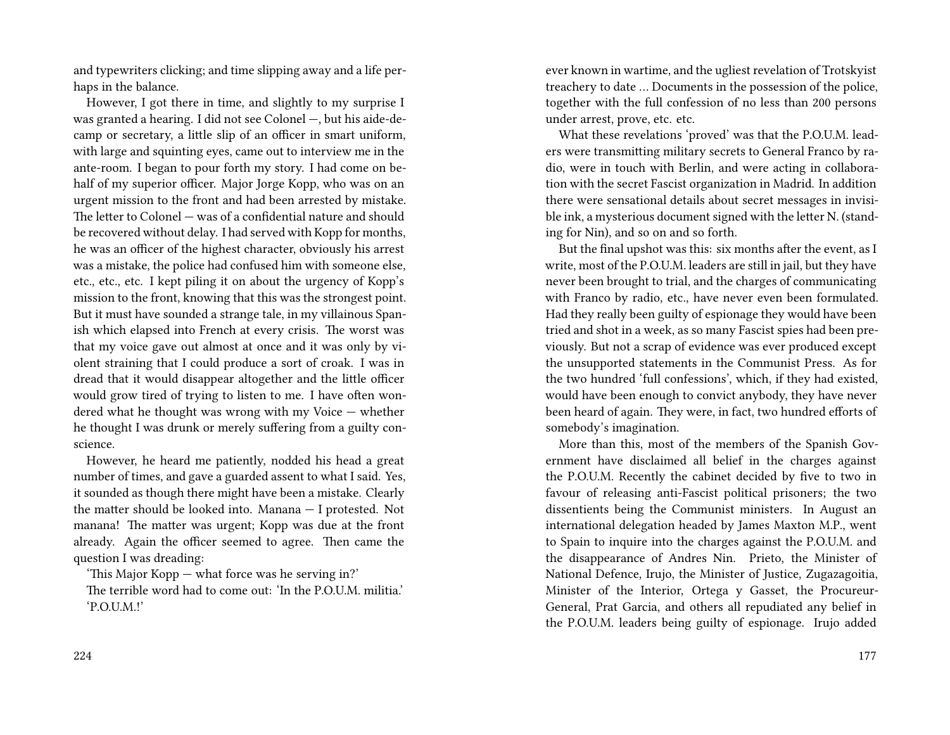and typewriters clicking; and time slipping away and a life perhaps in the balance.

However, I got there in time, and slightly to my surprise I was granted a hearing. I did not see Colonel —, but his aide-decamp or secretary, a little slip of an officer in smart uniform, with large and squinting eyes, came out to interview me in the ante-room. I began to pour forth my story. I had come on behalf of my superior officer. Major Jorge Kopp, who was on an urgent mission to the front and had been arrested by mistake. The letter to Colonel — was of a confidential nature and should be recovered without delay. I had served with Kopp for months, he was an officer of the highest character, obviously his arrest was a mistake, the police had confused him with someone else, etc., etc., etc. I kept piling it on about the urgency of Kopp's mission to the front, knowing that this was the strongest point. But it must have sounded a strange tale, in my villainous Spanish which elapsed into French at every crisis. The worst was that my voice gave out almost at once and it was only by violent straining that I could produce a sort of croak. I was in dread that it would disappear altogether and the little officer would grow tired of trying to listen to me. I have often wondered what he thought was wrong with my Voice — whether he thought I was drunk or merely suffering from a guilty conscience.

However, he heard me patiently, nodded his head a great number of times, and gave a guarded assent to what I said. Yes, it sounded as though there might have been a mistake. Clearly the matter should be looked into. Manana — I protested. Not manana! The matter was urgent; Kopp was due at the front already. Again the officer seemed to agree. Then came the question I was dreading:

'This Major Kopp — what force was he serving in?'

The terrible word had to come out: 'In the P.O.U.M. militia.' 'P.O.U.M.!'

ever known in wartime, and the ugliest revelation of Trotskyist treachery to date … Documents in the possession of the police, together with the full confession of no less than 200 persons under arrest, prove, etc. etc.

What these revelations 'proved' was that the P.O.U.M. leaders were transmitting military secrets to General Franco by radio, were in touch with Berlin, and were acting in collaboration with the secret Fascist organization in Madrid. In addition there were sensational details about secret messages in invisible ink, a mysterious document signed with the letter N. (standing for Nin), and so on and so forth.

But the final upshot was this: six months after the event, as I write, most of the P.O.U.M. leaders are still in jail, but they have never been brought to trial, and the charges of communicating with Franco by radio, etc., have never even been formulated. Had they really been guilty of espionage they would have been tried and shot in a week, as so many Fascist spies had been previously. But not a scrap of evidence was ever produced except the unsupported statements in the Communist Press. As for the two hundred 'full confessions', which, if they had existed, would have been enough to convict anybody, they have never been heard of again. They were, in fact, two hundred efforts of somebody's imagination.

More than this, most of the members of the Spanish Government have disclaimed all belief in the charges against the P.O.U.M. Recently the cabinet decided by five to two in favour of releasing anti-Fascist political prisoners; the two dissentients being the Communist ministers. In August an international delegation headed by James Maxton M.P., went to Spain to inquire into the charges against the P.O.U.M. and the disappearance of Andres Nin. Prieto, the Minister of National Defence, Irujo, the Minister of Justice, Zugazagoitia, Minister of the Interior, Ortega y Gasset, the Procureur-General, Prat Garcia, and others all repudiated any belief in the P.O.U.M. leaders being guilty of espionage. Irujo added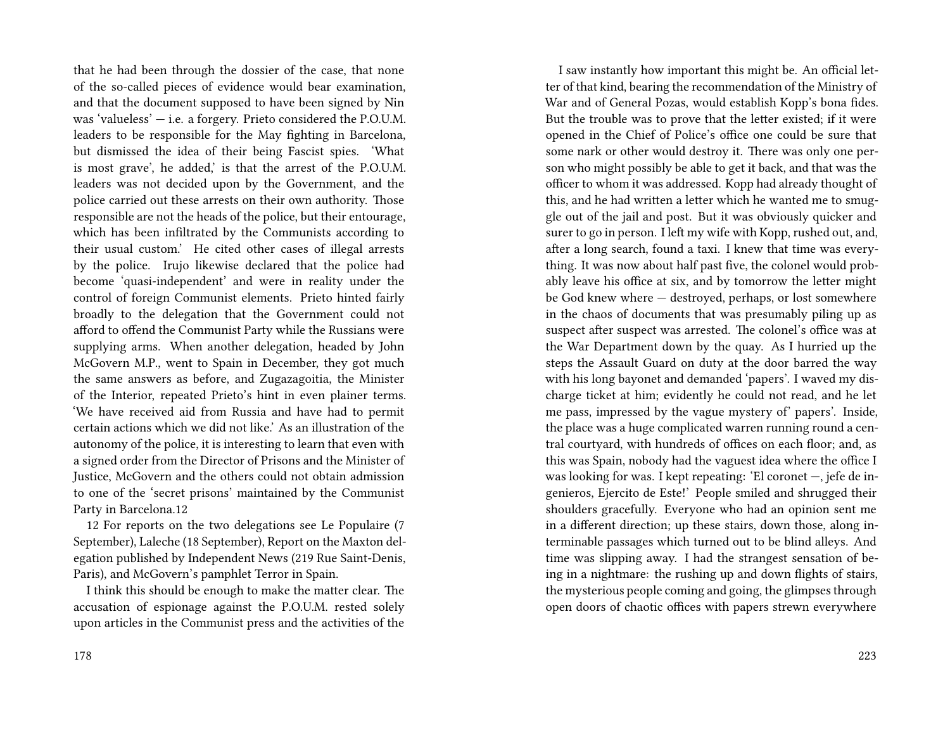that he had been through the dossier of the case, that none of the so-called pieces of evidence would bear examination, and that the document supposed to have been signed by Nin was 'valueless' — i.e. a forgery. Prieto considered the P.O.U.M. leaders to be responsible for the May fighting in Barcelona, but dismissed the idea of their being Fascist spies. 'What is most grave', he added,' is that the arrest of the P.O.U.M. leaders was not decided upon by the Government, and the police carried out these arrests on their own authority. Those responsible are not the heads of the police, but their entourage, which has been infiltrated by the Communists according to their usual custom.' He cited other cases of illegal arrests by the police. Irujo likewise declared that the police had become 'quasi-independent' and were in reality under the control of foreign Communist elements. Prieto hinted fairly broadly to the delegation that the Government could not afford to offend the Communist Party while the Russians were supplying arms. When another delegation, headed by John McGovern M.P., went to Spain in December, they got much the same answers as before, and Zugazagoitia, the Minister of the Interior, repeated Prieto's hint in even plainer terms. 'We have received aid from Russia and have had to permit certain actions which we did not like.' As an illustration of the autonomy of the police, it is interesting to learn that even with a signed order from the Director of Prisons and the Minister of Justice, McGovern and the others could not obtain admission to one of the 'secret prisons' maintained by the Communist Party in Barcelona.12

12 For reports on the two delegations see Le Populaire (7 September), Laleche (18 September), Report on the Maxton delegation published by Independent News (219 Rue Saint-Denis, Paris), and McGovern's pamphlet Terror in Spain.

I think this should be enough to make the matter clear. The accusation of espionage against the P.O.U.M. rested solely upon articles in the Communist press and the activities of the

I saw instantly how important this might be. An official letter of that kind, bearing the recommendation of the Ministry of War and of General Pozas, would establish Kopp's bona fides. But the trouble was to prove that the letter existed; if it were opened in the Chief of Police's office one could be sure that some nark or other would destroy it. There was only one person who might possibly be able to get it back, and that was the officer to whom it was addressed. Kopp had already thought of this, and he had written a letter which he wanted me to smuggle out of the jail and post. But it was obviously quicker and surer to go in person. I left my wife with Kopp, rushed out, and, after a long search, found a taxi. I knew that time was everything. It was now about half past five, the colonel would probably leave his office at six, and by tomorrow the letter might be God knew where — destroyed, perhaps, or lost somewhere in the chaos of documents that was presumably piling up as suspect after suspect was arrested. The colonel's office was at the War Department down by the quay. As I hurried up the steps the Assault Guard on duty at the door barred the way with his long bayonet and demanded 'papers'. I waved my discharge ticket at him; evidently he could not read, and he let me pass, impressed by the vague mystery of' papers'. Inside, the place was a huge complicated warren running round a central courtyard, with hundreds of offices on each floor; and, as this was Spain, nobody had the vaguest idea where the office I was looking for was. I kept repeating: 'El coronet —, jefe de ingenieros, Ejercito de Este!' People smiled and shrugged their shoulders gracefully. Everyone who had an opinion sent me in a different direction; up these stairs, down those, along interminable passages which turned out to be blind alleys. And time was slipping away. I had the strangest sensation of being in a nightmare: the rushing up and down flights of stairs, the mysterious people coming and going, the glimpses through open doors of chaotic offices with papers strewn everywhere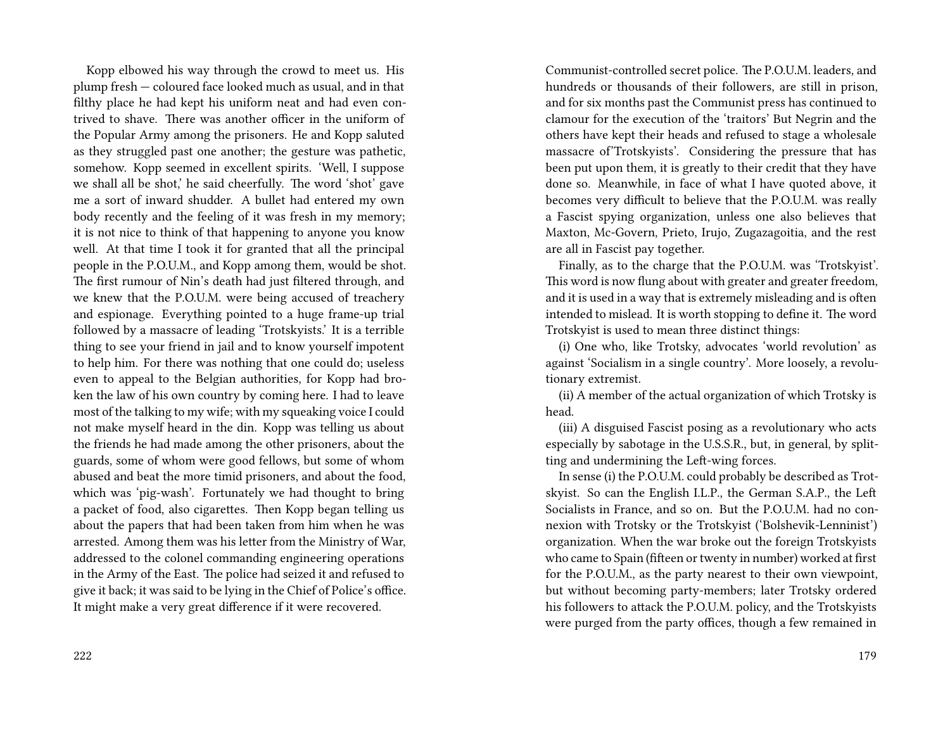Kopp elbowed his way through the crowd to meet us. His plump fresh — coloured face looked much as usual, and in that filthy place he had kept his uniform neat and had even contrived to shave. There was another officer in the uniform of the Popular Army among the prisoners. He and Kopp saluted as they struggled past one another; the gesture was pathetic, somehow. Kopp seemed in excellent spirits. 'Well, I suppose we shall all be shot,' he said cheerfully. The word 'shot' gave me a sort of inward shudder. A bullet had entered my own body recently and the feeling of it was fresh in my memory; it is not nice to think of that happening to anyone you know well. At that time I took it for granted that all the principal people in the P.O.U.M., and Kopp among them, would be shot. The first rumour of Nin's death had just filtered through, and we knew that the P.O.U.M. were being accused of treachery and espionage. Everything pointed to a huge frame-up trial followed by a massacre of leading 'Trotskyists.' It is a terrible thing to see your friend in jail and to know yourself impotent to help him. For there was nothing that one could do; useless even to appeal to the Belgian authorities, for Kopp had broken the law of his own country by coming here. I had to leave most of the talking to my wife; with my squeaking voice I could not make myself heard in the din. Kopp was telling us about the friends he had made among the other prisoners, about the guards, some of whom were good fellows, but some of whom abused and beat the more timid prisoners, and about the food, which was 'pig-wash'. Fortunately we had thought to bring a packet of food, also cigarettes. Then Kopp began telling us about the papers that had been taken from him when he was arrested. Among them was his letter from the Ministry of War, addressed to the colonel commanding engineering operations in the Army of the East. The police had seized it and refused to give it back; it was said to be lying in the Chief of Police's office. It might make a very great difference if it were recovered.

Communist-controlled secret police. The P.O.U.M. leaders, and hundreds or thousands of their followers, are still in prison, and for six months past the Communist press has continued to clamour for the execution of the 'traitors' But Negrin and the others have kept their heads and refused to stage a wholesale massacre of'Trotskyists'. Considering the pressure that has been put upon them, it is greatly to their credit that they have done so. Meanwhile, in face of what I have quoted above, it becomes very difficult to believe that the P.O.U.M. was really a Fascist spying organization, unless one also believes that Maxton, Mc-Govern, Prieto, Irujo, Zugazagoitia, and the rest are all in Fascist pay together.

Finally, as to the charge that the P.O.U.M. was 'Trotskyist'. This word is now flung about with greater and greater freedom, and it is used in a way that is extremely misleading and is often intended to mislead. It is worth stopping to define it. The word Trotskyist is used to mean three distinct things:

(i) One who, like Trotsky, advocates 'world revolution' as against 'Socialism in a single country'. More loosely, a revolutionary extremist.

(ii) A member of the actual organization of which Trotsky is head.

(iii) A disguised Fascist posing as a revolutionary who acts especially by sabotage in the U.S.S.R., but, in general, by splitting and undermining the Left-wing forces.

In sense (i) the P.O.U.M. could probably be described as Trotskyist. So can the English I.L.P., the German S.A.P., the Left Socialists in France, and so on. But the P.O.U.M. had no connexion with Trotsky or the Trotskyist ('Bolshevik-Lenninist') organization. When the war broke out the foreign Trotskyists who came to Spain (fifteen or twenty in number) worked at first for the P.O.U.M., as the party nearest to their own viewpoint, but without becoming party-members; later Trotsky ordered his followers to attack the P.O.U.M. policy, and the Trotskyists were purged from the party offices, though a few remained in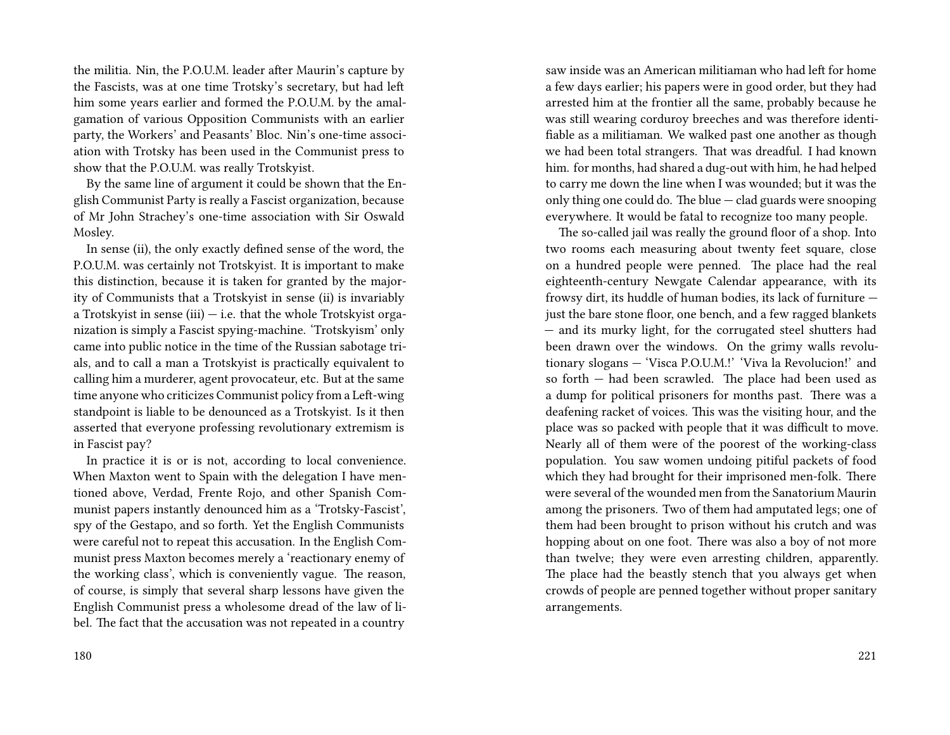the militia. Nin, the P.O.U.M. leader after Maurin's capture by the Fascists, was at one time Trotsky's secretary, but had left him some years earlier and formed the P.O.U.M. by the amalgamation of various Opposition Communists with an earlier party, the Workers' and Peasants' Bloc. Nin's one-time association with Trotsky has been used in the Communist press to show that the P.O.U.M. was really Trotskyist.

By the same line of argument it could be shown that the English Communist Party is really a Fascist organization, because of Mr John Strachey's one-time association with Sir Oswald Mosley.

In sense (ii), the only exactly defined sense of the word, the P.O.U.M. was certainly not Trotskyist. It is important to make this distinction, because it is taken for granted by the majority of Communists that a Trotskyist in sense (ii) is invariably a Trotskyist in sense (iii)  $-$  i.e. that the whole Trotskyist organization is simply a Fascist spying-machine. 'Trotskyism' only came into public notice in the time of the Russian sabotage trials, and to call a man a Trotskyist is practically equivalent to calling him a murderer, agent provocateur, etc. But at the same time anyone who criticizes Communist policy from a Left-wing standpoint is liable to be denounced as a Trotskyist. Is it then asserted that everyone professing revolutionary extremism is in Fascist pay?

In practice it is or is not, according to local convenience. When Maxton went to Spain with the delegation I have mentioned above, Verdad, Frente Rojo, and other Spanish Communist papers instantly denounced him as a 'Trotsky-Fascist', spy of the Gestapo, and so forth. Yet the English Communists were careful not to repeat this accusation. In the English Communist press Maxton becomes merely a 'reactionary enemy of the working class', which is conveniently vague. The reason, of course, is simply that several sharp lessons have given the English Communist press a wholesome dread of the law of libel. The fact that the accusation was not repeated in a country

saw inside was an American militiaman who had left for home a few days earlier; his papers were in good order, but they had arrested him at the frontier all the same, probably because he was still wearing corduroy breeches and was therefore identifiable as a militiaman. We walked past one another as though we had been total strangers. That was dreadful. I had known him. for months, had shared a dug-out with him, he had helped to carry me down the line when I was wounded; but it was the only thing one could do. The blue — clad guards were snooping everywhere. It would be fatal to recognize too many people.

The so-called jail was really the ground floor of a shop. Into two rooms each measuring about twenty feet square, close on a hundred people were penned. The place had the real eighteenth-century Newgate Calendar appearance, with its frowsy dirt, its huddle of human bodies, its lack of furniture just the bare stone floor, one bench, and a few ragged blankets — and its murky light, for the corrugated steel shutters had been drawn over the windows. On the grimy walls revolutionary slogans — 'Visca P.O.U.M.!' 'Viva la Revolucion!' and so forth — had been scrawled. The place had been used as a dump for political prisoners for months past. There was a deafening racket of voices. This was the visiting hour, and the place was so packed with people that it was difficult to move. Nearly all of them were of the poorest of the working-class population. You saw women undoing pitiful packets of food which they had brought for their imprisoned men-folk. There were several of the wounded men from the Sanatorium Maurin among the prisoners. Two of them had amputated legs; one of them had been brought to prison without his crutch and was hopping about on one foot. There was also a boy of not more than twelve; they were even arresting children, apparently. The place had the beastly stench that you always get when crowds of people are penned together without proper sanitary arrangements.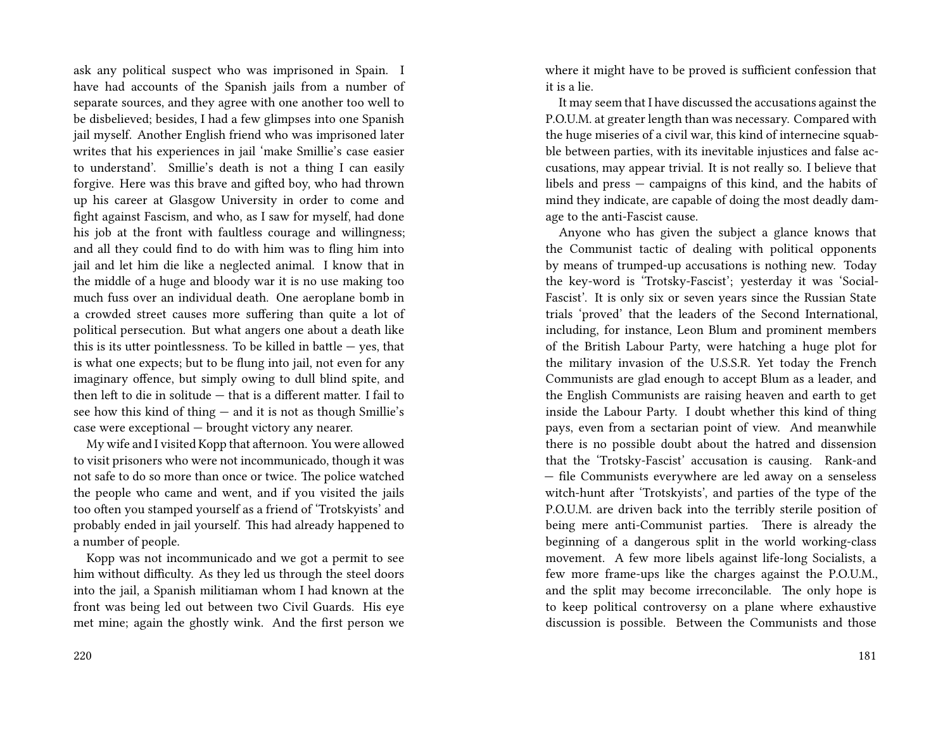ask any political suspect who was imprisoned in Spain. I have had accounts of the Spanish jails from a number of separate sources, and they agree with one another too well to be disbelieved; besides, I had a few glimpses into one Spanish jail myself. Another English friend who was imprisoned later writes that his experiences in jail 'make Smillie's case easier to understand'. Smillie's death is not a thing I can easily forgive. Here was this brave and gifted boy, who had thrown up his career at Glasgow University in order to come and fight against Fascism, and who, as I saw for myself, had done his job at the front with faultless courage and willingness; and all they could find to do with him was to fling him into jail and let him die like a neglected animal. I know that in the middle of a huge and bloody war it is no use making too much fuss over an individual death. One aeroplane bomb in a crowded street causes more suffering than quite a lot of political persecution. But what angers one about a death like this is its utter pointlessness. To be killed in battle  $-$  yes, that is what one expects; but to be flung into jail, not even for any imaginary offence, but simply owing to dull blind spite, and then left to die in solitude — that is a different matter. I fail to see how this kind of thing — and it is not as though Smillie's case were exceptional — brought victory any nearer.

My wife and I visited Kopp that afternoon. You were allowed to visit prisoners who were not incommunicado, though it was not safe to do so more than once or twice. The police watched the people who came and went, and if you visited the jails too often you stamped yourself as a friend of 'Trotskyists' and probably ended in jail yourself. This had already happened to a number of people.

Kopp was not incommunicado and we got a permit to see him without difficulty. As they led us through the steel doors into the jail, a Spanish militiaman whom I had known at the front was being led out between two Civil Guards. His eye met mine; again the ghostly wink. And the first person we where it might have to be proved is sufficient confession that it is a lie.

It may seem that I have discussed the accusations against the P.O.U.M. at greater length than was necessary. Compared with the huge miseries of a civil war, this kind of internecine squabble between parties, with its inevitable injustices and false accusations, may appear trivial. It is not really so. I believe that libels and press — campaigns of this kind, and the habits of mind they indicate, are capable of doing the most deadly damage to the anti-Fascist cause.

Anyone who has given the subject a glance knows that the Communist tactic of dealing with political opponents by means of trumped-up accusations is nothing new. Today the key-word is 'Trotsky-Fascist'; yesterday it was 'Social-Fascist'. It is only six or seven years since the Russian State trials 'proved' that the leaders of the Second International, including, for instance, Leon Blum and prominent members of the British Labour Party, were hatching a huge plot for the military invasion of the U.S.S.R. Yet today the French Communists are glad enough to accept Blum as a leader, and the English Communists are raising heaven and earth to get inside the Labour Party. I doubt whether this kind of thing pays, even from a sectarian point of view. And meanwhile there is no possible doubt about the hatred and dissension that the 'Trotsky-Fascist' accusation is causing. Rank-and — file Communists everywhere are led away on a senseless witch-hunt after 'Trotskyists', and parties of the type of the P.O.U.M. are driven back into the terribly sterile position of being mere anti-Communist parties. There is already the beginning of a dangerous split in the world working-class movement. A few more libels against life-long Socialists, a few more frame-ups like the charges against the P.O.U.M., and the split may become irreconcilable. The only hope is to keep political controversy on a plane where exhaustive discussion is possible. Between the Communists and those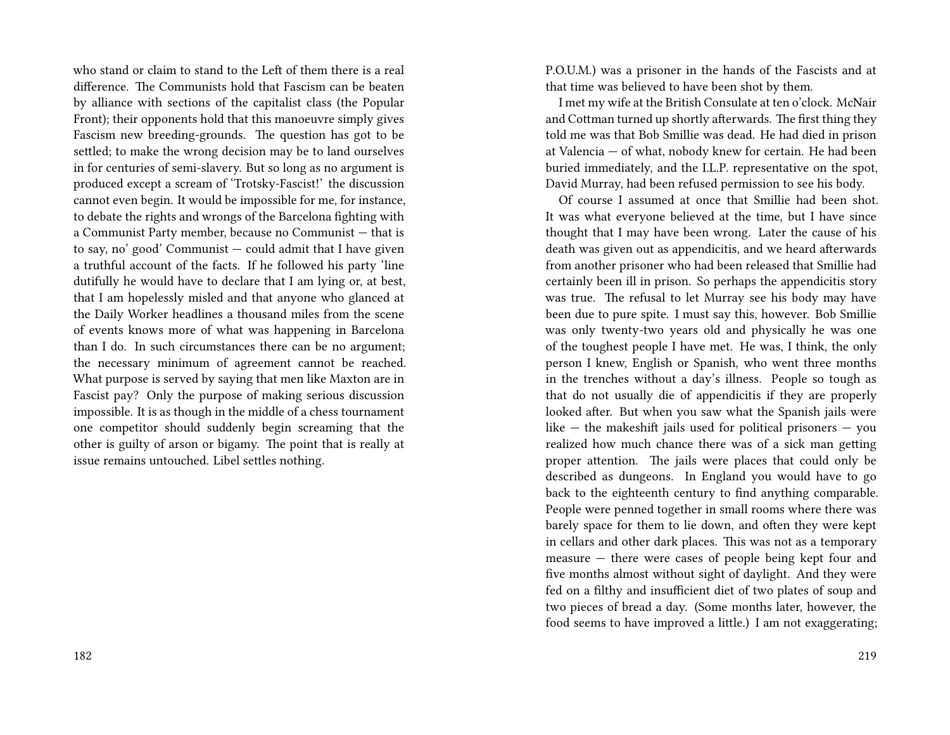who stand or claim to stand to the Left of them there is a real difference. The Communists hold that Fascism can be beaten by alliance with sections of the capitalist class (the Popular Front); their opponents hold that this manoeuvre simply gives Fascism new breeding-grounds. The question has got to be settled; to make the wrong decision may be to land ourselves in for centuries of semi-slavery. But so long as no argument is produced except a scream of 'Trotsky-Fascist!' the discussion cannot even begin. It would be impossible for me, for instance, to debate the rights and wrongs of the Barcelona fighting with a Communist Party member, because no Communist — that is to say, no' good' Communist — could admit that I have given a truthful account of the facts. If he followed his party 'line dutifully he would have to declare that I am lying or, at best, that I am hopelessly misled and that anyone who glanced at the Daily Worker headlines a thousand miles from the scene of events knows more of what was happening in Barcelona than I do. In such circumstances there can be no argument; the necessary minimum of agreement cannot be reached. What purpose is served by saying that men like Maxton are in Fascist pay? Only the purpose of making serious discussion impossible. It is as though in the middle of a chess tournament one competitor should suddenly begin screaming that the other is guilty of arson or bigamy. The point that is really at issue remains untouched. Libel settles nothing.

P.O.U.M.) was a prisoner in the hands of the Fascists and at that time was believed to have been shot by them.

I met my wife at the British Consulate at ten o'clock. McNair and Cottman turned up shortly afterwards. The first thing they told me was that Bob Smillie was dead. He had died in prison at Valencia — of what, nobody knew for certain. He had been buried immediately, and the I.L.P. representative on the spot, David Murray, had been refused permission to see his body.

Of course I assumed at once that Smillie had been shot. It was what everyone believed at the time, but I have since thought that I may have been wrong. Later the cause of his death was given out as appendicitis, and we heard afterwards from another prisoner who had been released that Smillie had certainly been ill in prison. So perhaps the appendicitis story was true. The refusal to let Murray see his body may have been due to pure spite. I must say this, however. Bob Smillie was only twenty-two years old and physically he was one of the toughest people I have met. He was, I think, the only person I knew, English or Spanish, who went three months in the trenches without a day's illness. People so tough as that do not usually die of appendicitis if they are properly looked after. But when you saw what the Spanish jails were like — the makeshift jails used for political prisoners — you realized how much chance there was of a sick man getting proper attention. The jails were places that could only be described as dungeons. In England you would have to go back to the eighteenth century to find anything comparable. People were penned together in small rooms where there was barely space for them to lie down, and often they were kept in cellars and other dark places. This was not as a temporary measure — there were cases of people being kept four and five months almost without sight of daylight. And they were fed on a filthy and insufficient diet of two plates of soup and two pieces of bread a day. (Some months later, however, the food seems to have improved a little.) I am not exaggerating;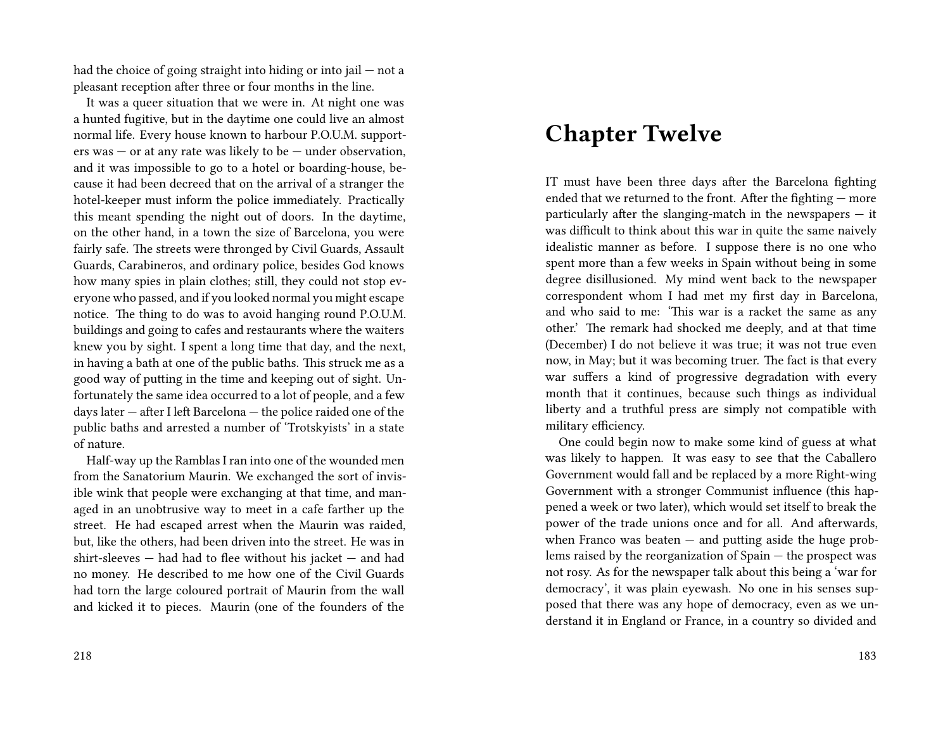had the choice of going straight into hiding or into jail — not a pleasant reception after three or four months in the line.

It was a queer situation that we were in. At night one was a hunted fugitive, but in the daytime one could live an almost normal life. Every house known to harbour P.O.U.M. supporters was  $-$  or at any rate was likely to be  $-$  under observation, and it was impossible to go to a hotel or boarding-house, because it had been decreed that on the arrival of a stranger the hotel-keeper must inform the police immediately. Practically this meant spending the night out of doors. In the daytime, on the other hand, in a town the size of Barcelona, you were fairly safe. The streets were thronged by Civil Guards, Assault Guards, Carabineros, and ordinary police, besides God knows how many spies in plain clothes; still, they could not stop everyone who passed, and if you looked normal you might escape notice. The thing to do was to avoid hanging round P.O.U.M. buildings and going to cafes and restaurants where the waiters knew you by sight. I spent a long time that day, and the next, in having a bath at one of the public baths. This struck me as a good way of putting in the time and keeping out of sight. Unfortunately the same idea occurred to a lot of people, and a few days later — after I left Barcelona — the police raided one of the public baths and arrested a number of 'Trotskyists' in a state of nature.

Half-way up the Ramblas I ran into one of the wounded men from the Sanatorium Maurin. We exchanged the sort of invisible wink that people were exchanging at that time, and managed in an unobtrusive way to meet in a cafe farther up the street. He had escaped arrest when the Maurin was raided, but, like the others, had been driven into the street. He was in shirt-sleeves  $-$  had had to flee without his jacket  $-$  and had no money. He described to me how one of the Civil Guards had torn the large coloured portrait of Maurin from the wall and kicked it to pieces. Maurin (one of the founders of the

# **Chapter Twelve**

IT must have been three days after the Barcelona fighting ended that we returned to the front. After the fighting — more particularly after the slanging-match in the newspapers — it was difficult to think about this war in quite the same naively idealistic manner as before. I suppose there is no one who spent more than a few weeks in Spain without being in some degree disillusioned. My mind went back to the newspaper correspondent whom I had met my first day in Barcelona, and who said to me: 'This war is a racket the same as any other.' The remark had shocked me deeply, and at that time (December) I do not believe it was true; it was not true even now, in May; but it was becoming truer. The fact is that every war suffers a kind of progressive degradation with every month that it continues, because such things as individual liberty and a truthful press are simply not compatible with military efficiency.

One could begin now to make some kind of guess at what was likely to happen. It was easy to see that the Caballero Government would fall and be replaced by a more Right-wing Government with a stronger Communist influence (this happened a week or two later), which would set itself to break the power of the trade unions once and for all. And afterwards, when Franco was beaten  $-$  and putting aside the huge problems raised by the reorganization of Spain — the prospect was not rosy. As for the newspaper talk about this being a 'war for democracy', it was plain eyewash. No one in his senses supposed that there was any hope of democracy, even as we understand it in England or France, in a country so divided and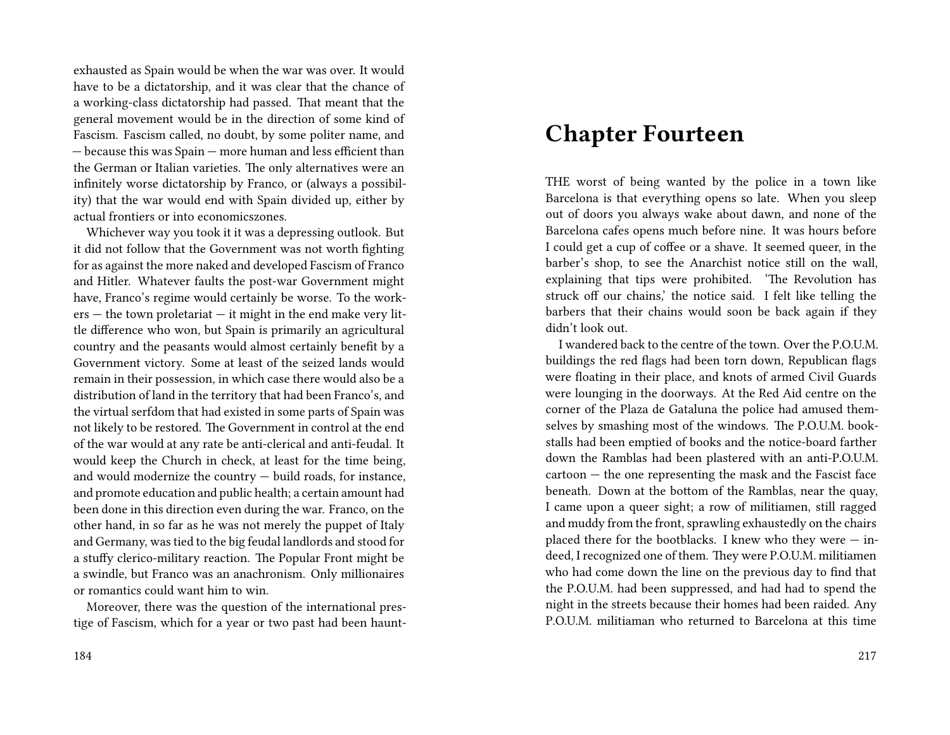exhausted as Spain would be when the war was over. It would have to be a dictatorship, and it was clear that the chance of a working-class dictatorship had passed. That meant that the general movement would be in the direction of some kind of Fascism. Fascism called, no doubt, by some politer name, and — because this was Spain — more human and less efficient than the German or Italian varieties. The only alternatives were an infinitely worse dictatorship by Franco, or (always a possibility) that the war would end with Spain divided up, either by actual frontiers or into economicszones.

Whichever way you took it it was a depressing outlook. But it did not follow that the Government was not worth fighting for as against the more naked and developed Fascism of Franco and Hitler. Whatever faults the post-war Government might have, Franco's regime would certainly be worse. To the work $ers$  – the town proletariat – it might in the end make very little difference who won, but Spain is primarily an agricultural country and the peasants would almost certainly benefit by a Government victory. Some at least of the seized lands would remain in their possession, in which case there would also be a distribution of land in the territory that had been Franco's, and the virtual serfdom that had existed in some parts of Spain was not likely to be restored. The Government in control at the end of the war would at any rate be anti-clerical and anti-feudal. It would keep the Church in check, at least for the time being, and would modernize the country — build roads, for instance, and promote education and public health; a certain amount had been done in this direction even during the war. Franco, on the other hand, in so far as he was not merely the puppet of Italy and Germany, was tied to the big feudal landlords and stood for a stuffy clerico-military reaction. The Popular Front might be a swindle, but Franco was an anachronism. Only millionaires or romantics could want him to win.

Moreover, there was the question of the international prestige of Fascism, which for a year or two past had been haunt-

### **Chapter Fourteen**

THE worst of being wanted by the police in a town like Barcelona is that everything opens so late. When you sleep out of doors you always wake about dawn, and none of the Barcelona cafes opens much before nine. It was hours before I could get a cup of coffee or a shave. It seemed queer, in the barber's shop, to see the Anarchist notice still on the wall, explaining that tips were prohibited. 'The Revolution has struck off our chains,' the notice said. I felt like telling the barbers that their chains would soon be back again if they didn't look out.

I wandered back to the centre of the town. Over the P.O.U.M. buildings the red flags had been torn down, Republican flags were floating in their place, and knots of armed Civil Guards were lounging in the doorways. At the Red Aid centre on the corner of the Plaza de Gataluna the police had amused themselves by smashing most of the windows. The P.O.U.M. bookstalls had been emptied of books and the notice-board farther down the Ramblas had been plastered with an anti-P.O.U.M. cartoon — the one representing the mask and the Fascist face beneath. Down at the bottom of the Ramblas, near the quay, I came upon a queer sight; a row of militiamen, still ragged and muddy from the front, sprawling exhaustedly on the chairs placed there for the bootblacks. I knew who they were  $-$  indeed, I recognized one of them. They were P.O.U.M. militiamen who had come down the line on the previous day to find that the P.O.U.M. had been suppressed, and had had to spend the night in the streets because their homes had been raided. Any P.O.U.M. militiaman who returned to Barcelona at this time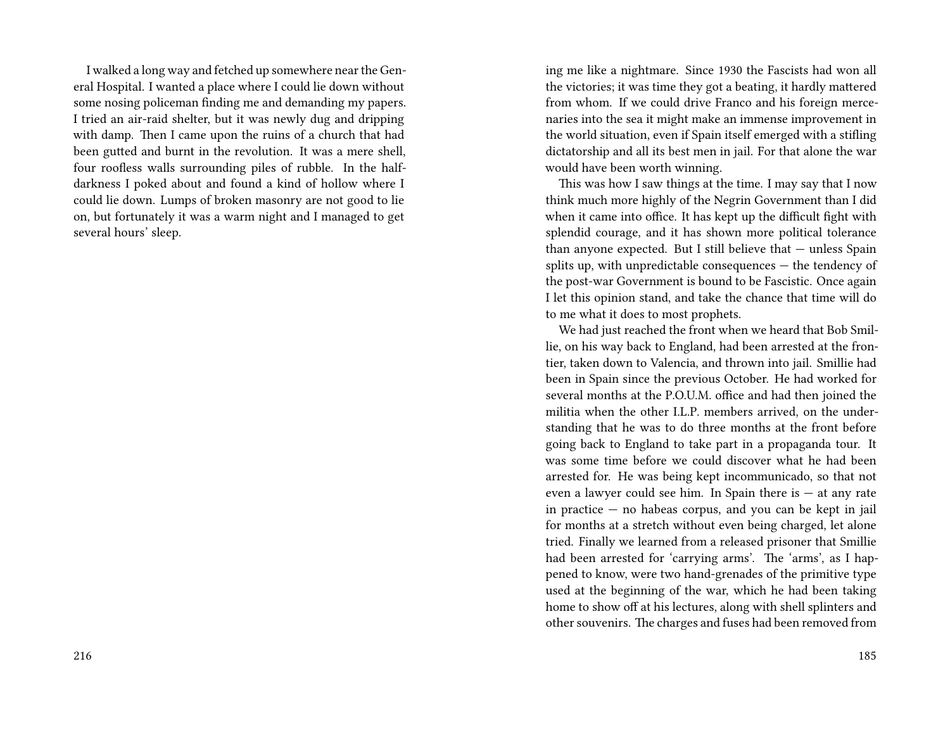I walked a long way and fetched up somewhere near the General Hospital. I wanted a place where I could lie down without some nosing policeman finding me and demanding my papers. I tried an air-raid shelter, but it was newly dug and dripping with damp. Then I came upon the ruins of a church that had been gutted and burnt in the revolution. It was a mere shell, four roofless walls surrounding piles of rubble. In the halfdarkness I poked about and found a kind of hollow where I could lie down. Lumps of broken masonry are not good to lie on, but fortunately it was a warm night and I managed to get several hours' sleep.

ing me like a nightmare. Since 1930 the Fascists had won all the victories; it was time they got a beating, it hardly mattered from whom. If we could drive Franco and his foreign mercenaries into the sea it might make an immense improvement in the world situation, even if Spain itself emerged with a stifling dictatorship and all its best men in jail. For that alone the war would have been worth winning.

This was how I saw things at the time. I may say that I now think much more highly of the Negrin Government than I did when it came into office. It has kept up the difficult fight with splendid courage, and it has shown more political tolerance than anyone expected. But I still believe that — unless Spain splits up, with unpredictable consequences — the tendency of the post-war Government is bound to be Fascistic. Once again I let this opinion stand, and take the chance that time will do to me what it does to most prophets.

We had just reached the front when we heard that Bob Smillie, on his way back to England, had been arrested at the frontier, taken down to Valencia, and thrown into jail. Smillie had been in Spain since the previous October. He had worked for several months at the P.O.U.M. office and had then joined the militia when the other I.L.P. members arrived, on the understanding that he was to do three months at the front before going back to England to take part in a propaganda tour. It was some time before we could discover what he had been arrested for. He was being kept incommunicado, so that not even a lawyer could see him. In Spain there is  $-$  at any rate in practice — no habeas corpus, and you can be kept in jail for months at a stretch without even being charged, let alone tried. Finally we learned from a released prisoner that Smillie had been arrested for 'carrying arms'. The 'arms', as I happened to know, were two hand-grenades of the primitive type used at the beginning of the war, which he had been taking home to show off at his lectures, along with shell splinters and other souvenirs. The charges and fuses had been removed from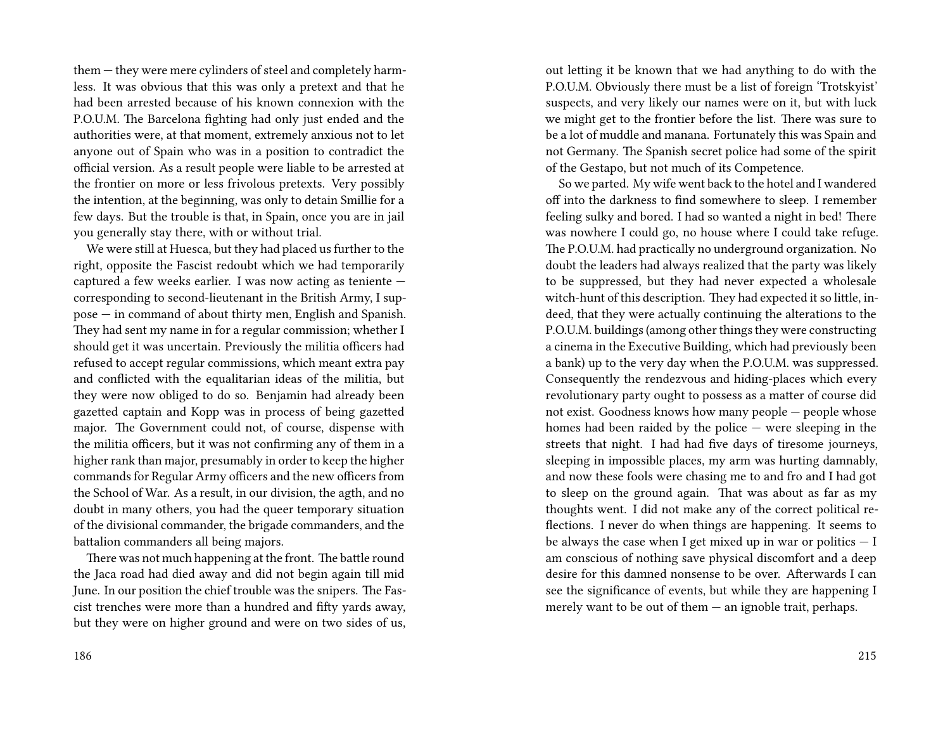them — they were mere cylinders of steel and completely harmless. It was obvious that this was only a pretext and that he had been arrested because of his known connexion with the P.O.U.M. The Barcelona fighting had only just ended and the authorities were, at that moment, extremely anxious not to let anyone out of Spain who was in a position to contradict the official version. As a result people were liable to be arrested at the frontier on more or less frivolous pretexts. Very possibly the intention, at the beginning, was only to detain Smillie for a few days. But the trouble is that, in Spain, once you are in jail you generally stay there, with or without trial.

We were still at Huesca, but they had placed us further to the right, opposite the Fascist redoubt which we had temporarily captured a few weeks earlier. I was now acting as teniente corresponding to second-lieutenant in the British Army, I suppose — in command of about thirty men, English and Spanish. They had sent my name in for a regular commission; whether I should get it was uncertain. Previously the militia officers had refused to accept regular commissions, which meant extra pay and conflicted with the equalitarian ideas of the militia, but they were now obliged to do so. Benjamin had already been gazetted captain and Kopp was in process of being gazetted major. The Government could not, of course, dispense with the militia officers, but it was not confirming any of them in a higher rank than major, presumably in order to keep the higher commands for Regular Army officers and the new officers from the School of War. As a result, in our division, the agth, and no doubt in many others, you had the queer temporary situation of the divisional commander, the brigade commanders, and the battalion commanders all being majors.

There was not much happening at the front. The battle round the Jaca road had died away and did not begin again till mid June. In our position the chief trouble was the snipers. The Fascist trenches were more than a hundred and fifty yards away, but they were on higher ground and were on two sides of us,

out letting it be known that we had anything to do with the P.O.U.M. Obviously there must be a list of foreign 'Trotskyist' suspects, and very likely our names were on it, but with luck we might get to the frontier before the list. There was sure to be a lot of muddle and manana. Fortunately this was Spain and not Germany. The Spanish secret police had some of the spirit of the Gestapo, but not much of its Competence.

So we parted. My wife went back to the hotel and I wandered off into the darkness to find somewhere to sleep. I remember feeling sulky and bored. I had so wanted a night in bed! There was nowhere I could go, no house where I could take refuge. The P.O.U.M. had practically no underground organization. No doubt the leaders had always realized that the party was likely to be suppressed, but they had never expected a wholesale witch-hunt of this description. They had expected it so little, indeed, that they were actually continuing the alterations to the P.O.U.M. buildings (among other things they were constructing a cinema in the Executive Building, which had previously been a bank) up to the very day when the P.O.U.M. was suppressed. Consequently the rendezvous and hiding-places which every revolutionary party ought to possess as a matter of course did not exist. Goodness knows how many people — people whose homes had been raided by the police — were sleeping in the streets that night. I had had five days of tiresome journeys, sleeping in impossible places, my arm was hurting damnably, and now these fools were chasing me to and fro and I had got to sleep on the ground again. That was about as far as my thoughts went. I did not make any of the correct political reflections. I never do when things are happening. It seems to be always the case when I get mixed up in war or politics  $- I$ am conscious of nothing save physical discomfort and a deep desire for this damned nonsense to be over. Afterwards I can see the significance of events, but while they are happening I merely want to be out of them — an ignoble trait, perhaps.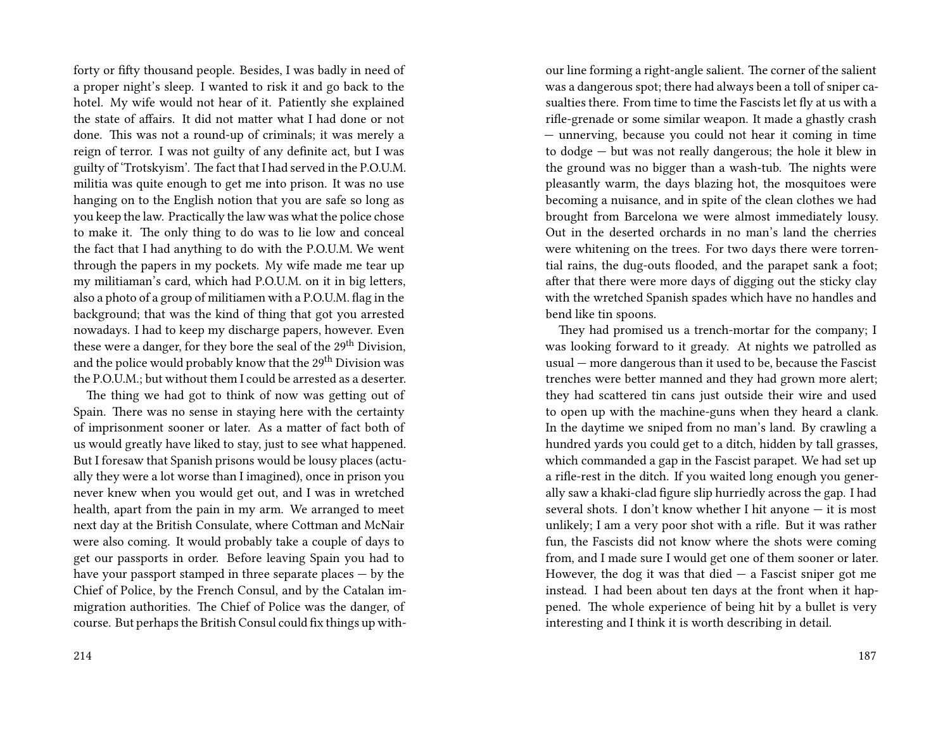forty or fifty thousand people. Besides, I was badly in need of a proper night's sleep. I wanted to risk it and go back to the hotel. My wife would not hear of it. Patiently she explained the state of affairs. It did not matter what I had done or not done. This was not a round-up of criminals; it was merely a reign of terror. I was not guilty of any definite act, but I was guilty of 'Trotskyism'. The fact that I had served in the P.O.U.M. militia was quite enough to get me into prison. It was no use hanging on to the English notion that you are safe so long as you keep the law. Practically the law was what the police chose to make it. The only thing to do was to lie low and conceal the fact that I had anything to do with the P.O.U.M. We went through the papers in my pockets. My wife made me tear up my militiaman's card, which had P.O.U.M. on it in big letters, also a photo of a group of militiamen with a P.O.U.M. flag in the background; that was the kind of thing that got you arrested nowadays. I had to keep my discharge papers, however. Even these were a danger, for they bore the seal of the 29<sup>th</sup> Division, and the police would probably know that the 29<sup>th</sup> Division was the P.O.U.M.; but without them I could be arrested as a deserter.

The thing we had got to think of now was getting out of Spain. There was no sense in staying here with the certainty of imprisonment sooner or later. As a matter of fact both of us would greatly have liked to stay, just to see what happened. But I foresaw that Spanish prisons would be lousy places (actually they were a lot worse than I imagined), once in prison you never knew when you would get out, and I was in wretched health, apart from the pain in my arm. We arranged to meet next day at the British Consulate, where Cottman and McNair were also coming. It would probably take a couple of days to get our passports in order. Before leaving Spain you had to have your passport stamped in three separate places — by the Chief of Police, by the French Consul, and by the Catalan immigration authorities. The Chief of Police was the danger, of course. But perhaps the British Consul could fix things up with-

214

our line forming a right-angle salient. The corner of the salient was a dangerous spot; there had always been a toll of sniper casualties there. From time to time the Fascists let fly at us with a rifle-grenade or some similar weapon. It made a ghastly crash — unnerving, because you could not hear it coming in time to dodge — but was not really dangerous; the hole it blew in the ground was no bigger than a wash-tub. The nights were pleasantly warm, the days blazing hot, the mosquitoes were becoming a nuisance, and in spite of the clean clothes we had brought from Barcelona we were almost immediately lousy. Out in the deserted orchards in no man's land the cherries were whitening on the trees. For two days there were torrential rains, the dug-outs flooded, and the parapet sank a foot; after that there were more days of digging out the sticky clay with the wretched Spanish spades which have no handles and bend like tin spoons.

They had promised us a trench-mortar for the company; I was looking forward to it gready. At nights we patrolled as usual — more dangerous than it used to be, because the Fascist trenches were better manned and they had grown more alert; they had scattered tin cans just outside their wire and used to open up with the machine-guns when they heard a clank. In the daytime we sniped from no man's land. By crawling a hundred yards you could get to a ditch, hidden by tall grasses, which commanded a gap in the Fascist parapet. We had set up a rifle-rest in the ditch. If you waited long enough you generally saw a khaki-clad figure slip hurriedly across the gap. I had several shots. I don't know whether I hit anyone — it is most unlikely; I am a very poor shot with a rifle. But it was rather fun, the Fascists did not know where the shots were coming from, and I made sure I would get one of them sooner or later. However, the dog it was that died  $-$  a Fascist sniper got me instead. I had been about ten days at the front when it happened. The whole experience of being hit by a bullet is very interesting and I think it is worth describing in detail.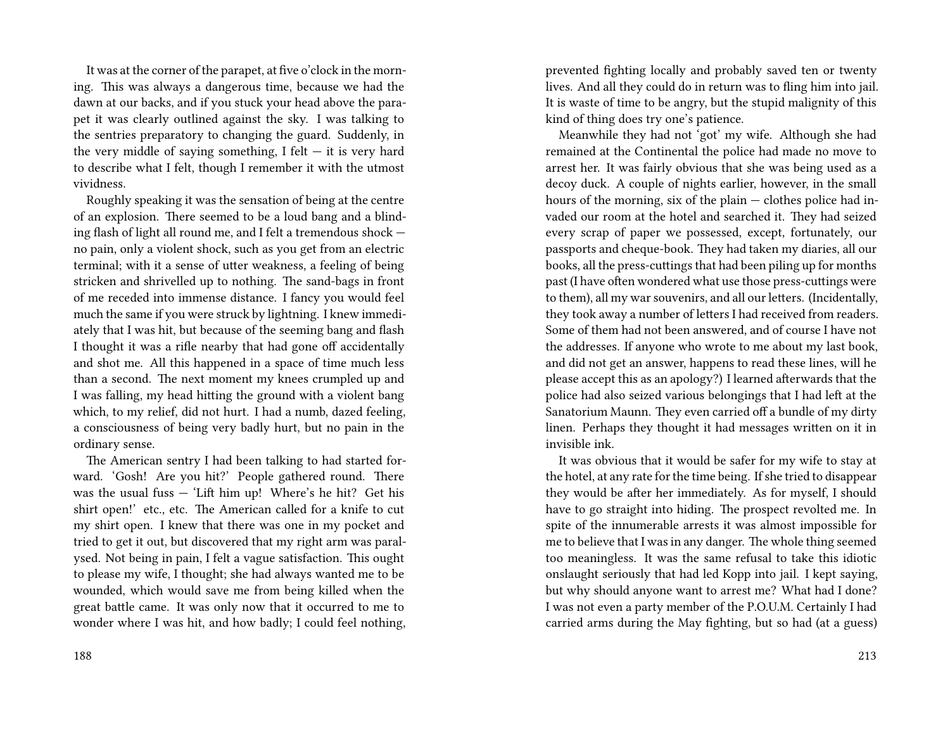It was at the corner of the parapet, at five o'clock in the morning. This was always a dangerous time, because we had the dawn at our backs, and if you stuck your head above the parapet it was clearly outlined against the sky. I was talking to the sentries preparatory to changing the guard. Suddenly, in the very middle of saying something,  $I$  felt  $-$  it is very hard to describe what I felt, though I remember it with the utmost vividness.

Roughly speaking it was the sensation of being at the centre of an explosion. There seemed to be a loud bang and a blinding flash of light all round me, and I felt a tremendous shock no pain, only a violent shock, such as you get from an electric terminal; with it a sense of utter weakness, a feeling of being stricken and shrivelled up to nothing. The sand-bags in front of me receded into immense distance. I fancy you would feel much the same if you were struck by lightning. I knew immediately that I was hit, but because of the seeming bang and flash I thought it was a rifle nearby that had gone off accidentally and shot me. All this happened in a space of time much less than a second. The next moment my knees crumpled up and I was falling, my head hitting the ground with a violent bang which, to my relief, did not hurt. I had a numb, dazed feeling, a consciousness of being very badly hurt, but no pain in the ordinary sense.

The American sentry I had been talking to had started forward. 'Gosh! Are you hit?' People gathered round. There was the usual fuss — 'Lift him up! Where's he hit? Get his shirt open!' etc., etc. The American called for a knife to cut my shirt open. I knew that there was one in my pocket and tried to get it out, but discovered that my right arm was paralysed. Not being in pain, I felt a vague satisfaction. This ought to please my wife, I thought; she had always wanted me to be wounded, which would save me from being killed when the great battle came. It was only now that it occurred to me to wonder where I was hit, and how badly; I could feel nothing,

prevented fighting locally and probably saved ten or twenty lives. And all they could do in return was to fling him into jail. It is waste of time to be angry, but the stupid malignity of this kind of thing does try one's patience.

Meanwhile they had not 'got' my wife. Although she had remained at the Continental the police had made no move to arrest her. It was fairly obvious that she was being used as a decoy duck. A couple of nights earlier, however, in the small hours of the morning, six of the plain — clothes police had invaded our room at the hotel and searched it. They had seized every scrap of paper we possessed, except, fortunately, our passports and cheque-book. They had taken my diaries, all our books, all the press-cuttings that had been piling up for months past (I have often wondered what use those press-cuttings were to them), all my war souvenirs, and all our letters. (Incidentally, they took away a number of letters I had received from readers. Some of them had not been answered, and of course I have not the addresses. If anyone who wrote to me about my last book, and did not get an answer, happens to read these lines, will he please accept this as an apology?) I learned afterwards that the police had also seized various belongings that I had left at the Sanatorium Maunn. They even carried off a bundle of my dirty linen. Perhaps they thought it had messages written on it in invisible ink.

It was obvious that it would be safer for my wife to stay at the hotel, at any rate for the time being. If she tried to disappear they would be after her immediately. As for myself, I should have to go straight into hiding. The prospect revolted me. In spite of the innumerable arrests it was almost impossible for me to believe that I was in any danger. The whole thing seemed too meaningless. It was the same refusal to take this idiotic onslaught seriously that had led Kopp into jail. I kept saying, but why should anyone want to arrest me? What had I done? I was not even a party member of the P.O.U.M. Certainly I had carried arms during the May fighting, but so had (at a guess)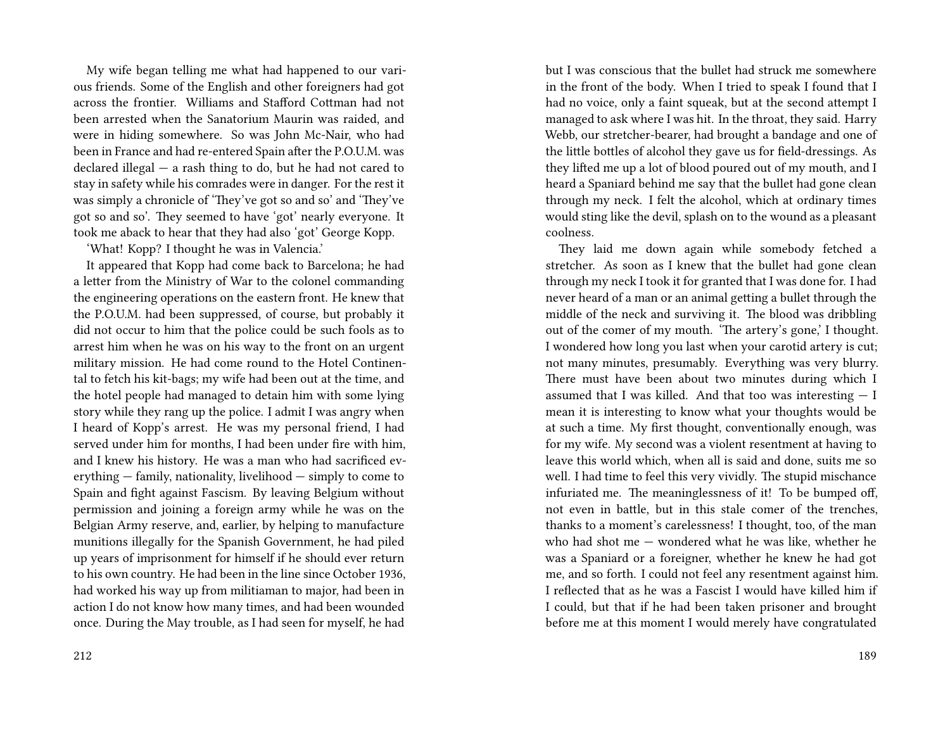My wife began telling me what had happened to our various friends. Some of the English and other foreigners had got across the frontier. Williams and Stafford Cottman had not been arrested when the Sanatorium Maurin was raided, and were in hiding somewhere. So was John Mc-Nair, who had been in France and had re-entered Spain after the P.O.U.M. was declared illegal — a rash thing to do, but he had not cared to stay in safety while his comrades were in danger. For the rest it was simply a chronicle of 'They've got so and so' and 'They've got so and so'. They seemed to have 'got' nearly everyone. It took me aback to hear that they had also 'got' George Kopp.

'What! Kopp? I thought he was in Valencia.'

It appeared that Kopp had come back to Barcelona; he had a letter from the Ministry of War to the colonel commanding the engineering operations on the eastern front. He knew that the P.O.U.M. had been suppressed, of course, but probably it did not occur to him that the police could be such fools as to arrest him when he was on his way to the front on an urgent military mission. He had come round to the Hotel Continental to fetch his kit-bags; my wife had been out at the time, and the hotel people had managed to detain him with some lying story while they rang up the police. I admit I was angry when I heard of Kopp's arrest. He was my personal friend, I had served under him for months, I had been under fire with him, and I knew his history. He was a man who had sacrificed everything — family, nationality, livelihood — simply to come to Spain and fight against Fascism. By leaving Belgium without permission and joining a foreign army while he was on the Belgian Army reserve, and, earlier, by helping to manufacture munitions illegally for the Spanish Government, he had piled up years of imprisonment for himself if he should ever return to his own country. He had been in the line since October 1936, had worked his way up from militiaman to major, had been in action I do not know how many times, and had been wounded once. During the May trouble, as I had seen for myself, he had

but I was conscious that the bullet had struck me somewhere in the front of the body. When I tried to speak I found that I had no voice, only a faint squeak, but at the second attempt I managed to ask where I was hit. In the throat, they said. Harry Webb, our stretcher-bearer, had brought a bandage and one of the little bottles of alcohol they gave us for field-dressings. As they lifted me up a lot of blood poured out of my mouth, and I heard a Spaniard behind me say that the bullet had gone clean through my neck. I felt the alcohol, which at ordinary times would sting like the devil, splash on to the wound as a pleasant coolness.

They laid me down again while somebody fetched a stretcher. As soon as I knew that the bullet had gone clean through my neck I took it for granted that I was done for. I had never heard of a man or an animal getting a bullet through the middle of the neck and surviving it. The blood was dribbling out of the comer of my mouth. 'The artery's gone,' I thought. I wondered how long you last when your carotid artery is cut; not many minutes, presumably. Everything was very blurry. There must have been about two minutes during which I assumed that I was killed. And that too was interesting — I mean it is interesting to know what your thoughts would be at such a time. My first thought, conventionally enough, was for my wife. My second was a violent resentment at having to leave this world which, when all is said and done, suits me so well. I had time to feel this very vividly. The stupid mischance infuriated me. The meaninglessness of it! To be bumped off, not even in battle, but in this stale comer of the trenches, thanks to a moment's carelessness! I thought, too, of the man who had shot me — wondered what he was like, whether he was a Spaniard or a foreigner, whether he knew he had got me, and so forth. I could not feel any resentment against him. I reflected that as he was a Fascist I would have killed him if I could, but that if he had been taken prisoner and brought before me at this moment I would merely have congratulated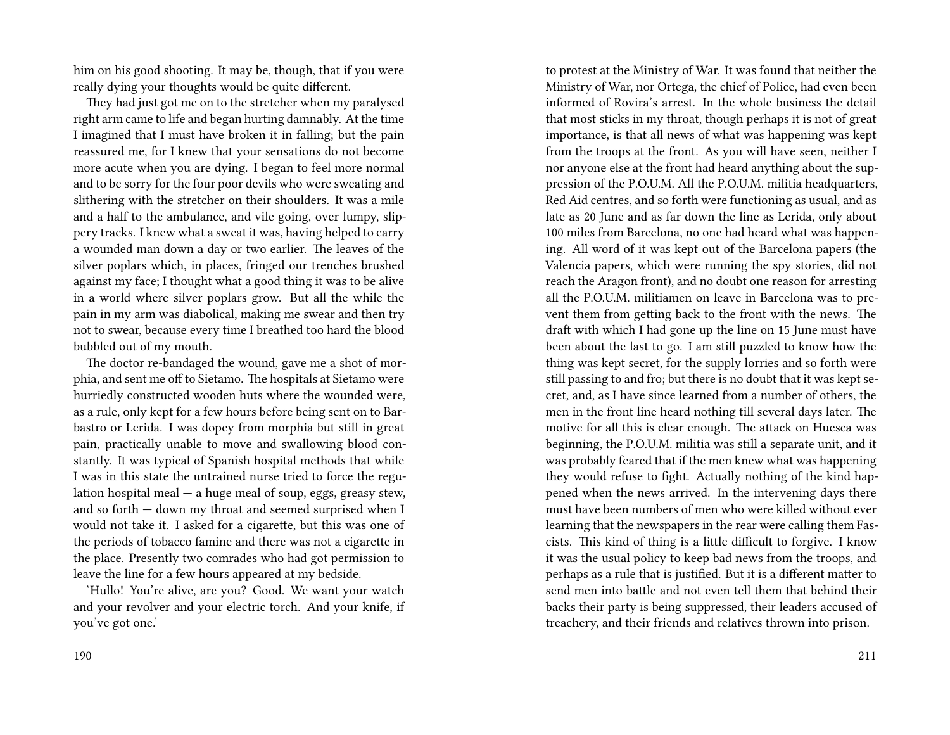him on his good shooting. It may be, though, that if you were really dying your thoughts would be quite different.

They had just got me on to the stretcher when my paralysed right arm came to life and began hurting damnably. At the time I imagined that I must have broken it in falling; but the pain reassured me, for I knew that your sensations do not become more acute when you are dying. I began to feel more normal and to be sorry for the four poor devils who were sweating and slithering with the stretcher on their shoulders. It was a mile and a half to the ambulance, and vile going, over lumpy, slippery tracks. I knew what a sweat it was, having helped to carry a wounded man down a day or two earlier. The leaves of the silver poplars which, in places, fringed our trenches brushed against my face; I thought what a good thing it was to be alive in a world where silver poplars grow. But all the while the pain in my arm was diabolical, making me swear and then try not to swear, because every time I breathed too hard the blood bubbled out of my mouth.

The doctor re-bandaged the wound, gave me a shot of morphia, and sent me off to Sietamo. The hospitals at Sietamo were hurriedly constructed wooden huts where the wounded were, as a rule, only kept for a few hours before being sent on to Barbastro or Lerida. I was dopey from morphia but still in great pain, practically unable to move and swallowing blood constantly. It was typical of Spanish hospital methods that while I was in this state the untrained nurse tried to force the regulation hospital meal  $-$  a huge meal of soup, eggs, greasy stew, and so forth — down my throat and seemed surprised when I would not take it. I asked for a cigarette, but this was one of the periods of tobacco famine and there was not a cigarette in the place. Presently two comrades who had got permission to leave the line for a few hours appeared at my bedside.

'Hullo! You're alive, are you? Good. We want your watch and your revolver and your electric torch. And your knife, if you've got one.'

to protest at the Ministry of War. It was found that neither the Ministry of War, nor Ortega, the chief of Police, had even been informed of Rovira's arrest. In the whole business the detail that most sticks in my throat, though perhaps it is not of great importance, is that all news of what was happening was kept from the troops at the front. As you will have seen, neither I nor anyone else at the front had heard anything about the suppression of the P.O.U.M. All the P.O.U.M. militia headquarters, Red Aid centres, and so forth were functioning as usual, and as late as 20 June and as far down the line as Lerida, only about 100 miles from Barcelona, no one had heard what was happening. All word of it was kept out of the Barcelona papers (the Valencia papers, which were running the spy stories, did not reach the Aragon front), and no doubt one reason for arresting all the P.O.U.M. militiamen on leave in Barcelona was to prevent them from getting back to the front with the news. The draft with which I had gone up the line on 15 June must have been about the last to go. I am still puzzled to know how the thing was kept secret, for the supply lorries and so forth were still passing to and fro; but there is no doubt that it was kept secret, and, as I have since learned from a number of others, the men in the front line heard nothing till several days later. The motive for all this is clear enough. The attack on Huesca was beginning, the P.O.U.M. militia was still a separate unit, and it was probably feared that if the men knew what was happening they would refuse to fight. Actually nothing of the kind happened when the news arrived. In the intervening days there must have been numbers of men who were killed without ever learning that the newspapers in the rear were calling them Fascists. This kind of thing is a little difficult to forgive. I know it was the usual policy to keep bad news from the troops, and perhaps as a rule that is justified. But it is a different matter to send men into battle and not even tell them that behind their backs their party is being suppressed, their leaders accused of treachery, and their friends and relatives thrown into prison.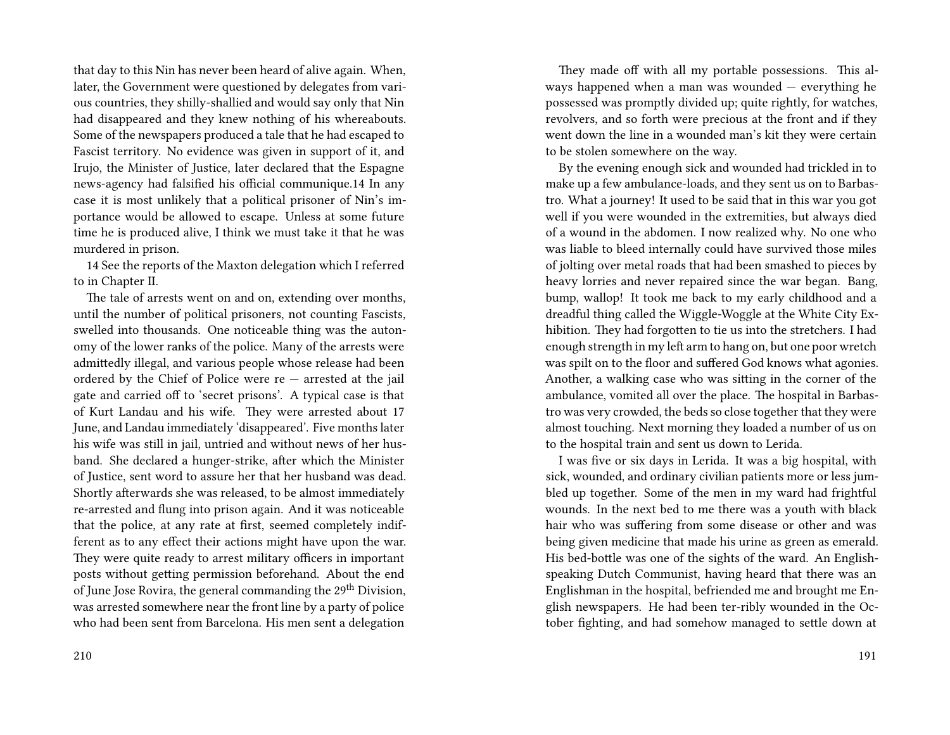that day to this Nin has never been heard of alive again. When, later, the Government were questioned by delegates from various countries, they shilly-shallied and would say only that Nin had disappeared and they knew nothing of his whereabouts. Some of the newspapers produced a tale that he had escaped to Fascist territory. No evidence was given in support of it, and Irujo, the Minister of Justice, later declared that the Espagne news-agency had falsified his official communique.14 In any case it is most unlikely that a political prisoner of Nin's importance would be allowed to escape. Unless at some future time he is produced alive, I think we must take it that he was murdered in prison.

14 See the reports of the Maxton delegation which I referred to in Chapter II.

The tale of arrests went on and on, extending over months, until the number of political prisoners, not counting Fascists, swelled into thousands. One noticeable thing was the autonomy of the lower ranks of the police. Many of the arrests were admittedly illegal, and various people whose release had been ordered by the Chief of Police were re — arrested at the jail gate and carried off to 'secret prisons'. A typical case is that of Kurt Landau and his wife. They were arrested about 17 June, and Landau immediately 'disappeared'. Five months later his wife was still in jail, untried and without news of her husband. She declared a hunger-strike, after which the Minister of Justice, sent word to assure her that her husband was dead. Shortly afterwards she was released, to be almost immediately re-arrested and flung into prison again. And it was noticeable that the police, at any rate at first, seemed completely indifferent as to any effect their actions might have upon the war. They were quite ready to arrest military officers in important posts without getting permission beforehand. About the end of June Jose Rovira, the general commanding the 29<sup>th</sup> Division, was arrested somewhere near the front line by a party of police who had been sent from Barcelona. His men sent a delegation

They made off with all my portable possessions. This always happened when a man was wounded — everything he possessed was promptly divided up; quite rightly, for watches, revolvers, and so forth were precious at the front and if they went down the line in a wounded man's kit they were certain to be stolen somewhere on the way.

By the evening enough sick and wounded had trickled in to make up a few ambulance-loads, and they sent us on to Barbastro. What a journey! It used to be said that in this war you got well if you were wounded in the extremities, but always died of a wound in the abdomen. I now realized why. No one who was liable to bleed internally could have survived those miles of jolting over metal roads that had been smashed to pieces by heavy lorries and never repaired since the war began. Bang, bump, wallop! It took me back to my early childhood and a dreadful thing called the Wiggle-Woggle at the White City Exhibition. They had forgotten to tie us into the stretchers. I had enough strength in my left arm to hang on, but one poor wretch was spilt on to the floor and suffered God knows what agonies. Another, a walking case who was sitting in the corner of the ambulance, vomited all over the place. The hospital in Barbastro was very crowded, the beds so close together that they were almost touching. Next morning they loaded a number of us on to the hospital train and sent us down to Lerida.

I was five or six days in Lerida. It was a big hospital, with sick, wounded, and ordinary civilian patients more or less jumbled up together. Some of the men in my ward had frightful wounds. In the next bed to me there was a youth with black hair who was suffering from some disease or other and was being given medicine that made his urine as green as emerald. His bed-bottle was one of the sights of the ward. An Englishspeaking Dutch Communist, having heard that there was an Englishman in the hospital, befriended me and brought me English newspapers. He had been ter-ribly wounded in the October fighting, and had somehow managed to settle down at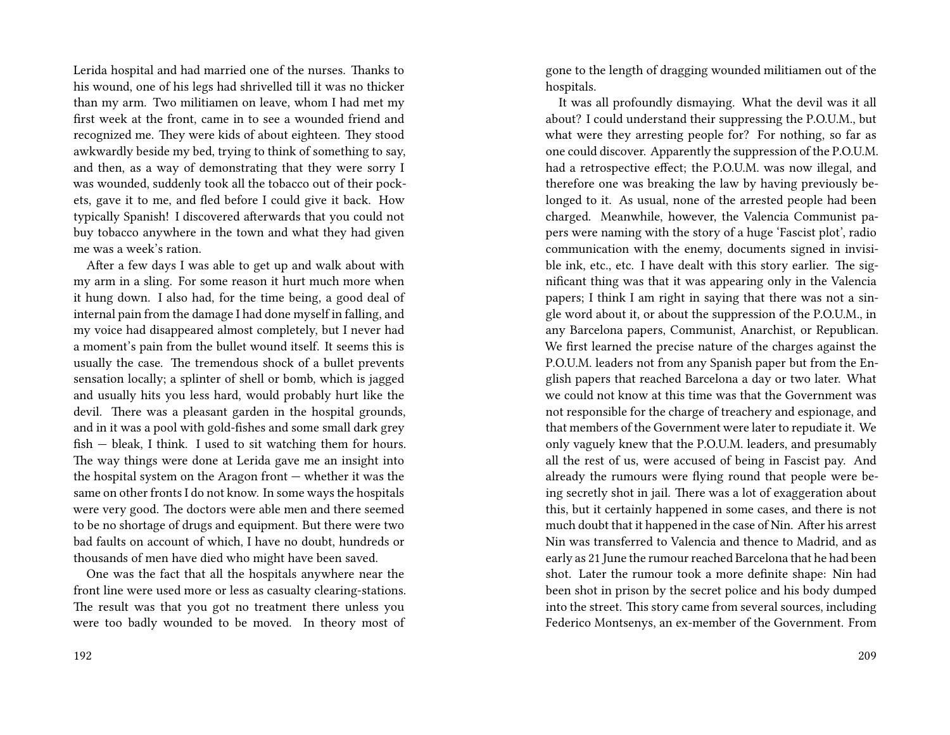Lerida hospital and had married one of the nurses. Thanks to his wound, one of his legs had shrivelled till it was no thicker than my arm. Two militiamen on leave, whom I had met my first week at the front, came in to see a wounded friend and recognized me. They were kids of about eighteen. They stood awkwardly beside my bed, trying to think of something to say, and then, as a way of demonstrating that they were sorry I was wounded, suddenly took all the tobacco out of their pockets, gave it to me, and fled before I could give it back. How typically Spanish! I discovered afterwards that you could not buy tobacco anywhere in the town and what they had given me was a week's ration.

After a few days I was able to get up and walk about with my arm in a sling. For some reason it hurt much more when it hung down. I also had, for the time being, a good deal of internal pain from the damage I had done myself in falling, and my voice had disappeared almost completely, but I never had a moment's pain from the bullet wound itself. It seems this is usually the case. The tremendous shock of a bullet prevents sensation locally; a splinter of shell or bomb, which is jagged and usually hits you less hard, would probably hurt like the devil. There was a pleasant garden in the hospital grounds, and in it was a pool with gold-fishes and some small dark grey fish — bleak, I think. I used to sit watching them for hours. The way things were done at Lerida gave me an insight into the hospital system on the Aragon front — whether it was the same on other fronts I do not know. In some ways the hospitals were very good. The doctors were able men and there seemed to be no shortage of drugs and equipment. But there were two bad faults on account of which, I have no doubt, hundreds or thousands of men have died who might have been saved.

One was the fact that all the hospitals anywhere near the front line were used more or less as casualty clearing-stations. The result was that you got no treatment there unless you were too badly wounded to be moved. In theory most of gone to the length of dragging wounded militiamen out of the hospitals.

It was all profoundly dismaying. What the devil was it all about? I could understand their suppressing the P.O.U.M., but what were they arresting people for? For nothing, so far as one could discover. Apparently the suppression of the P.O.U.M. had a retrospective effect; the P.O.U.M. was now illegal, and therefore one was breaking the law by having previously belonged to it. As usual, none of the arrested people had been charged. Meanwhile, however, the Valencia Communist papers were naming with the story of a huge 'Fascist plot', radio communication with the enemy, documents signed in invisible ink, etc., etc. I have dealt with this story earlier. The significant thing was that it was appearing only in the Valencia papers; I think I am right in saying that there was not a single word about it, or about the suppression of the P.O.U.M., in any Barcelona papers, Communist, Anarchist, or Republican. We first learned the precise nature of the charges against the P.O.U.M. leaders not from any Spanish paper but from the English papers that reached Barcelona a day or two later. What we could not know at this time was that the Government was not responsible for the charge of treachery and espionage, and that members of the Government were later to repudiate it. We only vaguely knew that the P.O.U.M. leaders, and presumably all the rest of us, were accused of being in Fascist pay. And already the rumours were flying round that people were being secretly shot in jail. There was a lot of exaggeration about this, but it certainly happened in some cases, and there is not much doubt that it happened in the case of Nin. After his arrest Nin was transferred to Valencia and thence to Madrid, and as early as 21 June the rumour reached Barcelona that he had been shot. Later the rumour took a more definite shape: Nin had been shot in prison by the secret police and his body dumped into the street. This story came from several sources, including Federico Montsenys, an ex-member of the Government. From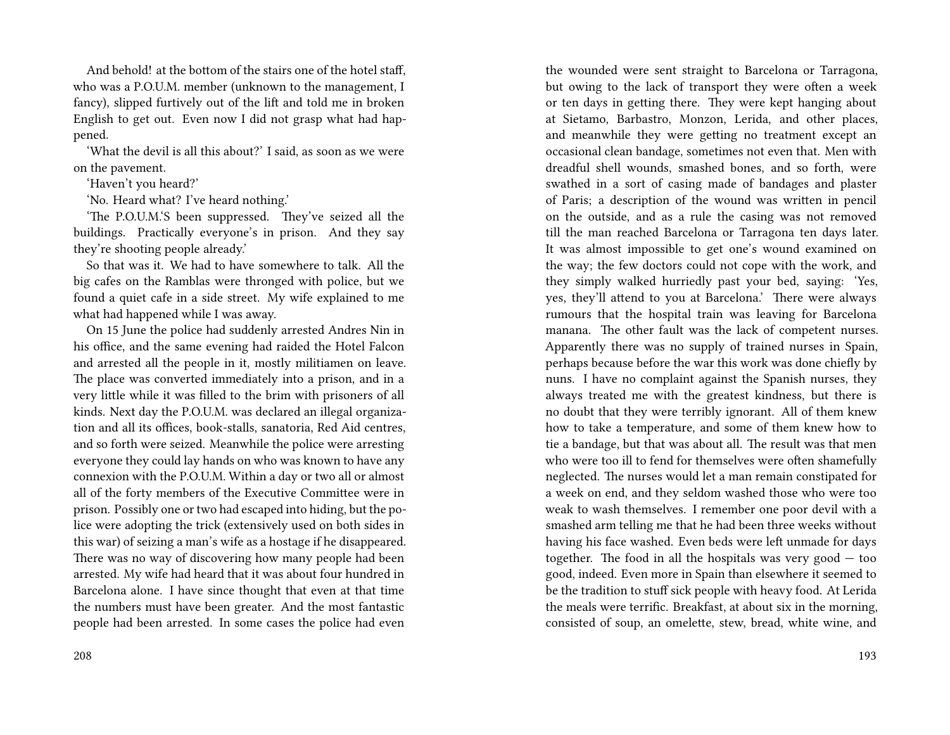And behold! at the bottom of the stairs one of the hotel staff, who was a P.O.U.M. member (unknown to the management, I fancy), slipped furtively out of the lift and told me in broken English to get out. Even now I did not grasp what had happened.

'What the devil is all this about?' I said, as soon as we were on the pavement.

'Haven't you heard?'

'No. Heard what? I've heard nothing.'

'The P.O.U.M.'S been suppressed. They've seized all the buildings. Practically everyone's in prison. And they say they're shooting people already.'

So that was it. We had to have somewhere to talk. All the big cafes on the Ramblas were thronged with police, but we found a quiet cafe in a side street. My wife explained to me what had happened while I was away.

On 15 June the police had suddenly arrested Andres Nin in his office, and the same evening had raided the Hotel Falcon and arrested all the people in it, mostly militiamen on leave. The place was converted immediately into a prison, and in a very little while it was filled to the brim with prisoners of all kinds. Next day the P.O.U.M. was declared an illegal organization and all its offices, book-stalls, sanatoria, Red Aid centres, and so forth were seized. Meanwhile the police were arresting everyone they could lay hands on who was known to have any connexion with the P.O.U.M. Within a day or two all or almost all of the forty members of the Executive Committee were in prison. Possibly one or two had escaped into hiding, but the police were adopting the trick (extensively used on both sides in this war) of seizing a man's wife as a hostage if he disappeared. There was no way of discovering how many people had been arrested. My wife had heard that it was about four hundred in Barcelona alone. I have since thought that even at that time the numbers must have been greater. And the most fantastic people had been arrested. In some cases the police had even

but owing to the lack of transport they were often a week or ten days in getting there. They were kept hanging about at Sietamo, Barbastro, Monzon, Lerida, and other places, and meanwhile they were getting no treatment except an occasional clean bandage, sometimes not even that. Men with dreadful shell wounds, smashed bones, and so forth, were swathed in a sort of casing made of bandages and plaster of Paris; a description of the wound was written in pencil on the outside, and as a rule the casing was not removed till the man reached Barcelona or Tarragona ten days later. It was almost impossible to get one's wound examined on the way; the few doctors could not cope with the work, and they simply walked hurriedly past your bed, saying: 'Yes, yes, they'll attend to you at Barcelona.' There were always rumours that the hospital train was leaving for Barcelona manana. The other fault was the lack of competent nurses. Apparently there was no supply of trained nurses in Spain, perhaps because before the war this work was done chiefly by nuns. I have no complaint against the Spanish nurses, they always treated me with the greatest kindness, but there is no doubt that they were terribly ignorant. All of them knew how to take a temperature, and some of them knew how to tie a bandage, but that was about all. The result was that men who were too ill to fend for themselves were often shamefully neglected. The nurses would let a man remain constipated for a week on end, and they seldom washed those who were too weak to wash themselves. I remember one poor devil with a smashed arm telling me that he had been three weeks without having his face washed. Even beds were left unmade for days together. The food in all the hospitals was very good  $-$  too good, indeed. Even more in Spain than elsewhere it seemed to be the tradition to stuff sick people with heavy food. At Lerida the meals were terrific. Breakfast, at about six in the morning, consisted of soup, an omelette, stew, bread, white wine, and

the wounded were sent straight to Barcelona or Tarragona,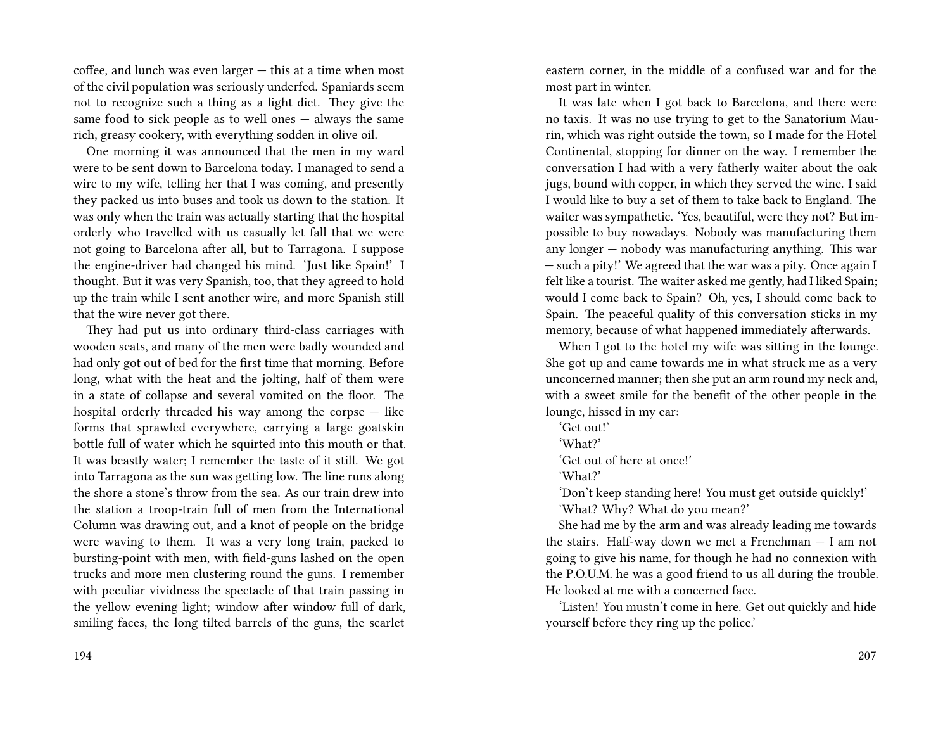coffee, and lunch was even larger — this at a time when most of the civil population was seriously underfed. Spaniards seem not to recognize such a thing as a light diet. They give the same food to sick people as to well ones — always the same rich, greasy cookery, with everything sodden in olive oil.

One morning it was announced that the men in my ward were to be sent down to Barcelona today. I managed to send a wire to my wife, telling her that I was coming, and presently they packed us into buses and took us down to the station. It was only when the train was actually starting that the hospital orderly who travelled with us casually let fall that we were not going to Barcelona after all, but to Tarragona. I suppose the engine-driver had changed his mind. 'Just like Spain!' I thought. But it was very Spanish, too, that they agreed to hold up the train while I sent another wire, and more Spanish still that the wire never got there.

They had put us into ordinary third-class carriages with wooden seats, and many of the men were badly wounded and had only got out of bed for the first time that morning. Before long, what with the heat and the jolting, half of them were in a state of collapse and several vomited on the floor. The hospital orderly threaded his way among the corpse — like forms that sprawled everywhere, carrying a large goatskin bottle full of water which he squirted into this mouth or that. It was beastly water; I remember the taste of it still. We got into Tarragona as the sun was getting low. The line runs along the shore a stone's throw from the sea. As our train drew into the station a troop-train full of men from the International Column was drawing out, and a knot of people on the bridge were waving to them. It was a very long train, packed to bursting-point with men, with field-guns lashed on the open trucks and more men clustering round the guns. I remember with peculiar vividness the spectacle of that train passing in the yellow evening light; window after window full of dark, smiling faces, the long tilted barrels of the guns, the scarlet

eastern corner, in the middle of a confused war and for the most part in winter.

It was late when I got back to Barcelona, and there were no taxis. It was no use trying to get to the Sanatorium Maurin, which was right outside the town, so I made for the Hotel Continental, stopping for dinner on the way. I remember the conversation I had with a very fatherly waiter about the oak jugs, bound with copper, in which they served the wine. I said I would like to buy a set of them to take back to England. The waiter was sympathetic. 'Yes, beautiful, were they not? But impossible to buy nowadays. Nobody was manufacturing them any longer — nobody was manufacturing anything. This war — such a pity!' We agreed that the war was a pity. Once again I felt like a tourist. The waiter asked me gently, had I liked Spain; would I come back to Spain? Oh, yes, I should come back to Spain. The peaceful quality of this conversation sticks in my memory, because of what happened immediately afterwards.

When I got to the hotel my wife was sitting in the lounge. She got up and came towards me in what struck me as a very unconcerned manner; then she put an arm round my neck and, with a sweet smile for the benefit of the other people in the lounge, hissed in my ear:

'Get out!'

'What?'

'Get out of here at once!'

'What?'

'Don't keep standing here! You must get outside quickly!' 'What? Why? What do you mean?'

She had me by the arm and was already leading me towards the stairs. Half-way down we met a Frenchman — I am not going to give his name, for though he had no connexion with the P.O.U.M. he was a good friend to us all during the trouble. He looked at me with a concerned face.

'Listen! You mustn't come in here. Get out quickly and hide yourself before they ring up the police.'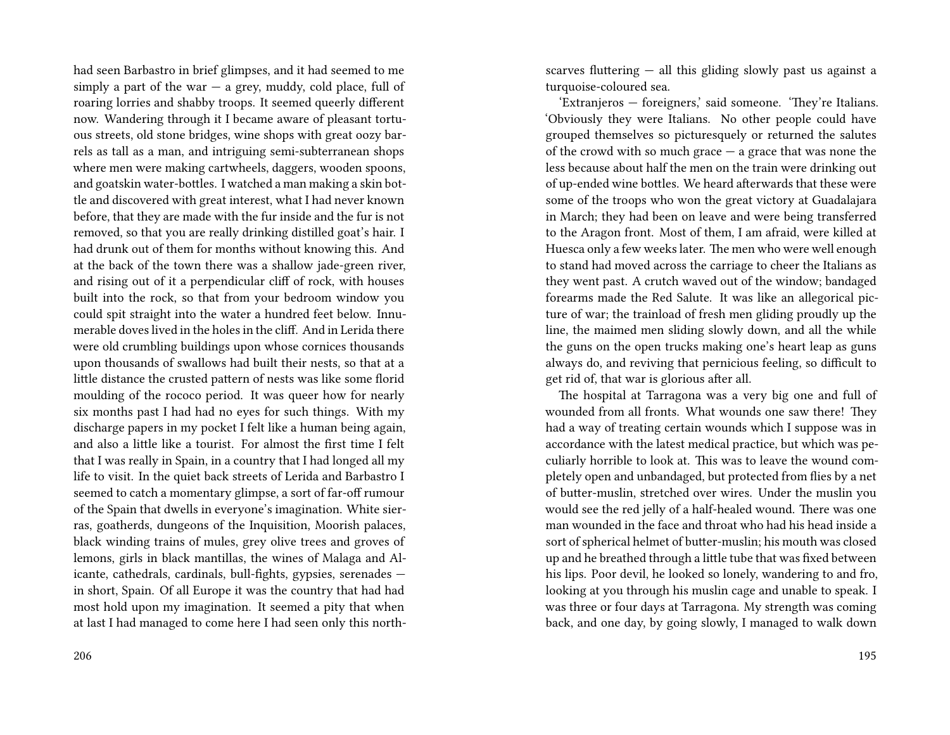had seen Barbastro in brief glimpses, and it had seemed to me simply a part of the war  $-$  a grey, muddy, cold place, full of roaring lorries and shabby troops. It seemed queerly different now. Wandering through it I became aware of pleasant tortuous streets, old stone bridges, wine shops with great oozy barrels as tall as a man, and intriguing semi-subterranean shops where men were making cartwheels, daggers, wooden spoons, and goatskin water-bottles. I watched a man making a skin bottle and discovered with great interest, what I had never known before, that they are made with the fur inside and the fur is not removed, so that you are really drinking distilled goat's hair. I had drunk out of them for months without knowing this. And at the back of the town there was a shallow jade-green river, and rising out of it a perpendicular cliff of rock, with houses built into the rock, so that from your bedroom window you could spit straight into the water a hundred feet below. Innumerable doves lived in the holes in the cliff. And in Lerida there were old crumbling buildings upon whose cornices thousands upon thousands of swallows had built their nests, so that at a little distance the crusted pattern of nests was like some florid moulding of the rococo period. It was queer how for nearly six months past I had had no eyes for such things. With my discharge papers in my pocket I felt like a human being again, and also a little like a tourist. For almost the first time I felt that I was really in Spain, in a country that I had longed all my life to visit. In the quiet back streets of Lerida and Barbastro I seemed to catch a momentary glimpse, a sort of far-off rumour of the Spain that dwells in everyone's imagination. White sierras, goatherds, dungeons of the Inquisition, Moorish palaces, black winding trains of mules, grey olive trees and groves of lemons, girls in black mantillas, the wines of Malaga and Alicante, cathedrals, cardinals, bull-fights, gypsies, serenades in short, Spain. Of all Europe it was the country that had had most hold upon my imagination. It seemed a pity that when at last I had managed to come here I had seen only this northscarves fluttering  $-$  all this gliding slowly past us against a turquoise-coloured sea.

'Extranjeros — foreigners,' said someone. 'They're Italians. 'Obviously they were Italians. No other people could have grouped themselves so picturesquely or returned the salutes of the crowd with so much grace  $-$  a grace that was none the less because about half the men on the train were drinking out of up-ended wine bottles. We heard afterwards that these were some of the troops who won the great victory at Guadalajara in March; they had been on leave and were being transferred to the Aragon front. Most of them, I am afraid, were killed at Huesca only a few weeks later. The men who were well enough to stand had moved across the carriage to cheer the Italians as they went past. A crutch waved out of the window; bandaged forearms made the Red Salute. It was like an allegorical picture of war; the trainload of fresh men gliding proudly up the line, the maimed men sliding slowly down, and all the while the guns on the open trucks making one's heart leap as guns always do, and reviving that pernicious feeling, so difficult to get rid of, that war is glorious after all.

The hospital at Tarragona was a very big one and full of wounded from all fronts. What wounds one saw there! They had a way of treating certain wounds which I suppose was in accordance with the latest medical practice, but which was peculiarly horrible to look at. This was to leave the wound completely open and unbandaged, but protected from flies by a net of butter-muslin, stretched over wires. Under the muslin you would see the red jelly of a half-healed wound. There was one man wounded in the face and throat who had his head inside a sort of spherical helmet of butter-muslin; his mouth was closed up and he breathed through a little tube that was fixed between his lips. Poor devil, he looked so lonely, wandering to and fro, looking at you through his muslin cage and unable to speak. I was three or four days at Tarragona. My strength was coming back, and one day, by going slowly, I managed to walk down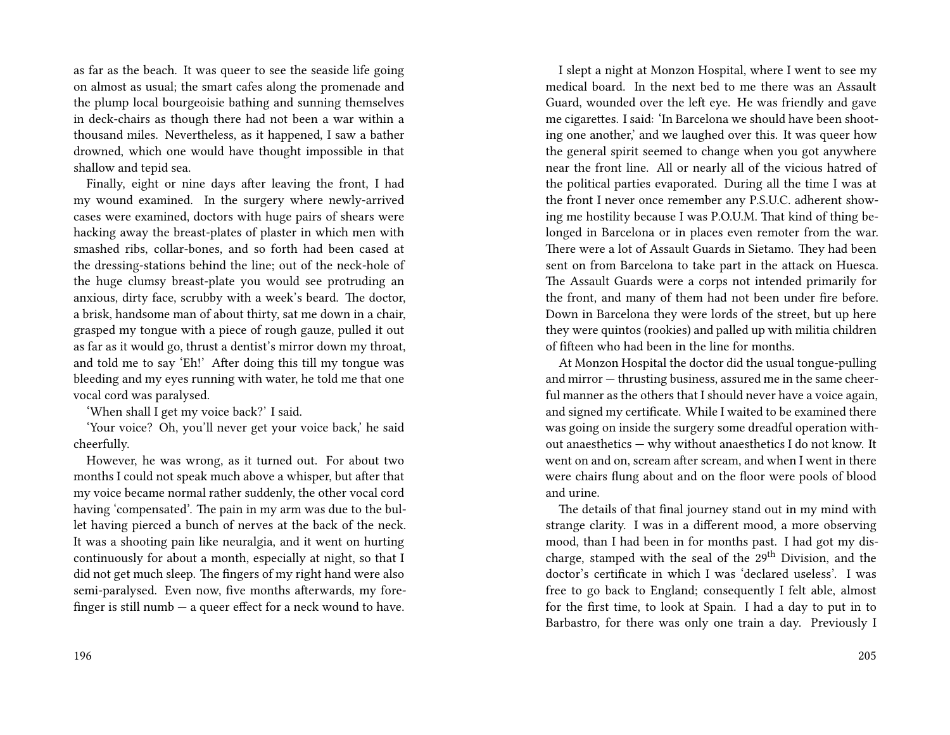as far as the beach. It was queer to see the seaside life going on almost as usual; the smart cafes along the promenade and the plump local bourgeoisie bathing and sunning themselves in deck-chairs as though there had not been a war within a thousand miles. Nevertheless, as it happened, I saw a bather drowned, which one would have thought impossible in that shallow and tepid sea.

Finally, eight or nine days after leaving the front, I had my wound examined. In the surgery where newly-arrived cases were examined, doctors with huge pairs of shears were hacking away the breast-plates of plaster in which men with smashed ribs, collar-bones, and so forth had been cased at the dressing-stations behind the line; out of the neck-hole of the huge clumsy breast-plate you would see protruding an anxious, dirty face, scrubby with a week's beard. The doctor, a brisk, handsome man of about thirty, sat me down in a chair, grasped my tongue with a piece of rough gauze, pulled it out as far as it would go, thrust a dentist's mirror down my throat, and told me to say 'Eh!' After doing this till my tongue was bleeding and my eyes running with water, he told me that one vocal cord was paralysed.

'When shall I get my voice back?' I said.

'Your voice? Oh, you'll never get your voice back,' he said cheerfully.

However, he was wrong, as it turned out. For about two months I could not speak much above a whisper, but after that my voice became normal rather suddenly, the other vocal cord having 'compensated'. The pain in my arm was due to the bullet having pierced a bunch of nerves at the back of the neck. It was a shooting pain like neuralgia, and it went on hurting continuously for about a month, especially at night, so that I did not get much sleep. The fingers of my right hand were also semi-paralysed. Even now, five months afterwards, my forefinger is still numb — a queer effect for a neck wound to have.

I slept a night at Monzon Hospital, where I went to see my medical board. In the next bed to me there was an Assault Guard, wounded over the left eye. He was friendly and gave me cigarettes. I said: 'In Barcelona we should have been shooting one another,' and we laughed over this. It was queer how the general spirit seemed to change when you got anywhere near the front line. All or nearly all of the vicious hatred of the political parties evaporated. During all the time I was at the front I never once remember any P.S.U.C. adherent showing me hostility because I was P.O.U.M. That kind of thing belonged in Barcelona or in places even remoter from the war. There were a lot of Assault Guards in Sietamo. They had been sent on from Barcelona to take part in the attack on Huesca. The Assault Guards were a corps not intended primarily for the front, and many of them had not been under fire before. Down in Barcelona they were lords of the street, but up here they were quintos (rookies) and palled up with militia children of fifteen who had been in the line for months.

At Monzon Hospital the doctor did the usual tongue-pulling and mirror — thrusting business, assured me in the same cheerful manner as the others that I should never have a voice again, and signed my certificate. While I waited to be examined there was going on inside the surgery some dreadful operation without anaesthetics — why without anaesthetics I do not know. It went on and on, scream after scream, and when I went in there were chairs flung about and on the floor were pools of blood and urine.

The details of that final journey stand out in my mind with strange clarity. I was in a different mood, a more observing mood, than I had been in for months past. I had got my discharge, stamped with the seal of the  $29<sup>th</sup>$  Division, and the doctor's certificate in which I was 'declared useless'. I was free to go back to England; consequently I felt able, almost for the first time, to look at Spain. I had a day to put in to Barbastro, for there was only one train a day. Previously I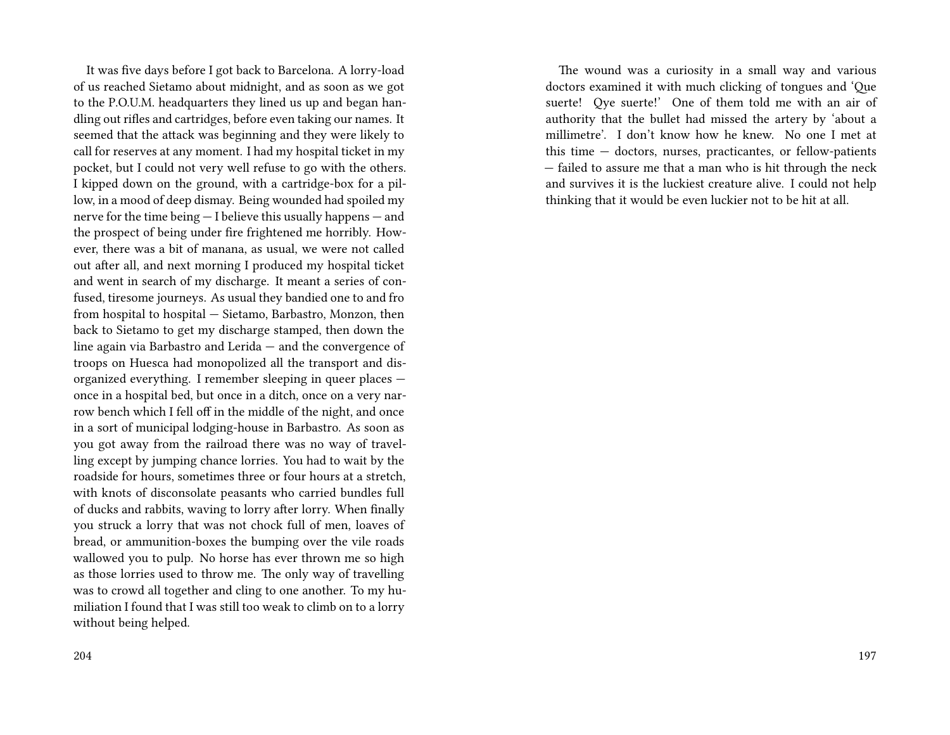It was five days before I got back to Barcelona. A lorry-load of us reached Sietamo about midnight, and as soon as we got to the P.O.U.M. headquarters they lined us up and began handling out rifles and cartridges, before even taking our names. It seemed that the attack was beginning and they were likely to call for reserves at any moment. I had my hospital ticket in my pocket, but I could not very well refuse to go with the others. I kipped down on the ground, with a cartridge-box for a pillow, in a mood of deep dismay. Being wounded had spoiled my nerve for the time being — I believe this usually happens — and the prospect of being under fire frightened me horribly. However, there was a bit of manana, as usual, we were not called out after all, and next morning I produced my hospital ticket and went in search of my discharge. It meant a series of confused, tiresome journeys. As usual they bandied one to and fro from hospital to hospital — Sietamo, Barbastro, Monzon, then back to Sietamo to get my discharge stamped, then down the line again via Barbastro and Lerida — and the convergence of troops on Huesca had monopolized all the transport and disorganized everything. I remember sleeping in queer places once in a hospital bed, but once in a ditch, once on a very narrow bench which I fell off in the middle of the night, and once in a sort of municipal lodging-house in Barbastro. As soon as you got away from the railroad there was no way of travelling except by jumping chance lorries. You had to wait by the roadside for hours, sometimes three or four hours at a stretch, with knots of disconsolate peasants who carried bundles full of ducks and rabbits, waving to lorry after lorry. When finally you struck a lorry that was not chock full of men, loaves of bread, or ammunition-boxes the bumping over the vile roads wallowed you to pulp. No horse has ever thrown me so high as those lorries used to throw me. The only way of travelling was to crowd all together and cling to one another. To my humiliation I found that I was still too weak to climb on to a lorry without being helped.

The wound was a curiosity in a small way and various doctors examined it with much clicking of tongues and 'Que suerte! Qye suerte!' One of them told me with an air of authority that the bullet had missed the artery by 'about a millimetre'. I don't know how he knew. No one I met at this time — doctors, nurses, practicantes, or fellow-patients — failed to assure me that a man who is hit through the neck and survives it is the luckiest creature alive. I could not help thinking that it would be even luckier not to be hit at all.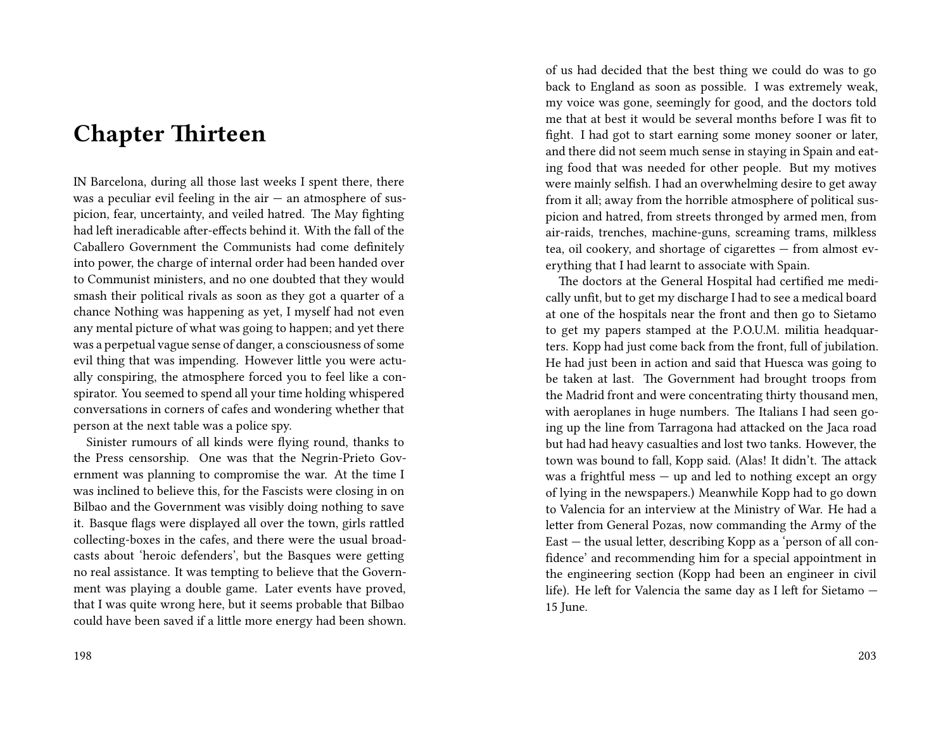## **Chapter Thirteen**

IN Barcelona, during all those last weeks I spent there, there was a peculiar evil feeling in the air  $-$  an atmosphere of suspicion, fear, uncertainty, and veiled hatred. The May fighting had left ineradicable after-effects behind it. With the fall of the Caballero Government the Communists had come definitely into power, the charge of internal order had been handed over to Communist ministers, and no one doubted that they would smash their political rivals as soon as they got a quarter of a chance Nothing was happening as yet, I myself had not even any mental picture of what was going to happen; and yet there was a perpetual vague sense of danger, a consciousness of some evil thing that was impending. However little you were actually conspiring, the atmosphere forced you to feel like a conspirator. You seemed to spend all your time holding whispered conversations in corners of cafes and wondering whether that person at the next table was a police spy.

Sinister rumours of all kinds were flying round, thanks to the Press censorship. One was that the Negrin-Prieto Government was planning to compromise the war. At the time I was inclined to believe this, for the Fascists were closing in on Bilbao and the Government was visibly doing nothing to save it. Basque flags were displayed all over the town, girls rattled collecting-boxes in the cafes, and there were the usual broadcasts about 'heroic defenders', but the Basques were getting no real assistance. It was tempting to believe that the Government was playing a double game. Later events have proved, that I was quite wrong here, but it seems probable that Bilbao could have been saved if a little more energy had been shown.

of us had decided that the best thing we could do was to go back to England as soon as possible. I was extremely weak, my voice was gone, seemingly for good, and the doctors told me that at best it would be several months before I was fit to fight. I had got to start earning some money sooner or later, and there did not seem much sense in staying in Spain and eating food that was needed for other people. But my motives were mainly selfish. I had an overwhelming desire to get away from it all; away from the horrible atmosphere of political suspicion and hatred, from streets thronged by armed men, from air-raids, trenches, machine-guns, screaming trams, milkless tea, oil cookery, and shortage of cigarettes — from almost everything that I had learnt to associate with Spain.

The doctors at the General Hospital had certified me medically unfit, but to get my discharge I had to see a medical board at one of the hospitals near the front and then go to Sietamo to get my papers stamped at the P.O.U.M. militia headquarters. Kopp had just come back from the front, full of jubilation. He had just been in action and said that Huesca was going to be taken at last. The Government had brought troops from the Madrid front and were concentrating thirty thousand men, with aeroplanes in huge numbers. The Italians I had seen going up the line from Tarragona had attacked on the Jaca road but had had heavy casualties and lost two tanks. However, the town was bound to fall, Kopp said. (Alas! It didn't. The attack was a frightful mess  $-$  up and led to nothing except an orgy of lying in the newspapers.) Meanwhile Kopp had to go down to Valencia for an interview at the Ministry of War. He had a letter from General Pozas, now commanding the Army of the East — the usual letter, describing Kopp as a 'person of all confidence' and recommending him for a special appointment in the engineering section (Kopp had been an engineer in civil life). He left for Valencia the same day as I left for Sietamo — 15 June.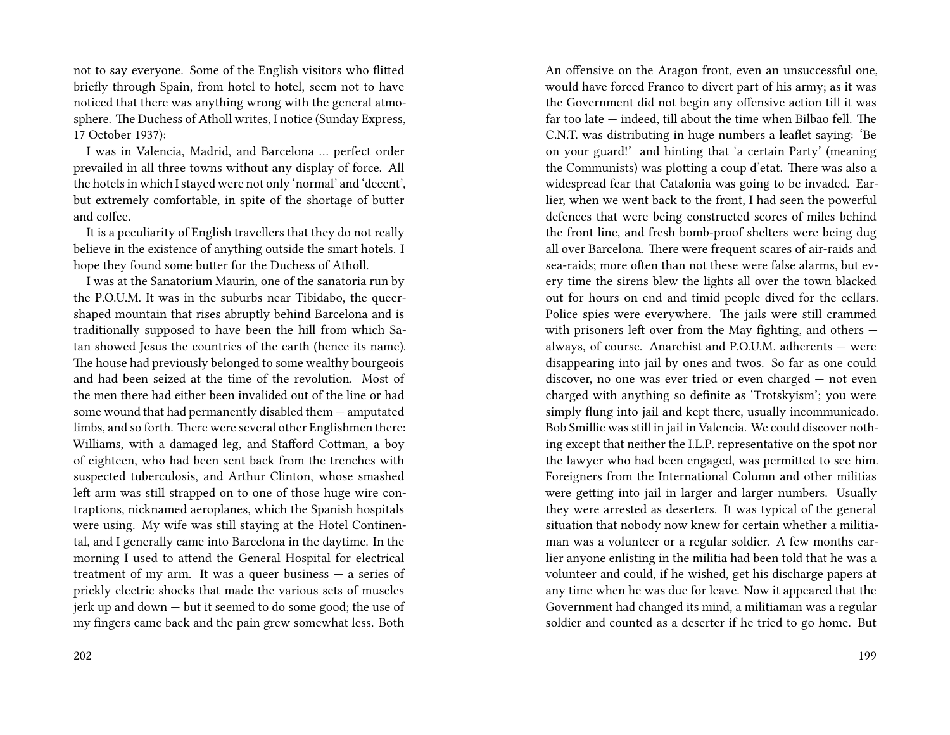not to say everyone. Some of the English visitors who flitted briefly through Spain, from hotel to hotel, seem not to have noticed that there was anything wrong with the general atmosphere. The Duchess of Atholl writes, I notice (Sunday Express, 17 October 1937):

I was in Valencia, Madrid, and Barcelona … perfect order prevailed in all three towns without any display of force. All the hotels in which I stayed were not only 'normal' and 'decent', but extremely comfortable, in spite of the shortage of butter and coffee.

It is a peculiarity of English travellers that they do not really believe in the existence of anything outside the smart hotels. I hope they found some butter for the Duchess of Atholl.

I was at the Sanatorium Maurin, one of the sanatoria run by the P.O.U.M. It was in the suburbs near Tibidabo, the queershaped mountain that rises abruptly behind Barcelona and is traditionally supposed to have been the hill from which Satan showed Jesus the countries of the earth (hence its name). The house had previously belonged to some wealthy bourgeois and had been seized at the time of the revolution. Most of the men there had either been invalided out of the line or had some wound that had permanently disabled them — amputated limbs, and so forth. There were several other Englishmen there: Williams, with a damaged leg, and Stafford Cottman, a boy of eighteen, who had been sent back from the trenches with suspected tuberculosis, and Arthur Clinton, whose smashed left arm was still strapped on to one of those huge wire contraptions, nicknamed aeroplanes, which the Spanish hospitals were using. My wife was still staying at the Hotel Continental, and I generally came into Barcelona in the daytime. In the morning I used to attend the General Hospital for electrical treatment of my arm. It was a queer business — a series of prickly electric shocks that made the various sets of muscles jerk up and down — but it seemed to do some good; the use of my fingers came back and the pain grew somewhat less. Both

would have forced Franco to divert part of his army; as it was the Government did not begin any offensive action till it was far too late — indeed, till about the time when Bilbao fell. The C.N.T. was distributing in huge numbers a leaflet saying: 'Be on your guard!' and hinting that 'a certain Party' (meaning the Communists) was plotting a coup d'etat. There was also a widespread fear that Catalonia was going to be invaded. Earlier, when we went back to the front, I had seen the powerful defences that were being constructed scores of miles behind the front line, and fresh bomb-proof shelters were being dug all over Barcelona. There were frequent scares of air-raids and sea-raids; more often than not these were false alarms, but every time the sirens blew the lights all over the town blacked out for hours on end and timid people dived for the cellars. Police spies were everywhere. The jails were still crammed with prisoners left over from the May fighting, and others always, of course. Anarchist and P.O.U.M. adherents — were disappearing into jail by ones and twos. So far as one could discover, no one was ever tried or even charged — not even charged with anything so definite as 'Trotskyism'; you were simply flung into jail and kept there, usually incommunicado. Bob Smillie was still in jail in Valencia. We could discover nothing except that neither the I.L.P. representative on the spot nor the lawyer who had been engaged, was permitted to see him. Foreigners from the International Column and other militias were getting into jail in larger and larger numbers. Usually they were arrested as deserters. It was typical of the general situation that nobody now knew for certain whether a militiaman was a volunteer or a regular soldier. A few months earlier anyone enlisting in the militia had been told that he was a volunteer and could, if he wished, get his discharge papers at any time when he was due for leave. Now it appeared that the Government had changed its mind, a militiaman was a regular soldier and counted as a deserter if he tried to go home. But

An offensive on the Aragon front, even an unsuccessful one,